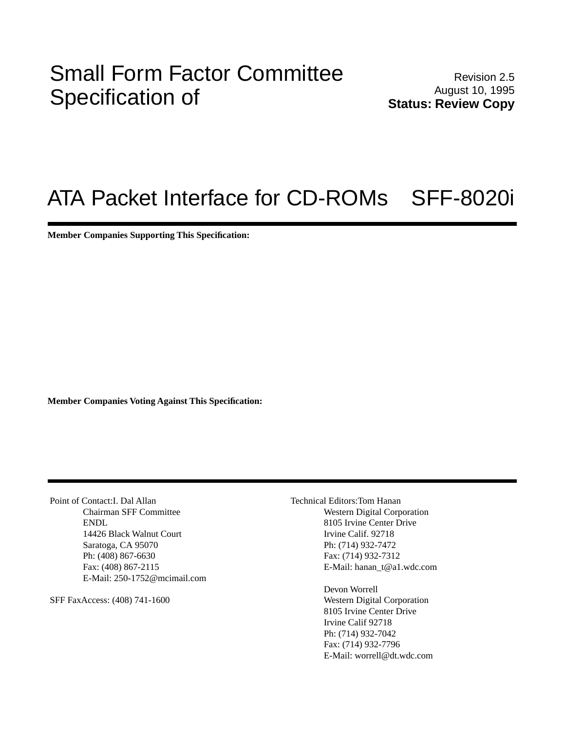# Small Form Factor Committee Specification of

Revision 2.5 August 10, 1995 **Status: Review Copy**

# ATA Packet Interface for CD-ROMs SFF-8020i

**Member Companies Supporting This Specification:**

**Member Companies Voting Against This Specification:**

Point of Contact:I. Dal Allan Chairman SFF Committee ENDL 14426 Black Walnut Court Saratoga, CA 95070 Ph: (408) 867-6630 Fax: (408) 867-2115 E-Mail: 250-1752@mcimail.com

SFF FaxAccess: (408) 741-1600

Technical Editors:Tom Hanan Western Digital Corporation 8105 Irvine Center Drive Irvine Calif. 92718 Ph: (714) 932-7472 Fax: (714) 932-7312 E-Mail: hanan\_t@a1.wdc.com

> Devon Worrell Western Digital Corporation 8105 Irvine Center Drive Irvine Calif 92718 Ph: (714) 932-7042 Fax: (714) 932-7796 E-Mail: worrell@dt.wdc.com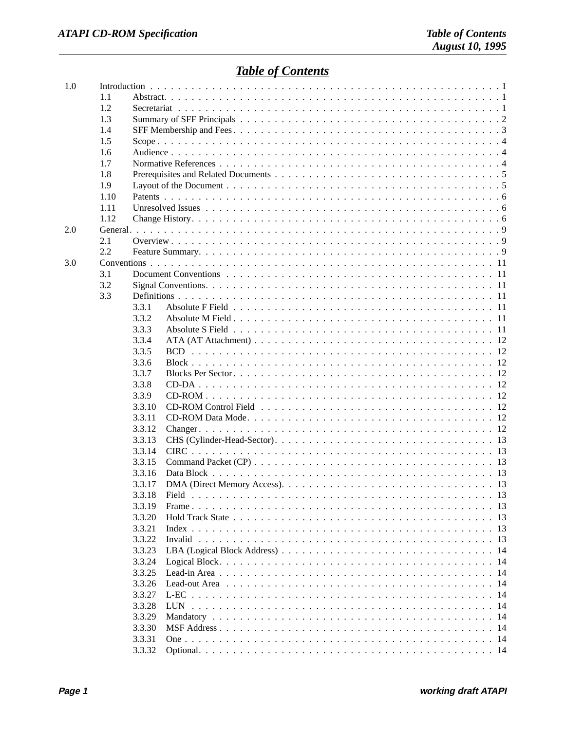| 1.0 |      |        |       |
|-----|------|--------|-------|
|     | 1.1  |        |       |
|     | 1.2  |        |       |
|     | 1.3  |        |       |
|     | 1.4  |        |       |
|     | 1.5  |        |       |
|     | 1.6  |        |       |
|     | 1.7  |        |       |
|     | 1.8  |        |       |
|     | 1.9  |        |       |
|     | 1.10 |        |       |
|     | 1.11 |        |       |
|     | 1.12 |        |       |
| 2.0 |      |        |       |
|     | 2.1  |        |       |
|     | 2.2  |        |       |
| 3.0 |      |        |       |
|     | 3.1  |        |       |
|     | 3.2  |        |       |
|     | 3.3  |        |       |
|     |      | 3.3.1  |       |
|     |      | 3.3.2  |       |
|     |      | 3.3.3  |       |
|     |      | 3.3.4  |       |
|     |      | 3.3.5  |       |
|     |      | 3.3.6  |       |
|     |      | 3.3.7  |       |
|     |      | 3.3.8  |       |
|     |      | 3.3.9  |       |
|     |      | 3.3.10 |       |
|     |      | 3.3.11 |       |
|     |      |        |       |
|     |      | 3.3.12 |       |
|     |      | 3.3.13 |       |
|     |      | 3.3.14 |       |
|     |      | 3.3.15 |       |
|     |      | 3.3.16 |       |
|     |      | 3.3.17 |       |
|     |      | 3.3.18 | Field |
|     |      | 3.3.19 |       |
|     |      | 3.3.20 |       |
|     |      | 3.3.21 |       |
|     |      | 3.3.22 |       |
|     |      | 3.3.23 |       |
|     |      | 3.3.24 |       |
|     |      | 3.3.25 |       |
|     |      | 3.3.26 |       |
|     |      | 3.3.27 |       |
|     |      | 3.3.28 |       |
|     |      | 3.3.29 |       |
|     |      | 3.3.30 |       |
|     |      | 3.3.31 |       |
|     |      | 3.3.32 |       |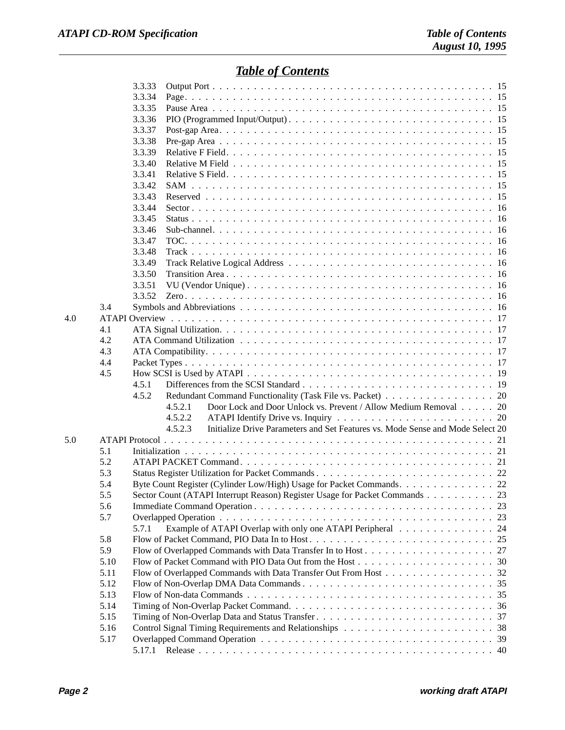|     |      | 3.3.33                                                                                    |
|-----|------|-------------------------------------------------------------------------------------------|
|     |      | 3.3.34                                                                                    |
|     |      | 3.3.35                                                                                    |
|     |      | 3.3.36                                                                                    |
|     |      | 3.3.37                                                                                    |
|     |      | 3.3.38                                                                                    |
|     |      | 3.3.39                                                                                    |
|     |      | 3.3.40                                                                                    |
|     |      | 3.3.41                                                                                    |
|     |      | 3.3.42                                                                                    |
|     |      | 3.3.43                                                                                    |
|     |      | 3.3.44                                                                                    |
|     |      | 3.3.45                                                                                    |
|     |      | 3.3.46                                                                                    |
|     |      | 3.3.47                                                                                    |
|     |      | 3.3.48                                                                                    |
|     |      | 3.3.49                                                                                    |
|     |      | 3.3.50                                                                                    |
|     |      | 3.3.51                                                                                    |
|     |      | 3.3.52                                                                                    |
|     | 3.4  |                                                                                           |
| 4.0 |      |                                                                                           |
|     | 4.1  |                                                                                           |
|     | 4.2  |                                                                                           |
|     | 4.3  |                                                                                           |
|     | 4.4  |                                                                                           |
|     | 4.5  |                                                                                           |
|     |      | 4.5.1                                                                                     |
|     |      | 4.5.2<br>Redundant Command Functionality (Task File vs. Packet) 20                        |
|     |      | Door Lock and Door Unlock vs. Prevent / Allow Medium Removal 20<br>4.5.2.1                |
|     |      | 4.5.2.2                                                                                   |
|     |      | Initialize Drive Parameters and Set Features vs. Mode Sense and Mode Select 20<br>4.5.2.3 |
| 5.0 |      |                                                                                           |
|     | 5.1  |                                                                                           |
|     | 5.2  |                                                                                           |
|     | 5.3  |                                                                                           |
|     | 5.4  | Byte Count Register (Cylinder Low/High) Usage for Packet Commands. 22                     |
|     | 5.5  | Sector Count (ATAPI Interrupt Reason) Register Usage for Packet Commands 23               |
|     | 5.6  |                                                                                           |
|     | 5.7  |                                                                                           |
|     |      | Example of ATAPI Overlap with only one ATAPI Peripheral 24<br>5.7.1                       |
|     | 5.8  |                                                                                           |
|     | 5.9  |                                                                                           |
|     | 5.10 |                                                                                           |
|     | 5.11 | Flow of Overlapped Commands with Data Transfer Out From Host 32                           |
|     | 5.12 |                                                                                           |
|     | 5.13 |                                                                                           |
|     | 5.14 |                                                                                           |
|     | 5.15 |                                                                                           |
|     | 5.16 |                                                                                           |
|     | 5.17 |                                                                                           |
|     |      | 5.17.1                                                                                    |
|     |      |                                                                                           |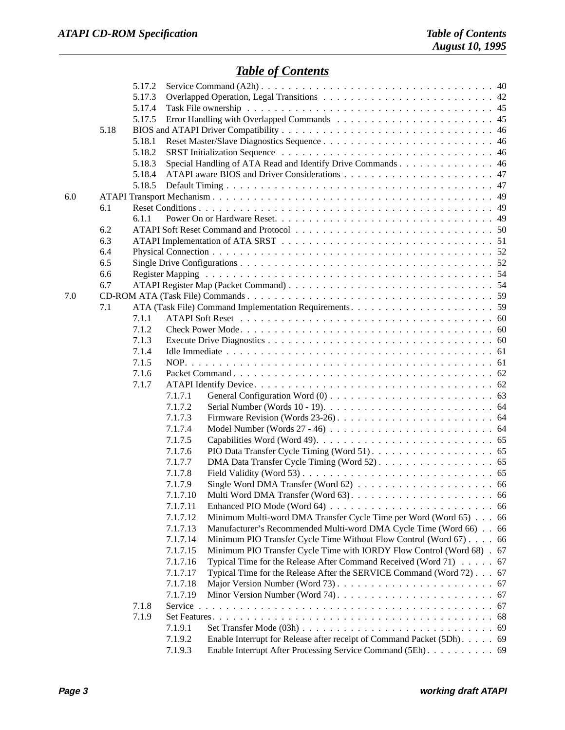|     |      | 5.17.2 |          |                                                                                                                                            |  |
|-----|------|--------|----------|--------------------------------------------------------------------------------------------------------------------------------------------|--|
|     |      | 5.17.3 |          |                                                                                                                                            |  |
|     |      | 5.17.4 |          |                                                                                                                                            |  |
|     |      | 5.17.5 |          |                                                                                                                                            |  |
|     | 5.18 |        |          |                                                                                                                                            |  |
|     |      | 5.18.1 |          |                                                                                                                                            |  |
|     |      | 5.18.2 |          |                                                                                                                                            |  |
|     |      | 5.18.3 |          | Special Handling of ATA Read and Identify Drive Commands 46                                                                                |  |
|     |      | 5.18.4 |          |                                                                                                                                            |  |
|     |      | 5.18.5 |          |                                                                                                                                            |  |
| 6.0 |      |        |          |                                                                                                                                            |  |
|     | 6.1  |        |          |                                                                                                                                            |  |
|     |      | 6.1.1  |          |                                                                                                                                            |  |
|     | 6.2  |        |          |                                                                                                                                            |  |
|     | 6.3  |        |          |                                                                                                                                            |  |
|     | 6.4  |        |          |                                                                                                                                            |  |
|     | 6.5  |        |          |                                                                                                                                            |  |
|     | 6.6  |        |          |                                                                                                                                            |  |
|     | 6.7  |        |          |                                                                                                                                            |  |
| 7.0 |      |        |          |                                                                                                                                            |  |
|     | 7.1  |        |          |                                                                                                                                            |  |
|     |      | 7.1.1  |          |                                                                                                                                            |  |
|     |      | 7.1.2  |          |                                                                                                                                            |  |
|     |      | 7.1.3  |          |                                                                                                                                            |  |
|     |      | 7.1.4  |          |                                                                                                                                            |  |
|     |      | 7.1.5  |          |                                                                                                                                            |  |
|     |      | 7.1.6  |          |                                                                                                                                            |  |
|     |      | 7.1.7  |          |                                                                                                                                            |  |
|     |      |        | 7.1.7.1  |                                                                                                                                            |  |
|     |      |        | 7.1.7.2  |                                                                                                                                            |  |
|     |      |        | 7.1.7.3  |                                                                                                                                            |  |
|     |      |        | 7.1.7.4  |                                                                                                                                            |  |
|     |      |        | 7.1.7.5  |                                                                                                                                            |  |
|     |      |        | 7.1.7.6  |                                                                                                                                            |  |
|     |      |        | 7.1.7.7  | DMA Data Transfer Cycle Timing (Word 52) 65                                                                                                |  |
|     |      |        | 7.1.7.8  |                                                                                                                                            |  |
|     |      |        | 7.1.7.9  |                                                                                                                                            |  |
|     |      |        | 7.1.7.10 |                                                                                                                                            |  |
|     |      |        | 7.1.7.11 |                                                                                                                                            |  |
|     |      |        | 7.1.7.12 | Minimum Multi-word DMA Transfer Cycle Time per Word (Word 65) 66                                                                           |  |
|     |      |        | 7.1.7.13 | Manufacturer's Recommended Multi-word DMA Cycle Time (Word 66) 66                                                                          |  |
|     |      |        | 7.1.7.14 | Minimum PIO Transfer Cycle Time Without Flow Control (Word 67) 66                                                                          |  |
|     |      |        | 7.1.7.15 |                                                                                                                                            |  |
|     |      |        | 7.1.7.16 | Minimum PIO Transfer Cycle Time with IORDY Flow Control (Word 68) . 67<br>Typical Time for the Release After Command Received (Word 71) 67 |  |
|     |      |        |          |                                                                                                                                            |  |
|     |      |        | 7.1.7.17 | Typical Time for the Release After the SERVICE Command (Word 72) 67                                                                        |  |
|     |      |        | 7.1.7.18 |                                                                                                                                            |  |
|     |      |        | 7.1.7.19 |                                                                                                                                            |  |
|     |      | 7.1.8  | Service  |                                                                                                                                            |  |
|     |      | 7.1.9  |          |                                                                                                                                            |  |
|     |      |        | 7.1.9.1  |                                                                                                                                            |  |
|     |      |        | 7.1.9.2  | Enable Interrupt for Release after receipt of Command Packet (5Dh). 69                                                                     |  |
|     |      |        | 7.1.9.3  | Enable Interrupt After Processing Service Command (5Eh). 69                                                                                |  |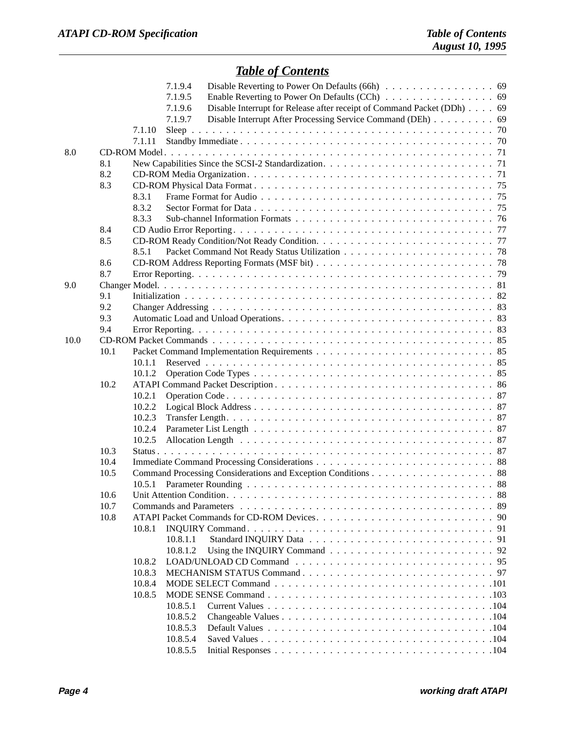|      |      |        | 7.1.9.4<br>Disable Reverting to Power On Defaults (66h) 69                        |  |
|------|------|--------|-----------------------------------------------------------------------------------|--|
|      |      |        | Enable Reverting to Power On Defaults (CCh) 69<br>7.1.9.5                         |  |
|      |      |        | Disable Interrupt for Release after receipt of Command Packet (DDh) 69<br>7.1.9.6 |  |
|      |      |        | Disable Interrupt After Processing Service Command (DEh) 69<br>7.1.9.7            |  |
|      |      | 7.1.10 |                                                                                   |  |
|      |      | 7.1.11 |                                                                                   |  |
| 8.0  |      |        |                                                                                   |  |
|      | 8.1  |        |                                                                                   |  |
|      | 8.2  |        |                                                                                   |  |
|      | 8.3  |        |                                                                                   |  |
|      |      | 8.3.1  |                                                                                   |  |
|      |      | 8.3.2  |                                                                                   |  |
|      |      |        |                                                                                   |  |
|      |      | 8.3.3  |                                                                                   |  |
|      | 8.4  |        |                                                                                   |  |
|      | 8.5  |        |                                                                                   |  |
|      |      | 8.5.1  |                                                                                   |  |
|      | 8.6  |        |                                                                                   |  |
|      | 8.7  |        |                                                                                   |  |
| 9.0  |      |        |                                                                                   |  |
|      | 9.1  |        |                                                                                   |  |
|      | 9.2  |        |                                                                                   |  |
|      | 9.3  |        |                                                                                   |  |
|      | 9.4  |        |                                                                                   |  |
| 10.0 |      |        |                                                                                   |  |
|      | 10.1 |        |                                                                                   |  |
|      |      | 10.1.1 |                                                                                   |  |
|      |      | 10.1.2 |                                                                                   |  |
|      | 10.2 |        |                                                                                   |  |
|      |      | 10.2.1 |                                                                                   |  |
|      |      |        |                                                                                   |  |
|      |      | 10.2.2 |                                                                                   |  |
|      |      | 10.2.3 |                                                                                   |  |
|      |      | 10.2.4 |                                                                                   |  |
|      |      | 10.2.5 |                                                                                   |  |
|      | 10.3 |        |                                                                                   |  |
|      | 10.4 |        |                                                                                   |  |
|      | 10.5 |        | Command Processing Considerations and Exception Conditions 88                     |  |
|      |      |        |                                                                                   |  |
|      | 10.6 |        |                                                                                   |  |
|      | 10.7 |        |                                                                                   |  |
|      | 10.8 |        |                                                                                   |  |
|      |      | 10.8.1 |                                                                                   |  |
|      |      |        | 10.8.1.1                                                                          |  |
|      |      |        | 10.8.1.2                                                                          |  |
|      |      | 10.8.2 |                                                                                   |  |
|      |      | 10.8.3 |                                                                                   |  |
|      |      | 10.8.4 |                                                                                   |  |
|      |      | 10.8.5 |                                                                                   |  |
|      |      |        | 10.8.5.1                                                                          |  |
|      |      |        |                                                                                   |  |
|      |      |        | 10.8.5.2                                                                          |  |
|      |      |        | 10.8.5.3                                                                          |  |
|      |      |        | 10.8.5.4                                                                          |  |
|      |      |        | 10.8.5.5                                                                          |  |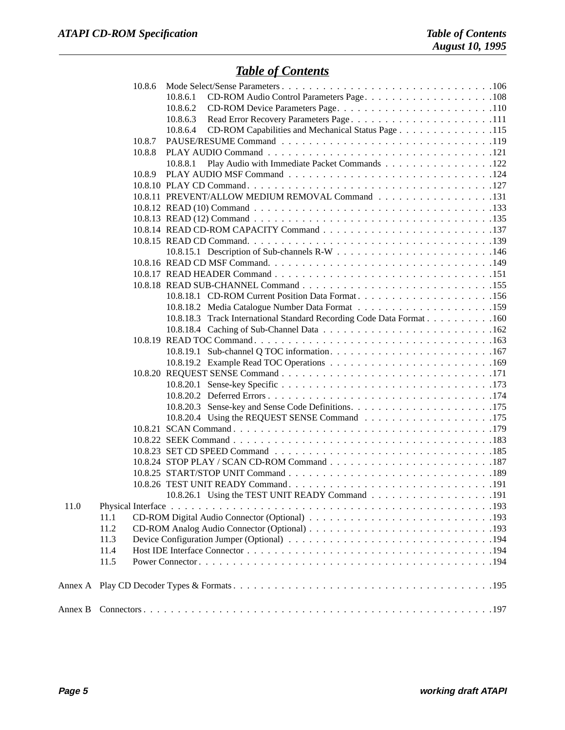|         | 10.8.6 |          |                                                                       |  |
|---------|--------|----------|-----------------------------------------------------------------------|--|
|         |        | 10.8.6.1 |                                                                       |  |
|         |        | 10.8.6.2 |                                                                       |  |
|         |        | 10.8.6.3 | Read Error Recovery Parameters Page111                                |  |
|         |        | 10.8.6.4 | CD-ROM Capabilities and Mechanical Status Page 115                    |  |
|         | 10.8.7 |          |                                                                       |  |
|         | 10.8.8 |          |                                                                       |  |
|         |        | 10.8.8.1 | Play Audio with Immediate Packet Commands 122                         |  |
|         | 10.8.9 |          |                                                                       |  |
|         |        |          |                                                                       |  |
|         |        |          | 10.8.11 PREVENT/ALLOW MEDIUM REMOVAL Command 131                      |  |
|         |        |          |                                                                       |  |
|         |        |          |                                                                       |  |
|         |        |          |                                                                       |  |
|         |        |          |                                                                       |  |
|         |        |          |                                                                       |  |
|         |        |          |                                                                       |  |
|         |        |          |                                                                       |  |
|         |        |          |                                                                       |  |
|         |        |          |                                                                       |  |
|         |        |          |                                                                       |  |
|         |        |          | 10.8.18.3 Track International Standard Recording Code Data Format 160 |  |
|         |        |          |                                                                       |  |
|         |        |          |                                                                       |  |
|         |        |          |                                                                       |  |
|         |        |          |                                                                       |  |
|         |        |          |                                                                       |  |
|         |        |          |                                                                       |  |
|         |        |          |                                                                       |  |
|         |        |          |                                                                       |  |
|         |        |          |                                                                       |  |
|         |        |          |                                                                       |  |
|         |        |          |                                                                       |  |
|         |        |          |                                                                       |  |
|         |        |          |                                                                       |  |
|         |        |          |                                                                       |  |
|         |        |          |                                                                       |  |
|         |        |          |                                                                       |  |
| 11.0    |        |          |                                                                       |  |
|         | 11.1   |          |                                                                       |  |
|         | 11.2   |          |                                                                       |  |
|         | 11.3   |          |                                                                       |  |
|         | 11.4   |          |                                                                       |  |
|         | 11.5   |          |                                                                       |  |
|         |        |          |                                                                       |  |
| Annex B |        |          |                                                                       |  |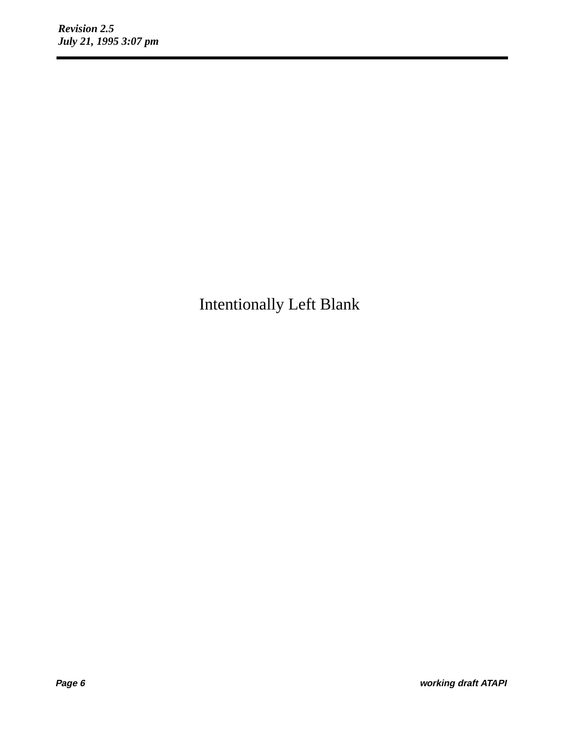Intentionally Left Blank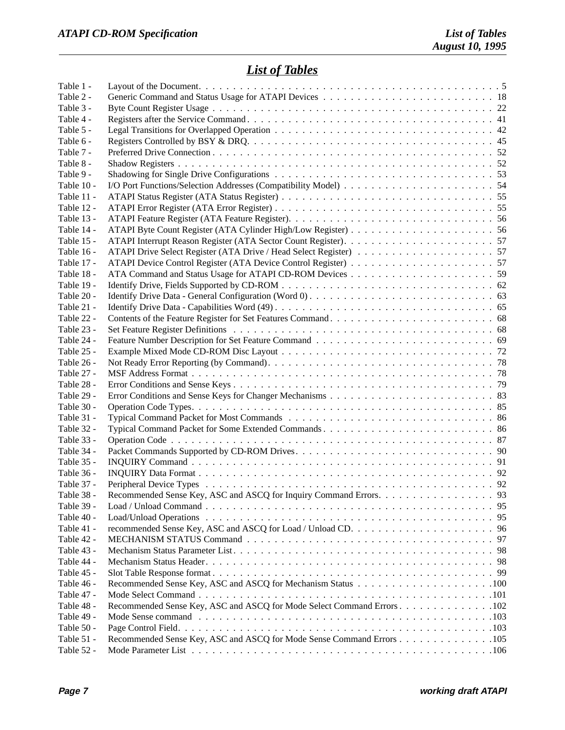## *List of Tables*

| Table 1 -  |                                                                       |  |
|------------|-----------------------------------------------------------------------|--|
| Table 2 -  |                                                                       |  |
| Table 3 -  |                                                                       |  |
| Table 4 -  |                                                                       |  |
| Table 5 -  |                                                                       |  |
| Table 6 -  |                                                                       |  |
| Table 7 -  |                                                                       |  |
| Table 8 -  |                                                                       |  |
| Table 9 -  |                                                                       |  |
| Table 10 - |                                                                       |  |
| Table 11 - |                                                                       |  |
| Table 12 - |                                                                       |  |
| Table 13 - |                                                                       |  |
| Table 14 - |                                                                       |  |
| Table 15 - |                                                                       |  |
| Table 16 - |                                                                       |  |
| Table 17 - |                                                                       |  |
| Table 18 - |                                                                       |  |
| Table 19 - |                                                                       |  |
| Table 20 - |                                                                       |  |
| Table 21 - |                                                                       |  |
| Table 22 - |                                                                       |  |
| Table 23 - |                                                                       |  |
| Table 24 - |                                                                       |  |
| Table 25 - |                                                                       |  |
| Table 26 - |                                                                       |  |
| Table 27 - |                                                                       |  |
| Table 28 - |                                                                       |  |
| Table 29 - |                                                                       |  |
| Table 30 - |                                                                       |  |
| Table 31 - |                                                                       |  |
| Table 32 - |                                                                       |  |
| Table 33 - |                                                                       |  |
| Table 34 - |                                                                       |  |
| Table 35 - |                                                                       |  |
| Table 36 - |                                                                       |  |
| Table 37 - |                                                                       |  |
| Table 38 - | Recommended Sense Key, ASC and ASCQ for Inquiry Command Errors. 93    |  |
| Table 39 - |                                                                       |  |
| Table 40 - |                                                                       |  |
| Table 41 - |                                                                       |  |
| Table 42 - |                                                                       |  |
| Table 43 - |                                                                       |  |
| Table 44 - |                                                                       |  |
| Table 45 - |                                                                       |  |
| Table 46 - |                                                                       |  |
| Table 47 - |                                                                       |  |
| Table 48 - | Recommended Sense Key, ASC and ASCQ for Mode Select Command Errors102 |  |
| Table 49 - |                                                                       |  |
| Table 50 - |                                                                       |  |
| Table 51 - | Recommended Sense Key, ASC and ASCQ for Mode Sense Command Errors 105 |  |
| Table 52 - |                                                                       |  |
|            |                                                                       |  |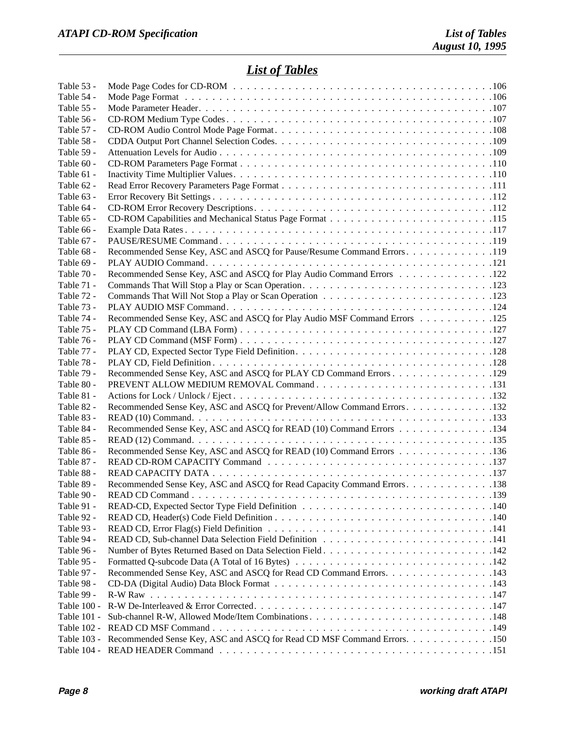## *List of Tables*

| Table 53 -  |                                                                           |  |
|-------------|---------------------------------------------------------------------------|--|
| Table 54 -  |                                                                           |  |
| Table 55 -  |                                                                           |  |
| Table 56 -  |                                                                           |  |
| Table 57 -  |                                                                           |  |
| Table 58 -  |                                                                           |  |
| Table 59 -  |                                                                           |  |
| Table 60 -  |                                                                           |  |
| Table 61 -  |                                                                           |  |
| Table 62 -  |                                                                           |  |
| Table 63 -  |                                                                           |  |
| Table 64 -  |                                                                           |  |
| Table 65 -  |                                                                           |  |
| Table 66 -  |                                                                           |  |
| Table 67 -  |                                                                           |  |
| Table 68 -  | Recommended Sense Key, ASC and ASCQ for Pause/Resume Command Errors119    |  |
| Table 69 -  |                                                                           |  |
| Table 70 -  | Recommended Sense Key, ASC and ASCQ for Play Audio Command Errors 122     |  |
| Table 71 -  |                                                                           |  |
| Table 72 -  |                                                                           |  |
| Table 73 -  |                                                                           |  |
| Table 74 -  | Recommended Sense Key, ASC and ASCQ for Play Audio MSF Command Errors 125 |  |
| Table 75 -  |                                                                           |  |
| Table 76 -  |                                                                           |  |
| Table 77 -  |                                                                           |  |
| Table 78 -  |                                                                           |  |
| Table 79 -  | Recommended Sense Key, ASC and ASCQ for PLAY CD Command Errors 129        |  |
| Table 80 -  |                                                                           |  |
| Table 81 -  |                                                                           |  |
| Table 82 -  | Recommended Sense Key, ASC and ASCQ for Prevent/Allow Command Errors132   |  |
| Table 83 -  |                                                                           |  |
| Table 84 -  | Recommended Sense Key, ASC and ASCQ for READ (10) Command Errors 134      |  |
| Table 85 -  |                                                                           |  |
| Table 86 -  | Recommended Sense Key, ASC and ASCQ for READ (10) Command Errors 136      |  |
| Table 87 -  |                                                                           |  |
| Table 88 -  |                                                                           |  |
| Table 89 -  | Recommended Sense Key, ASC and ASCQ for Read Capacity Command Errors. 138 |  |
| Table 90 -  |                                                                           |  |
| Table 91 -  |                                                                           |  |
| Table 92 -  |                                                                           |  |
| Table 93 -  |                                                                           |  |
| Table 94 -  |                                                                           |  |
| Table 96 -  |                                                                           |  |
| Table 95 -  |                                                                           |  |
| Table 97 -  | Recommended Sense Key, ASC and ASCQ for Read CD Command Errors. 143       |  |
| Table 98 -  |                                                                           |  |
| Table 99 -  |                                                                           |  |
| Table 100 - |                                                                           |  |
| Table 101 - |                                                                           |  |
| Table 102 - |                                                                           |  |
| Table 103 - | Recommended Sense Key, ASC and ASCQ for Read CD MSF Command Errors. 150   |  |
| Table 104 - |                                                                           |  |
|             |                                                                           |  |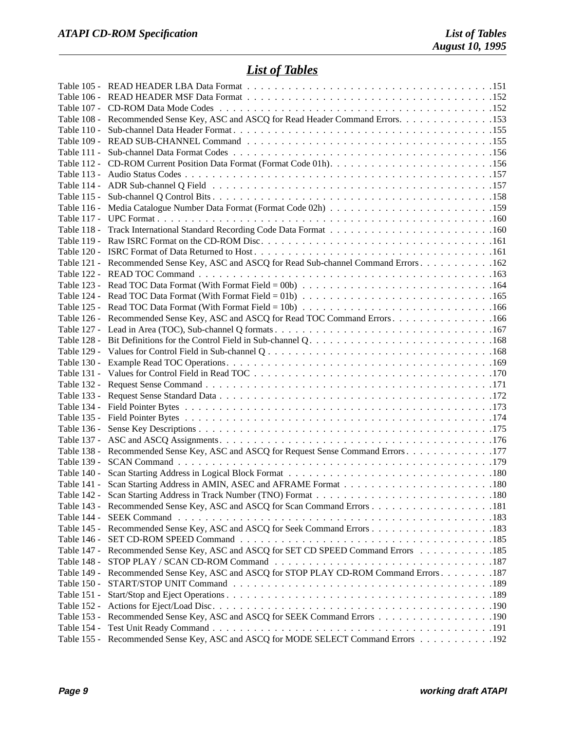## *List of Tables*

|             | Table 108 - Recommended Sense Key, ASC and ASCQ for Read Header Command Errors. 153      |  |
|-------------|------------------------------------------------------------------------------------------|--|
|             |                                                                                          |  |
|             |                                                                                          |  |
|             |                                                                                          |  |
|             |                                                                                          |  |
|             |                                                                                          |  |
|             |                                                                                          |  |
| Table 115 - |                                                                                          |  |
|             |                                                                                          |  |
|             |                                                                                          |  |
|             |                                                                                          |  |
|             |                                                                                          |  |
|             |                                                                                          |  |
|             | Table 121 - Recommended Sense Key, ASC and ASCQ for Read Sub-channel Command Errors. 162 |  |
|             |                                                                                          |  |
|             |                                                                                          |  |
|             |                                                                                          |  |
|             |                                                                                          |  |
|             | Table 126 - Recommended Sense Key, ASC and ASCQ for Read TOC Command Errors166           |  |
|             |                                                                                          |  |
|             |                                                                                          |  |
|             |                                                                                          |  |
|             |                                                                                          |  |
|             |                                                                                          |  |
|             |                                                                                          |  |
|             |                                                                                          |  |
|             |                                                                                          |  |
|             |                                                                                          |  |
| Table 136 - |                                                                                          |  |
|             |                                                                                          |  |
|             | Table 138 - Recommended Sense Key, ASC and ASCQ for Request Sense Command Errors 177     |  |
|             |                                                                                          |  |
| Table 140 - |                                                                                          |  |
|             |                                                                                          |  |
|             |                                                                                          |  |
| Table 143 - |                                                                                          |  |
| Table 144 - |                                                                                          |  |
| Table 145 - |                                                                                          |  |
| Table 146 - |                                                                                          |  |
| Table 147 - | Recommended Sense Key, ASC and ASCQ for SET CD SPEED Command Errors 185                  |  |
| Table 148 - |                                                                                          |  |
| Table 149 - | Recommended Sense Key, ASC and ASCQ for STOP PLAY CD-ROM Command Errors 187              |  |
| Table 150 - |                                                                                          |  |
| Table 151 - |                                                                                          |  |
| Table 152 - |                                                                                          |  |
| Table 153 - |                                                                                          |  |
| Table 154 - |                                                                                          |  |
|             | Table 155 - Recommended Sense Key, ASC and ASCQ for MODE SELECT Command Errors 192       |  |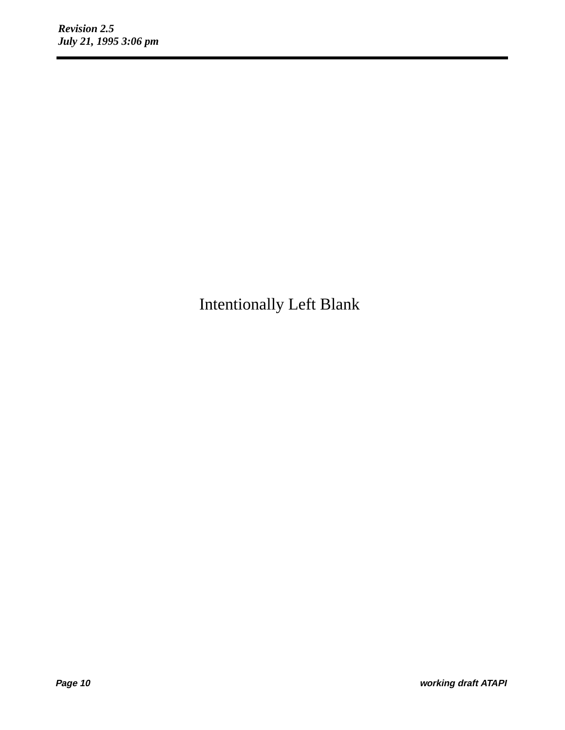Intentionally Left Blank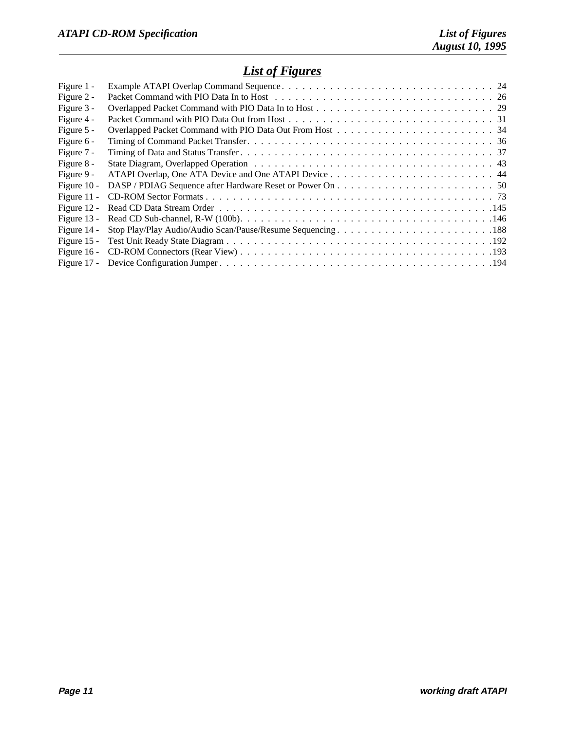## *List of Figures*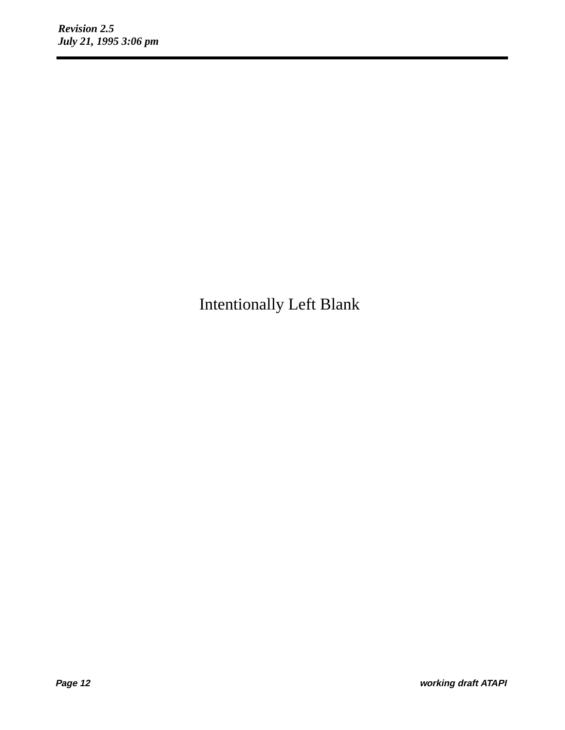Intentionally Left Blank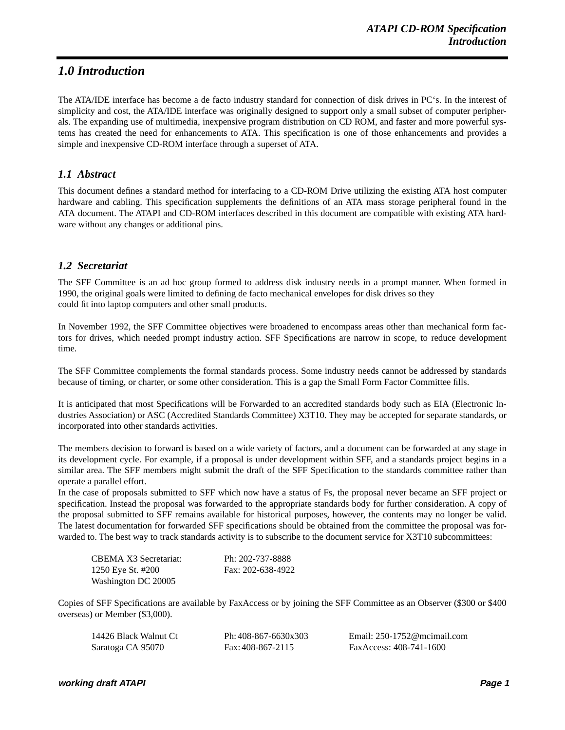## *1.0 Introduction*

The ATA/IDE interface has become a de facto industry standard for connection of disk drives in PC's. In the interest of simplicity and cost, the ATA/IDE interface was originally designed to support only a small subset of computer peripherals. The expanding use of multimedia, inexpensive program distribution on CD ROM, and faster and more powerful systems has created the need for enhancements to ATA. This specification is one of those enhancements and provides a simple and inexpensive CD-ROM interface through a superset of ATA.

## *1.1 Abstract*

This document defines a standard method for interfacing to a CD-ROM Drive utilizing the existing ATA host computer hardware and cabling. This specification supplements the definitions of an ATA mass storage peripheral found in the ATA document. The ATAPI and CD-ROM interfaces described in this document are compatible with existing ATA hardware without any changes or additional pins.

#### *1.2 Secretariat*

The SFF Committee is an ad hoc group formed to address disk industry needs in a prompt manner. When formed in 1990, the original goals were limited to defining de facto mechanical envelopes for disk drives so they could fit into laptop computers and other small products.

In November 1992, the SFF Committee objectives were broadened to encompass areas other than mechanical form factors for drives, which needed prompt industry action. SFF Specifications are narrow in scope, to reduce development time.

The SFF Committee complements the formal standards process. Some industry needs cannot be addressed by standards because of timing, or charter, or some other consideration. This is a gap the Small Form Factor Committee fills.

It is anticipated that most Specifications will be Forwarded to an accredited standards body such as EIA (Electronic Industries Association) or ASC (Accredited Standards Committee) X3T10. They may be accepted for separate standards, or incorporated into other standards activities.

The members decision to forward is based on a wide variety of factors, and a document can be forwarded at any stage in its development cycle. For example, if a proposal is under development within SFF, and a standards project begins in a similar area. The SFF members might submit the draft of the SFF Specification to the standards committee rather than operate a parallel effort.

In the case of proposals submitted to SFF which now have a status of Fs, the proposal never became an SFF project or specification. Instead the proposal was forwarded to the appropriate standards body for further consideration. A copy of the proposal submitted to SFF remains available for historical purposes, however, the contents may no longer be valid. The latest documentation for forwarded SFF specifications should be obtained from the committee the proposal was forwarded to. The best way to track standards activity is to subscribe to the document service for X3T10 subcommittees:

| CBEMA X3 Secretariat: | Ph: 202-737-8888  |
|-----------------------|-------------------|
| 1250 Eye St. #200     | Fax: 202-638-4922 |
| Washington DC 20005   |                   |

Copies of SFF Specifications are available by FaxAccess or by joining the SFF Committee as an Observer (\$300 or \$400 overseas) or Member (\$3,000).

| 14426 Black Walnut Ct | Ph: $408 - 867 - 6630 \times 303$ | Email: $250-1752$ @mcimail.com |
|-----------------------|-----------------------------------|--------------------------------|
| Saratoga CA 95070     | Fax: 408-867-2115                 | FaxAccess: 408-741-1600        |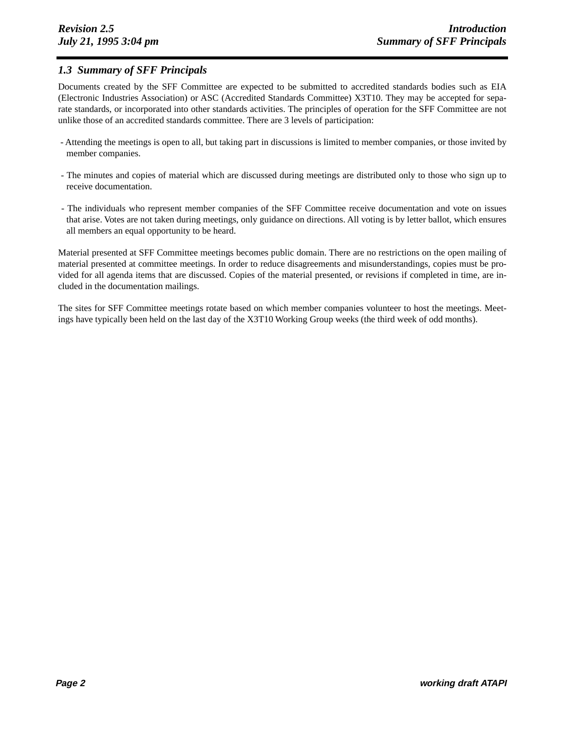## *1.3 Summary of SFF Principals*

Documents created by the SFF Committee are expected to be submitted to accredited standards bodies such as EIA (Electronic Industries Association) or ASC (Accredited Standards Committee) X3T10. They may be accepted for separate standards, or incorporated into other standards activities. The principles of operation for the SFF Committee are not unlike those of an accredited standards committee. There are 3 levels of participation:

- Attending the meetings is open to all, but taking part in discussions is limited to member companies, or those invited by member companies.
- The minutes and copies of material which are discussed during meetings are distributed only to those who sign up to receive documentation.
- The individuals who represent member companies of the SFF Committee receive documentation and vote on issues that arise. Votes are not taken during meetings, only guidance on directions. All voting is by letter ballot, which ensures all members an equal opportunity to be heard.

Material presented at SFF Committee meetings becomes public domain. There are no restrictions on the open mailing of material presented at committee meetings. In order to reduce disagreements and misunderstandings, copies must be provided for all agenda items that are discussed. Copies of the material presented, or revisions if completed in time, are included in the documentation mailings.

The sites for SFF Committee meetings rotate based on which member companies volunteer to host the meetings. Meetings have typically been held on the last day of the X3T10 Working Group weeks (the third week of odd months).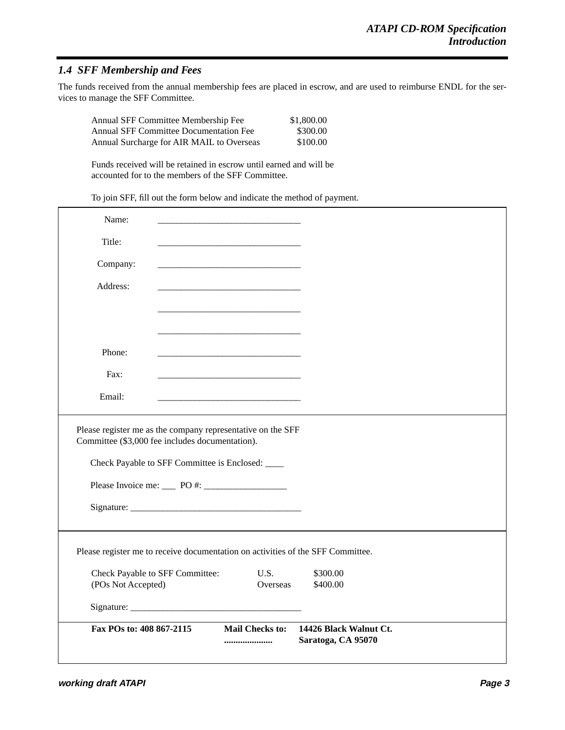## *1.4 SFF Membership and Fees*

The funds received from the annual membership fees are placed in escrow, and are used to reimburse ENDL for the services to manage the SFF Committee.

| Annual SFF Committee Membership Fee           | \$1,800.00 |
|-----------------------------------------------|------------|
| <b>Annual SFF Committee Documentation Fee</b> | \$300.00   |
| Annual Surcharge for AIR MAIL to Overseas     | \$100.00   |

 Funds received will be retained in escrow until earned and will be accounted for to the members of the SFF Committee.

To join SFF, fill out the form below and indicate the method of payment.

|                                                                                                                | Fax POs to: 408 867-2115 | <b>Mail Checks to:</b> | 14426 Black Walnut Ct. |  |
|----------------------------------------------------------------------------------------------------------------|--------------------------|------------------------|------------------------|--|
|                                                                                                                |                          |                        |                        |  |
| (POs Not Accepted)                                                                                             |                          | Overseas               | \$400.00               |  |
| Check Payable to SFF Committee:                                                                                |                          | U.S.                   | \$300.00               |  |
| Please register me to receive documentation on activities of the SFF Committee.                                |                          |                        |                        |  |
|                                                                                                                |                          |                        |                        |  |
| Please Invoice me: $\_\_$ PO #: $\_\_$                                                                         |                          |                        |                        |  |
| Check Payable to SFF Committee is Enclosed: ____                                                               |                          |                        |                        |  |
| Please register me as the company representative on the SFF<br>Committee (\$3,000 fee includes documentation). |                          |                        |                        |  |
| Email:                                                                                                         |                          |                        |                        |  |
| Fax:                                                                                                           |                          |                        |                        |  |
| Phone:                                                                                                         |                          |                        |                        |  |
|                                                                                                                |                          |                        |                        |  |
|                                                                                                                |                          |                        |                        |  |
| Address:                                                                                                       |                          |                        |                        |  |
| Company:                                                                                                       |                          |                        |                        |  |
| Title:                                                                                                         |                          |                        |                        |  |
| Name:                                                                                                          |                          |                        |                        |  |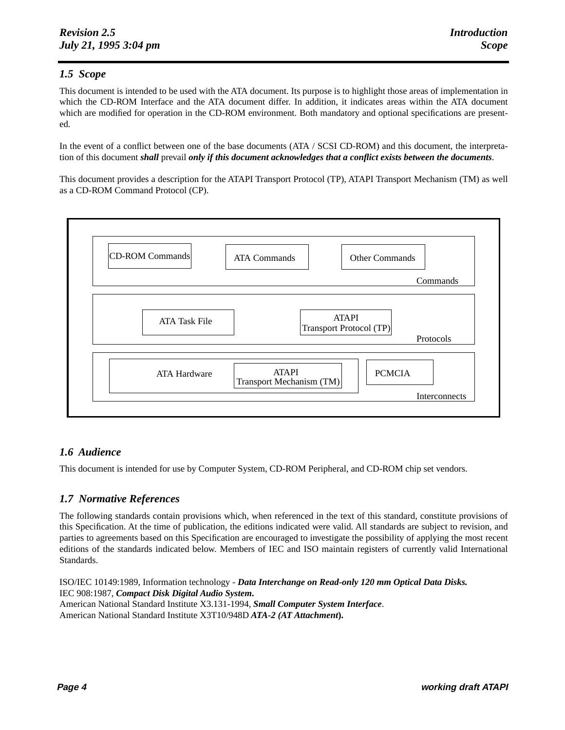## *1.5 Scope*

This document is intended to be used with the ATA document. Its purpose is to highlight those areas of implementation in which the CD-ROM Interface and the ATA document differ. In addition, it indicates areas within the ATA document which are modified for operation in the CD-ROM environment. Both mandatory and optional specifications are presented.

In the event of a conflict between one of the base documents (ATA / SCSI CD-ROM) and this document, the interpretation of this document *shall* prevail *only if this document acknowledges that a conflict exists between the documents*.

This document provides a description for the ATAPI Transport Protocol (TP), ATAPI Transport Mechanism (TM) as well as a CD-ROM Command Protocol (CP).



## *1.6 Audience*

This document is intended for use by Computer System, CD-ROM Peripheral, and CD-ROM chip set vendors.

## *1.7 Normative References*

The following standards contain provisions which, when referenced in the text of this standard, constitute provisions of this Specification. At the time of publication, the editions indicated were valid. All standards are subject to revision, and parties to agreements based on this Specification are encouraged to investigate the possibility of applying the most recent editions of the standards indicated below. Members of IEC and ISO maintain registers of currently valid International Standards.

ISO/IEC 10149:1989, Information technology - *Data Interchange on Read-only 120 mm Optical Data Disks.* IEC 908:1987, *Compact Disk Digital Audio System***.** American National Standard Institute X3.131-1994, *Small Computer System Interface*. American National Standard Institute X3T10/948D *ATA-2 (AT Attachment***).**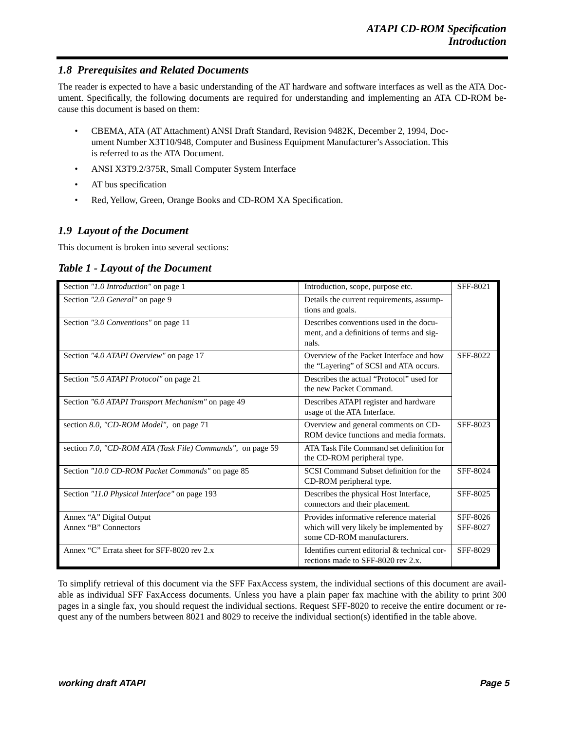#### *1.8 Prerequisites and Related Documents*

The reader is expected to have a basic understanding of the AT hardware and software interfaces as well as the ATA Document. Specifically, the following documents are required for understanding and implementing an ATA CD-ROM because this document is based on them:

- CBEMA, ATA (AT Attachment) ANSI Draft Standard, Revision 9482K, December 2, 1994, Document Number X3T10/948, Computer and Business Equipment Manufacturer's Association. This is referred to as the ATA Document.
- ANSI X3T9.2/375R, Small Computer System Interface
- AT bus specification
- Red, Yellow, Green, Orange Books and CD-ROM XA Specification.

#### *1.9 Layout of the Document*

This document is broken into several sections:

|  |  |  |  | Table 1 - Layout of the Document |
|--|--|--|--|----------------------------------|
|--|--|--|--|----------------------------------|

| Section "1.0 Introduction" on page 1                       | Introduction, scope, purpose etc.                                                                                 | SFF-8021             |
|------------------------------------------------------------|-------------------------------------------------------------------------------------------------------------------|----------------------|
| Section "2.0 General" on page 9                            | Details the current requirements, assump-<br>tions and goals.                                                     |                      |
| Section "3.0 Conventions" on page 11                       | Describes conventions used in the docu-<br>ment, and a definitions of terms and sig-<br>nals.                     |                      |
| Section "4.0 ATAPI Overview" on page 17                    | Overview of the Packet Interface and how<br>the "Layering" of SCSI and ATA occurs.                                | SFF-8022             |
| Section "5.0 ATAPI Protocol" on page 21                    | Describes the actual "Protocol" used for<br>the new Packet Command.                                               |                      |
| Section "6.0 ATAPI Transport Mechanism" on page 49         | Describes ATAPI register and hardware<br>usage of the ATA Interface.                                              |                      |
| section 8.0, "CD-ROM Model", on page 71                    | Overview and general comments on CD-<br>ROM device functions and media formats.                                   | SFF-8023             |
| section 7.0, "CD-ROM ATA (Task File) Commands", on page 59 | ATA Task File Command set definition for<br>the CD-ROM peripheral type.                                           |                      |
| Section "10.0 CD-ROM Packet Commands" on page 85           | SCSI Command Subset definition for the<br>CD-ROM peripheral type.                                                 | SFF-8024             |
| Section "11.0 Physical Interface" on page 193              | Describes the physical Host Interface,<br>connectors and their placement.                                         | SFF-8025             |
| Annex "A" Digital Output<br>Annex "B" Connectors           | Provides informative reference material<br>which will very likely be implemented by<br>some CD-ROM manufacturers. | SFF-8026<br>SFF-8027 |
| Annex "C" Errata sheet for SFF-8020 rev 2.x                | Identifies current editorial & technical cor-<br>rections made to SFF-8020 rev 2.x.                               | SFF-8029             |

To simplify retrieval of this document via the SFF FaxAccess system, the individual sections of this document are available as individual SFF FaxAccess documents. Unless you have a plain paper fax machine with the ability to print 300 pages in a single fax, you should request the individual sections. Request SFF-8020 to receive the entire document or request any of the numbers between 8021 and 8029 to receive the individual section(s) identified in the table above.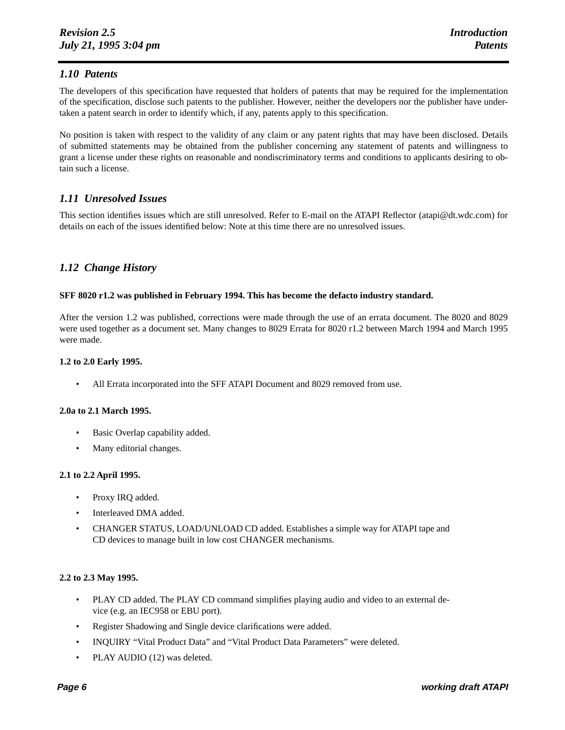## *1.10 Patents*

The developers of this specification have requested that holders of patents that may be required for the implementation of the specification, disclose such patents to the publisher. However, neither the developers nor the publisher have undertaken a patent search in order to identify which, if any, patents apply to this specification.

No position is taken with respect to the validity of any claim or any patent rights that may have been disclosed. Details of submitted statements may be obtained from the publisher concerning any statement of patents and willingness to grant a license under these rights on reasonable and nondiscriminatory terms and conditions to applicants desiring to obtain such a license.

## *1.11 Unresolved Issues*

This section identifies issues which are still unresolved. Refer to E-mail on the ATAPI Reflector (atapi@dt.wdc.com) for details on each of the issues identified below: Note at this time there are no unresolved issues.

## *1.12 Change History*

#### **SFF 8020 r1.2 was published in February 1994. This has become the defacto industry standard.**

After the version 1.2 was published, corrections were made through the use of an errata document. The 8020 and 8029 were used together as a document set. Many changes to 8029 Errata for 8020 r1.2 between March 1994 and March 1995 were made.

#### **1.2 to 2.0 Early 1995.**

• All Errata incorporated into the SFF ATAPI Document and 8029 removed from use.

#### **2.0a to 2.1 March 1995.**

- Basic Overlap capability added.
- Many editorial changes.

#### **2.1 to 2.2 April 1995.**

- Proxy IRQ added.
- Interleaved DMA added.
- CHANGER STATUS, LOAD/UNLOAD CD added. Establishes a simple way for ATAPI tape and CD devices to manage built in low cost CHANGER mechanisms.

#### **2.2 to 2.3 May 1995.**

- PLAY CD added. The PLAY CD command simplifies playing audio and video to an external device (e.g. an IEC958 or EBU port).
- Register Shadowing and Single device clarifications were added.
- INQUIRY "Vital Product Data" and "Vital Product Data Parameters" were deleted.
- PLAY AUDIO (12) was deleted.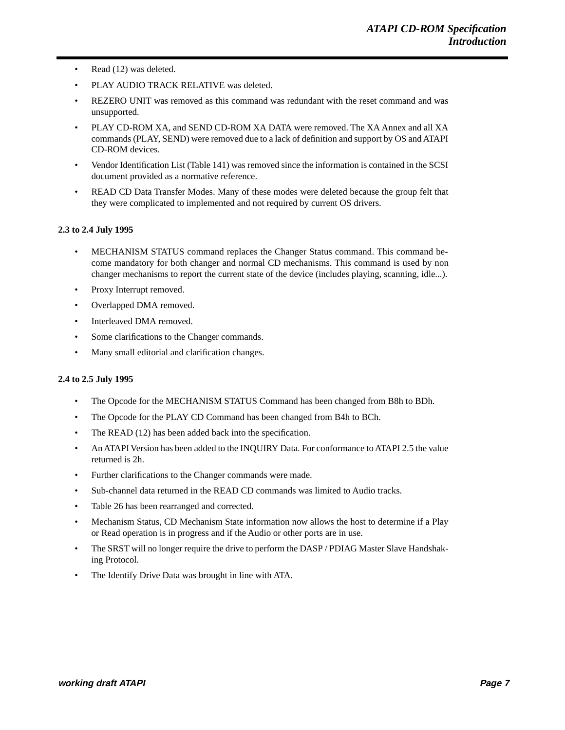- Read (12) was deleted.
- PLAY AUDIO TRACK RELATIVE was deleted.
- REZERO UNIT was removed as this command was redundant with the reset command and was unsupported.
- PLAY CD-ROM XA, and SEND CD-ROM XA DATA were removed. The XA Annex and all XA commands (PLAY, SEND) were removed due to a lack of definition and support by OS and ATAPI CD-ROM devices.
- Vendor Identification List (Table 141) was removed since the information is contained in the SCSI document provided as a normative reference.
- READ CD Data Transfer Modes. Many of these modes were deleted because the group felt that they were complicated to implemented and not required by current OS drivers.

#### **2.3 to 2.4 July 1995**

- MECHANISM STATUS command replaces the Changer Status command. This command become mandatory for both changer and normal CD mechanisms. This command is used by non changer mechanisms to report the current state of the device (includes playing, scanning, idle...).
- Proxy Interrupt removed.
- Overlapped DMA removed.
- Interleaved DMA removed.
- Some clarifications to the Changer commands.
- Many small editorial and clarification changes.

#### **2.4 to 2.5 July 1995**

- The Opcode for the MECHANISM STATUS Command has been changed from B8h to BDh.
- The Opcode for the PLAY CD Command has been changed from B4h to BCh.
- The READ (12) has been added back into the specification.
- An ATAPI Version has been added to the INQUIRY Data. For conformance to ATAPI 2.5 the value returned is 2h.
- Further clarifications to the Changer commands were made.
- Sub-channel data returned in the READ CD commands was limited to Audio tracks.
- Table 26 has been rearranged and corrected.
- Mechanism Status, CD Mechanism State information now allows the host to determine if a Play or Read operation is in progress and if the Audio or other ports are in use.
- The SRST will no longer require the drive to perform the DASP / PDIAG Master Slave Handshaking Protocol.
- The Identify Drive Data was brought in line with ATA.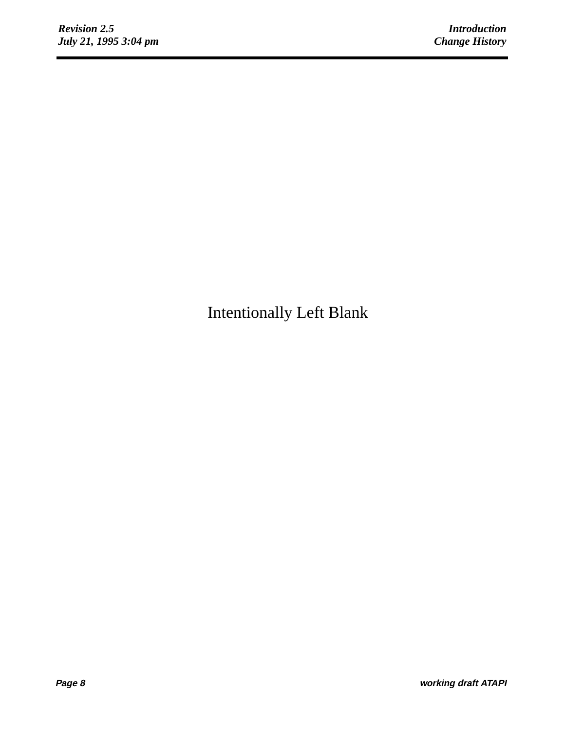## Intentionally Left Blank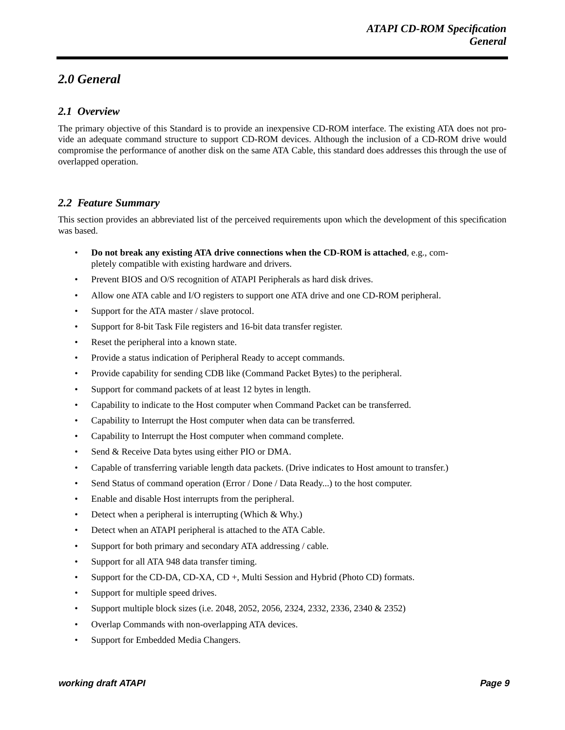## *2.0 General*

## *2.1 Overview*

The primary objective of this Standard is to provide an inexpensive CD-ROM interface. The existing ATA does not provide an adequate command structure to support CD-ROM devices. Although the inclusion of a CD-ROM drive would compromise the performance of another disk on the same ATA Cable, this standard does addresses this through the use of overlapped operation.

## *2.2 Feature Summary*

This section provides an abbreviated list of the perceived requirements upon which the development of this specification was based.

- **Do not break any existing ATA drive connections when the CD-ROM is attached**, e.g., completely compatible with existing hardware and drivers.
- Prevent BIOS and O/S recognition of ATAPI Peripherals as hard disk drives.
- Allow one ATA cable and I/O registers to support one ATA drive and one CD-ROM peripheral.
- Support for the ATA master / slave protocol.
- Support for 8-bit Task File registers and 16-bit data transfer register.
- Reset the peripheral into a known state.
- Provide a status indication of Peripheral Ready to accept commands.
- Provide capability for sending CDB like (Command Packet Bytes) to the peripheral.
- Support for command packets of at least 12 bytes in length.
- Capability to indicate to the Host computer when Command Packet can be transferred.
- Capability to Interrupt the Host computer when data can be transferred.
- Capability to Interrupt the Host computer when command complete.
- Send & Receive Data bytes using either PIO or DMA.
- Capable of transferring variable length data packets. (Drive indicates to Host amount to transfer.)
- Send Status of command operation (Error / Done / Data Ready...) to the host computer.
- Enable and disable Host interrupts from the peripheral.
- Detect when a peripheral is interrupting (Which & Why.)
- Detect when an ATAPI peripheral is attached to the ATA Cable.
- Support for both primary and secondary ATA addressing / cable.
- Support for all ATA 948 data transfer timing.
- Support for the CD-DA, CD-XA, CD +, Multi Session and Hybrid (Photo CD) formats.
- Support for multiple speed drives.
- Support multiple block sizes (i.e. 2048, 2052, 2056, 2324, 2332, 2336, 2340 & 2352)
- Overlap Commands with non-overlapping ATA devices.
- Support for Embedded Media Changers.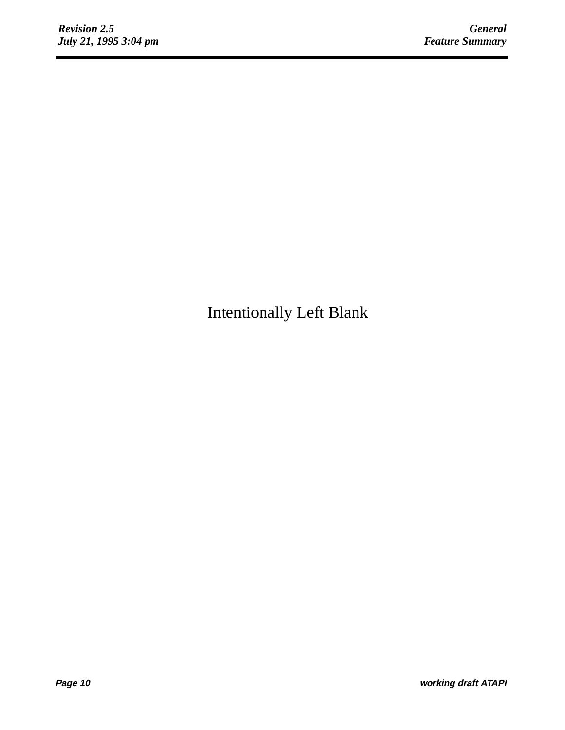# Intentionally Left Blank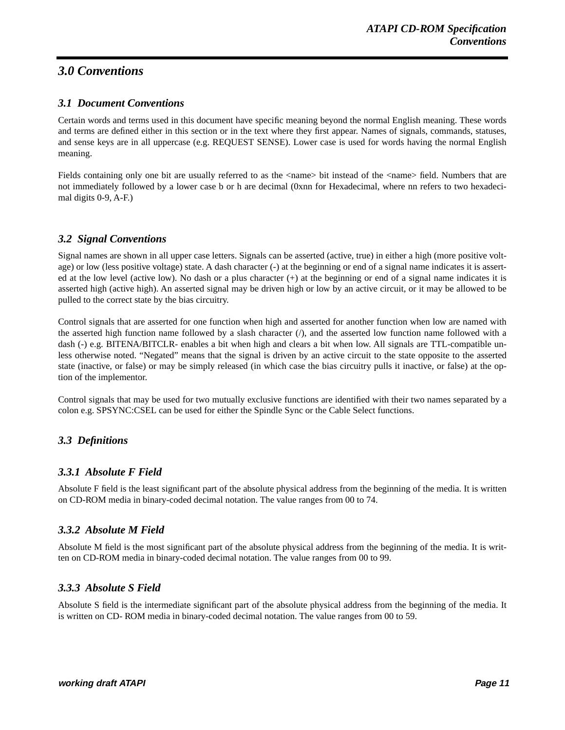## *3.0 Conventions*

## *3.1 Document Conventions*

Certain words and terms used in this document have specific meaning beyond the normal English meaning. These words and terms are defined either in this section or in the text where they first appear. Names of signals, commands, statuses, and sense keys are in all uppercase (e.g. REQUEST SENSE). Lower case is used for words having the normal English meaning.

Fields containing only one bit are usually referred to as the  $\alpha$  states bit instead of the  $\alpha$  are field. Numbers that are not immediately followed by a lower case b or h are decimal (0xnn for Hexadecimal, where nn refers to two hexadecimal digits 0-9, A-F.)

## *3.2 Signal Conventions*

Signal names are shown in all upper case letters. Signals can be asserted (active, true) in either a high (more positive voltage) or low (less positive voltage) state. A dash character (-) at the beginning or end of a signal name indicates it is asserted at the low level (active low). No dash or a plus character  $(+)$  at the beginning or end of a signal name indicates it is asserted high (active high). An asserted signal may be driven high or low by an active circuit, or it may be allowed to be pulled to the correct state by the bias circuitry.

Control signals that are asserted for one function when high and asserted for another function when low are named with the asserted high function name followed by a slash character  $($ ), and the asserted low function name followed with a dash (-) e.g. BITENA/BITCLR- enables a bit when high and clears a bit when low. All signals are TTL-compatible unless otherwise noted. "Negated" means that the signal is driven by an active circuit to the state opposite to the asserted state (inactive, or false) or may be simply released (in which case the bias circuitry pulls it inactive, or false) at the option of the implementor.

Control signals that may be used for two mutually exclusive functions are identified with their two names separated by a colon e.g. SPSYNC:CSEL can be used for either the Spindle Sync or the Cable Select functions.

## *3.3 Definitions*

## *3.3.1 Absolute F Field*

Absolute F field is the least significant part of the absolute physical address from the beginning of the media. It is written on CD-ROM media in binary-coded decimal notation. The value ranges from 00 to 74.

## *3.3.2 Absolute M Field*

Absolute M field is the most significant part of the absolute physical address from the beginning of the media. It is written on CD-ROM media in binary-coded decimal notation. The value ranges from 00 to 99.

#### *3.3.3 Absolute S Field*

Absolute S field is the intermediate significant part of the absolute physical address from the beginning of the media. It is written on CD- ROM media in binary-coded decimal notation. The value ranges from 00 to 59.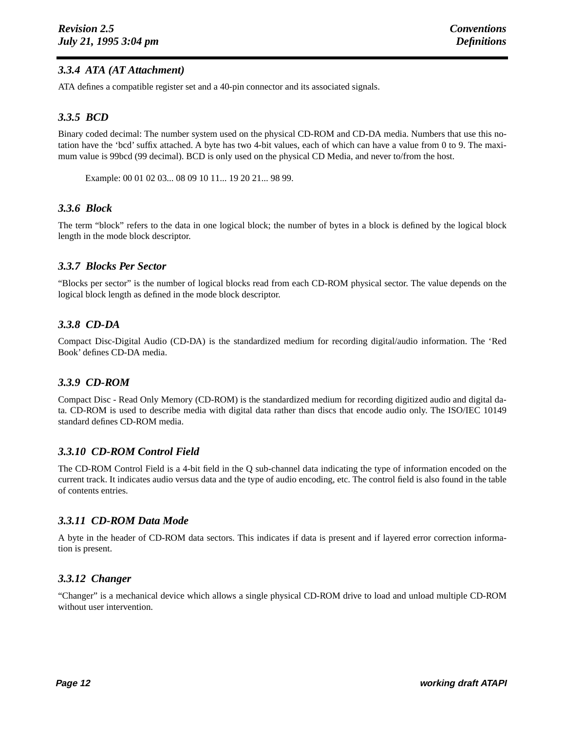## *3.3.4 ATA (AT Attachment)*

ATA defines a compatible register set and a 40-pin connector and its associated signals.

## *3.3.5 BCD*

Binary coded decimal: The number system used on the physical CD-ROM and CD-DA media. Numbers that use this notation have the 'bcd' suffix attached. A byte has two 4-bit values, each of which can have a value from 0 to 9. The maximum value is 99bcd (99 decimal). BCD is only used on the physical CD Media, and never to/from the host.

Example: 00 01 02 03... 08 09 10 11... 19 20 21... 98 99.

## *3.3.6 Block*

The term "block" refers to the data in one logical block; the number of bytes in a block is defined by the logical block length in the mode block descriptor.

## *3.3.7 Blocks Per Sector*

"Blocks per sector" is the number of logical blocks read from each CD-ROM physical sector. The value depends on the logical block length as defined in the mode block descriptor.

## *3.3.8 CD-DA*

Compact Disc-Digital Audio (CD-DA) is the standardized medium for recording digital/audio information. The 'Red Book' defines CD-DA media.

## *3.3.9 CD-ROM*

Compact Disc - Read Only Memory (CD-ROM) is the standardized medium for recording digitized audio and digital data. CD-ROM is used to describe media with digital data rather than discs that encode audio only. The ISO/IEC 10149 standard defines CD-ROM media.

## *3.3.10 CD-ROM Control Field*

The CD-ROM Control Field is a 4-bit field in the Q sub-channel data indicating the type of information encoded on the current track. It indicates audio versus data and the type of audio encoding, etc. The control field is also found in the table of contents entries.

## *3.3.11 CD-ROM Data Mode*

A byte in the header of CD-ROM data sectors. This indicates if data is present and if layered error correction information is present.

## *3.3.12 Changer*

"Changer" is a mechanical device which allows a single physical CD-ROM drive to load and unload multiple CD-ROM without user intervention.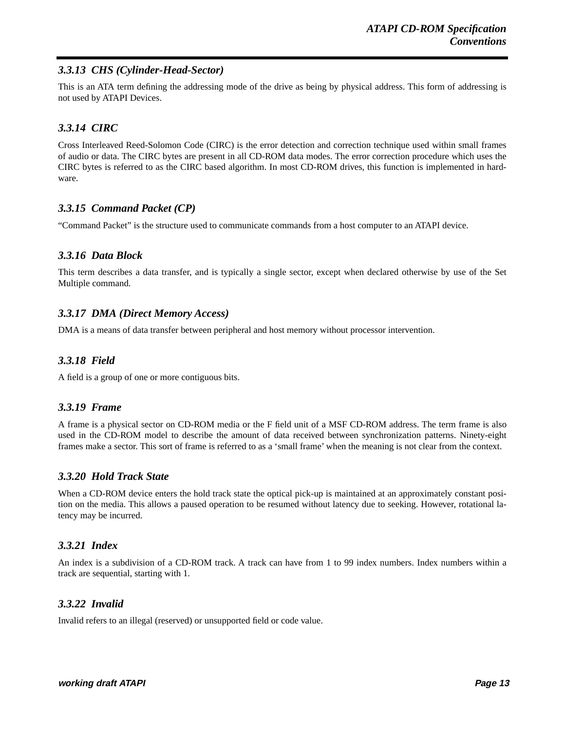## *3.3.13 CHS (Cylinder-Head-Sector)*

This is an ATA term defining the addressing mode of the drive as being by physical address. This form of addressing is not used by ATAPI Devices.

## *3.3.14 CIRC*

Cross Interleaved Reed-Solomon Code (CIRC) is the error detection and correction technique used within small frames of audio or data. The CIRC bytes are present in all CD-ROM data modes. The error correction procedure which uses the CIRC bytes is referred to as the CIRC based algorithm. In most CD-ROM drives, this function is implemented in hardware.

#### *3.3.15 Command Packet (CP)*

"Command Packet" is the structure used to communicate commands from a host computer to an ATAPI device.

#### *3.3.16 Data Block*

This term describes a data transfer, and is typically a single sector, except when declared otherwise by use of the Set Multiple command.

#### *3.3.17 DMA (Direct Memory Access)*

DMA is a means of data transfer between peripheral and host memory without processor intervention.

#### *3.3.18 Field*

A field is a group of one or more contiguous bits.

#### *3.3.19 Frame*

A frame is a physical sector on CD-ROM media or the F field unit of a MSF CD-ROM address. The term frame is also used in the CD-ROM model to describe the amount of data received between synchronization patterns. Ninety-eight frames make a sector. This sort of frame is referred to as a 'small frame' when the meaning is not clear from the context.

#### *3.3.20 Hold Track State*

When a CD-ROM device enters the hold track state the optical pick-up is maintained at an approximately constant position on the media. This allows a paused operation to be resumed without latency due to seeking. However, rotational latency may be incurred.

#### *3.3.21 Index*

An index is a subdivision of a CD-ROM track. A track can have from 1 to 99 index numbers. Index numbers within a track are sequential, starting with 1.

#### *3.3.22 Invalid*

Invalid refers to an illegal (reserved) or unsupported field or code value.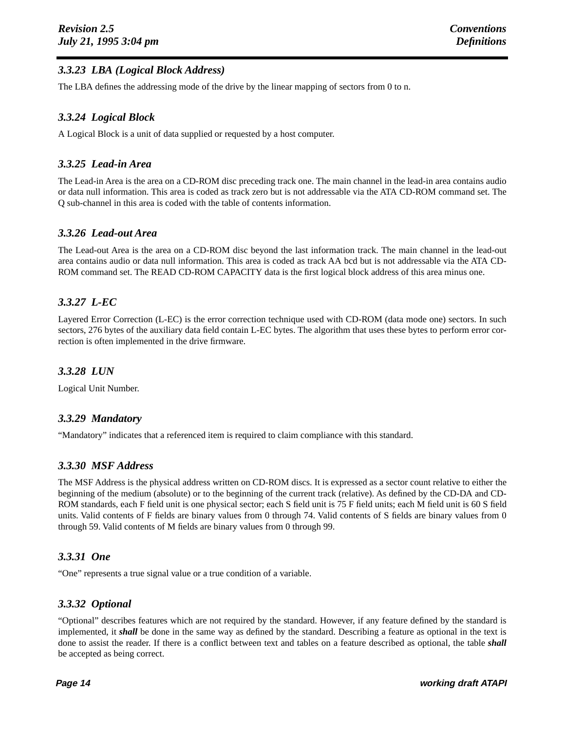## *3.3.23 LBA (Logical Block Address)*

The LBA defines the addressing mode of the drive by the linear mapping of sectors from 0 to n.

## *3.3.24 Logical Block*

A Logical Block is a unit of data supplied or requested by a host computer.

#### *3.3.25 Lead-in Area*

The Lead-in Area is the area on a CD-ROM disc preceding track one. The main channel in the lead-in area contains audio or data null information. This area is coded as track zero but is not addressable via the ATA CD-ROM command set. The Q sub-channel in this area is coded with the table of contents information.

#### *3.3.26 Lead-out Area*

The Lead-out Area is the area on a CD-ROM disc beyond the last information track. The main channel in the lead-out area contains audio or data null information. This area is coded as track AA bcd but is not addressable via the ATA CD-ROM command set. The READ CD-ROM CAPACITY data is the first logical block address of this area minus one.

#### *3.3.27 L-EC*

Layered Error Correction (L-EC) is the error correction technique used with CD-ROM (data mode one) sectors. In such sectors, 276 bytes of the auxiliary data field contain L-EC bytes. The algorithm that uses these bytes to perform error correction is often implemented in the drive firmware.

#### *3.3.28 LUN*

Logical Unit Number.

#### *3.3.29 Mandatory*

"Mandatory" indicates that a referenced item is required to claim compliance with this standard.

#### *3.3.30 MSF Address*

The MSF Address is the physical address written on CD-ROM discs. It is expressed as a sector count relative to either the beginning of the medium (absolute) or to the beginning of the current track (relative). As defined by the CD-DA and CD-ROM standards, each F field unit is one physical sector; each S field unit is 75 F field units; each M field unit is 60 S field units. Valid contents of F fields are binary values from 0 through 74. Valid contents of S fields are binary values from 0 through 59. Valid contents of M fields are binary values from 0 through 99.

#### *3.3.31 One*

"One" represents a true signal value or a true condition of a variable.

#### *3.3.32 Optional*

"Optional" describes features which are not required by the standard. However, if any feature defined by the standard is implemented, it *shall* be done in the same way as defined by the standard. Describing a feature as optional in the text is done to assist the reader. If there is a conflict between text and tables on a feature described as optional, the table *shall* be accepted as being correct.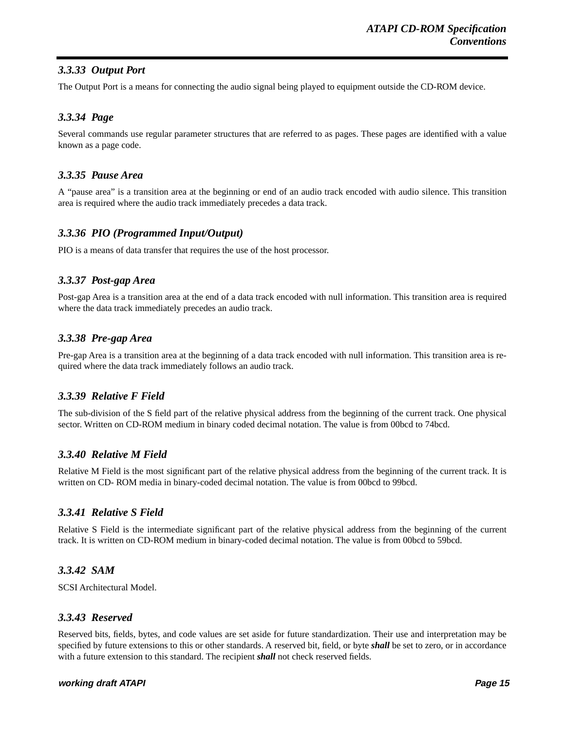## *3.3.33 Output Port*

The Output Port is a means for connecting the audio signal being played to equipment outside the CD-ROM device.

## *3.3.34 Page*

Several commands use regular parameter structures that are referred to as pages. These pages are identified with a value known as a page code.

#### *3.3.35 Pause Area*

A "pause area" is a transition area at the beginning or end of an audio track encoded with audio silence. This transition area is required where the audio track immediately precedes a data track.

#### *3.3.36 PIO (Programmed Input/Output)*

PIO is a means of data transfer that requires the use of the host processor.

#### *3.3.37 Post-gap Area*

Post-gap Area is a transition area at the end of a data track encoded with null information. This transition area is required where the data track immediately precedes an audio track.

#### *3.3.38 Pre-gap Area*

Pre-gap Area is a transition area at the beginning of a data track encoded with null information. This transition area is required where the data track immediately follows an audio track.

#### *3.3.39 Relative F Field*

The sub-division of the S field part of the relative physical address from the beginning of the current track. One physical sector. Written on CD-ROM medium in binary coded decimal notation. The value is from 00bcd to 74bcd.

#### *3.3.40 Relative M Field*

Relative M Field is the most significant part of the relative physical address from the beginning of the current track. It is written on CD-ROM media in binary-coded decimal notation. The value is from 00bcd to 99bcd.

## *3.3.41 Relative S Field*

Relative S Field is the intermediate significant part of the relative physical address from the beginning of the current track. It is written on CD-ROM medium in binary-coded decimal notation. The value is from 00bcd to 59bcd.

#### *3.3.42 SAM*

SCSI Architectural Model.

#### *3.3.43 Reserved*

Reserved bits, fields, bytes, and code values are set aside for future standardization. Their use and interpretation may be specified by future extensions to this or other standards. A reserved bit, field, or byte *shall* be set to zero, or in accordance with a future extension to this standard. The recipient *shall* not check reserved fields.

#### **working draft ATAPI Page 15**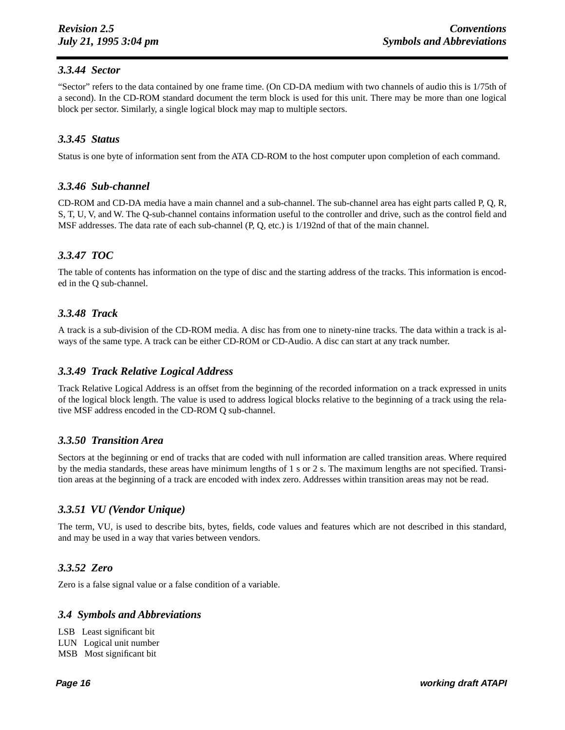#### *3.3.44 Sector*

"Sector" refers to the data contained by one frame time. (On CD-DA medium with two channels of audio this is 1/75th of a second). In the CD-ROM standard document the term block is used for this unit. There may be more than one logical block per sector. Similarly, a single logical block may map to multiple sectors.

#### *3.3.45 Status*

Status is one byte of information sent from the ATA CD-ROM to the host computer upon completion of each command.

#### *3.3.46 Sub-channel*

CD-ROM and CD-DA media have a main channel and a sub-channel. The sub-channel area has eight parts called P, Q, R, S, T, U, V, and W. The Q-sub-channel contains information useful to the controller and drive, such as the control field and MSF addresses. The data rate of each sub-channel (P, Q, etc.) is 1/192nd of that of the main channel.

## *3.3.47 TOC*

The table of contents has information on the type of disc and the starting address of the tracks. This information is encoded in the Q sub-channel.

#### *3.3.48 Track*

A track is a sub-division of the CD-ROM media. A disc has from one to ninety-nine tracks. The data within a track is always of the same type. A track can be either CD-ROM or CD-Audio. A disc can start at any track number.

#### *3.3.49 Track Relative Logical Address*

Track Relative Logical Address is an offset from the beginning of the recorded information on a track expressed in units of the logical block length. The value is used to address logical blocks relative to the beginning of a track using the relative MSF address encoded in the CD-ROM Q sub-channel.

#### *3.3.50 Transition Area*

Sectors at the beginning or end of tracks that are coded with null information are called transition areas. Where required by the media standards, these areas have minimum lengths of 1 s or 2 s. The maximum lengths are not specified. Transition areas at the beginning of a track are encoded with index zero. Addresses within transition areas may not be read.

#### *3.3.51 VU (Vendor Unique)*

The term, VU, is used to describe bits, bytes, fields, code values and features which are not described in this standard, and may be used in a way that varies between vendors.

#### *3.3.52 Zero*

Zero is a false signal value or a false condition of a variable.

#### *3.4 Symbols and Abbreviations*

LSB Least significant bit LUN Logical unit number MSB Most significant bit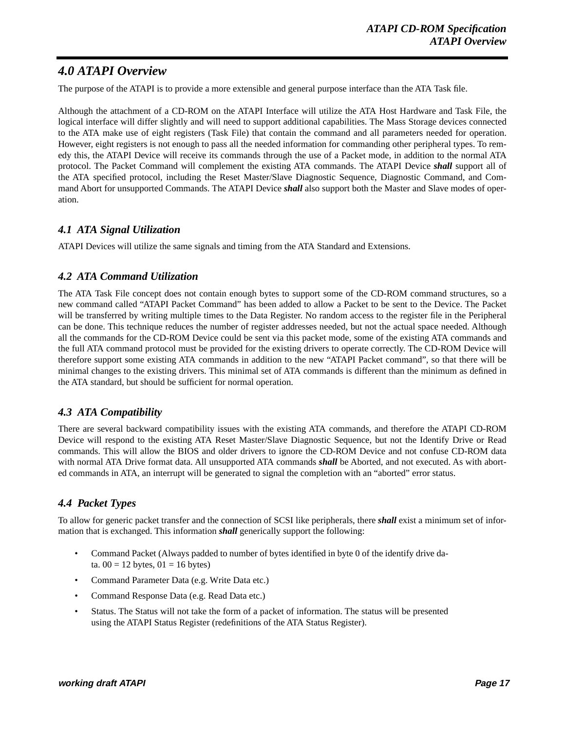## *4.0 ATAPI Overview*

The purpose of the ATAPI is to provide a more extensible and general purpose interface than the ATA Task file.

Although the attachment of a CD-ROM on the ATAPI Interface will utilize the ATA Host Hardware and Task File, the logical interface will differ slightly and will need to support additional capabilities. The Mass Storage devices connected to the ATA make use of eight registers (Task File) that contain the command and all parameters needed for operation. However, eight registers is not enough to pass all the needed information for commanding other peripheral types. To remedy this, the ATAPI Device will receive its commands through the use of a Packet mode, in addition to the normal ATA protocol. The Packet Command will complement the existing ATA commands. The ATAPI Device *shall* support all of the ATA specified protocol, including the Reset Master/Slave Diagnostic Sequence, Diagnostic Command, and Command Abort for unsupported Commands. The ATAPI Device *shall* also support both the Master and Slave modes of operation.

## *4.1 ATA Signal Utilization*

ATAPI Devices will utilize the same signals and timing from the ATA Standard and Extensions.

## *4.2 ATA Command Utilization*

The ATA Task File concept does not contain enough bytes to support some of the CD-ROM command structures, so a new command called "ATAPI Packet Command" has been added to allow a Packet to be sent to the Device. The Packet will be transferred by writing multiple times to the Data Register. No random access to the register file in the Peripheral can be done. This technique reduces the number of register addresses needed, but not the actual space needed. Although all the commands for the CD-ROM Device could be sent via this packet mode, some of the existing ATA commands and the full ATA command protocol must be provided for the existing drivers to operate correctly. The CD-ROM Device will therefore support some existing ATA commands in addition to the new "ATAPI Packet command", so that there will be minimal changes to the existing drivers. This minimal set of ATA commands is different than the minimum as defined in the ATA standard, but should be sufficient for normal operation.

## *4.3 ATA Compatibility*

There are several backward compatibility issues with the existing ATA commands, and therefore the ATAPI CD-ROM Device will respond to the existing ATA Reset Master/Slave Diagnostic Sequence, but not the Identify Drive or Read commands. This will allow the BIOS and older drivers to ignore the CD-ROM Device and not confuse CD-ROM data with normal ATA Drive format data. All unsupported ATA commands *shall* be Aborted, and not executed. As with aborted commands in ATA, an interrupt will be generated to signal the completion with an "aborted" error status.

## *4.4 Packet Types*

To allow for generic packet transfer and the connection of SCSI like peripherals, there *shall* exist a minimum set of information that is exchanged. This information *shall* generically support the following:

- Command Packet (Always padded to number of bytes identified in byte 0 of the identify drive data.  $00 = 12$  bytes,  $01 = 16$  bytes)
- Command Parameter Data (e.g. Write Data etc.)
- Command Response Data (e.g. Read Data etc.)
- Status. The Status will not take the form of a packet of information. The status will be presented using the ATAPI Status Register (redefinitions of the ATA Status Register).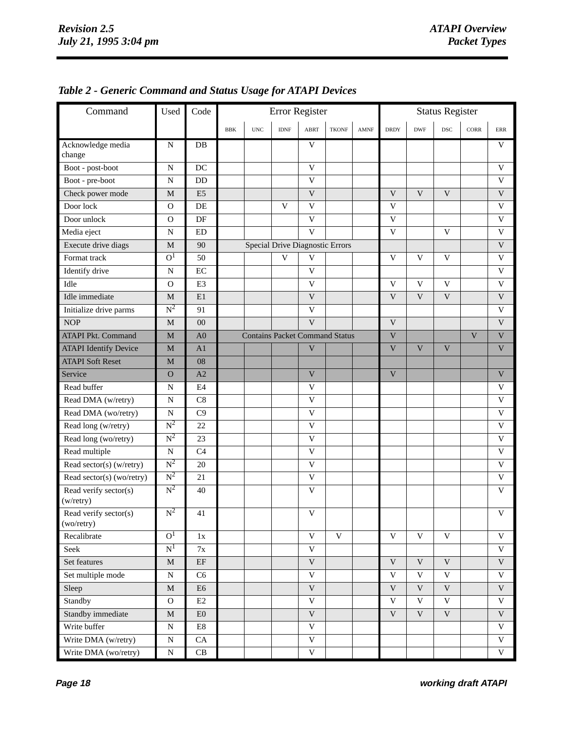| Command                             | Used             | Code           | Error Register |            |                                       | <b>Status Register</b>  |              |             |                           |                |                |             |                           |
|-------------------------------------|------------------|----------------|----------------|------------|---------------------------------------|-------------------------|--------------|-------------|---------------------------|----------------|----------------|-------------|---------------------------|
|                                     |                  |                | $_{\rm BBK}$   | <b>UNC</b> | <b>IDNF</b>                           | <b>ABRT</b>             | <b>TKONF</b> | <b>AMNF</b> | <b>DRDY</b>               | <b>DWF</b>     | <b>DSC</b>     | <b>CORR</b> | <b>ERR</b>                |
| Acknowledge media                   | $\mathbf N$      | DB             |                |            |                                       | V                       |              |             |                           |                |                |             | V                         |
| change                              |                  |                |                |            |                                       |                         |              |             |                           |                |                |             |                           |
| Boot - post-boot                    | ${\bf N}$        | DC             |                |            |                                       | V                       |              |             |                           |                |                |             | V                         |
| Boot - pre-boot                     | $\mathbf N$      | DD             |                |            |                                       | V                       |              |             |                           |                |                |             | V                         |
| Check power mode                    | M                | E <sub>5</sub> |                |            |                                       | $\overline{V}$          |              |             | $\mathbf{V}$              | $\mathbf{V}$   | $\overline{V}$ |             | $\ensuremath{\mathbf{V}}$ |
| Door lock                           | $\Omega$         | DE             |                |            | V                                     | V                       |              |             | V                         |                |                |             | V                         |
| Door unlock                         | 0                | DF             |                |            |                                       | V                       |              |             | V                         |                |                |             | V                         |
| Media eject                         | $\mathbf N$      | <b>ED</b>      |                |            |                                       | $\overline{V}$          |              |             | $\mathbf V$               |                | V              |             | V                         |
| Execute drive diags                 | $\mathbf M$      | 90             |                |            | Special Drive Diagnostic Errors       |                         |              |             |                           |                |                |             | $\ensuremath{\mathbf{V}}$ |
| Format track                        | $\overline{O^1}$ | 50             |                |            | $\mathbf V$                           | V                       |              |             | V                         | V              | V              |             | V                         |
| Identify drive                      | ${\bf N}$        | EC             |                |            |                                       | $\mathbf{V}$            |              |             |                           |                |                |             | V                         |
| Idle                                | $\Omega$         | E <sub>3</sub> |                |            |                                       | V                       |              |             | V                         | $\mathbf{V}$   | $\mathbf{V}$   |             | V                         |
| Idle immediate                      | M                | E1             |                |            |                                       | V                       |              |             | V                         | $\mathbf{V}$   | $\mathbf V$    |             | V                         |
| Initialize drive parms              | $\overline{N^2}$ | 91             |                |            |                                       | $\mathbf{V}$            |              |             |                           |                |                |             | V                         |
| <b>NOP</b>                          | M                | $00\,$         |                |            |                                       | $\mathbf{V}$            |              |             | $\ensuremath{\mathbf{V}}$ |                |                |             | $\ensuremath{\mathbf{V}}$ |
| <b>ATAPI Pkt. Command</b>           | M                | A <sub>0</sub> |                |            | <b>Contains Packet Command Status</b> |                         |              |             | $\ensuremath{\mathbf{V}}$ |                |                | $\mathbf V$ | V                         |
| <b>ATAPI Identify Device</b>        | M                | A <sub>1</sub> |                |            |                                       | V                       |              |             | V                         | $\overline{V}$ | $\mathbf{V}$   |             | V                         |
| <b>ATAPI Soft Reset</b>             | M                | 08             |                |            |                                       |                         |              |             |                           |                |                |             |                           |
| Service                             | $\Omega$         | A2             |                |            |                                       | V                       |              |             | V                         |                |                |             | V                         |
| Read buffer                         | N                | E <sub>4</sub> |                |            |                                       | $\mathbf{V}$            |              |             |                           |                |                |             | V                         |
| Read DMA (w/retry)                  | ${\bf N}$        | C8             |                |            |                                       | $\mathbf{V}$            |              |             |                           |                |                |             | $\mathbf{V}$              |
| Read DMA (wo/retry)                 | ${\bf N}$        | C9             |                |            |                                       | $\mathbf V$             |              |             |                           |                |                |             | V                         |
| Read long (w/retry)                 | $\overline{N^2}$ | 22             |                |            |                                       | $\overline{V}$          |              |             |                           |                |                |             | V                         |
| Read long (wo/retry)                | $\overline{N^2}$ | 23             |                |            |                                       | V                       |              |             |                           |                |                |             | $\mathbf{V}$              |
| Read multiple                       | $\mathbf N$      | C <sub>4</sub> |                |            |                                       | V                       |              |             |                           |                |                |             | V                         |
| Read sector(s) (w/retry)            | $\overline{N^2}$ | 20             |                |            |                                       | $\mathbf{V}$            |              |             |                           |                |                |             | V                         |
| Read sector(s) (wo/retry)           | $\overline{N^2}$ | 21             |                |            |                                       | V                       |              |             |                           |                |                |             | $\mathbf{V}$              |
| Read verify sector(s)               | $N^2$            | 40             |                |            |                                       | V                       |              |             |                           |                |                |             | V                         |
| (w/retry)                           |                  |                |                |            |                                       |                         |              |             |                           |                |                |             |                           |
| Read verify sector(s)<br>(wo/retry) | $N^2$            | 41             |                |            |                                       | $\mathbf V$             |              |             |                           |                |                |             | V                         |
| Recalibrate                         | $\overline{O^1}$ | 1x             |                |            |                                       | $\mathbf V$             | $\mathbf V$  |             | $\mathbf V$               | $\mathbf{V}$   | $\mathbf V$    |             | $\ensuremath{\mathbf{V}}$ |
| Seek                                | $\overline{N^1}$ | $7\mathrm{x}$  |                |            |                                       | $\mathbf V$             |              |             |                           |                |                |             | $\mathbf V$               |
| Set features                        | $\mathbf M$      | $\rm EF$       |                |            |                                       | $\mathbf V$             |              |             | V                         | $\mathbf V$    | V              |             | $\mathbf V$               |
| Set multiple mode                   | ${\bf N}$        | C6             |                |            |                                       | $\mathbf V$             |              |             | $\mathbf V$               | $\mathbf V$    | $\mathbf V$    |             | $\mathbf V$               |
| Sleep                               | $\mathbf M$      | E <sub>6</sub> |                |            |                                       | $\mathbf V$             |              |             | $\ensuremath{\mathbf{V}}$ | $\mathbf V$    | $\mathbf V$    |             | $\mathbf V$               |
| Standby                             | $\mathbf{O}$     | E2             |                |            |                                       | $\mathbf V$             |              |             | $\mathbf V$               | $\mathbf V$    | $\mathbf V$    |             | $\mathbf V$               |
| Standby immediate                   | $\mathbf M$      | ${\rm E0}$     |                |            |                                       | $\overline{\mathbf{V}}$ |              |             | $\mathbf V$               | $\mathbf{V}$   | $\mathbf V$    |             | $\ensuremath{\mathbf{V}}$ |
| Write buffer                        | ${\bf N}$        | $\rm E8$       |                |            |                                       | $\mathbf V$             |              |             |                           |                |                |             | V                         |
| Write DMA (w/retry)                 | ${\bf N}$        | ${\rm CA}$     |                |            |                                       | $\mathbf V$             |              |             |                           |                |                |             | V                         |
| Write DMA (wo/retry)                | ${\bf N}$        | CB             |                |            |                                       | $\mathbf V$             |              |             |                           |                |                |             | $\mathbf V$               |

*Table 2 - Generic Command and Status Usage for ATAPI Devices*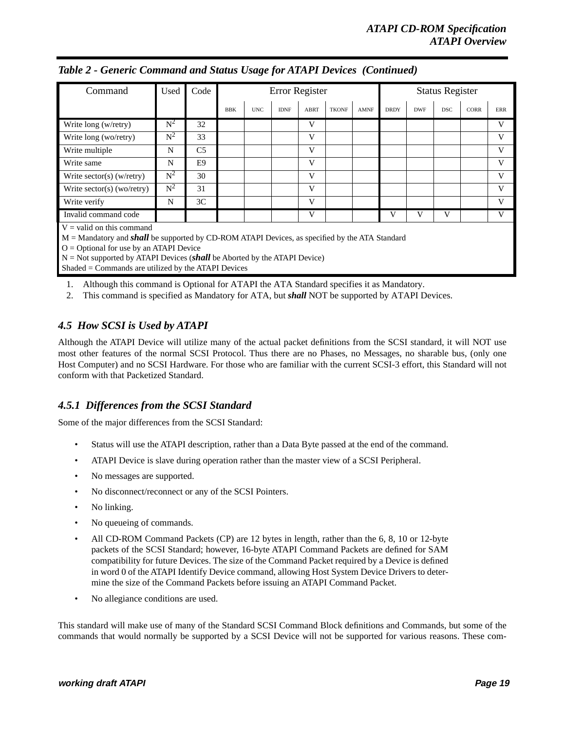| Command                                                                                                                                | Used             | Code           | Error Register |            |             |             |              | <b>Status Register</b> |             |            |            |             |            |
|----------------------------------------------------------------------------------------------------------------------------------------|------------------|----------------|----------------|------------|-------------|-------------|--------------|------------------------|-------------|------------|------------|-------------|------------|
|                                                                                                                                        |                  |                | <b>BBK</b>     | <b>UNC</b> | <b>IDNF</b> | <b>ABRT</b> | <b>TKONF</b> | <b>AMNF</b>            | <b>DRDY</b> | <b>DWF</b> | <b>DSC</b> | <b>CORR</b> | <b>ERR</b> |
| Write long (w/retry)                                                                                                                   | $N^2$            | 32             |                |            |             | V           |              |                        |             |            |            |             | V          |
| Write long (wo/retry)                                                                                                                  | $\overline{N^2}$ | 33             |                |            |             | V           |              |                        |             |            |            |             | V          |
| Write multiple                                                                                                                         | N                | C <sub>5</sub> |                |            |             | V           |              |                        |             |            |            |             | V          |
| Write same                                                                                                                             | N                | E <sub>9</sub> |                |            |             | V           |              |                        |             |            |            |             | V          |
| Write sector(s) (w/retry)                                                                                                              | $\overline{N^2}$ | 30             |                |            |             | V           |              |                        |             |            |            |             | V          |
| Write sector(s) (wo/retry)                                                                                                             | $\overline{N^2}$ | 31             |                |            |             | V           |              |                        |             |            |            |             | V          |
| Write verify                                                                                                                           | N                | 3C             |                |            |             | V           |              |                        |             |            |            |             | V          |
| Invalid command code                                                                                                                   |                  |                |                |            |             | V           |              |                        |             |            | V          |             | V          |
| $V =$ valid on this command<br>$M =$ Mandatory and <i>shall</i> be supported by CD-ROM ATAPI Devices, as specified by the ATA Standard |                  |                |                |            |             |             |              |                        |             |            |            |             |            |

*Table 2 - Generic Command and Status Usage for ATAPI Devices (Continued)*

 $O =$  Optional for use by an ATAPI Device

N = Not supported by ATAPI Devices (*shall* be Aborted by the ATAPI Device)

Shaded = Commands are utilized by the ATAPI Devices

1. Although this command is Optional for ATAPI the ATA Standard specifies it as Mandatory.

2. This command is specified as Mandatory for ATA, but *shall* NOT be supported by ATAPI Devices.

## *4.5 How SCSI is Used by ATAPI*

Although the ATAPI Device will utilize many of the actual packet definitions from the SCSI standard, it will NOT use most other features of the normal SCSI Protocol. Thus there are no Phases, no Messages, no sharable bus, (only one Host Computer) and no SCSI Hardware. For those who are familiar with the current SCSI-3 effort, this Standard will not conform with that Packetized Standard.

## *4.5.1 Differences from the SCSI Standard*

Some of the major differences from the SCSI Standard:

- Status will use the ATAPI description, rather than a Data Byte passed at the end of the command.
- ATAPI Device is slave during operation rather than the master view of a SCSI Peripheral.
- No messages are supported.
- No disconnect/reconnect or any of the SCSI Pointers.
- No linking.
- No queueing of commands.
- All CD-ROM Command Packets (CP) are 12 bytes in length, rather than the 6, 8, 10 or 12-byte packets of the SCSI Standard; however, 16-byte ATAPI Command Packets are defined for SAM compatibility for future Devices. The size of the Command Packet required by a Device is defined in word 0 of the ATAPI Identify Device command, allowing Host System Device Drivers to determine the size of the Command Packets before issuing an ATAPI Command Packet.
- No allegiance conditions are used.

This standard will make use of many of the Standard SCSI Command Block definitions and Commands, but some of the commands that would normally be supported by a SCSI Device will not be supported for various reasons. These com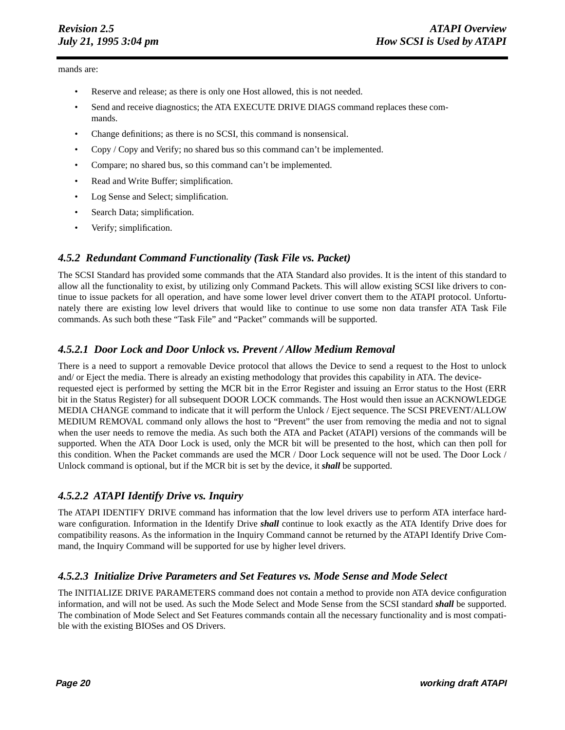mands are:

- Reserve and release; as there is only one Host allowed, this is not needed.
- Send and receive diagnostics; the ATA EXECUTE DRIVE DIAGS command replaces these commands.
- Change definitions; as there is no SCSI, this command is nonsensical.
- Copy / Copy and Verify; no shared bus so this command can't be implemented.
- Compare; no shared bus, so this command can't be implemented.
- Read and Write Buffer; simplification.
- Log Sense and Select; simplification.
- Search Data; simplification.
- Verify; simplification.

#### *4.5.2 Redundant Command Functionality (Task File vs. Packet)*

The SCSI Standard has provided some commands that the ATA Standard also provides. It is the intent of this standard to allow all the functionality to exist, by utilizing only Command Packets. This will allow existing SCSI like drivers to continue to issue packets for all operation, and have some lower level driver convert them to the ATAPI protocol. Unfortunately there are existing low level drivers that would like to continue to use some non data transfer ATA Task File commands. As such both these "Task File" and "Packet" commands will be supported.

#### *4.5.2.1 Door Lock and Door Unlock vs. Prevent / Allow Medium Removal*

There is a need to support a removable Device protocol that allows the Device to send a request to the Host to unlock and/ or Eject the media. There is already an existing methodology that provides this capability in ATA. The devicerequested eject is performed by setting the MCR bit in the Error Register and issuing an Error status to the Host (ERR bit in the Status Register) for all subsequent DOOR LOCK commands. The Host would then issue an ACKNOWLEDGE MEDIA CHANGE command to indicate that it will perform the Unlock / Eject sequence. The SCSI PREVENT/ALLOW MEDIUM REMOVAL command only allows the host to "Prevent" the user from removing the media and not to signal when the user needs to remove the media. As such both the ATA and Packet (ATAPI) versions of the commands will be supported. When the ATA Door Lock is used, only the MCR bit will be presented to the host, which can then poll for this condition. When the Packet commands are used the MCR / Door Lock sequence will not be used. The Door Lock / Unlock command is optional, but if the MCR bit is set by the device, it *shall* be supported.

#### *4.5.2.2 ATAPI Identify Drive vs. Inquiry*

The ATAPI IDENTIFY DRIVE command has information that the low level drivers use to perform ATA interface hardware configuration. Information in the Identify Drive *shall* continue to look exactly as the ATA Identify Drive does for compatibility reasons. As the information in the Inquiry Command cannot be returned by the ATAPI Identify Drive Command, the Inquiry Command will be supported for use by higher level drivers.

#### *4.5.2.3 Initialize Drive Parameters and Set Features vs. Mode Sense and Mode Select*

The INITIALIZE DRIVE PARAMETERS command does not contain a method to provide non ATA device configuration information, and will not be used. As such the Mode Select and Mode Sense from the SCSI standard *shall* be supported. The combination of Mode Select and Set Features commands contain all the necessary functionality and is most compatible with the existing BIOSes and OS Drivers.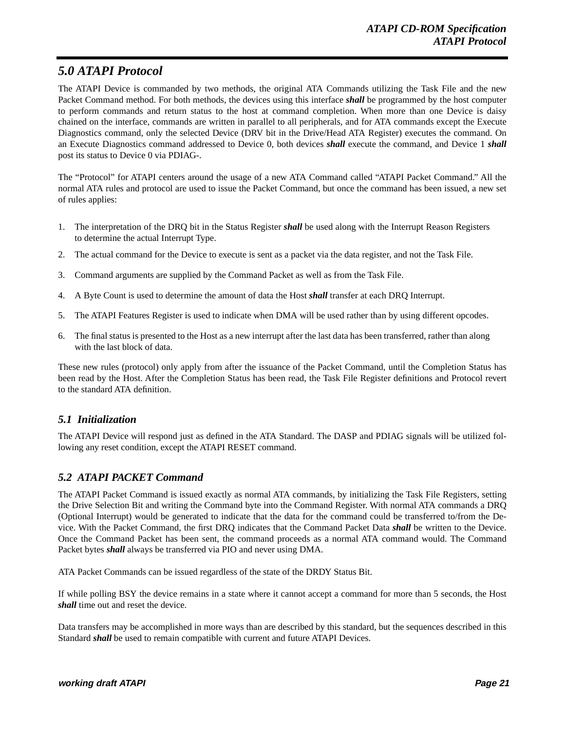## *5.0 ATAPI Protocol*

The ATAPI Device is commanded by two methods, the original ATA Commands utilizing the Task File and the new Packet Command method. For both methods, the devices using this interface *shall* be programmed by the host computer to perform commands and return status to the host at command completion. When more than one Device is daisy chained on the interface, commands are written in parallel to all peripherals, and for ATA commands except the Execute Diagnostics command, only the selected Device (DRV bit in the Drive/Head ATA Register) executes the command. On an Execute Diagnostics command addressed to Device 0, both devices *shall* execute the command, and Device 1 *shall* post its status to Device 0 via PDIAG-.

The "Protocol" for ATAPI centers around the usage of a new ATA Command called "ATAPI Packet Command." All the normal ATA rules and protocol are used to issue the Packet Command, but once the command has been issued, a new set of rules applies:

- 1. The interpretation of the DRQ bit in the Status Register *shall* be used along with the Interrupt Reason Registers to determine the actual Interrupt Type.
- 2. The actual command for the Device to execute is sent as a packet via the data register, and not the Task File.
- 3. Command arguments are supplied by the Command Packet as well as from the Task File.
- 4. A Byte Count is used to determine the amount of data the Host *shall* transfer at each DRQ Interrupt.
- 5. The ATAPI Features Register is used to indicate when DMA will be used rather than by using different opcodes.
- 6. The final status is presented to the Host as a new interrupt after the last data has been transferred, rather than along with the last block of data.

These new rules (protocol) only apply from after the issuance of the Packet Command, until the Completion Status has been read by the Host. After the Completion Status has been read, the Task File Register definitions and Protocol revert to the standard ATA definition.

## *5.1 Initialization*

The ATAPI Device will respond just as defined in the ATA Standard. The DASP and PDIAG signals will be utilized following any reset condition, except the ATAPI RESET command.

## *5.2 ATAPI PACKET Command*

The ATAPI Packet Command is issued exactly as normal ATA commands, by initializing the Task File Registers, setting the Drive Selection Bit and writing the Command byte into the Command Register. With normal ATA commands a DRQ (Optional Interrupt) would be generated to indicate that the data for the command could be transferred to/from the Device. With the Packet Command, the first DRQ indicates that the Command Packet Data *shall* be written to the Device. Once the Command Packet has been sent, the command proceeds as a normal ATA command would. The Command Packet bytes *shall* always be transferred via PIO and never using DMA.

ATA Packet Commands can be issued regardless of the state of the DRDY Status Bit.

If while polling BSY the device remains in a state where it cannot accept a command for more than 5 seconds, the Host *shall* time out and reset the device.

Data transfers may be accomplished in more ways than are described by this standard, but the sequences described in this Standard *shall* be used to remain compatible with current and future ATAPI Devices.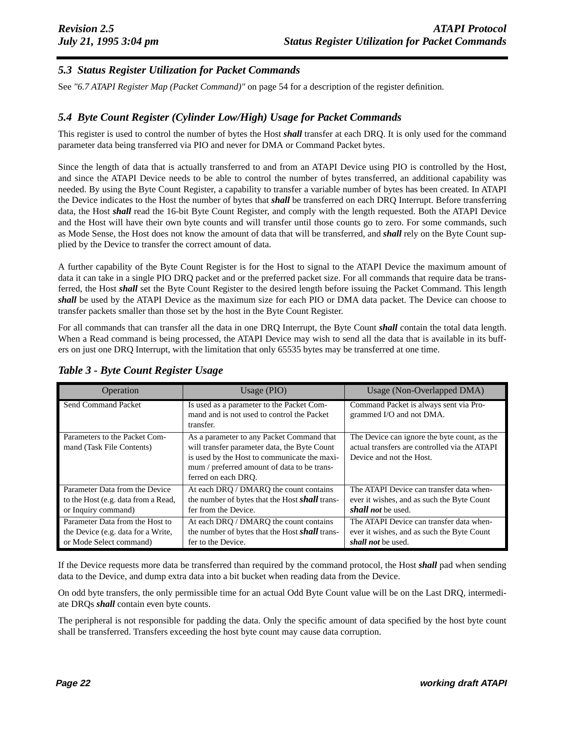## *5.3 Status Register Utilization for Packet Commands*

See *"6.7 ATAPI Register Map (Packet Command)"* on page 54 for a description of the register definition.

## *5.4 Byte Count Register (Cylinder Low/High) Usage for Packet Commands*

This register is used to control the number of bytes the Host *shall* transfer at each DRQ. It is only used for the command parameter data being transferred via PIO and never for DMA or Command Packet bytes.

Since the length of data that is actually transferred to and from an ATAPI Device using PIO is controlled by the Host, and since the ATAPI Device needs to be able to control the number of bytes transferred, an additional capability was needed. By using the Byte Count Register, a capability to transfer a variable number of bytes has been created. In ATAPI the Device indicates to the Host the number of bytes that *shall* be transferred on each DRQ Interrupt. Before transferring data, the Host *shall* read the 16-bit Byte Count Register, and comply with the length requested. Both the ATAPI Device and the Host will have their own byte counts and will transfer until those counts go to zero. For some commands, such as Mode Sense, the Host does not know the amount of data that will be transferred, and *shall* rely on the Byte Count supplied by the Device to transfer the correct amount of data.

A further capability of the Byte Count Register is for the Host to signal to the ATAPI Device the maximum amount of data it can take in a single PIO DRQ packet and or the preferred packet size. For all commands that require data be transferred, the Host *shall* set the Byte Count Register to the desired length before issuing the Packet Command. This length *shall* be used by the ATAPI Device as the maximum size for each PIO or DMA data packet. The Device can choose to transfer packets smaller than those set by the host in the Byte Count Register.

For all commands that can transfer all the data in one DRQ Interrupt, the Byte Count *shall* contain the total data length. When a Read command is being processed, the ATAPI Device may wish to send all the data that is available in its buffers on just one DRQ Interrupt, with the limitation that only 65535 bytes may be transferred at one time.

| Operation                                                                                        | Usage $(PIO)$                                                                                                                                                                                                   | Usage (Non-Overlapped DMA)                                                                                                |
|--------------------------------------------------------------------------------------------------|-----------------------------------------------------------------------------------------------------------------------------------------------------------------------------------------------------------------|---------------------------------------------------------------------------------------------------------------------------|
| <b>Send Command Packet</b>                                                                       | Is used as a parameter to the Packet Com-<br>mand and is not used to control the Packet<br>transfer.                                                                                                            | Command Packet is always sent via Pro-<br>grammed I/O and not DMA.                                                        |
| Parameters to the Packet Com-<br>mand (Task File Contents)                                       | As a parameter to any Packet Command that<br>will transfer parameter data, the Byte Count<br>is used by the Host to communicate the maxi-<br>mum / preferred amount of data to be trans-<br>ferred on each DRO. | The Device can ignore the byte count, as the<br>actual transfers are controlled via the ATAPI<br>Device and not the Host. |
| Parameter Data from the Device<br>to the Host (e.g. data from a Read,<br>or Inquiry command)     | At each DRQ / DMARQ the count contains<br>the number of bytes that the Host <b>shall</b> trans-<br>fer from the Device.                                                                                         | The ATAPI Device can transfer data when-<br>ever it wishes, and as such the Byte Count<br><i>shall not</i> be used.       |
| Parameter Data from the Host to<br>the Device (e.g. data for a Write,<br>or Mode Select command) | At each DRQ / DMARQ the count contains<br>the number of bytes that the Host <b>shall</b> trans-<br>fer to the Device.                                                                                           | The ATAPI Device can transfer data when-<br>ever it wishes, and as such the Byte Count<br><i>shall not</i> be used.       |

## *Table 3 - Byte Count Register Usage*

If the Device requests more data be transferred than required by the command protocol, the Host *shall* pad when sending data to the Device, and dump extra data into a bit bucket when reading data from the Device.

On odd byte transfers, the only permissible time for an actual Odd Byte Count value will be on the Last DRQ, intermediate DRQs *shall* contain even byte counts.

The peripheral is not responsible for padding the data. Only the specific amount of data specified by the host byte count shall be transferred. Transfers exceeding the host byte count may cause data corruption.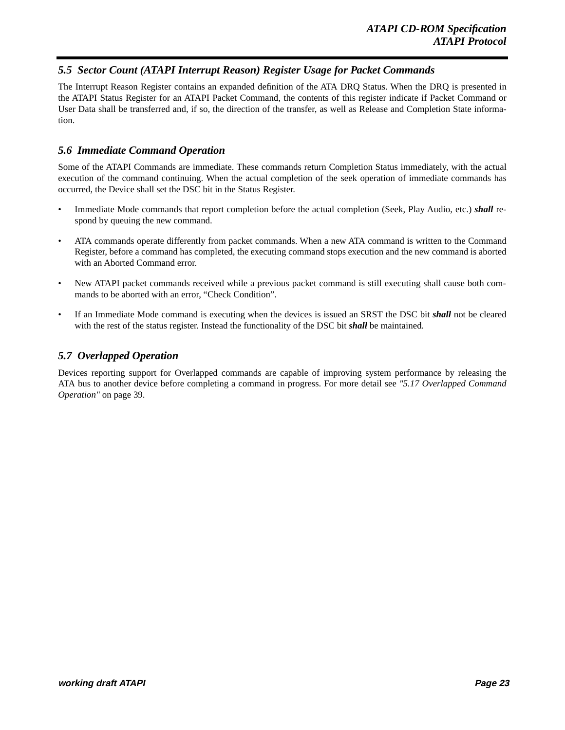#### *5.5 Sector Count (ATAPI Interrupt Reason) Register Usage for Packet Commands*

The Interrupt Reason Register contains an expanded definition of the ATA DRQ Status. When the DRQ is presented in the ATAPI Status Register for an ATAPI Packet Command, the contents of this register indicate if Packet Command or User Data shall be transferred and, if so, the direction of the transfer, as well as Release and Completion State information.

#### *5.6 Immediate Command Operation*

Some of the ATAPI Commands are immediate. These commands return Completion Status immediately, with the actual execution of the command continuing. When the actual completion of the seek operation of immediate commands has occurred, the Device shall set the DSC bit in the Status Register.

- Immediate Mode commands that report completion before the actual completion (Seek, Play Audio, etc.) *shall* respond by queuing the new command.
- ATA commands operate differently from packet commands. When a new ATA command is written to the Command Register, before a command has completed, the executing command stops execution and the new command is aborted with an Aborted Command error.
- New ATAPI packet commands received while a previous packet command is still executing shall cause both commands to be aborted with an error, "Check Condition".
- If an Immediate Mode command is executing when the devices is issued an SRST the DSC bit *shall* not be cleared with the rest of the status register. Instead the functionality of the DSC bit *shall* be maintained.

#### *5.7 Overlapped Operation*

Devices reporting support for Overlapped commands are capable of improving system performance by releasing the ATA bus to another device before completing a command in progress. For more detail see *"5.17 Overlapped Command Operation"* on page 39.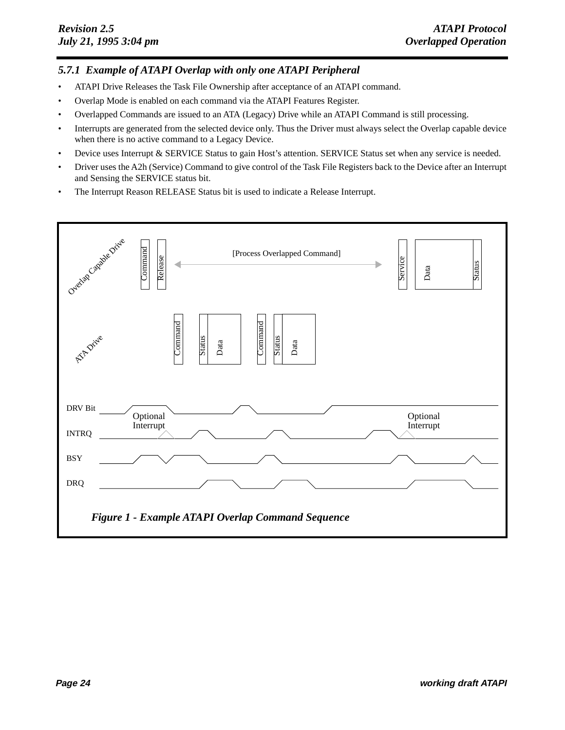#### *5.7.1 Example of ATAPI Overlap with only one ATAPI Peripheral*

- ATAPI Drive Releases the Task File Ownership after acceptance of an ATAPI command.
- Overlap Mode is enabled on each command via the ATAPI Features Register.
- Overlapped Commands are issued to an ATA (Legacy) Drive while an ATAPI Command is still processing.
- Interrupts are generated from the selected device only. Thus the Driver must always select the Overlap capable device when there is no active command to a Legacy Device.
- Device uses Interrupt & SERVICE Status to gain Host's attention. SERVICE Status set when any service is needed.
- Driver uses the A2h (Service) Command to give control of the Task File Registers back to the Device after an Interrupt and Sensing the SERVICE status bit.
- The Interrupt Reason RELEASE Status bit is used to indicate a Release Interrupt.

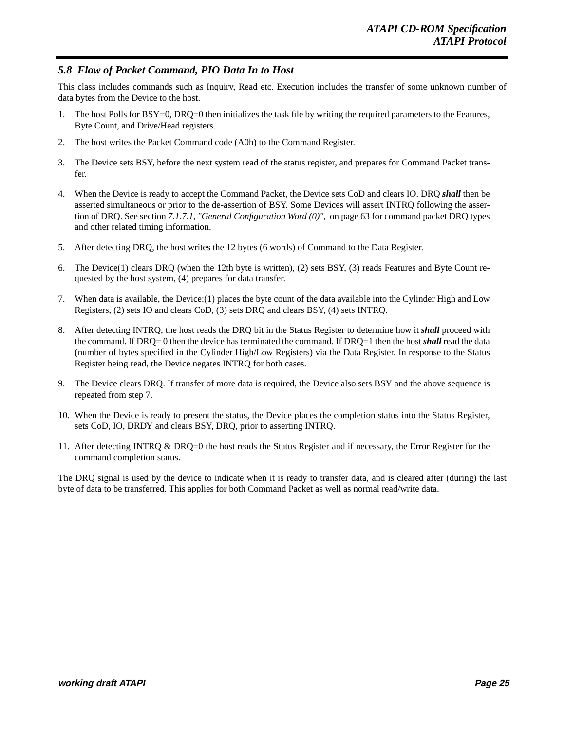#### *5.8 Flow of Packet Command, PIO Data In to Host*

This class includes commands such as Inquiry, Read etc. Execution includes the transfer of some unknown number of data bytes from the Device to the host.

- 1. The host Polls for BSY=0, DRQ=0 then initializes the task file by writing the required parameters to the Features, Byte Count, and Drive/Head registers.
- 2. The host writes the Packet Command code (A0h) to the Command Register.
- 3. The Device sets BSY, before the next system read of the status register, and prepares for Command Packet transfer.
- 4. When the Device is ready to accept the Command Packet, the Device sets CoD and clears IO. DRQ *shall* then be asserted simultaneous or prior to the de-assertion of BSY. Some Devices will assert INTRQ following the assertion of DRQ. See section *7.1.7.1, "General Configuration Word (0)",* on page 63 for command packet DRQ types and other related timing information.
- 5. After detecting DRQ, the host writes the 12 bytes (6 words) of Command to the Data Register.
- 6. The Device(1) clears DRQ (when the 12th byte is written), (2) sets BSY, (3) reads Features and Byte Count requested by the host system, (4) prepares for data transfer.
- 7. When data is available, the Device:(1) places the byte count of the data available into the Cylinder High and Low Registers, (2) sets IO and clears CoD, (3) sets DRQ and clears BSY, (4) sets INTRQ.
- 8. After detecting INTRQ, the host reads the DRQ bit in the Status Register to determine how it *shall* proceed with the command. If DRQ= 0 then the device has terminated the command. If DRQ=1 then the host *shall* read the data (number of bytes specified in the Cylinder High/Low Registers) via the Data Register. In response to the Status Register being read, the Device negates INTRQ for both cases.
- 9. The Device clears DRQ. If transfer of more data is required, the Device also sets BSY and the above sequence is repeated from step 7.
- 10. When the Device is ready to present the status, the Device places the completion status into the Status Register, sets CoD, IO, DRDY and clears BSY, DRQ, prior to asserting INTRQ.
- 11. After detecting INTRQ & DRQ=0 the host reads the Status Register and if necessary, the Error Register for the command completion status.

The DRQ signal is used by the device to indicate when it is ready to transfer data, and is cleared after (during) the last byte of data to be transferred. This applies for both Command Packet as well as normal read/write data.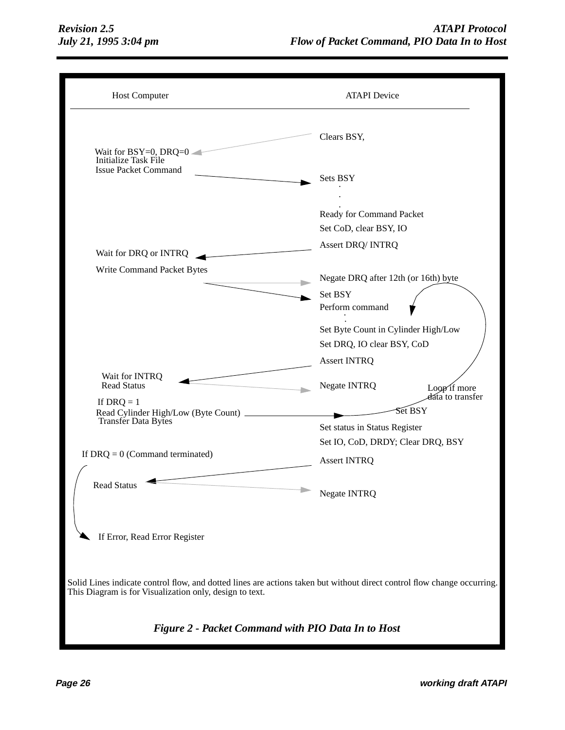| <b>Host Computer</b>                                                                                     | <b>ATAPI</b> Device                                                                                                     |  |  |  |
|----------------------------------------------------------------------------------------------------------|-------------------------------------------------------------------------------------------------------------------------|--|--|--|
| Wait for BSY=0, DRQ=0 $\sim$<br>Initialize Task File<br><b>Issue Packet Command</b>                      | Clears BSY,                                                                                                             |  |  |  |
|                                                                                                          | Sets BSY<br>Ready for Command Packet                                                                                    |  |  |  |
| Wait for DRQ or INTRQ                                                                                    | Set CoD, clear BSY, IO<br><b>Assert DRQ/INTRQ</b>                                                                       |  |  |  |
| Write Command Packet Bytes                                                                               | Negate DRQ after 12th (or 16th) byte<br>Set BSY<br>Perform command                                                      |  |  |  |
|                                                                                                          | Set Byte Count in Cylinder High/Low<br>Set DRQ, IO clear BSY, CoD<br><b>Assert INTRQ</b>                                |  |  |  |
| Wait for INTRQ<br><b>Read Status</b><br>If $DRQ = 1$                                                     | Negate INTRQ<br>Loop if more<br>data to transfer<br>Set BSY                                                             |  |  |  |
| Read Cylinder High/Low (Byte Count) ________<br>Transfer Data Bytes<br>If $DRQ = 0$ (Command terminated) | Set status in Status Register<br>Set IO, CoD, DRDY; Clear DRQ, BSY                                                      |  |  |  |
| Read Status                                                                                              | <b>Assert INTRQ</b><br>Negate INTRQ                                                                                     |  |  |  |
| If Error, Read Error Register                                                                            |                                                                                                                         |  |  |  |
| This Diagram is for Visualization only, design to text.                                                  | Solid Lines indicate control flow, and dotted lines are actions taken but without direct control flow change occurring. |  |  |  |
| Figure 2 - Packet Command with PIO Data In to Host                                                       |                                                                                                                         |  |  |  |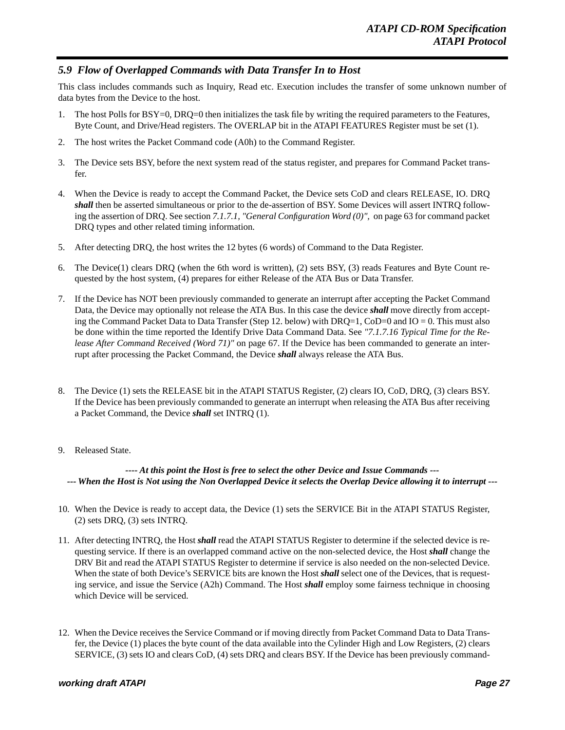#### *5.9 Flow of Overlapped Commands with Data Transfer In to Host*

This class includes commands such as Inquiry, Read etc. Execution includes the transfer of some unknown number of data bytes from the Device to the host.

- 1. The host Polls for BSY=0, DRQ=0 then initializes the task file by writing the required parameters to the Features, Byte Count, and Drive/Head registers. The OVERLAP bit in the ATAPI FEATURES Register must be set (1).
- 2. The host writes the Packet Command code (A0h) to the Command Register.
- 3. The Device sets BSY, before the next system read of the status register, and prepares for Command Packet transfer.
- 4. When the Device is ready to accept the Command Packet, the Device sets CoD and clears RELEASE, IO. DRQ *shall* then be asserted simultaneous or prior to the de-assertion of BSY. Some Devices will assert INTRQ following the assertion of DRQ. See section *7.1.7.1, "General Configuration Word (0)",* on page 63 for command packet DRQ types and other related timing information.
- 5. After detecting DRQ, the host writes the 12 bytes (6 words) of Command to the Data Register.
- 6. The Device(1) clears DRQ (when the 6th word is written), (2) sets BSY, (3) reads Features and Byte Count requested by the host system, (4) prepares for either Release of the ATA Bus or Data Transfer.
- 7. If the Device has NOT been previously commanded to generate an interrupt after accepting the Packet Command Data, the Device may optionally not release the ATA Bus. In this case the device *shall* move directly from accepting the Command Packet Data to Data Transfer (Step 12. below) with DRQ=1, CoD=0 and IO = 0. This must also be done within the time reported the Identify Drive Data Command Data. See *"7.1.7.16 Typical Time for the Release After Command Received (Word 71)*" on page 67. If the Device has been commanded to generate an interrupt after processing the Packet Command, the Device *shall* always release the ATA Bus.
- 8. The Device (1) sets the RELEASE bit in the ATAPI STATUS Register, (2) clears IO, CoD, DRQ, (3) clears BSY. If the Device has been previously commanded to generate an interrupt when releasing the ATA Bus after receiving a Packet Command, the Device *shall* set INTRQ (1).
- 9. Released State.

#### *---- At this point the Host is free to select the other Device and Issue Commands --- --- When the Host is Not using the Non Overlapped Device it selects the Overlap Device allowing it to interrupt ---*

- 10. When the Device is ready to accept data, the Device (1) sets the SERVICE Bit in the ATAPI STATUS Register, (2) sets DRQ, (3) sets INTRQ.
- 11. After detecting INTRQ, the Host *shall* read the ATAPI STATUS Register to determine if the selected device is requesting service. If there is an overlapped command active on the non-selected device, the Host *shall* change the DRV Bit and read the ATAPI STATUS Register to determine if service is also needed on the non-selected Device. When the state of both Device's SERVICE bits are known the Host *shall* select one of the Devices, that is requesting service, and issue the Service (A2h) Command. The Host *shall* employ some fairness technique in choosing which Device will be serviced.
- 12. When the Device receives the Service Command or if moving directly from Packet Command Data to Data Transfer, the Device (1) places the byte count of the data available into the Cylinder High and Low Registers, (2) clears SERVICE, (3) sets IO and clears CoD, (4) sets DRQ and clears BSY. If the Device has been previously command-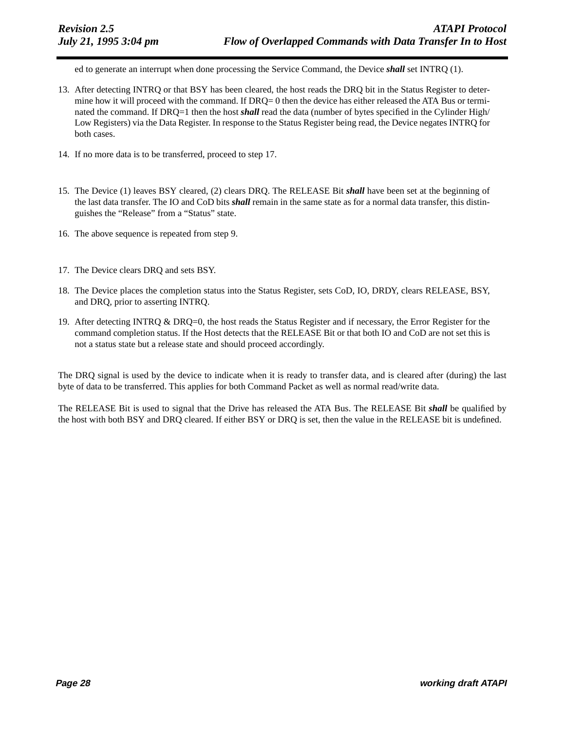ed to generate an interrupt when done processing the Service Command, the Device *shall* set INTRQ (1).

- 13. After detecting INTRQ or that BSY has been cleared, the host reads the DRQ bit in the Status Register to determine how it will proceed with the command. If DRQ= 0 then the device has either released the ATA Bus or terminated the command. If DRQ=1 then the host *shall* read the data (number of bytes specified in the Cylinder High/ Low Registers) via the Data Register. In response to the Status Register being read, the Device negates INTRQ for both cases.
- 14. If no more data is to be transferred, proceed to step 17.
- 15. The Device (1) leaves BSY cleared, (2) clears DRQ. The RELEASE Bit *shall* have been set at the beginning of the last data transfer. The IO and CoD bits *shall* remain in the same state as for a normal data transfer, this distinguishes the "Release" from a "Status" state.
- 16. The above sequence is repeated from step 9.
- 17. The Device clears DRQ and sets BSY.
- 18. The Device places the completion status into the Status Register, sets CoD, IO, DRDY, clears RELEASE, BSY, and DRQ, prior to asserting INTRQ.
- 19. After detecting INTRQ & DRQ=0, the host reads the Status Register and if necessary, the Error Register for the command completion status. If the Host detects that the RELEASE Bit or that both IO and CoD are not set this is not a status state but a release state and should proceed accordingly.

The DRQ signal is used by the device to indicate when it is ready to transfer data, and is cleared after (during) the last byte of data to be transferred. This applies for both Command Packet as well as normal read/write data.

The RELEASE Bit is used to signal that the Drive has released the ATA Bus. The RELEASE Bit *shall* be qualified by the host with both BSY and DRQ cleared. If either BSY or DRQ is set, then the value in the RELEASE bit is undefined.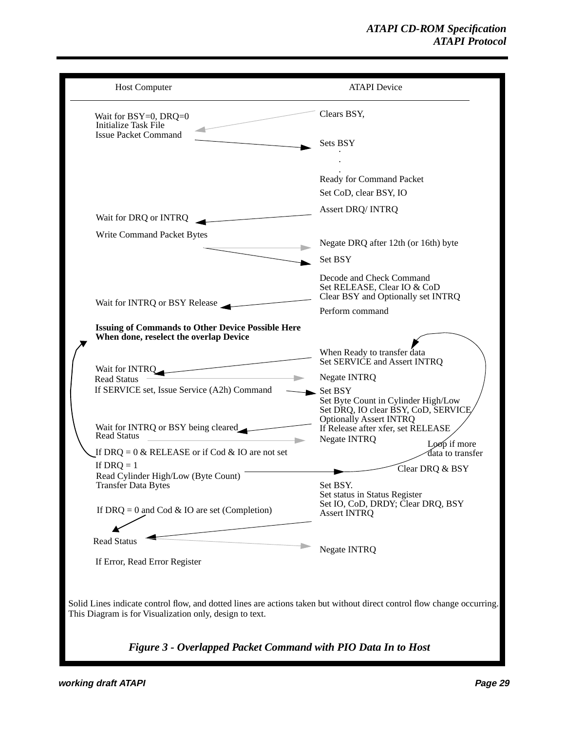#### *ATAPI CD-ROM Specification ATAPI Protocol*

| Wait for BSY=0, DRQ=0<br><b>Initialize Task File</b>                                                                                                                                                                                                |                                                                                                       |
|-----------------------------------------------------------------------------------------------------------------------------------------------------------------------------------------------------------------------------------------------------|-------------------------------------------------------------------------------------------------------|
|                                                                                                                                                                                                                                                     | Clears BSY,                                                                                           |
| <b>Issue Packet Command</b>                                                                                                                                                                                                                         | Sets BSY                                                                                              |
|                                                                                                                                                                                                                                                     |                                                                                                       |
|                                                                                                                                                                                                                                                     | Ready for Command Packet                                                                              |
|                                                                                                                                                                                                                                                     | Set CoD, clear BSY, IO                                                                                |
| Wait for DRQ or INTRQ                                                                                                                                                                                                                               | <b>Assert DRQ/INTRQ</b>                                                                               |
| Write Command Packet Bytes                                                                                                                                                                                                                          | Negate DRQ after 12th (or 16th) byte                                                                  |
|                                                                                                                                                                                                                                                     | Set BSY                                                                                               |
|                                                                                                                                                                                                                                                     | Decode and Check Command<br>Set RELEASE, Clear IO & CoD<br>Clear BSY and Optionally set INTRQ         |
| Wait for INTRQ or BSY Release                                                                                                                                                                                                                       | Perform command                                                                                       |
| <b>Issuing of Commands to Other Device Possible Here</b><br>When done, reselect the overlap Device                                                                                                                                                  |                                                                                                       |
| Wait for INTRQ                                                                                                                                                                                                                                      | When Ready to transfer data<br>Set SERVICE and Assert INTRQ                                           |
| <b>Read Status</b><br>If SERVICE set, Issue Service (A2h) Command                                                                                                                                                                                   | Negate INTRQ<br>Set BSY<br>Set Byte Count in Cylinder High/Low<br>Set DRQ, IO clear BSY, CoD, SERVICE |
| Wait for INTRQ or BSY being cleared<br><b>Read Status</b>                                                                                                                                                                                           | <b>Optionally Assert INTRQ</b><br>If Release after xfer, set RELEASE<br>Negate INTRQ<br>Loop if more  |
| If DRQ = $0 \&$ RELEASE or if Cod $\&$ IO are not set                                                                                                                                                                                               | data to transfer                                                                                      |
| If $DRO = 1$<br>Read Cylinder High/Low (Byte Count)<br><b>Transfer Data Bytes</b>                                                                                                                                                                   | Clear DRQ & BSY<br>Set BSY.                                                                           |
| If DRQ = 0 and Cod & IO are set (Completion)                                                                                                                                                                                                        | Set status in Status Register<br>Set IO, CoD, DRDY; Clear DRQ, BSY<br><b>Assert INTRQ</b>             |
| <b>Read Status</b>                                                                                                                                                                                                                                  | Negate INTRQ                                                                                          |
| If Error, Read Error Register                                                                                                                                                                                                                       |                                                                                                       |
| Solid Lines indicate control flow, and dotted lines are actions taken but without direct control flow change occurring.<br>This Diagram is for Visualization only, design to text.<br>Figure 3 - Overlapped Packet Command with PIO Data In to Host |                                                                                                       |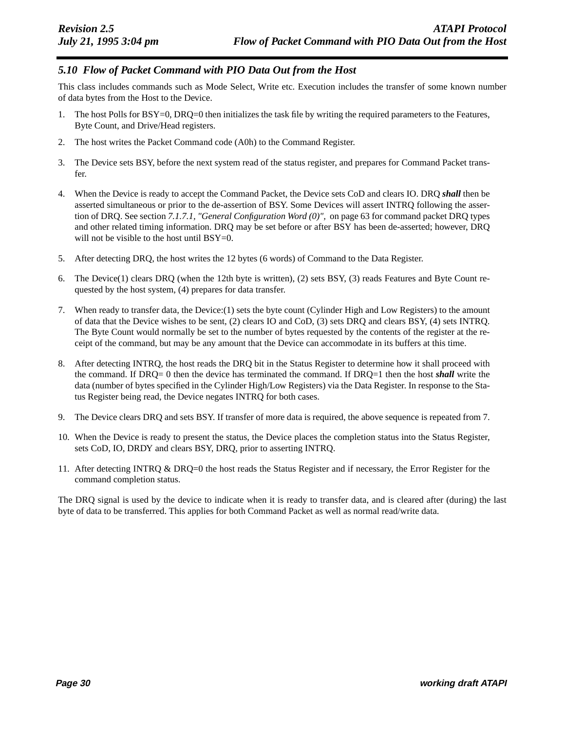#### *5.10 Flow of Packet Command with PIO Data Out from the Host*

This class includes commands such as Mode Select, Write etc. Execution includes the transfer of some known number of data bytes from the Host to the Device.

- 1. The host Polls for BSY=0, DRQ=0 then initializes the task file by writing the required parameters to the Features, Byte Count, and Drive/Head registers.
- 2. The host writes the Packet Command code (A0h) to the Command Register.
- 3. The Device sets BSY, before the next system read of the status register, and prepares for Command Packet transfer.
- 4. When the Device is ready to accept the Command Packet, the Device sets CoD and clears IO. DRQ *shall* then be asserted simultaneous or prior to the de-assertion of BSY. Some Devices will assert INTRQ following the assertion of DRQ. See section *7.1.7.1, "General Configuration Word (0)",* on page 63 for command packet DRQ types and other related timing information. DRQ may be set before or after BSY has been de-asserted; however, DRQ will not be visible to the host until BSY=0.
- 5. After detecting DRQ, the host writes the 12 bytes (6 words) of Command to the Data Register.
- 6. The Device(1) clears DRQ (when the 12th byte is written), (2) sets BSY, (3) reads Features and Byte Count requested by the host system, (4) prepares for data transfer.
- 7. When ready to transfer data, the Device:(1) sets the byte count (Cylinder High and Low Registers) to the amount of data that the Device wishes to be sent, (2) clears IO and CoD, (3) sets DRQ and clears BSY, (4) sets INTRQ. The Byte Count would normally be set to the number of bytes requested by the contents of the register at the receipt of the command, but may be any amount that the Device can accommodate in its buffers at this time.
- 8. After detecting INTRQ, the host reads the DRQ bit in the Status Register to determine how it shall proceed with the command. If DRQ= 0 then the device has terminated the command. If DRQ=1 then the host *shall* write the data (number of bytes specified in the Cylinder High/Low Registers) via the Data Register. In response to the Status Register being read, the Device negates INTRQ for both cases.
- 9. The Device clears DRQ and sets BSY. If transfer of more data is required, the above sequence is repeated from 7.
- 10. When the Device is ready to present the status, the Device places the completion status into the Status Register, sets CoD, IO, DRDY and clears BSY, DRQ, prior to asserting INTRQ.
- 11. After detecting INTRQ & DRQ=0 the host reads the Status Register and if necessary, the Error Register for the command completion status.

The DRQ signal is used by the device to indicate when it is ready to transfer data, and is cleared after (during) the last byte of data to be transferred. This applies for both Command Packet as well as normal read/write data.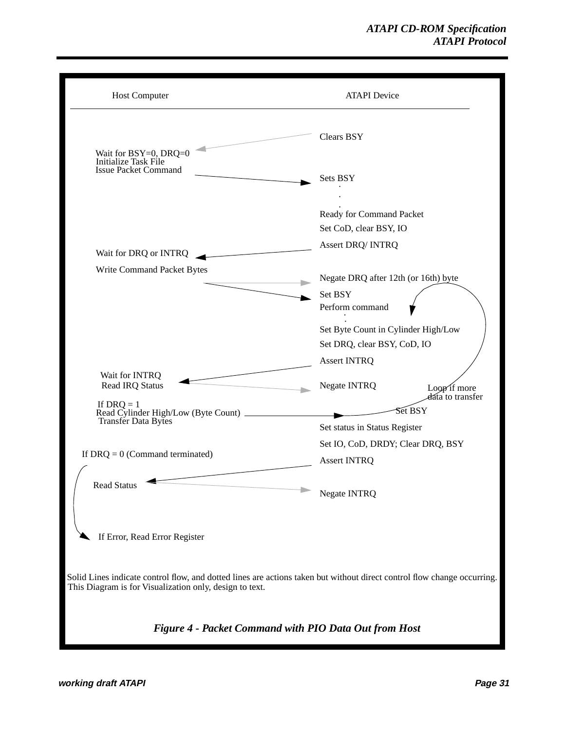#### *ATAPI CD-ROM Specification ATAPI Protocol*

| <b>Host Computer</b>                                                                                                                                                               | <b>ATAPI</b> Device                                                                                                                          |  |  |  |  |
|------------------------------------------------------------------------------------------------------------------------------------------------------------------------------------|----------------------------------------------------------------------------------------------------------------------------------------------|--|--|--|--|
| Wait for BSY=0, DRQ=0<br>Initialize Task File<br><b>Issue Packet Command</b>                                                                                                       | Clears BSY<br>Sets BSY                                                                                                                       |  |  |  |  |
| Wait for DRQ or INTRQ<br>Write Command Packet Bytes                                                                                                                                | Ready for Command Packet<br>Set CoD, clear BSY, IO<br>Assert DRQ/INTRQ<br>Negate DRQ after 12th (or 16th) byte<br>Set BSY<br>Perform command |  |  |  |  |
| Wait for INTRQ<br>Read IRQ Status                                                                                                                                                  | Set Byte Count in Cylinder High/Low<br>Set DRQ, clear BSY, CoD, IO<br><b>Assert INTRQ</b><br>Negate INTRQ<br>Loop if more                    |  |  |  |  |
| If $DRQ = 1$<br>Read Cylinder High/Low (Byte Count) __________<br>Transfer Data Bytes                                                                                              | data to transfer<br>Set BSY<br>Set status in Status Register                                                                                 |  |  |  |  |
| If $DRQ = 0$ (Command terminated)                                                                                                                                                  | Set IO, CoD, DRDY; Clear DRQ, BSY<br><b>Assert INTRQ</b>                                                                                     |  |  |  |  |
| <b>Read Status</b>                                                                                                                                                                 | Negate INTRQ                                                                                                                                 |  |  |  |  |
| If Error, Read Error Register                                                                                                                                                      |                                                                                                                                              |  |  |  |  |
| Solid Lines indicate control flow, and dotted lines are actions taken but without direct control flow change occurring.<br>This Diagram is for Visualization only, design to text. |                                                                                                                                              |  |  |  |  |
| <b>Figure 4 - Packet Command with PIO Data Out from Host</b>                                                                                                                       |                                                                                                                                              |  |  |  |  |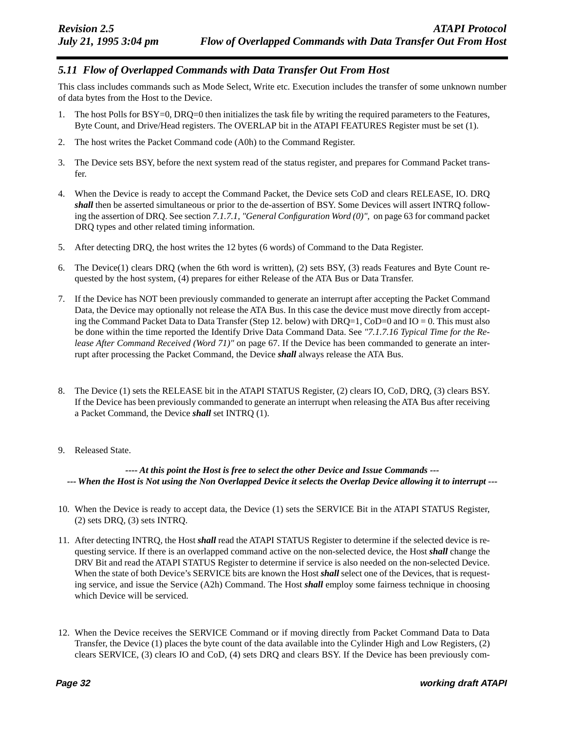#### *5.11 Flow of Overlapped Commands with Data Transfer Out From Host*

This class includes commands such as Mode Select, Write etc. Execution includes the transfer of some unknown number of data bytes from the Host to the Device.

- 1. The host Polls for BSY=0, DRQ=0 then initializes the task file by writing the required parameters to the Features, Byte Count, and Drive/Head registers. The OVERLAP bit in the ATAPI FEATURES Register must be set (1).
- 2. The host writes the Packet Command code (A0h) to the Command Register.
- 3. The Device sets BSY, before the next system read of the status register, and prepares for Command Packet transfer.
- 4. When the Device is ready to accept the Command Packet, the Device sets CoD and clears RELEASE, IO. DRQ *shall* then be asserted simultaneous or prior to the de-assertion of BSY. Some Devices will assert INTRQ following the assertion of DRQ. See section *7.1.7.1, "General Configuration Word (0)",* on page 63 for command packet DRQ types and other related timing information.
- 5. After detecting DRQ, the host writes the 12 bytes (6 words) of Command to the Data Register.
- 6. The Device(1) clears DRQ (when the 6th word is written), (2) sets BSY, (3) reads Features and Byte Count requested by the host system, (4) prepares for either Release of the ATA Bus or Data Transfer.
- 7. If the Device has NOT been previously commanded to generate an interrupt after accepting the Packet Command Data, the Device may optionally not release the ATA Bus. In this case the device must move directly from accepting the Command Packet Data to Data Transfer (Step 12. below) with DRQ=1, CoD=0 and IO = 0. This must also be done within the time reported the Identify Drive Data Command Data. See *"7.1.7.16 Typical Time for the Release After Command Received (Word 71)"* on page 67. If the Device has been commanded to generate an interrupt after processing the Packet Command, the Device *shall* always release the ATA Bus.
- 8. The Device (1) sets the RELEASE bit in the ATAPI STATUS Register, (2) clears IO, CoD, DRQ, (3) clears BSY. If the Device has been previously commanded to generate an interrupt when releasing the ATA Bus after receiving a Packet Command, the Device *shall* set INTRQ (1).
- 9. Released State.

#### *---- At this point the Host is free to select the other Device and Issue Commands --- --- When the Host is Not using the Non Overlapped Device it selects the Overlap Device allowing it to interrupt ---*

- 10. When the Device is ready to accept data, the Device (1) sets the SERVICE Bit in the ATAPI STATUS Register, (2) sets DRQ, (3) sets INTRQ.
- 11. After detecting INTRQ, the Host *shall* read the ATAPI STATUS Register to determine if the selected device is requesting service. If there is an overlapped command active on the non-selected device, the Host *shall* change the DRV Bit and read the ATAPI STATUS Register to determine if service is also needed on the non-selected Device. When the state of both Device's SERVICE bits are known the Host *shall* select one of the Devices, that is requesting service, and issue the Service (A2h) Command. The Host *shall* employ some fairness technique in choosing which Device will be serviced.
- 12. When the Device receives the SERVICE Command or if moving directly from Packet Command Data to Data Transfer, the Device (1) places the byte count of the data available into the Cylinder High and Low Registers, (2) clears SERVICE, (3) clears IO and CoD, (4) sets DRQ and clears BSY. If the Device has been previously com-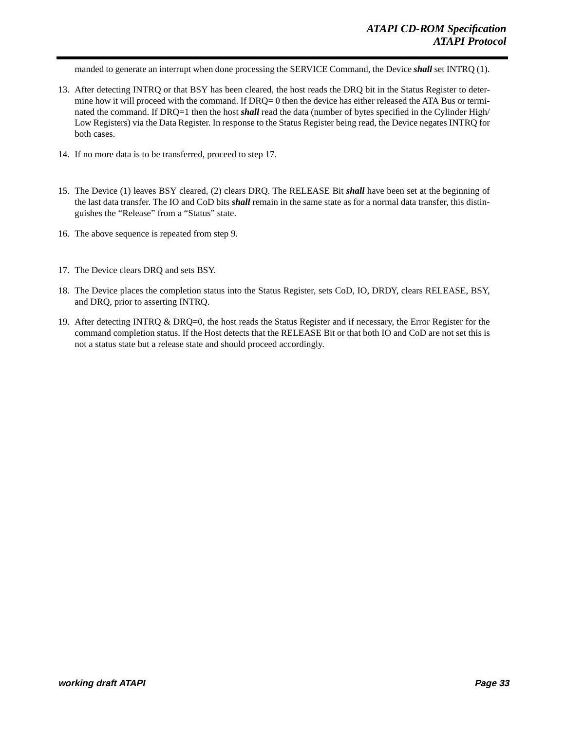manded to generate an interrupt when done processing the SERVICE Command, the Device *shall* set INTRQ (1).

- 13. After detecting INTRQ or that BSY has been cleared, the host reads the DRQ bit in the Status Register to determine how it will proceed with the command. If DRQ= 0 then the device has either released the ATA Bus or terminated the command. If DRQ=1 then the host *shall* read the data (number of bytes specified in the Cylinder High/ Low Registers) via the Data Register. In response to the Status Register being read, the Device negates INTRQ for both cases.
- 14. If no more data is to be transferred, proceed to step 17.
- 15. The Device (1) leaves BSY cleared, (2) clears DRQ. The RELEASE Bit *shall* have been set at the beginning of the last data transfer. The IO and CoD bits *shall* remain in the same state as for a normal data transfer, this distinguishes the "Release" from a "Status" state.
- 16. The above sequence is repeated from step 9.
- 17. The Device clears DRQ and sets BSY.
- 18. The Device places the completion status into the Status Register, sets CoD, IO, DRDY, clears RELEASE, BSY, and DRQ, prior to asserting INTRQ.
- 19. After detecting INTRQ & DRQ=0, the host reads the Status Register and if necessary, the Error Register for the command completion status. If the Host detects that the RELEASE Bit or that both IO and CoD are not set this is not a status state but a release state and should proceed accordingly.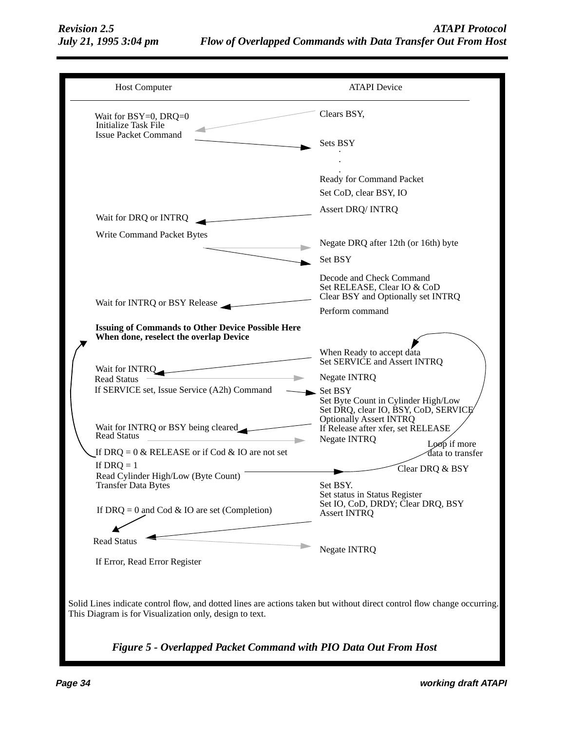| <b>Host Computer</b>                                                                                                                                                               | <b>ATAPI</b> Device                                                                                              |
|------------------------------------------------------------------------------------------------------------------------------------------------------------------------------------|------------------------------------------------------------------------------------------------------------------|
| Wait for $BSY=0$ , $DRQ=0$<br><b>Initialize Task File</b>                                                                                                                          | Clears BSY,                                                                                                      |
| <b>Issue Packet Command</b>                                                                                                                                                        | <b>Sets BSY</b>                                                                                                  |
|                                                                                                                                                                                    |                                                                                                                  |
|                                                                                                                                                                                    | Ready for Command Packet                                                                                         |
|                                                                                                                                                                                    | Set CoD, clear BSY, IO                                                                                           |
| Wait for DRQ or INTRQ                                                                                                                                                              | <b>Assert DRQ/INTRQ</b>                                                                                          |
| Write Command Packet Bytes                                                                                                                                                         |                                                                                                                  |
|                                                                                                                                                                                    | Negate DRQ after 12th (or 16th) byte                                                                             |
|                                                                                                                                                                                    | Set BSY                                                                                                          |
| Wait for INTRQ or BSY Release                                                                                                                                                      | Decode and Check Command<br>Set RELEASE, Clear IO & CoD<br>Clear BSY and Optionally set INTRQ<br>Perform command |
|                                                                                                                                                                                    |                                                                                                                  |
| <b>Issuing of Commands to Other Device Possible Here</b><br>When done, reselect the overlap Device                                                                                 |                                                                                                                  |
|                                                                                                                                                                                    | When Ready to accept data                                                                                        |
| Wait for INTRQ                                                                                                                                                                     | Set SERVICE and Assert INTRQ                                                                                     |
| <b>Read Status</b><br>If SERVICE set, Issue Service (A2h) Command                                                                                                                  | Negate INTRQ<br>Set BSY                                                                                          |
|                                                                                                                                                                                    | Set Byte Count in Cylinder High/Low<br>Set DRQ, clear IO, BSY, CoD, SERVICE<br><b>Optionally Assert INTRQ</b>    |
| Wait for INTRQ or BSY being cleared<br><b>Read Status</b>                                                                                                                          | If Release after xfer, set RELEASE                                                                               |
| If DRQ = $0 \&$ RELEASE or if Cod $\&$ IO are not set                                                                                                                              | Negate INTRQ<br>Loop if more<br>data to transfer                                                                 |
| If $DRQ = 1$                                                                                                                                                                       | Clear DRQ & BSY                                                                                                  |
| Read Cylinder High/Low (Byte Count)<br><b>Transfer Data Bytes</b>                                                                                                                  | Set BSY.                                                                                                         |
| If DRQ = 0 and Cod & IO are set (Completion)                                                                                                                                       | Set status in Status Register<br>Set IO, CoD, DRDY; Clear DRQ, BSY<br><b>Assert INTRQ</b>                        |
|                                                                                                                                                                                    |                                                                                                                  |
| <b>Read Status</b>                                                                                                                                                                 |                                                                                                                  |
| If Error, Read Error Register                                                                                                                                                      | Negate INTRQ                                                                                                     |
| Solid Lines indicate control flow, and dotted lines are actions taken but without direct control flow change occurring.<br>This Diagram is for Visualization only, design to text. |                                                                                                                  |

*Figure 5 - Overlapped Packet Command with PIO Data Out From Host*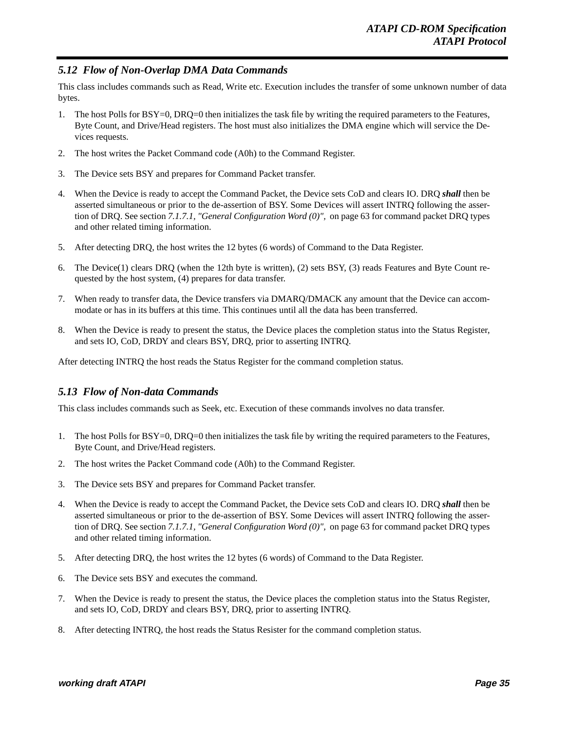#### *5.12 Flow of Non-Overlap DMA Data Commands*

This class includes commands such as Read, Write etc. Execution includes the transfer of some unknown number of data bytes.

- 1. The host Polls for BSY=0, DRQ=0 then initializes the task file by writing the required parameters to the Features, Byte Count, and Drive/Head registers. The host must also initializes the DMA engine which will service the Devices requests.
- 2. The host writes the Packet Command code (A0h) to the Command Register.
- 3. The Device sets BSY and prepares for Command Packet transfer.
- 4. When the Device is ready to accept the Command Packet, the Device sets CoD and clears IO. DRQ *shall* then be asserted simultaneous or prior to the de-assertion of BSY. Some Devices will assert INTRQ following the assertion of DRQ. See section *7.1.7.1, "General Configuration Word (0)",* on page 63 for command packet DRQ types and other related timing information.
- 5. After detecting DRQ, the host writes the 12 bytes (6 words) of Command to the Data Register.
- 6. The Device(1) clears DRQ (when the 12th byte is written), (2) sets BSY, (3) reads Features and Byte Count requested by the host system, (4) prepares for data transfer.
- 7. When ready to transfer data, the Device transfers via DMARQ/DMACK any amount that the Device can accommodate or has in its buffers at this time. This continues until all the data has been transferred.
- 8. When the Device is ready to present the status, the Device places the completion status into the Status Register, and sets IO, CoD, DRDY and clears BSY, DRQ, prior to asserting INTRQ.

After detecting INTRQ the host reads the Status Register for the command completion status.

#### *5.13 Flow of Non-data Commands*

This class includes commands such as Seek, etc. Execution of these commands involves no data transfer.

- 1. The host Polls for BSY=0, DRQ=0 then initializes the task file by writing the required parameters to the Features, Byte Count, and Drive/Head registers.
- 2. The host writes the Packet Command code (A0h) to the Command Register.
- 3. The Device sets BSY and prepares for Command Packet transfer.
- 4. When the Device is ready to accept the Command Packet, the Device sets CoD and clears IO. DRQ *shall* then be asserted simultaneous or prior to the de-assertion of BSY. Some Devices will assert INTRQ following the assertion of DRQ. See section *7.1.7.1, "General Configuration Word (0)",* on page 63 for command packet DRQ types and other related timing information.
- 5. After detecting DRQ, the host writes the 12 bytes (6 words) of Command to the Data Register.
- 6. The Device sets BSY and executes the command.
- 7. When the Device is ready to present the status, the Device places the completion status into the Status Register, and sets IO, CoD, DRDY and clears BSY, DRQ, prior to asserting INTRQ.
- 8. After detecting INTRQ, the host reads the Status Resister for the command completion status.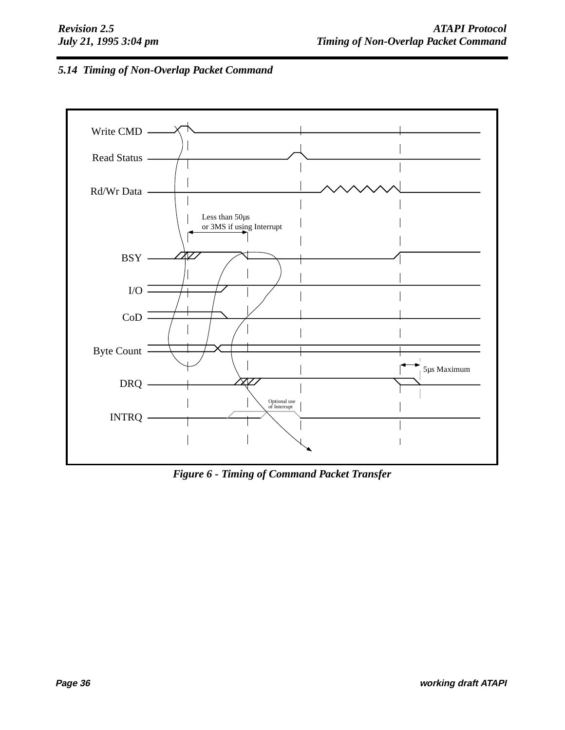### *5.14 Timing of Non-Overlap Packet Command*



*Figure 6 - Timing of Command Packet Transfer*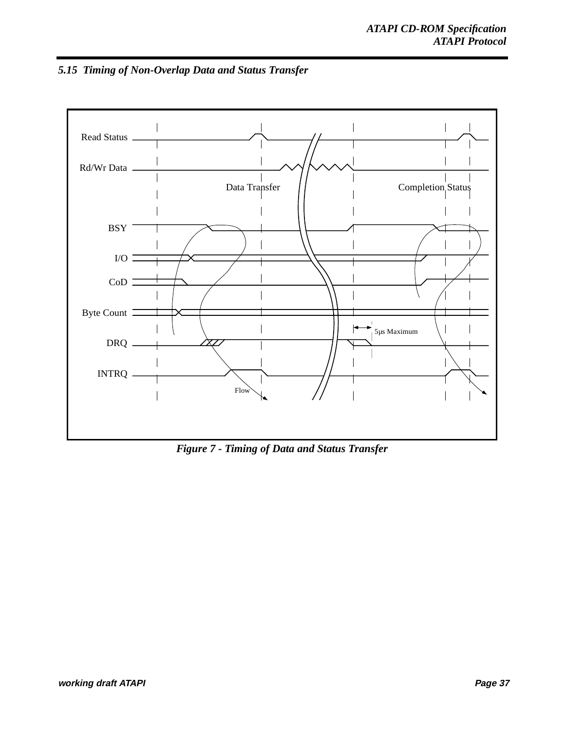



*Figure 7 - Timing of Data and Status Transfer*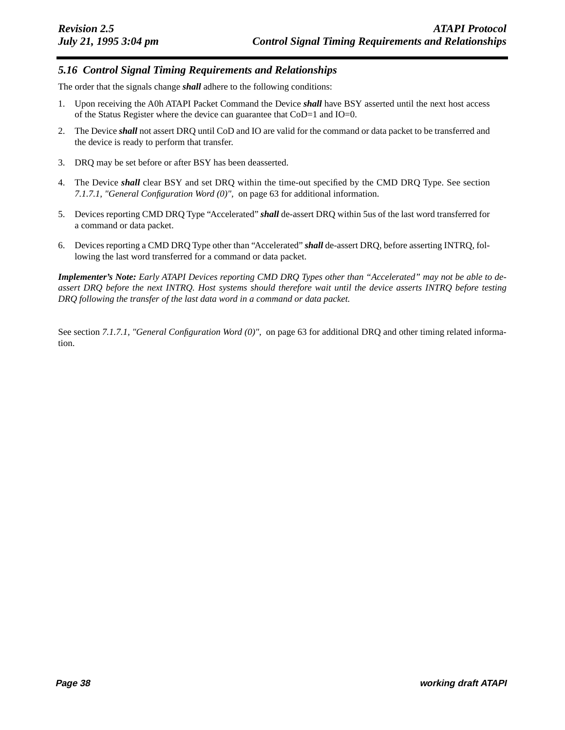#### *5.16 Control Signal Timing Requirements and Relationships*

The order that the signals change *shall* adhere to the following conditions:

- 1. Upon receiving the A0h ATAPI Packet Command the Device *shall* have BSY asserted until the next host access of the Status Register where the device can guarantee that CoD=1 and IO=0.
- 2. The Device *shall* not assert DRQ until CoD and IO are valid for the command or data packet to be transferred and the device is ready to perform that transfer.
- 3. DRQ may be set before or after BSY has been deasserted.
- 4. The Device *shall* clear BSY and set DRQ within the time-out specified by the CMD DRQ Type. See section *7.1.7.1, "General Configuration Word (0)",* on page 63 for additional information.
- 5. Devices reporting CMD DRQ Type "Accelerated" *shall* de-assert DRQ within 5us of the last word transferred for a command or data packet.
- 6. Devices reporting a CMD DRQ Type other than "Accelerated" *shall* de-assert DRQ, before asserting INTRQ, following the last word transferred for a command or data packet.

*Implementer's Note: Early ATAPI Devices reporting CMD DRQ Types other than "Accelerated" may not be able to deassert DRQ before the next INTRQ. Host systems should therefore wait until the device asserts INTRQ before testing DRQ following the transfer of the last data word in a command or data packet.*

See section *7.1.7.1, "General Configuration Word (0)",* on page 63 for additional DRQ and other timing related information.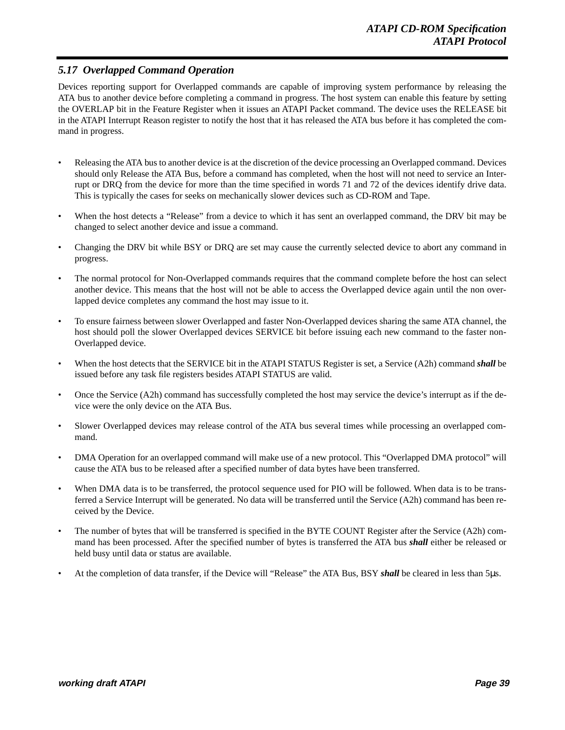#### *5.17 Overlapped Command Operation*

Devices reporting support for Overlapped commands are capable of improving system performance by releasing the ATA bus to another device before completing a command in progress. The host system can enable this feature by setting the OVERLAP bit in the Feature Register when it issues an ATAPI Packet command. The device uses the RELEASE bit in the ATAPI Interrupt Reason register to notify the host that it has released the ATA bus before it has completed the command in progress.

- Releasing the ATA bus to another device is at the discretion of the device processing an Overlapped command. Devices should only Release the ATA Bus, before a command has completed, when the host will not need to service an Interrupt or DRQ from the device for more than the time specified in words 71 and 72 of the devices identify drive data. This is typically the cases for seeks on mechanically slower devices such as CD-ROM and Tape.
- When the host detects a "Release" from a device to which it has sent an overlapped command, the DRV bit may be changed to select another device and issue a command.
- Changing the DRV bit while BSY or DRQ are set may cause the currently selected device to abort any command in progress.
- The normal protocol for Non-Overlapped commands requires that the command complete before the host can select another device. This means that the host will not be able to access the Overlapped device again until the non overlapped device completes any command the host may issue to it.
- To ensure fairness between slower Overlapped and faster Non-Overlapped devices sharing the same ATA channel, the host should poll the slower Overlapped devices SERVICE bit before issuing each new command to the faster non-Overlapped device.
- When the host detects that the SERVICE bit in the ATAPI STATUS Register is set, a Service (A2h) command *shall* be issued before any task file registers besides ATAPI STATUS are valid.
- Once the Service (A2h) command has successfully completed the host may service the device's interrupt as if the device were the only device on the ATA Bus.
- Slower Overlapped devices may release control of the ATA bus several times while processing an overlapped command.
- DMA Operation for an overlapped command will make use of a new protocol. This "Overlapped DMA protocol" will cause the ATA bus to be released after a specified number of data bytes have been transferred.
- When DMA data is to be transferred, the protocol sequence used for PIO will be followed. When data is to be transferred a Service Interrupt will be generated. No data will be transferred until the Service (A2h) command has been received by the Device.
- The number of bytes that will be transferred is specified in the BYTE COUNT Register after the Service (A2h) command has been processed. After the specified number of bytes is transferred the ATA bus *shall* either be released or held busy until data or status are available.
- At the completion of data transfer, if the Device will "Release" the ATA Bus, BSY *shall* be cleared in less than 5µs.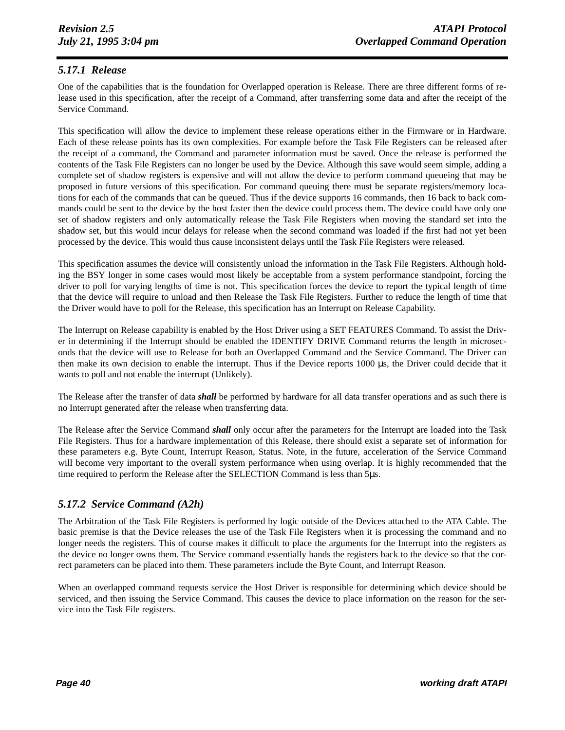#### *5.17.1 Release*

One of the capabilities that is the foundation for Overlapped operation is Release. There are three different forms of release used in this specification, after the receipt of a Command, after transferring some data and after the receipt of the Service Command.

This specification will allow the device to implement these release operations either in the Firmware or in Hardware. Each of these release points has its own complexities. For example before the Task File Registers can be released after the receipt of a command, the Command and parameter information must be saved. Once the release is performed the contents of the Task File Registers can no longer be used by the Device. Although this save would seem simple, adding a complete set of shadow registers is expensive and will not allow the device to perform command queueing that may be proposed in future versions of this specification. For command queuing there must be separate registers/memory locations for each of the commands that can be queued. Thus if the device supports 16 commands, then 16 back to back commands could be sent to the device by the host faster then the device could process them. The device could have only one set of shadow registers and only automatically release the Task File Registers when moving the standard set into the shadow set, but this would incur delays for release when the second command was loaded if the first had not yet been processed by the device. This would thus cause inconsistent delays until the Task File Registers were released.

This specification assumes the device will consistently unload the information in the Task File Registers. Although holding the BSY longer in some cases would most likely be acceptable from a system performance standpoint, forcing the driver to poll for varying lengths of time is not. This specification forces the device to report the typical length of time that the device will require to unload and then Release the Task File Registers. Further to reduce the length of time that the Driver would have to poll for the Release, this specification has an Interrupt on Release Capability.

The Interrupt on Release capability is enabled by the Host Driver using a SET FEATURES Command. To assist the Driver in determining if the Interrupt should be enabled the IDENTIFY DRIVE Command returns the length in microseconds that the device will use to Release for both an Overlapped Command and the Service Command. The Driver can then make its own decision to enable the interrupt. Thus if the Device reports 1000 µs, the Driver could decide that it wants to poll and not enable the interrupt (Unlikely).

The Release after the transfer of data *shall* be performed by hardware for all data transfer operations and as such there is no Interrupt generated after the release when transferring data.

The Release after the Service Command *shall* only occur after the parameters for the Interrupt are loaded into the Task File Registers. Thus for a hardware implementation of this Release, there should exist a separate set of information for these parameters e.g. Byte Count, Interrupt Reason, Status. Note, in the future, acceleration of the Service Command will become very important to the overall system performance when using overlap. It is highly recommended that the time required to perform the Release after the SELECTION Command is less than 5µs.

#### *5.17.2 Service Command (A2h)*

The Arbitration of the Task File Registers is performed by logic outside of the Devices attached to the ATA Cable. The basic premise is that the Device releases the use of the Task File Registers when it is processing the command and no longer needs the registers. This of course makes it difficult to place the arguments for the Interrupt into the registers as the device no longer owns them. The Service command essentially hands the registers back to the device so that the correct parameters can be placed into them. These parameters include the Byte Count, and Interrupt Reason.

When an overlapped command requests service the Host Driver is responsible for determining which device should be serviced, and then issuing the Service Command. This causes the device to place information on the reason for the service into the Task File registers.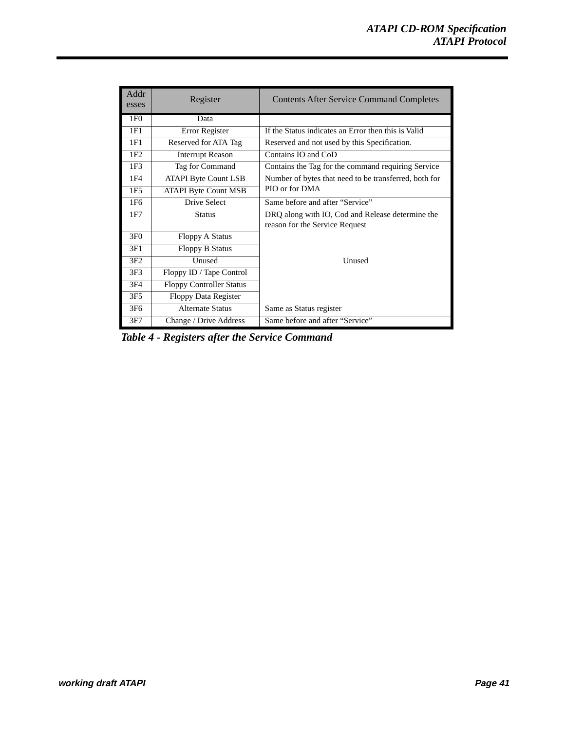| Addr<br>esses   | Register                        | <b>Contents After Service Command Completes</b>       |
|-----------------|---------------------------------|-------------------------------------------------------|
| 1F <sub>0</sub> | Data                            |                                                       |
| 1F1             | Error Register                  | If the Status indicates an Error then this is Valid   |
| 1F1             | Reserved for ATA Tag            | Reserved and not used by this Specification.          |
| 1F2             | <b>Interrupt Reason</b>         | Contains IO and CoD                                   |
| 1F <sub>3</sub> | Tag for Command                 | Contains the Tag for the command requiring Service    |
| 1F4             | <b>ATAPI Byte Count LSB</b>     | Number of bytes that need to be transferred, both for |
| 1F5             | <b>ATAPI Byte Count MSB</b>     | PIO or for DMA                                        |
| 1F <sub>6</sub> | Drive Select                    | Same before and after "Service"                       |
| 1F7             | <b>Status</b>                   | DRQ along with IO, Cod and Release determine the      |
|                 |                                 | reason for the Service Request                        |
| 3F <sub>0</sub> | <b>Floppy A Status</b>          |                                                       |
| 3F1             | <b>Floppy B Status</b>          |                                                       |
| 3F2             | Unused                          | Unused                                                |
| 3F <sub>3</sub> | Floppy ID / Tape Control        |                                                       |
| 3F <sub>4</sub> | <b>Floppy Controller Status</b> |                                                       |
| 3F <sub>5</sub> | Floppy Data Register            |                                                       |
| 3F6             | <b>Alternate Status</b>         | Same as Status register                               |
| 3F7             | Change / Drive Address          | Same before and after "Service"                       |

*Table 4 - Registers after the Service Command*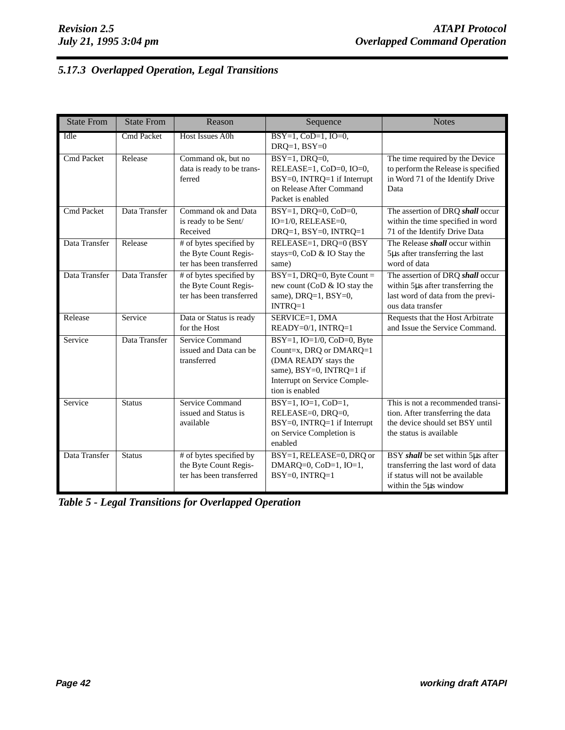## *5.17.3 Overlapped Operation, Legal Transitions*

| <b>State From</b> | <b>State From</b> | Reason                                                                       | Sequence                                                                                                                                                     | <b>Notes</b>                                                                                                                         |
|-------------------|-------------------|------------------------------------------------------------------------------|--------------------------------------------------------------------------------------------------------------------------------------------------------------|--------------------------------------------------------------------------------------------------------------------------------------|
| Idle              | <b>Cmd Packet</b> | <b>Host Issues A0h</b>                                                       | $BSY=1, CoD=1, IO=0,$<br>$DRQ=1$ , $BSY=0$                                                                                                                   |                                                                                                                                      |
| <b>Cmd Packet</b> | Release           | Command ok, but no<br>data is ready to be trans-<br>ferred                   | $BSY=1$ , $DRQ=0$ ,<br>RELEASE=1, CoD=0, IO=0,<br>BSY=0, INTRQ=1 if Interrupt<br>on Release After Command<br>Packet is enabled                               | The time required by the Device<br>to perform the Release is specified<br>in Word 71 of the Identify Drive<br>Data                   |
| Cmd Packet        | Data Transfer     | Command ok and Data<br>is ready to be Sent/<br>Received                      | $BSY=1$ , DRQ=0, CoD=0,<br>$IO=1/0$ , RELEASE=0,<br>$DRQ=1$ , $BSY=0$ , $INTRQ=1$                                                                            | The assertion of DRQ shall occur<br>within the time specified in word<br>71 of the Identify Drive Data                               |
| Data Transfer     | Release           | # of bytes specified by<br>the Byte Count Regis-<br>ter has been transferred | RELEASE=1, DRQ=0 (BSY<br>stays=0, $CoD & IO$ Stay the<br>same)                                                                                               | The Release <i>shall</i> occur within<br>5µs after transferring the last<br>word of data                                             |
| Data Transfer     | Data Transfer     | # of bytes specified by<br>the Byte Count Regis-<br>ter has been transferred | $\overline{BSY=1}$ , DRQ=0, Byte Count =<br>new count (CoD & IO stay the<br>same), DRQ=1, BSY=0,<br>$INTRQ=1$                                                | The assertion of DRQ shall occur<br>within 5µs after transferring the<br>last word of data from the previ-<br>ous data transfer      |
| Release           | Service           | Data or Status is ready<br>for the Host                                      | SERVICE=1, DMA<br>$READV=0/1$ , $INTRQ=1$                                                                                                                    | Requests that the Host Arbitrate<br>and Issue the Service Command.                                                                   |
| Service           | Data Transfer     | Service Command<br>issued and Data can be<br>transferred                     | BSY=1, IO=1/0, CoD=0, Byte<br>Count=x, DRQ or DMARQ=1<br>(DMA READY stays the<br>same), BSY=0, INTRQ=1 if<br>Interrupt on Service Comple-<br>tion is enabled |                                                                                                                                      |
| Service           | <b>Status</b>     | <b>Service Command</b><br>issued and Status is<br>available                  | $BSY=1$ , IO=1, CoD=1,<br>RELEASE=0, DRQ=0,<br>BSY=0, INTRQ=1 if Interrupt<br>on Service Completion is<br>enabled                                            | This is not a recommended transi-<br>tion. After transferring the data<br>the device should set BSY until<br>the status is available |
| Data Transfer     | <b>Status</b>     | # of bytes specified by<br>the Byte Count Regis-<br>ter has been transferred | BSY=1, RELEASE=0, DRQ or<br>$DMARQ=0$ , CoD=1, IO=1,<br>$BSY=0$ , $INTRQ=1$                                                                                  | BSY shall be set within 5µs after<br>transferring the last word of data<br>if status will not be available<br>within the 5µs window  |

*Table 5 - Legal Transitions for Overlapped Operation*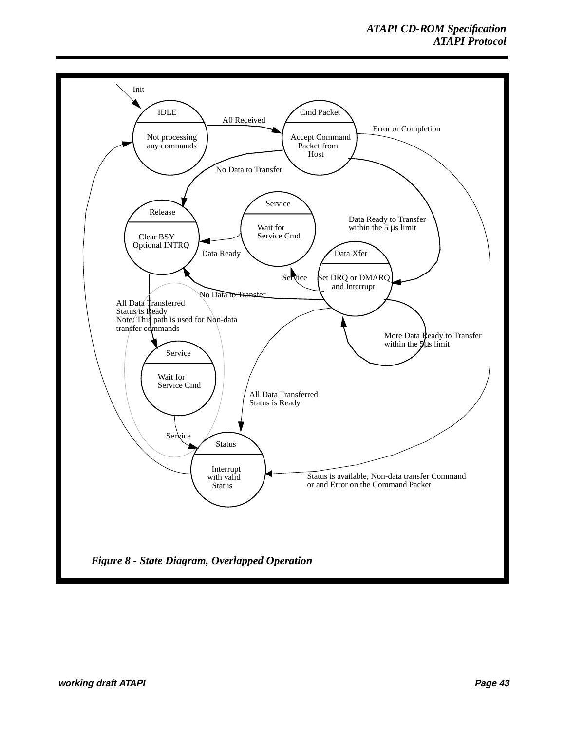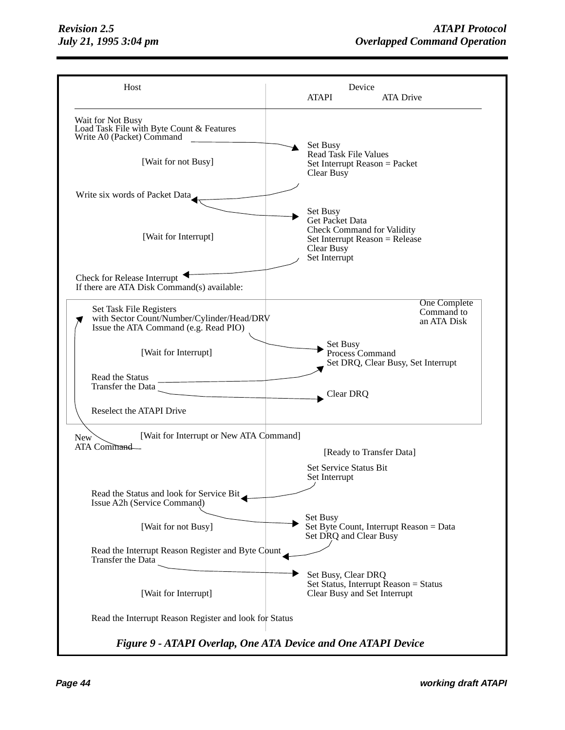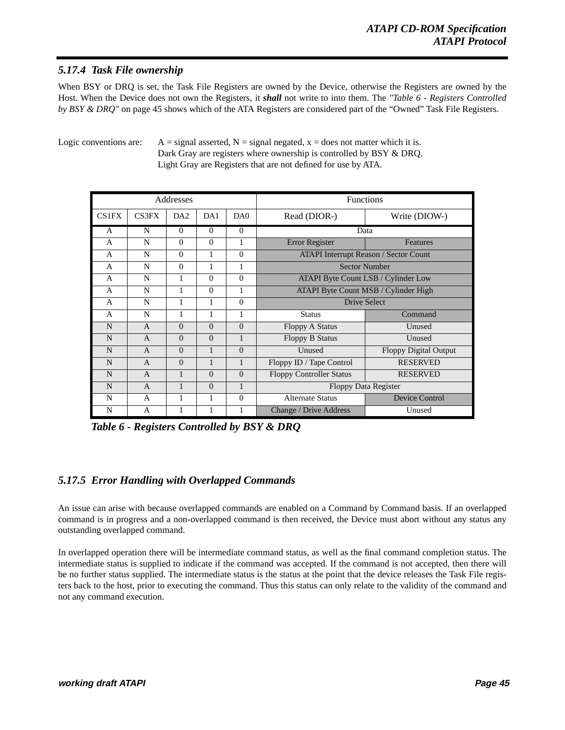#### *5.17.4 Task File ownership*

When BSY or DRQ is set, the Task File Registers are owned by the Device, otherwise the Registers are owned by the Host. When the Device does not own the Registers, it *shall* not write to into them. The *"Table 6 - Registers Controlled by BSY & DRQ"* on page 45 shows which of the ATA Registers are considered part of the "Owned" Task File Registers.

Logic conventions are:  $A =$  signal asserted,  $N =$  signal negated,  $x =$  does not matter which it is. Dark Gray are registers where ownership is controlled by BSY & DRQ. Light Gray are Registers that are not defined for use by ATA.

| Addresses      |              |                 |              | <b>Functions</b> |                                                    |                                              |
|----------------|--------------|-----------------|--------------|------------------|----------------------------------------------------|----------------------------------------------|
| <b>CS1FX</b>   | <b>CS3FX</b> | DA <sub>2</sub> | DA1          | DA0              | Read (DIOR-)                                       | Write (DIOW-)                                |
| A              | N            | $\Omega$        | $\Omega$     | $\Omega$         |                                                    | Data                                         |
| A              | N            | $\Omega$        | $\Omega$     | 1                | Error Register                                     | Features                                     |
| $\overline{A}$ | N            | $\Omega$        | $\mathbf{1}$ | $\theta$         |                                                    | <b>ATAPI Interrupt Reason / Sector Count</b> |
| A              | N            | $\Omega$        | 1            | 1                |                                                    | <b>Sector Number</b>                         |
| A              | N            | 1               | $\Omega$     | $\Omega$         |                                                    | <b>ATAPI Byte Count LSB / Cylinder Low</b>   |
| $\overline{A}$ | N            | 1               | $\Omega$     | 1                | ATAPI Byte Count MSB / Cylinder High               |                                              |
| A              | N            | 1               | 1            | $\Omega$         | <b>Drive Select</b>                                |                                              |
| A              | N            | 1               | $\mathbf{1}$ | 1                | <b>Status</b>                                      | Command                                      |
| N              | $\mathsf{A}$ | $\Omega$        | $\Omega$     | $\Omega$         | <b>Floppy A Status</b>                             | Unused                                       |
| N              | $\mathsf{A}$ | $\Omega$        | $\Omega$     | 1                | <b>Floppy B Status</b>                             | Unused                                       |
| N              | $\mathsf{A}$ | $\Omega$        | $\mathbf{1}$ | $\Omega$         | Unused                                             | <b>Floppy Digital Output</b>                 |
| N              | $\mathsf{A}$ | $\Omega$        | $\mathbf{1}$ | 1                | Floppy ID / Tape Control                           | <b>RESERVED</b>                              |
| N              | $\mathsf{A}$ | $\mathbf{1}$    | $\Omega$     | $\Omega$         | <b>RESERVED</b><br><b>Floppy Controller Status</b> |                                              |
| N              | $\mathsf{A}$ | $\mathbf{1}$    | $\Omega$     | 1                | <b>Floppy Data Register</b>                        |                                              |
| N              | A            | 1               | $\mathbf{1}$ | $\theta$         | <b>Alternate Status</b>                            | <b>Device Control</b>                        |
| N              | A            | 1               | 1            |                  | Change / Drive Address                             | Unused                                       |

*Table 6 - Registers Controlled by BSY & DRQ*

#### *5.17.5 Error Handling with Overlapped Commands*

An issue can arise with because overlapped commands are enabled on a Command by Command basis. If an overlapped command is in progress and a non-overlapped command is then received, the Device must abort without any status any outstanding overlapped command.

In overlapped operation there will be intermediate command status, as well as the final command completion status. The intermediate status is supplied to indicate if the command was accepted. If the command is not accepted, then there will be no further status supplied. The intermediate status is the status at the point that the device releases the Task File registers back to the host, prior to executing the command. Thus this status can only relate to the validity of the command and not any command execution.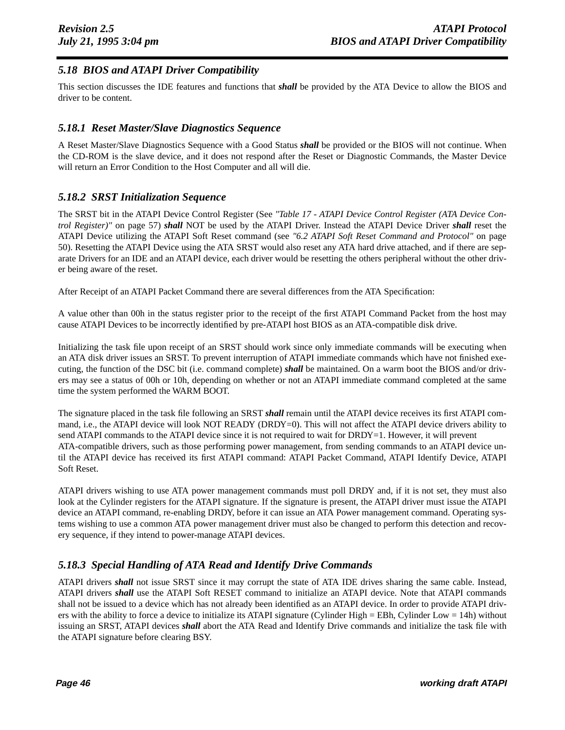#### *5.18 BIOS and ATAPI Driver Compatibility*

This section discusses the IDE features and functions that *shall* be provided by the ATA Device to allow the BIOS and driver to be content.

#### *5.18.1 Reset Master/Slave Diagnostics Sequence*

A Reset Master/Slave Diagnostics Sequence with a Good Status *shall* be provided or the BIOS will not continue. When the CD-ROM is the slave device, and it does not respond after the Reset or Diagnostic Commands, the Master Device will return an Error Condition to the Host Computer and all will die.

#### *5.18.2 SRST Initialization Sequence*

The SRST bit in the ATAPI Device Control Register (See *"Table 17 - ATAPI Device Control Register (ATA Device Control Register)"* on page 57) *shall* NOT be used by the ATAPI Driver. Instead the ATAPI Device Driver *shall* reset the ATAPI Device utilizing the ATAPI Soft Reset command (see *"6.2 ATAPI Soft Reset Command and Protocol"* on page 50). Resetting the ATAPI Device using the ATA SRST would also reset any ATA hard drive attached, and if there are separate Drivers for an IDE and an ATAPI device, each driver would be resetting the others peripheral without the other driver being aware of the reset.

After Receipt of an ATAPI Packet Command there are several differences from the ATA Specification:

A value other than 00h in the status register prior to the receipt of the first ATAPI Command Packet from the host may cause ATAPI Devices to be incorrectly identified by pre-ATAPI host BIOS as an ATA-compatible disk drive.

Initializing the task file upon receipt of an SRST should work since only immediate commands will be executing when an ATA disk driver issues an SRST. To prevent interruption of ATAPI immediate commands which have not finished executing, the function of the DSC bit (i.e. command complete) *shall* be maintained. On a warm boot the BIOS and/or drivers may see a status of 00h or 10h, depending on whether or not an ATAPI immediate command completed at the same time the system performed the WARM BOOT.

The signature placed in the task file following an SRST *shall* remain until the ATAPI device receives its first ATAPI command, i.e., the ATAPI device will look NOT READY (DRDY=0). This will not affect the ATAPI device drivers ability to send ATAPI commands to the ATAPI device since it is not required to wait for DRDY=1. However, it will prevent ATA-compatible drivers, such as those performing power management, from sending commands to an ATAPI device until the ATAPI device has received its first ATAPI command: ATAPI Packet Command, ATAPI Identify Device, ATAPI Soft Reset.

ATAPI drivers wishing to use ATA power management commands must poll DRDY and, if it is not set, they must also look at the Cylinder registers for the ATAPI signature. If the signature is present, the ATAPI driver must issue the ATAPI device an ATAPI command, re-enabling DRDY, before it can issue an ATA Power management command. Operating systems wishing to use a common ATA power management driver must also be changed to perform this detection and recovery sequence, if they intend to power-manage ATAPI devices.

#### *5.18.3 Special Handling of ATA Read and Identify Drive Commands*

ATAPI drivers *shall* not issue SRST since it may corrupt the state of ATA IDE drives sharing the same cable. Instead, ATAPI drivers *shall* use the ATAPI Soft RESET command to initialize an ATAPI device. Note that ATAPI commands shall not be issued to a device which has not already been identified as an ATAPI device. In order to provide ATAPI drivers with the ability to force a device to initialize its ATAPI signature (Cylinder High  $=$  EBh, Cylinder Low  $= 14h$ ) without issuing an SRST, ATAPI devices *shall* abort the ATA Read and Identify Drive commands and initialize the task file with the ATAPI signature before clearing BSY.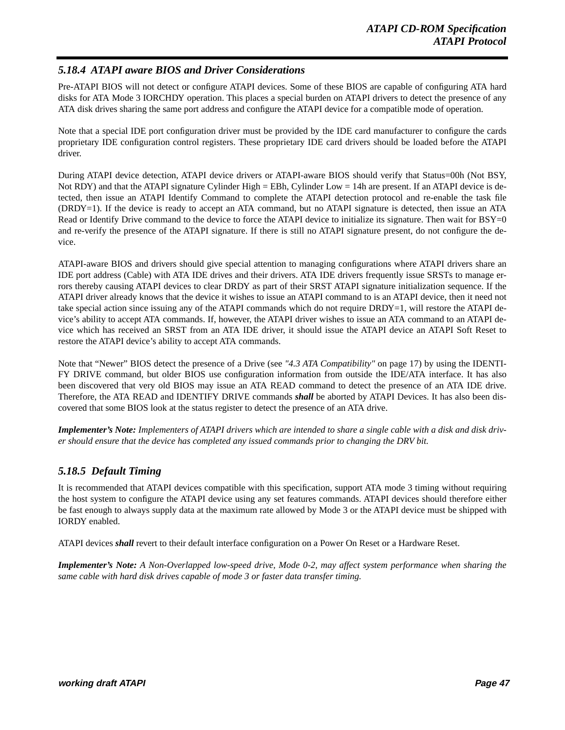#### *5.18.4 ATAPI aware BIOS and Driver Considerations*

Pre-ATAPI BIOS will not detect or configure ATAPI devices. Some of these BIOS are capable of configuring ATA hard disks for ATA Mode 3 IORCHDY operation. This places a special burden on ATAPI drivers to detect the presence of any ATA disk drives sharing the same port address and configure the ATAPI device for a compatible mode of operation.

Note that a special IDE port configuration driver must be provided by the IDE card manufacturer to configure the cards proprietary IDE configuration control registers. These proprietary IDE card drivers should be loaded before the ATAPI driver.

During ATAPI device detection, ATAPI device drivers or ATAPI-aware BIOS should verify that Status=00h (Not BSY, Not RDY) and that the ATAPI signature Cylinder High = EBh, Cylinder Low = 14h are present. If an ATAPI device is detected, then issue an ATAPI Identify Command to complete the ATAPI detection protocol and re-enable the task file (DRDY=1). If the device is ready to accept an ATA command, but no ATAPI signature is detected, then issue an ATA Read or Identify Drive command to the device to force the ATAPI device to initialize its signature. Then wait for BSY=0 and re-verify the presence of the ATAPI signature. If there is still no ATAPI signature present, do not configure the device.

ATAPI-aware BIOS and drivers should give special attention to managing configurations where ATAPI drivers share an IDE port address (Cable) with ATA IDE drives and their drivers. ATA IDE drivers frequently issue SRSTs to manage errors thereby causing ATAPI devices to clear DRDY as part of their SRST ATAPI signature initialization sequence. If the ATAPI driver already knows that the device it wishes to issue an ATAPI command to is an ATAPI device, then it need not take special action since issuing any of the ATAPI commands which do not require DRDY=1, will restore the ATAPI device's ability to accept ATA commands. If, however, the ATAPI driver wishes to issue an ATA command to an ATAPI device which has received an SRST from an ATA IDE driver, it should issue the ATAPI device an ATAPI Soft Reset to restore the ATAPI device's ability to accept ATA commands.

Note that "Newer" BIOS detect the presence of a Drive (see *"4.3 ATA Compatibility"* on page 17) by using the IDENTI-FY DRIVE command, but older BIOS use configuration information from outside the IDE/ATA interface. It has also been discovered that very old BIOS may issue an ATA READ command to detect the presence of an ATA IDE drive. Therefore, the ATA READ and IDENTIFY DRIVE commands *shall* be aborted by ATAPI Devices. It has also been discovered that some BIOS look at the status register to detect the presence of an ATA drive.

*Implementer's Note: Implementers of ATAPI drivers which are intended to share a single cable with a disk and disk driver should ensure that the device has completed any issued commands prior to changing the DRV bit.*

#### *5.18.5 Default Timing*

It is recommended that ATAPI devices compatible with this specification, support ATA mode 3 timing without requiring the host system to configure the ATAPI device using any set features commands. ATAPI devices should therefore either be fast enough to always supply data at the maximum rate allowed by Mode 3 or the ATAPI device must be shipped with IORDY enabled.

ATAPI devices *shall* revert to their default interface configuration on a Power On Reset or a Hardware Reset.

*Implementer's Note: A Non-Overlapped low-speed drive, Mode 0-2, may affect system performance when sharing the same cable with hard disk drives capable of mode 3 or faster data transfer timing.*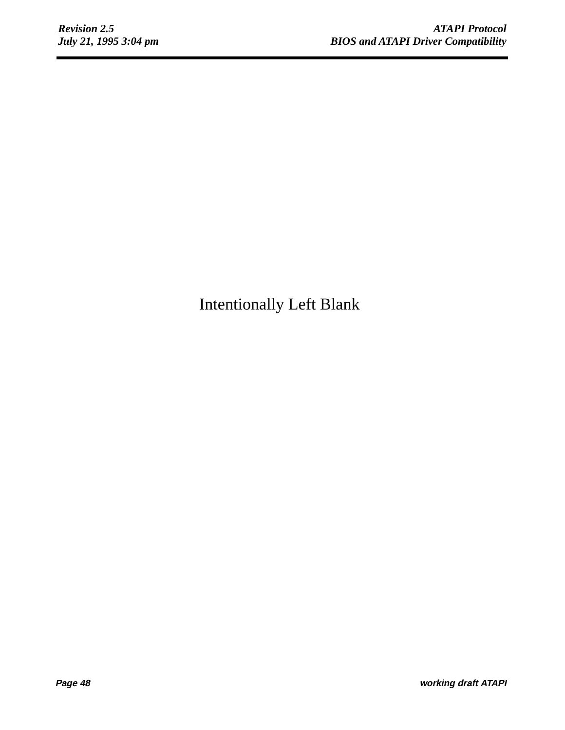Intentionally Left Blank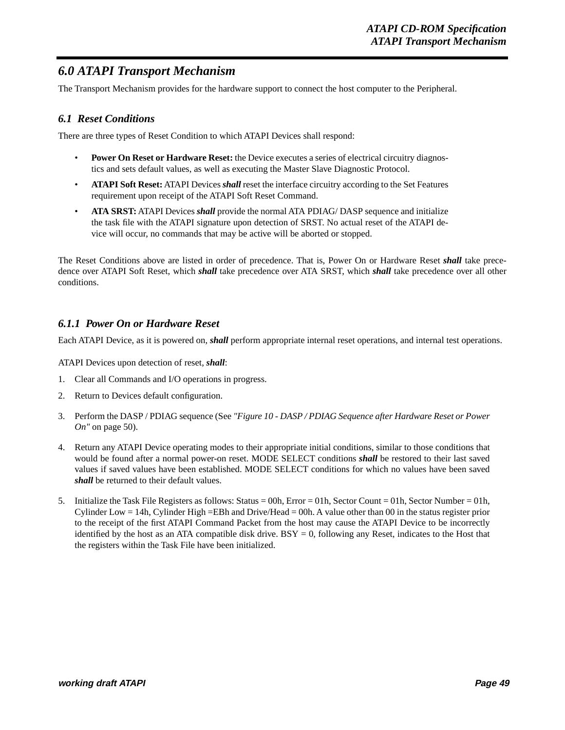## *6.0 ATAPI Transport Mechanism*

The Transport Mechanism provides for the hardware support to connect the host computer to the Peripheral.

#### *6.1 Reset Conditions*

There are three types of Reset Condition to which ATAPI Devices shall respond:

- **Power On Reset or Hardware Reset:** the Device executes a series of electrical circuitry diagnostics and sets default values, as well as executing the Master Slave Diagnostic Protocol.
- **ATAPI Soft Reset:** ATAPI Devices *shall* reset the interface circuitry according to the Set Features requirement upon receipt of the ATAPI Soft Reset Command.
- **ATA SRST:** ATAPI Devices *shall* provide the normal ATA PDIAG/ DASP sequence and initialize the task file with the ATAPI signature upon detection of SRST. No actual reset of the ATAPI device will occur, no commands that may be active will be aborted or stopped.

The Reset Conditions above are listed in order of precedence. That is, Power On or Hardware Reset *shall* take precedence over ATAPI Soft Reset, which *shall* take precedence over ATA SRST, which *shall* take precedence over all other conditions.

#### *6.1.1 Power On or Hardware Reset*

Each ATAPI Device, as it is powered on, *shall* perform appropriate internal reset operations, and internal test operations.

ATAPI Devices upon detection of reset, *shall*:

- 1. Clear all Commands and I/O operations in progress.
- 2. Return to Devices default configuration.
- 3. Perform the DASP / PDIAG sequence (See *"Figure 10 DASP / PDIAG Sequence after Hardware Reset or Power On"* on page 50).
- 4. Return any ATAPI Device operating modes to their appropriate initial conditions, similar to those conditions that would be found after a normal power-on reset. MODE SELECT conditions *shall* be restored to their last saved values if saved values have been established. MODE SELECT conditions for which no values have been saved *shall* be returned to their default values.
- 5. Initialize the Task File Registers as follows: Status = 00h, Error = 01h, Sector Count = 01h, Sector Number = 01h, Cylinder Low = 14h, Cylinder High =EBh and Drive/Head = 00h. A value other than 00 in the status register prior to the receipt of the first ATAPI Command Packet from the host may cause the ATAPI Device to be incorrectly identified by the host as an ATA compatible disk drive.  $BSY = 0$ , following any Reset, indicates to the Host that the registers within the Task File have been initialized.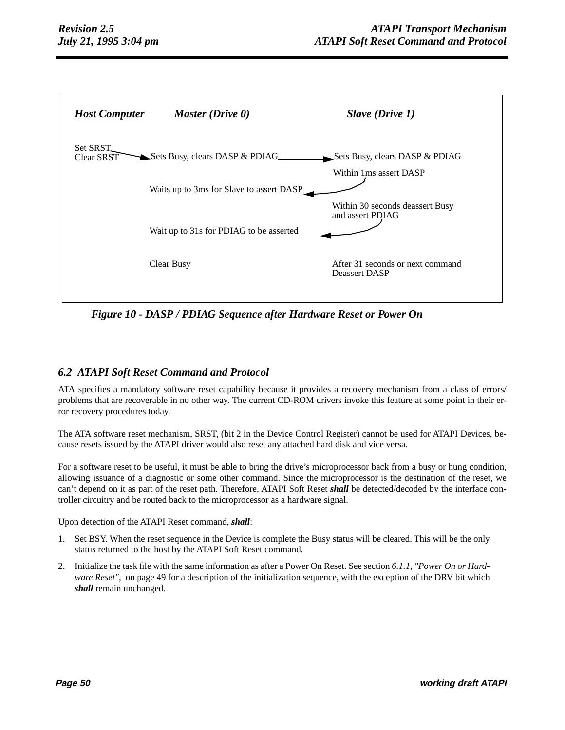

*Figure 10 - DASP / PDIAG Sequence after Hardware Reset or Power On*

#### *6.2 ATAPI Soft Reset Command and Protocol*

ATA specifies a mandatory software reset capability because it provides a recovery mechanism from a class of errors/ problems that are recoverable in no other way. The current CD-ROM drivers invoke this feature at some point in their error recovery procedures today.

The ATA software reset mechanism, SRST, (bit 2 in the Device Control Register) cannot be used for ATAPI Devices, because resets issued by the ATAPI driver would also reset any attached hard disk and vice versa.

For a software reset to be useful, it must be able to bring the drive's microprocessor back from a busy or hung condition, allowing issuance of a diagnostic or some other command. Since the microprocessor is the destination of the reset, we can't depend on it as part of the reset path. Therefore, ATAPI Soft Reset *shall* be detected/decoded by the interface controller circuitry and be routed back to the microprocessor as a hardware signal.

Upon detection of the ATAPI Reset command, *shall*:

- 1. Set BSY. When the reset sequence in the Device is complete the Busy status will be cleared. This will be the only status returned to the host by the ATAPI Soft Reset command.
- 2. Initialize the task file with the same information as after a Power On Reset. See section *6.1.1, "Power On or Hardware Reset",* on page 49 for a description of the initialization sequence, with the exception of the DRV bit which *shall* remain unchanged.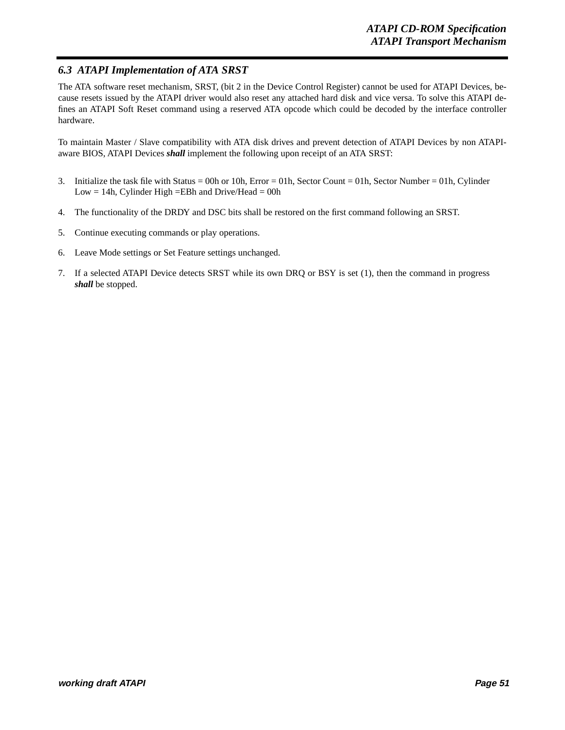#### *6.3 ATAPI Implementation of ATA SRST*

The ATA software reset mechanism, SRST, (bit 2 in the Device Control Register) cannot be used for ATAPI Devices, because resets issued by the ATAPI driver would also reset any attached hard disk and vice versa. To solve this ATAPI defines an ATAPI Soft Reset command using a reserved ATA opcode which could be decoded by the interface controller hardware.

To maintain Master / Slave compatibility with ATA disk drives and prevent detection of ATAPI Devices by non ATAPIaware BIOS, ATAPI Devices *shall* implement the following upon receipt of an ATA SRST:

- 3. Initialize the task file with Status = 00h or 10h, Error = 01h, Sector Count = 01h, Sector Number = 01h, Cylinder Low  $= 14h$ , Cylinder High  $=$ EBh and Drive/Head  $= 00h$
- 4. The functionality of the DRDY and DSC bits shall be restored on the first command following an SRST.
- 5. Continue executing commands or play operations.
- 6. Leave Mode settings or Set Feature settings unchanged.
- 7. If a selected ATAPI Device detects SRST while its own DRQ or BSY is set (1), then the command in progress *shall* be stopped.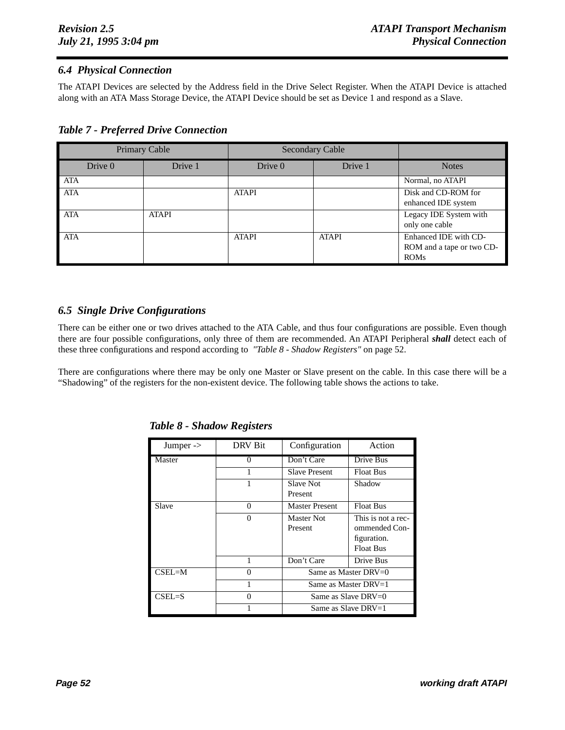#### *6.4 Physical Connection*

The ATAPI Devices are selected by the Address field in the Drive Select Register. When the ATAPI Device is attached along with an ATA Mass Storage Device, the ATAPI Device should be set as Device 1 and respond as a Slave.

| <b>Primary Cable</b> |              | <b>Secondary Cable</b> |              |                                                                   |
|----------------------|--------------|------------------------|--------------|-------------------------------------------------------------------|
| Drive 0              | Drive 1      | Drive 0                | Drive 1      | <b>Notes</b>                                                      |
| <b>ATA</b>           |              |                        |              | Normal, no ATAPI                                                  |
| <b>ATA</b>           |              | <b>ATAPI</b>           |              | Disk and CD-ROM for<br>enhanced IDE system                        |
| <b>ATA</b>           | <b>ATAPI</b> |                        |              | Legacy IDE System with<br>only one cable                          |
| <b>ATA</b>           |              | <b>ATAPI</b>           | <b>ATAPI</b> | Enhanced IDE with CD-<br>ROM and a tape or two CD-<br><b>ROMs</b> |

#### *Table 7 - Preferred Drive Connection*

#### *6.5 Single Drive Configurations*

There can be either one or two drives attached to the ATA Cable, and thus four configurations are possible. Even though there are four possible configurations, only three of them are recommended. An ATAPI Peripheral *shall* detect each of these three configurations and respond according to *"Table 8 - Shadow Registers"* on page 52.

There are configurations where there may be only one Master or Slave present on the cable. In this case there will be a "Shadowing" of the registers for the non-existent device. The following table shows the actions to take.

| Jumper $\rightarrow$ | <b>DRV</b> Bit | Action<br>Configuration |                        |  |
|----------------------|----------------|-------------------------|------------------------|--|
| Master               | 0              | Don't Care<br>Drive Bus |                        |  |
|                      |                | <b>Slave Present</b>    | <b>Float Bus</b>       |  |
|                      |                | <b>Slave Not</b>        | Shadow                 |  |
|                      |                | Present                 |                        |  |
| Slave                | 0              | <b>Master Present</b>   | <b>Float Bus</b>       |  |
|                      | 0              | <b>Master Not</b>       | This is not a rec-     |  |
|                      |                | Present                 | ommended Con-          |  |
|                      |                | figuration.             |                        |  |
|                      |                | <b>Float Bus</b>        |                        |  |
|                      | 1              | Don't Care<br>Drive Bus |                        |  |
| $CSEL = M$           | $\Omega$       |                         | Same as Master $DRV=0$ |  |
|                      |                | Same as Master $DRV=1$  |                        |  |
| $CSEI = S$           | $\Omega$       | Same as Slave $DRV=0$   |                        |  |
|                      |                | Same as Slave $DRV=1$   |                        |  |

*Table 8 - Shadow Registers*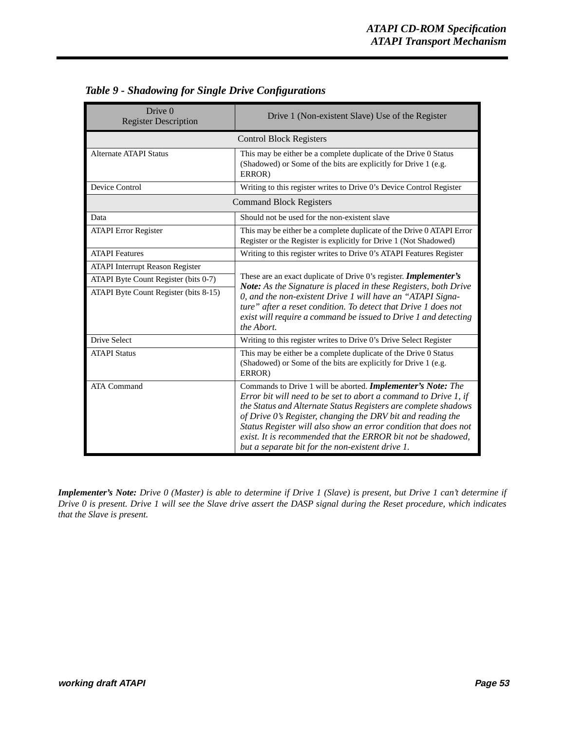| Drive 0<br><b>Register Description</b>                                        | Drive 1 (Non-existent Slave) Use of the Register                                                                                                                                                                                                                                                                                                                                                                                                        |  |  |
|-------------------------------------------------------------------------------|---------------------------------------------------------------------------------------------------------------------------------------------------------------------------------------------------------------------------------------------------------------------------------------------------------------------------------------------------------------------------------------------------------------------------------------------------------|--|--|
|                                                                               | <b>Control Block Registers</b>                                                                                                                                                                                                                                                                                                                                                                                                                          |  |  |
| <b>Alternate ATAPI Status</b>                                                 | This may be either be a complete duplicate of the Drive 0 Status<br>(Shadowed) or Some of the bits are explicitly for Drive 1 (e.g.<br>ERROR)                                                                                                                                                                                                                                                                                                           |  |  |
| Device Control                                                                | Writing to this register writes to Drive 0's Device Control Register                                                                                                                                                                                                                                                                                                                                                                                    |  |  |
|                                                                               | <b>Command Block Registers</b>                                                                                                                                                                                                                                                                                                                                                                                                                          |  |  |
| Data                                                                          | Should not be used for the non-existent slave                                                                                                                                                                                                                                                                                                                                                                                                           |  |  |
| <b>ATAPI Error Register</b>                                                   | This may be either be a complete duplicate of the Drive 0 ATAPI Error<br>Register or the Register is explicitly for Drive 1 (Not Shadowed)                                                                                                                                                                                                                                                                                                              |  |  |
| <b>ATAPI</b> Features                                                         | Writing to this register writes to Drive 0's ATAPI Features Register                                                                                                                                                                                                                                                                                                                                                                                    |  |  |
| <b>ATAPI</b> Interrupt Reason Register                                        |                                                                                                                                                                                                                                                                                                                                                                                                                                                         |  |  |
| ATAPI Byte Count Register (bits 0-7)<br>ATAPI Byte Count Register (bits 8-15) | These are an exact duplicate of Drive 0's register. <b>Implementer's</b><br>Note: As the Signature is placed in these Registers, both Drive<br>0, and the non-existent Drive 1 will have an "ATAPI Signa-<br>ture" after a reset condition. To detect that Drive 1 does not<br>exist will require a command be issued to Drive 1 and detecting<br>the Abort.                                                                                            |  |  |
| <b>Drive Select</b>                                                           | Writing to this register writes to Drive 0's Drive Select Register                                                                                                                                                                                                                                                                                                                                                                                      |  |  |
| <b>ATAPI Status</b>                                                           | This may be either be a complete duplicate of the Drive 0 Status<br>(Shadowed) or Some of the bits are explicitly for Drive 1 (e.g.<br>ERROR)                                                                                                                                                                                                                                                                                                           |  |  |
| <b>ATA Command</b>                                                            | Commands to Drive 1 will be aborted. Implementer's Note: The<br>Error bit will need to be set to abort a command to Drive 1, if<br>the Status and Alternate Status Registers are complete shadows<br>of Drive 0's Register, changing the DRV bit and reading the<br>Status Register will also show an error condition that does not<br>exist. It is recommended that the ERROR bit not be shadowed,<br>but a separate bit for the non-existent drive 1. |  |  |

| Table 9 - Shadowing for Single Drive Configurations |  |  |  |
|-----------------------------------------------------|--|--|--|
|                                                     |  |  |  |

*Implementer's Note: Drive 0 (Master) is able to determine if Drive 1 (Slave) is present, but Drive 1 can't determine if Drive 0 is present. Drive 1 will see the Slave drive assert the DASP signal during the Reset procedure, which indicates that the Slave is present.*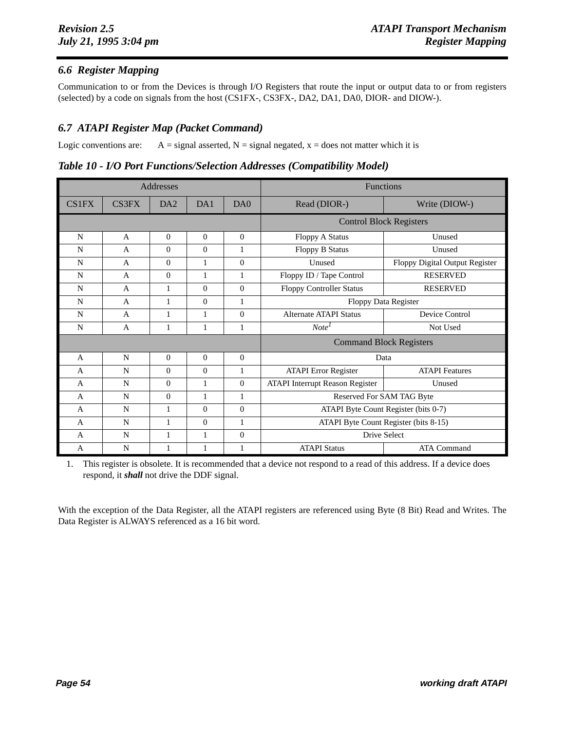#### *6.6 Register Mapping*

Communication to or from the Devices is through I/O Registers that route the input or output data to or from registers (selected) by a code on signals from the host (CS1FX-, CS3FX-, DA2, DA1, DA0, DIOR- and DIOW-).

#### *6.7 ATAPI Register Map (Packet Command)*

Logic conventions are:  $A =$  signal asserted,  $N =$  signal negated,  $x =$  does not matter which it is

*Table 10 - I/O Port Functions/Selection Addresses (Compatibility Model)*

|              | Addresses    |              |              |                | <b>Functions</b>                       |                                |
|--------------|--------------|--------------|--------------|----------------|----------------------------------------|--------------------------------|
| <b>CS1FX</b> | <b>CS3FX</b> | DA2          | DA1          | DA0            | Read (DIOR-)<br>Write (DIOW-)          |                                |
|              |              |              |              |                |                                        | <b>Control Block Registers</b> |
| N            | $\mathbf{A}$ | $\theta$     | $\mathbf{0}$ | $\overline{0}$ | <b>Floppy A Status</b>                 | Unused                         |
| N            | A            | $\theta$     | $\Omega$     | 1              | <b>Floppy B Status</b>                 | Unused                         |
| N            | $\mathbf{A}$ | $\theta$     | 1            | $\Omega$       | Unused                                 | Floppy Digital Output Register |
| N            | $\mathsf{A}$ | $\theta$     | $\mathbf{1}$ | 1              | Floppy ID / Tape Control               | <b>RESERVED</b>                |
| N            | $\mathsf{A}$ | 1            | $\Omega$     | $\Omega$       | <b>Floppy Controller Status</b>        | <b>RESERVED</b>                |
| N            | $\mathsf{A}$ | 1            | $\Omega$     | 1              | Floppy Data Register                   |                                |
| N            | $\mathsf{A}$ | 1            | $\mathbf{1}$ | $\Omega$       | <b>Alternate ATAPI Status</b>          | Device Control                 |
| N            | $\mathsf{A}$ | $\mathbf{1}$ | 1            | 1              | Note <sup>I</sup>                      | Not Used                       |
|              |              |              |              |                | <b>Command Block Registers</b>         |                                |
| $\mathsf{A}$ | N            | $\theta$     | $\Omega$     | $\Omega$       |                                        | Data                           |
| $\mathsf{A}$ | N            | $\theta$     | $\Omega$     | 1              | <b>ATAPI Error Register</b>            | <b>ATAPI</b> Features          |
| A            | N            | $\theta$     | 1            | $\Omega$       | <b>ATAPI</b> Interrupt Reason Register | Unused                         |
| A            | N            | $\theta$     | 1            | 1              | Reserved For SAM TAG Byte              |                                |
| A            | N            | 1            | $\Omega$     | $\Omega$       | ATAPI Byte Count Register (bits 0-7)   |                                |
| $\mathsf{A}$ | N            | 1            | $\Omega$     | $\mathbf{1}$   | ATAPI Byte Count Register (bits 8-15)  |                                |
| A            | N            | 1            | $\mathbf{1}$ | $\Omega$       | <b>Drive Select</b>                    |                                |
| A            | N            | 1            | 1            | 1              | <b>ATAPI Status</b>                    | <b>ATA Command</b>             |

1. This register is obsolete. It is recommended that a device not respond to a read of this address. If a device does respond, it *shall* not drive the DDF signal.

With the exception of the Data Register, all the ATAPI registers are referenced using Byte (8 Bit) Read and Writes. The Data Register is ALWAYS referenced as a 16 bit word.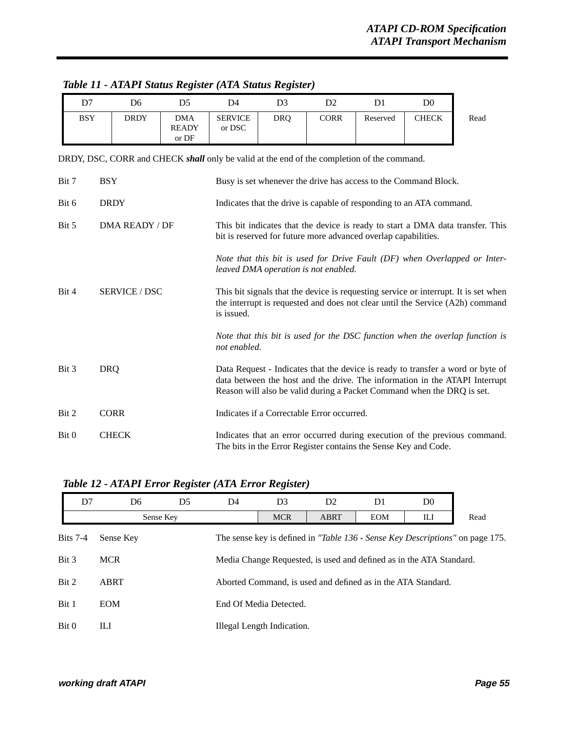ī

| D7         | D <sub>6</sub>                                                                             | D <sub>5</sub>                                                  | D <sub>4</sub>                                                                                                                                                                                                                           | D <sub>3</sub> | D2                                         | D1       | D <sub>0</sub> |                                                                              |  |  |  |
|------------|--------------------------------------------------------------------------------------------|-----------------------------------------------------------------|------------------------------------------------------------------------------------------------------------------------------------------------------------------------------------------------------------------------------------------|----------------|--------------------------------------------|----------|----------------|------------------------------------------------------------------------------|--|--|--|
| <b>BSY</b> | <b>DRDY</b>                                                                                | <b>DMA</b><br><b>READY</b><br>or DF                             | <b>SERVICE</b><br>or DSC                                                                                                                                                                                                                 | <b>DRQ</b>     | <b>CORR</b>                                | Reserved | <b>CHECK</b>   | Read                                                                         |  |  |  |
|            | DRDY, DSC, CORR and CHECK shall only be valid at the end of the completion of the command. |                                                                 |                                                                                                                                                                                                                                          |                |                                            |          |                |                                                                              |  |  |  |
| Bit 7      | <b>BSY</b>                                                                                 | Busy is set whenever the drive has access to the Command Block. |                                                                                                                                                                                                                                          |                |                                            |          |                |                                                                              |  |  |  |
| Bit 6      | <b>DRDY</b>                                                                                |                                                                 | Indicates that the drive is capable of responding to an ATA command.                                                                                                                                                                     |                |                                            |          |                |                                                                              |  |  |  |
| Bit 5      | <b>DMA READY / DF</b>                                                                      |                                                                 | This bit indicates that the device is ready to start a DMA data transfer. This<br>bit is reserved for future more advanced overlap capabilities.                                                                                         |                |                                            |          |                |                                                                              |  |  |  |
|            |                                                                                            |                                                                 |                                                                                                                                                                                                                                          |                | leaved DMA operation is not enabled.       |          |                | Note that this bit is used for Drive Fault (DF) when Overlapped or Inter-    |  |  |  |
| Bit 4      | <b>SERVICE / DSC</b>                                                                       |                                                                 | This bit signals that the device is requesting service or interrupt. It is set when<br>the interrupt is requested and does not clear until the Service (A2h) command<br>is issued.                                                       |                |                                            |          |                |                                                                              |  |  |  |
|            |                                                                                            |                                                                 | not enabled.                                                                                                                                                                                                                             |                |                                            |          |                | Note that this bit is used for the DSC function when the overlap function is |  |  |  |
| Bit 3      | <b>DRQ</b>                                                                                 |                                                                 | Data Request - Indicates that the device is ready to transfer a word or byte of<br>data between the host and the drive. The information in the ATAPI Interrupt<br>Reason will also be valid during a Packet Command when the DRQ is set. |                |                                            |          |                |                                                                              |  |  |  |
| Bit 2      | <b>CORR</b>                                                                                |                                                                 |                                                                                                                                                                                                                                          |                | Indicates if a Correctable Error occurred. |          |                |                                                                              |  |  |  |
| Bit 0      | <b>CHECK</b>                                                                               |                                                                 | Indicates that an error occurred during execution of the previous command.<br>The bits in the Error Register contains the Sense Key and Code.                                                                                            |                |                                            |          |                |                                                                              |  |  |  |

# *Table 11 - ATAPI Status Register (ATA Status Register)*

## *Table 12 - ATAPI Error Register (ATA Error Register)*

| D7         | D <sub>5</sub><br>D6 |  | D4                                                                  | D <sub>3</sub>                                                                | D <sub>2</sub> | D1         | D <sub>0</sub> |      |  |  |  |  |
|------------|----------------------|--|---------------------------------------------------------------------|-------------------------------------------------------------------------------|----------------|------------|----------------|------|--|--|--|--|
|            | Sense Key            |  |                                                                     | <b>MCR</b>                                                                    | <b>ABRT</b>    | <b>EOM</b> | Ш              | Read |  |  |  |  |
| Bits $7-4$ | Sense Key            |  |                                                                     | The sense key is defined in "Table 136 - Sense Key Descriptions" on page 175. |                |            |                |      |  |  |  |  |
| Bit 3      | <b>MCR</b>           |  | Media Change Requested, is used and defined as in the ATA Standard. |                                                                               |                |            |                |      |  |  |  |  |
| Bit 2      | <b>ABRT</b>          |  | Aborted Command, is used and defined as in the ATA Standard.        |                                                                               |                |            |                |      |  |  |  |  |
| Bit 1      | <b>EOM</b>           |  | End Of Media Detected.                                              |                                                                               |                |            |                |      |  |  |  |  |
| Bit 0      | IЫ                   |  |                                                                     | Illegal Length Indication.                                                    |                |            |                |      |  |  |  |  |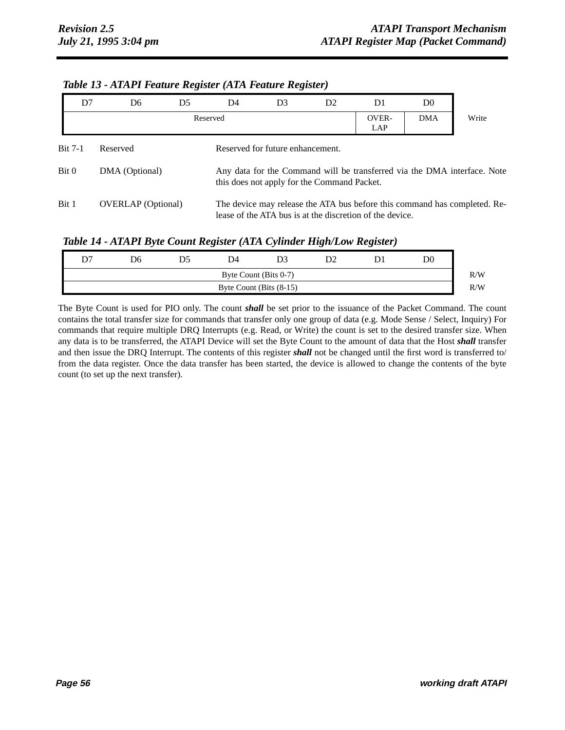| D7             | D3<br>D0<br>D <sub>2</sub><br>D6<br>D1<br>D4<br>D5 |                                                                                                                                                                    |                                                                                                                         |  |  |              |            |       |  |  |
|----------------|----------------------------------------------------|--------------------------------------------------------------------------------------------------------------------------------------------------------------------|-------------------------------------------------------------------------------------------------------------------------|--|--|--------------|------------|-------|--|--|
|                |                                                    |                                                                                                                                                                    | Reserved                                                                                                                |  |  | OVER-<br>LAP | <b>DMA</b> | Write |  |  |
| <b>Bit 7-1</b> | Reserved                                           |                                                                                                                                                                    | Reserved for future enhancement.                                                                                        |  |  |              |            |       |  |  |
| Bit 0          | DMA (Optional)                                     |                                                                                                                                                                    | Any data for the Command will be transferred via the DMA interface. Note<br>this does not apply for the Command Packet. |  |  |              |            |       |  |  |
| Bit 1          |                                                    | <b>OVERLAP</b> (Optional)<br>The device may release the ATA bus before this command has completed. Re-<br>lease of the ATA bus is at the discretion of the device. |                                                                                                                         |  |  |              |            |       |  |  |

*Table 13 - ATAPI Feature Register (ATA Feature Register)*

|  | Table 14 - ATAPI Byte Count Register (ATA Cylinder High/Low Register) |  |  |  |  |
|--|-----------------------------------------------------------------------|--|--|--|--|
|--|-----------------------------------------------------------------------|--|--|--|--|

| D7                      | D6 |  | D4 |  |  |  | D0 |  |  |
|-------------------------|----|--|----|--|--|--|----|--|--|
| Byte Count (Bits 0-7)   |    |  |    |  |  |  |    |  |  |
| Byte Count (Bits (8-15) |    |  |    |  |  |  |    |  |  |

The Byte Count is used for PIO only. The count *shall* be set prior to the issuance of the Packet Command. The count contains the total transfer size for commands that transfer only one group of data (e.g. Mode Sense / Select, Inquiry) For commands that require multiple DRQ Interrupts (e.g. Read, or Write) the count is set to the desired transfer size. When any data is to be transferred, the ATAPI Device will set the Byte Count to the amount of data that the Host *shall* transfer and then issue the DRQ Interrupt. The contents of this register *shall* not be changed until the first word is transferred to/ from the data register. Once the data transfer has been started, the device is allowed to change the contents of the byte count (to set up the next transfer).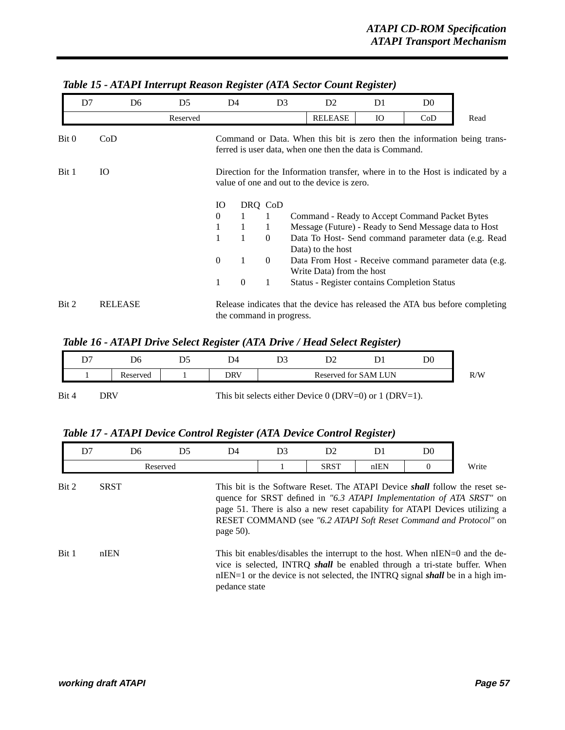|       | D7 |                 | D6 | D <sub>5</sub> | D4             |                          | D <sub>3</sub>            | D <sub>2</sub>                              | D <sub>1</sub>                                          | D <sub>0</sub>                                        |                                                                                |
|-------|----|-----------------|----|----------------|----------------|--------------------------|---------------------------|---------------------------------------------|---------------------------------------------------------|-------------------------------------------------------|--------------------------------------------------------------------------------|
|       |    |                 |    | Reserved       |                |                          |                           | <b>RELEASE</b>                              | <b>IO</b>                                               | CoD                                                   | Read                                                                           |
| Bit 0 |    | CoD             |    |                |                |                          |                           |                                             | ferred is user data, when one then the data is Command. |                                                       | Command or Data. When this bit is zero then the information being trans-       |
| Bit 1 |    | IO <sub>1</sub> |    |                |                |                          |                           | value of one and out to the device is zero. |                                                         |                                                       | Direction for the Information transfer, where in to the Host is indicated by a |
|       |    |                 |    |                | <b>IO</b>      |                          | DRQ CoD                   |                                             |                                                         |                                                       |                                                                                |
|       |    |                 |    |                | $\overline{0}$ | 1                        | 1                         |                                             |                                                         | Command - Ready to Accept Command Packet Bytes        |                                                                                |
|       |    |                 |    |                | 1              | 1                        | 1                         |                                             |                                                         | Message (Future) - Ready to Send Message data to Host |                                                                                |
|       |    |                 |    |                | $\mathbf{1}$   | $\mathbf{1}$             | $\theta$                  |                                             |                                                         |                                                       | Data To Host- Send command parameter data (e.g. Read                           |
|       |    |                 |    |                |                |                          |                           | Data) to the host                           |                                                         |                                                       |                                                                                |
|       |    |                 |    | $\theta$       | $\mathbf{1}$   | $\overline{0}$           | Write Data) from the host |                                             |                                                         | Data From Host - Receive command parameter data (e.g. |                                                                                |
|       |    |                 |    |                | 1              | $\overline{0}$           | 1                         |                                             |                                                         | <b>Status - Register contains Completion Status</b>   |                                                                                |
| Bit 2 |    | <b>RELEASE</b>  |    |                |                | the command in progress. |                           |                                             |                                                         |                                                       | Release indicates that the device has released the ATA bus before completing   |

*Table 15 - ATAPI Interrupt Reason Register (ATA Sector Count Register)*

| Table 16 - ATAPI Drive Select Register (ATA Drive / Head Select Register) |
|---------------------------------------------------------------------------|
|---------------------------------------------------------------------------|

|                                                                            |  | D6 |  | D4  |                      |  |  | $\rm D0$ |  |  |
|----------------------------------------------------------------------------|--|----|--|-----|----------------------|--|--|----------|--|--|
| Reserved                                                                   |  |    |  | DRV | Reserved for SAM LUN |  |  |          |  |  |
| Bit 4<br>This bit selects either Device $0$ (DRV=0) or $1$ (DRV=1).<br>DRV |  |    |  |     |                      |  |  |          |  |  |

*Table 17 - ATAPI Device Control Register (ATA Device Control Register)*

| D7    |             | D6.      | D5 | D4                                                                                                                                                                                                                                                            | D <sub>3</sub> | D <sub>2</sub> | D1.  | D <sub>0</sub> |                                                                                                                                                                                                                                                                                                                |  |
|-------|-------------|----------|----|---------------------------------------------------------------------------------------------------------------------------------------------------------------------------------------------------------------------------------------------------------------|----------------|----------------|------|----------------|----------------------------------------------------------------------------------------------------------------------------------------------------------------------------------------------------------------------------------------------------------------------------------------------------------------|--|
|       |             | Reserved |    |                                                                                                                                                                                                                                                               |                | <b>SRST</b>    | nIEN | $\Omega$       | Write                                                                                                                                                                                                                                                                                                          |  |
| Bit 2 | <b>SRST</b> |          |    | page $50$ ).                                                                                                                                                                                                                                                  |                |                |      |                | This bit is the Software Reset. The ATAPI Device <b>shall</b> follow the reset se-<br>quence for SRST defined in "6.3 ATAPI Implementation of ATA SRST" on<br>page 51. There is also a new reset capability for ATAPI Devices utilizing a<br>RESET COMMAND (see "6.2 ATAPI Soft Reset Command and Protocol" on |  |
| Bit 1 | nIEN        |          |    | This bit enables/disables the interrupt to the host. When nIEN=0 and the de-<br>vice is selected, INTRQ shall be enabled through a tri-state buffer. When<br>$nIEN=1$ or the device is not selected, the INTRQ signal shall be in a high im-<br>pedance state |                |                |      |                |                                                                                                                                                                                                                                                                                                                |  |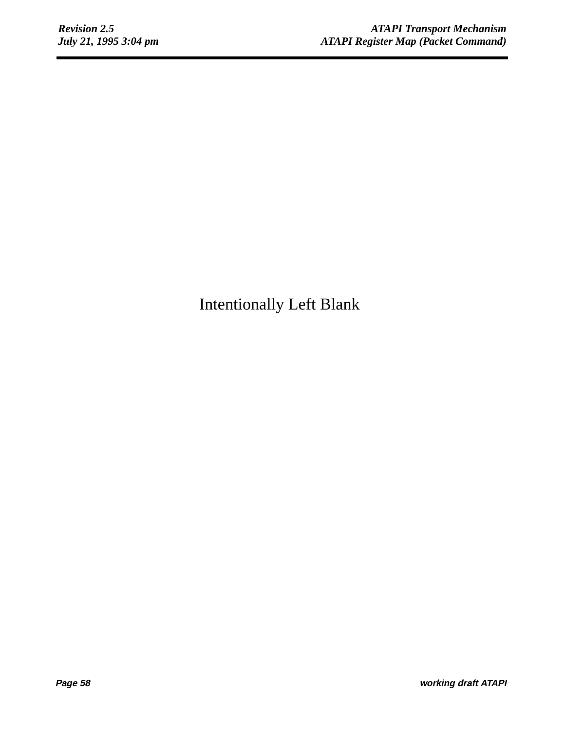Intentionally Left Blank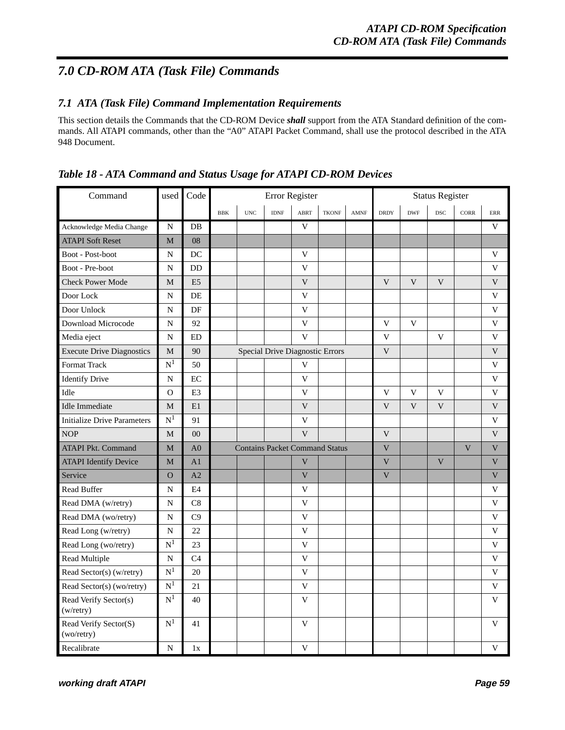# *7.0 CD-ROM ATA (Task File) Commands*

# *7.1 ATA (Task File) Command Implementation Requirements*

This section details the Commands that the CD-ROM Device *shall* support from the ATA Standard definition of the commands. All ATAPI commands, other than the "A0" ATAPI Packet Command, shall use the protocol described in the ATA 948 Document.

| Command                             | used             | Code           |              |                                       |             | Error Register                  |              |      |              |             | <b>Status Register</b> |                         |            |
|-------------------------------------|------------------|----------------|--------------|---------------------------------------|-------------|---------------------------------|--------------|------|--------------|-------------|------------------------|-------------------------|------------|
|                                     |                  |                | $_{\rm BBK}$ | <b>UNC</b>                            | <b>IDNF</b> | <b>ABRT</b>                     | <b>TKONF</b> | AMNF | <b>DRDY</b>  | <b>DWF</b>  | <b>DSC</b>             | CORR                    | <b>ERR</b> |
| Acknowledge Media Change            | N                | DB             |              |                                       |             | $\mathbf V$                     |              |      |              |             |                        |                         | V          |
| <b>ATAPI Soft Reset</b>             | M                | 08             |              |                                       |             |                                 |              |      |              |             |                        |                         |            |
| Boot - Post-boot                    | N                | DC             |              |                                       |             | V                               |              |      |              |             |                        |                         | V          |
| Boot - Pre-boot                     | N                | DD             |              |                                       |             | V                               |              |      |              |             |                        |                         | V          |
| <b>Check Power Mode</b>             | M                | E <sub>5</sub> |              |                                       |             | V                               |              |      | V            | V           | V                      |                         | V          |
| Door Lock                           | N                | DE             |              |                                       |             | V                               |              |      |              |             |                        |                         | V          |
| Door Unlock                         | N                | DF             |              |                                       |             | V                               |              |      |              |             |                        |                         | V          |
| Download Microcode                  | N                | 92             |              |                                       |             | V                               |              |      | V            | V           |                        |                         | V          |
| Media eject                         | N                | ED             |              |                                       |             | $\overline{\mathbf{V}}$         |              |      | V            |             | V                      |                         | V          |
| <b>Execute Drive Diagnostics</b>    | M                | 90             |              |                                       |             | Special Drive Diagnostic Errors |              |      | V            |             |                        |                         | V          |
| Format Track                        | N <sup>1</sup>   | 50             |              |                                       |             | V                               |              |      |              |             |                        |                         | V          |
| <b>Identify Drive</b>               | N                | EC             |              |                                       |             | V                               |              |      |              |             |                        |                         | V          |
| Idle                                | $\overline{O}$   | E <sub>3</sub> |              |                                       |             | V                               |              |      | V            | V           | V                      |                         | V          |
| <b>Idle</b> Immediate               | M                | E1             |              |                                       |             | V                               |              |      | V            | $\mathbf V$ | V                      |                         | V          |
| <b>Initialize Drive Parameters</b>  | $\overline{N^1}$ | 91             |              |                                       |             | V                               |              |      |              |             |                        |                         | V          |
| <b>NOP</b>                          | M                | 00             |              |                                       |             | V                               |              |      | V            |             |                        |                         | V          |
| <b>ATAPI Pkt. Command</b>           | M                | A <sub>0</sub> |              | <b>Contains Packet Command Status</b> |             |                                 |              |      | V            |             |                        | $\overline{\mathsf{V}}$ | V          |
| <b>ATAPI</b> Identify Device        | M                | A <sub>1</sub> |              |                                       |             | V                               |              |      | $\mathbf{V}$ |             | V                      |                         | V          |
| Service                             | $\mathbf O$      | A2             |              |                                       |             | $\mathbf{V}$                    |              |      | $\mathbf V$  |             |                        |                         | V          |
| <b>Read Buffer</b>                  | N                | E <sub>4</sub> |              |                                       |             | V                               |              |      |              |             |                        |                         | V          |
| Read DMA (w/retry)                  | N                | C8             |              |                                       |             | V                               |              |      |              |             |                        |                         | V          |
| Read DMA (wo/retry)                 | N                | C9             |              |                                       |             | V                               |              |      |              |             |                        |                         | V          |
| Read Long (w/retry)                 | N                | 22             |              |                                       |             | V                               |              |      |              |             |                        |                         | V          |
| Read Long (wo/retry)                | $N^1$            | 23             |              |                                       |             | V                               |              |      |              |             |                        |                         | V          |
| Read Multiple                       | N                | C <sub>4</sub> |              |                                       |             | V                               |              |      |              |             |                        |                         | V          |
| Read Sector(s) (w/retry)            | N <sup>1</sup>   | 20             |              |                                       |             | V                               |              |      |              |             |                        |                         | V          |
| Read Sector(s) (wo/retry)           | N <sup>1</sup>   | 21             |              |                                       |             | V                               |              |      |              |             |                        |                         | V          |
| Read Verify Sector(s)<br>(w/retry)  | N <sup>1</sup>   | 40             |              |                                       |             | V                               |              |      |              |             |                        |                         | V          |
| Read Verify Sector(S)<br>(wo/retry) | $\overline{N^1}$ | 41             |              |                                       |             | V                               |              |      |              |             |                        |                         | V          |
| Recalibrate                         | N                | 1x             |              |                                       |             | V                               |              |      |              |             |                        |                         | V          |

*Table 18 - ATA Command and Status Usage for ATAPI CD-ROM Devices*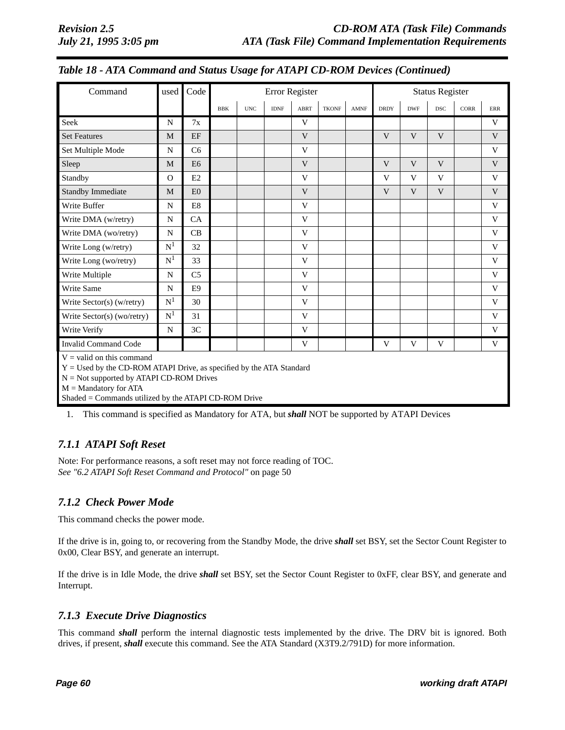|  | Table 18 - ATA Command and Status Usage for ATAPI CD-ROM Devices (Continued) |  |  |  |
|--|------------------------------------------------------------------------------|--|--|--|
|--|------------------------------------------------------------------------------|--|--|--|

| Command                                                                                                                                                              | used           | Code           |            |            | Error Register |             |              |             |             |              | <b>Status Register</b> |             |     |
|----------------------------------------------------------------------------------------------------------------------------------------------------------------------|----------------|----------------|------------|------------|----------------|-------------|--------------|-------------|-------------|--------------|------------------------|-------------|-----|
|                                                                                                                                                                      |                |                | <b>BBK</b> | <b>UNC</b> | <b>IDNF</b>    | <b>ABRT</b> | <b>TKONF</b> | <b>AMNF</b> | <b>DRDY</b> | <b>DWF</b>   | <b>DSC</b>             | <b>CORR</b> | ERR |
| Seek                                                                                                                                                                 | N              | 7x             |            |            |                | V           |              |             |             |              |                        |             | V   |
| <b>Set Features</b>                                                                                                                                                  | M              | EF             |            |            |                | V           |              |             | V           | $\mathbf{V}$ | V                      |             | V   |
| Set Multiple Mode                                                                                                                                                    | N              | C <sub>6</sub> |            |            |                | V           |              |             |             |              |                        |             | V   |
| Sleep                                                                                                                                                                | M              | E <sub>6</sub> |            |            |                | V           |              |             | V           | V            | V                      |             | V   |
| Standby                                                                                                                                                              | $\Omega$       | E2             |            |            |                | V           |              |             | V           | V            | V                      |             | V   |
| <b>Standby Immediate</b>                                                                                                                                             | M              | E <sub>0</sub> |            |            |                | V           |              |             | V           | V            | V                      |             | V   |
| Write Buffer                                                                                                                                                         | $\mathbf N$    | E8             |            |            |                | V           |              |             |             |              |                        |             | V   |
| Write DMA (w/retry)                                                                                                                                                  | N              | CA             |            |            |                | V           |              |             |             |              |                        |             | V   |
| Write DMA (wo/retry)                                                                                                                                                 | N              | CB             |            |            |                | V           |              |             |             |              |                        |             | V   |
| Write Long (w/retry)                                                                                                                                                 | $N^1$          | 32             |            |            |                | V           |              |             |             |              |                        |             | V   |
| Write Long (wo/retry)                                                                                                                                                | $N^1$          | 33             |            |            |                | V           |              |             |             |              |                        |             | V   |
| Write Multiple                                                                                                                                                       | N              | C <sub>5</sub> |            |            |                | V           |              |             |             |              |                        |             | V   |
| Write Same                                                                                                                                                           | N              | E <sub>9</sub> |            |            |                | V           |              |             |             |              |                        |             | V   |
| Write Sector(s) (w/retry)                                                                                                                                            | N <sup>1</sup> | 30             |            |            |                | V           |              |             |             |              |                        |             | V   |
| Write Sector(s) (wo/retry)                                                                                                                                           | $N^1$          | 31             |            |            |                | V           |              |             |             |              |                        |             | V   |
| Write Verify                                                                                                                                                         | ${\bf N}$      | 3C             |            |            |                | V           |              |             |             |              |                        |             | V   |
| <b>Invalid Command Code</b>                                                                                                                                          |                |                |            |            |                | V           |              |             | V           | V            | V                      |             | V   |
| $V =$ valid on this command<br>Y = Used by the CD-ROM ATAPI Drive, as specified by the ATA Standard<br>$N = Not supported by ATAPI CD-ROM Drives$<br>36.36.3. C. ATM |                |                |            |            |                |             |              |             |             |              |                        |             |     |

 $M =$ Mandatory for ATA

Shaded = Commands utilized by the ATAPI CD-ROM Drive

1. This command is specified as Mandatory for ATA, but *shall* NOT be supported by ATAPI Devices

# *7.1.1 ATAPI Soft Reset*

Note: For performance reasons, a soft reset may not force reading of TOC. *See "6.2 ATAPI Soft Reset Command and Protocol"* on page 50

# *7.1.2 Check Power Mode*

This command checks the power mode.

If the drive is in, going to, or recovering from the Standby Mode, the drive *shall* set BSY, set the Sector Count Register to 0x00, Clear BSY, and generate an interrupt.

If the drive is in Idle Mode, the drive *shall* set BSY, set the Sector Count Register to 0xFF, clear BSY, and generate and Interrupt.

# *7.1.3 Execute Drive Diagnostics*

This command *shall* perform the internal diagnostic tests implemented by the drive. The DRV bit is ignored. Both drives, if present, *shall* execute this command. See the ATA Standard (X3T9.2/791D) for more information.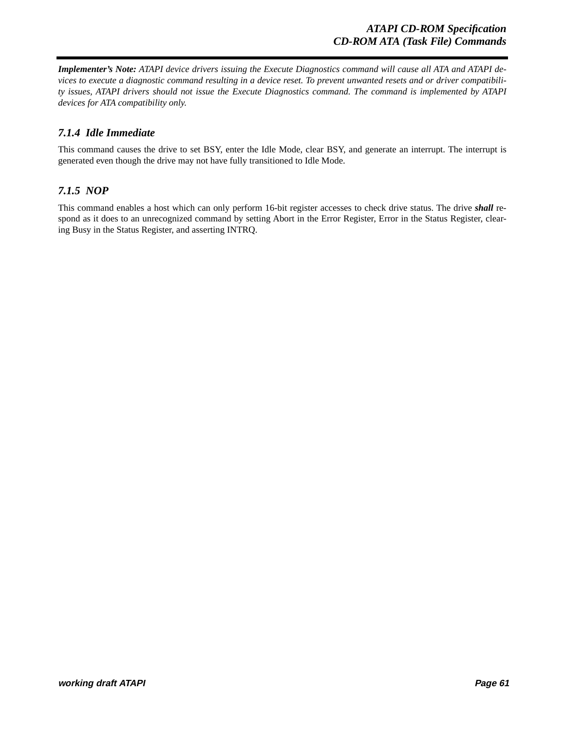*Implementer's Note: ATAPI device drivers issuing the Execute Diagnostics command will cause all ATA and ATAPI devices to execute a diagnostic command resulting in a device reset. To prevent unwanted resets and or driver compatibility issues, ATAPI drivers should not issue the Execute Diagnostics command. The command is implemented by ATAPI devices for ATA compatibility only.*

# *7.1.4 Idle Immediate*

This command causes the drive to set BSY, enter the Idle Mode, clear BSY, and generate an interrupt. The interrupt is generated even though the drive may not have fully transitioned to Idle Mode.

# *7.1.5 NOP*

This command enables a host which can only perform 16-bit register accesses to check drive status. The drive *shall* respond as it does to an unrecognized command by setting Abort in the Error Register, Error in the Status Register, clearing Busy in the Status Register, and asserting INTRQ.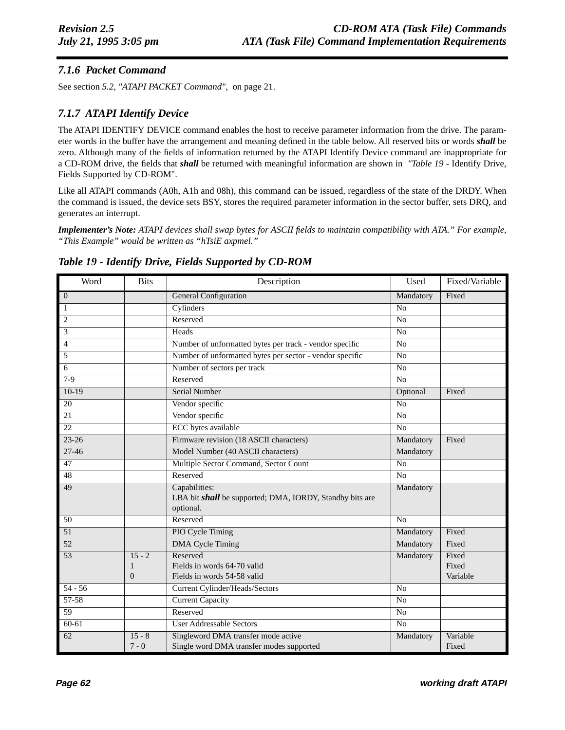# *7.1.6 Packet Command*

See section *5.2, "ATAPI PACKET Command",* on page 21.

# *7.1.7 ATAPI Identify Device*

The ATAPI IDENTIFY DEVICE command enables the host to receive parameter information from the drive. The parameter words in the buffer have the arrangement and meaning defined in the table below. All reserved bits or words *shall* be zero. Although many of the fields of information returned by the ATAPI Identify Device command are inappropriate for a CD-ROM drive, the fields that *shall* be returned with meaningful information are shown in *"Table 19 -* Identify Drive, Fields Supported by CD-ROM".

Like all ATAPI commands (A0h, A1h and 08h), this command can be issued, regardless of the state of the DRDY. When the command is issued, the device sets BSY, stores the required parameter information in the sector buffer, sets DRQ, and generates an interrupt.

*Implementer's Note: ATAPI devices shall swap bytes for ASCII fields to maintain compatibility with ATA." For example, "This Example" would be written as "hTsiE axpmel."*

| Word            | <b>Bits</b>                     | Description                                                                            | Used            | Fixed/Variable             |
|-----------------|---------------------------------|----------------------------------------------------------------------------------------|-----------------|----------------------------|
| $\overline{0}$  |                                 | <b>General Configuration</b>                                                           | Mandatory       | Fixed                      |
| $\mathbf{1}$    |                                 | Cylinders                                                                              | N <sub>o</sub>  |                            |
| $\overline{2}$  |                                 | Reserved                                                                               | $\overline{No}$ |                            |
| 3               |                                 | Heads                                                                                  | N <sub>o</sub>  |                            |
| $\overline{4}$  |                                 | Number of unformatted bytes per track - vendor specific                                | No              |                            |
| 5               |                                 | Number of unformatted bytes per sector - vendor specific                               | $\overline{No}$ |                            |
| 6               |                                 | Number of sectors per track                                                            | N <sub>o</sub>  |                            |
| $7-9$           |                                 | Reserved                                                                               | $\overline{No}$ |                            |
| $10-19$         |                                 | Serial Number                                                                          | Optional        | Fixed                      |
| 20              |                                 | Vendor specific                                                                        | No              |                            |
| $\overline{21}$ |                                 | Vendor specific                                                                        | No              |                            |
| 22              |                                 | <b>ECC</b> bytes available                                                             | N <sub>o</sub>  |                            |
| $23 - 26$       |                                 | Firmware revision (18 ASCII characters)                                                | Mandatory       | Fixed                      |
| $27 - 46$       |                                 | Model Number (40 ASCII characters)                                                     | Mandatory       |                            |
| 47              |                                 | Multiple Sector Command, Sector Count                                                  | N <sub>0</sub>  |                            |
| 48              |                                 | Reserved                                                                               | N <sub>0</sub>  |                            |
| 49              |                                 | Capabilities:<br>LBA bit shall be supported; DMA, IORDY, Standby bits are<br>optional. | Mandatory       |                            |
| 50              |                                 | Reserved                                                                               | No              |                            |
| $\overline{51}$ |                                 | PIO Cycle Timing                                                                       | Mandatory       | Fixed                      |
| $\overline{52}$ |                                 | <b>DMA Cycle Timing</b>                                                                | Mandatory       | Fixed                      |
| 53              | $15 - 2$<br>1<br>$\overline{0}$ | Reserved<br>Fields in words 64-70 valid<br>Fields in words 54-58 valid                 | Mandatory       | Fixed<br>Fixed<br>Variable |
| $54 - 56$       |                                 | <b>Current Cylinder/Heads/Sectors</b>                                                  | $\overline{No}$ |                            |
| $57 - 58$       |                                 | <b>Current Capacity</b>                                                                | N <sub>o</sub>  |                            |
| 59              |                                 | Reserved                                                                               | N <sub>o</sub>  |                            |
| $60-61$         |                                 | <b>User Addressable Sectors</b>                                                        | N <sub>o</sub>  |                            |
| 62              | $15 - 8$                        | Singleword DMA transfer mode active                                                    | Mandatory       | Variable                   |
|                 | $7 - 0$                         | Single word DMA transfer modes supported                                               |                 | Fixed                      |

# *Table 19 - Identify Drive, Fields Supported by CD-ROM*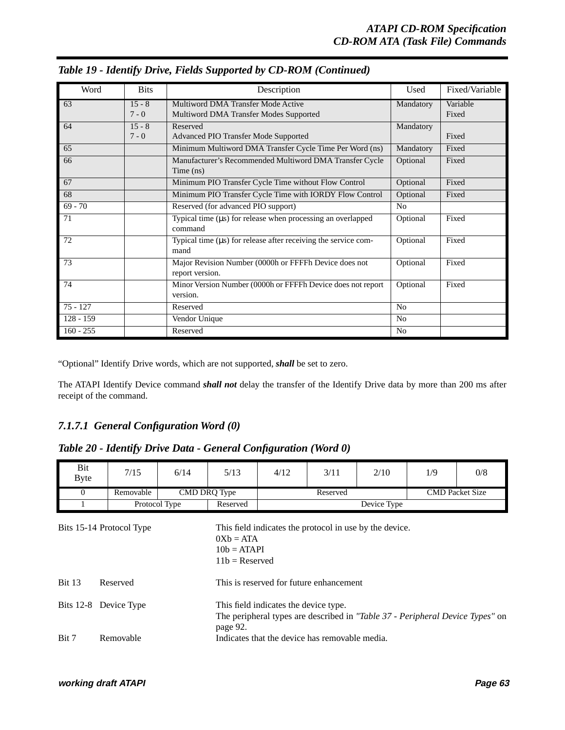| Word            | <b>Bits</b> | Description                                                                 | Used           | Fixed/Variable |
|-----------------|-------------|-----------------------------------------------------------------------------|----------------|----------------|
| $\overline{63}$ | $15 - 8$    | Multiword DMA Transfer Mode Active                                          | Mandatory      | Variable       |
|                 | $7 - 0$     | Multiword DMA Transfer Modes Supported                                      |                | Fixed          |
| 64              | $15 - 8$    | Reserved                                                                    | Mandatory      |                |
|                 | $7 - 0$     | Advanced PIO Transfer Mode Supported                                        |                | Fixed          |
| 65              |             | Minimum Multiword DMA Transfer Cycle Time Per Word (ns)                     | Mandatory      | Fixed          |
| 66              |             | Manufacturer's Recommended Multiword DMA Transfer Cycle<br>Time (ns)        | Optional       | Fixed          |
| 67              |             | Minimum PIO Transfer Cycle Time without Flow Control                        | Optional       | Fixed          |
|                 |             |                                                                             |                |                |
| 68              |             | Minimum PIO Transfer Cycle Time with IORDY Flow Control                     | Optional       | Fixed          |
| $69 - 70$       |             | Reserved (for advanced PIO support)                                         | No             |                |
| 71              |             | Typical time $(\mu s)$ for release when processing an overlapped<br>command | Optional       | Fixed          |
| 72              |             | Typical time $(\mu s)$ for release after receiving the service com-<br>mand | Optional       | Fixed          |
| 73              |             | Major Revision Number (0000h or FFFFh Device does not<br>report version.    | Optional       | Fixed          |
| 74              |             | Minor Version Number (0000h or FFFFh Device does not report<br>version.     | Optional       | Fixed          |
| $75 - 127$      |             | Reserved                                                                    | No             |                |
| $128 - 159$     |             | Vendor Unique                                                               | N <sub>0</sub> |                |
| $160 - 255$     |             | Reserved                                                                    | No             |                |

*Table 19 - Identify Drive, Fields Supported by CD-ROM (Continued)*

"Optional" Identify Drive words, which are not supported, *shall* be set to zero.

The ATAPI Identify Device command *shall not* delay the transfer of the Identify Drive data by more than 200 ms after receipt of the command.

# *7.1.7.1 General Configuration Word (0)*

| Bit<br><b>Byte</b> | 7/15                     | 6/14                | 5/13<br>4/12<br>3/11<br>2/10<br>1/9<br>0/8                                                                                         |                                                                                              |  |  |  |  |  |
|--------------------|--------------------------|---------------------|------------------------------------------------------------------------------------------------------------------------------------|----------------------------------------------------------------------------------------------|--|--|--|--|--|
| $\theta$           | Removable                | <b>CMD DRQ Type</b> | Reserved<br><b>CMD</b> Packet Size                                                                                                 |                                                                                              |  |  |  |  |  |
|                    |                          | Protocol Type       | Reserved                                                                                                                           | Device Type                                                                                  |  |  |  |  |  |
|                    | Bits 15-14 Protocol Type |                     | $0Xb = ATA$                                                                                                                        | This field indicates the protocol in use by the device.<br>$10b = ATAPI$<br>$11b =$ Reserved |  |  |  |  |  |
| <b>Bit 13</b>      | Reserved                 |                     | This is reserved for future enhancement                                                                                            |                                                                                              |  |  |  |  |  |
|                    | Bits 12-8 Device Type    |                     | This field indicates the device type.<br>The peripheral types are described in "Table 37 - Peripheral Device Types" on<br>page 92. |                                                                                              |  |  |  |  |  |
| Bit 7              | Removable                |                     | Indicates that the device has removable media.                                                                                     |                                                                                              |  |  |  |  |  |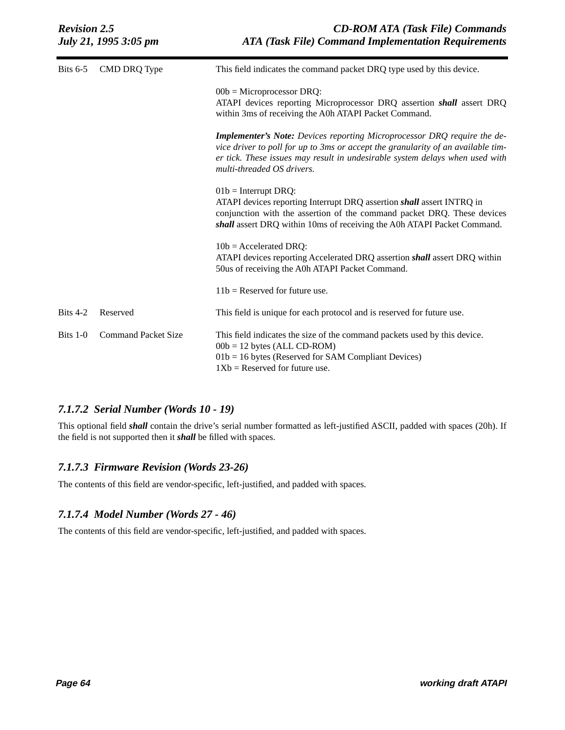| Bits $6-5$ | CMD DRQ Type               | This field indicates the command packet DRQ type used by this device.                                                                                                                                                                                                             |
|------------|----------------------------|-----------------------------------------------------------------------------------------------------------------------------------------------------------------------------------------------------------------------------------------------------------------------------------|
|            |                            | $00b =$ Microprocessor DRQ:<br>ATAPI devices reporting Microprocessor DRQ assertion shall assert DRQ<br>within 3ms of receiving the A0h ATAPI Packet Command.                                                                                                                     |
|            |                            | <b>Implementer's Note:</b> Devices reporting Microprocessor DRQ require the de-<br>vice driver to poll for up to 3ms or accept the granularity of an available tim-<br>er tick. These issues may result in undesirable system delays when used with<br>multi-threaded OS drivers. |
|            |                            | $01b =$ Interrupt DRQ:<br>ATAPI devices reporting Interrupt DRQ assertion shall assert INTRQ in<br>conjunction with the assertion of the command packet DRQ. These devices<br>shall assert DRQ within 10ms of receiving the A0h ATAPI Packet Command.                             |
|            |                            | $10b = Accelerated D RQ$ :<br>ATAPI devices reporting Accelerated DRQ assertion shall assert DRQ within<br>50us of receiving the A0h ATAPI Packet Command.                                                                                                                        |
|            |                            | $11b$ = Reserved for future use.                                                                                                                                                                                                                                                  |
| Bits $4-2$ | Reserved                   | This field is unique for each protocol and is reserved for future use.                                                                                                                                                                                                            |
| Bits $1-0$ | <b>Command Packet Size</b> | This field indicates the size of the command packets used by this device.<br>$00b = 12$ bytes (ALL CD-ROM)<br>$01b = 16$ bytes (Reserved for SAM Compliant Devices)<br>$1Xb$ = Reserved for future use.                                                                           |

# *7.1.7.2 Serial Number (Words 10 - 19)*

This optional field *shall* contain the drive's serial number formatted as left-justified ASCII, padded with spaces (20h). If the field is not supported then it *shall* be filled with spaces.

#### *7.1.7.3 Firmware Revision (Words 23-26)*

The contents of this field are vendor-specific, left-justified, and padded with spaces.

#### *7.1.7.4 Model Number (Words 27 - 46)*

The contents of this field are vendor-specific, left-justified, and padded with spaces.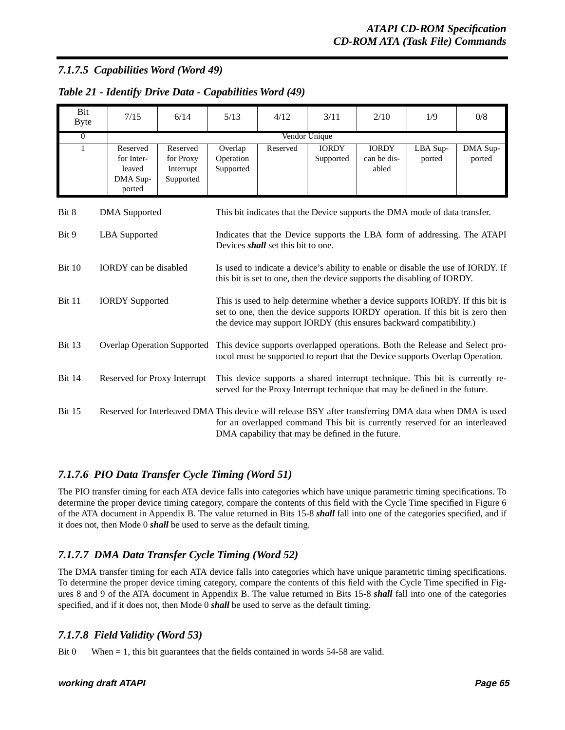# *7.1.7.5 Capabilities Word (Word 49)*

| Bit<br><b>Byte</b> | 7/15                                                   | 6/14                                            | 5/13                                                                                                                                                                                                                                       | 4/12                                      | 3/11                      | 2/10                                 | 1/9                                                                        | 0/8                                                                      |  |
|--------------------|--------------------------------------------------------|-------------------------------------------------|--------------------------------------------------------------------------------------------------------------------------------------------------------------------------------------------------------------------------------------------|-------------------------------------------|---------------------------|--------------------------------------|----------------------------------------------------------------------------|--------------------------------------------------------------------------|--|
| $\overline{0}$     |                                                        | Vendor Unique                                   |                                                                                                                                                                                                                                            |                                           |                           |                                      |                                                                            |                                                                          |  |
| $\mathbf{1}$       | Reserved<br>for Inter-<br>leaved<br>DMA Sup-<br>ported | Reserved<br>for Proxy<br>Interrupt<br>Supported | Overlap<br>Operation<br>Supported                                                                                                                                                                                                          | Reserved                                  | <b>IORDY</b><br>Supported | <b>IORDY</b><br>can be dis-<br>abled | <b>LBA</b> Sup-<br>ported                                                  | <b>DMA Sup-</b><br>ported                                                |  |
| Bit 8              | <b>DMA</b> Supported                                   |                                                 |                                                                                                                                                                                                                                            |                                           |                           |                                      | This bit indicates that the Device supports the DMA mode of data transfer. |                                                                          |  |
| Bit 9              | <b>LBA</b> Supported                                   |                                                 |                                                                                                                                                                                                                                            | Devices <i>shall</i> set this bit to one. |                           |                                      |                                                                            | Indicates that the Device supports the LBA form of addressing. The ATAPI |  |
| <b>Bit 10</b>      | <b>IORDY</b> can be disabled                           |                                                 | Is used to indicate a device's ability to enable or disable the use of IORDY. If<br>this bit is set to one, then the device supports the disabling of IORDY.                                                                               |                                           |                           |                                      |                                                                            |                                                                          |  |
| Bit 11             | <b>IORDY</b> Supported                                 |                                                 | This is used to help determine whether a device supports IORDY. If this bit is<br>set to one, then the device supports IORDY operation. If this bit is zero then<br>the device may support IORDY (this ensures backward compatibility.)    |                                           |                           |                                      |                                                                            |                                                                          |  |
| <b>Bit 13</b>      | <b>Overlap Operation Supported</b>                     |                                                 | This device supports overlapped operations. Both the Release and Select pro-<br>tocol must be supported to report that the Device supports Overlap Operation.                                                                              |                                           |                           |                                      |                                                                            |                                                                          |  |
| <b>Bit 14</b>      | Reserved for Proxy Interrupt                           |                                                 | This device supports a shared interrupt technique. This bit is currently re-<br>served for the Proxy Interrupt technique that may be defined in the future.                                                                                |                                           |                           |                                      |                                                                            |                                                                          |  |
| <b>Bit 15</b>      |                                                        |                                                 | Reserved for Interleaved DMA This device will release BSY after transferring DMA data when DMA is used<br>for an overlapped command This bit is currently reserved for an interleaved<br>DMA capability that may be defined in the future. |                                           |                           |                                      |                                                                            |                                                                          |  |

*Table 21 - Identify Drive Data - Capabilities Word (49)*

# *7.1.7.6 PIO Data Transfer Cycle Timing (Word 51)*

The PIO transfer timing for each ATA device falls into categories which have unique parametric timing specifications. To determine the proper device timing category, compare the contents of this field with the Cycle Time specified in Figure 6 of the ATA document in Appendix B. The value returned in Bits 15-8 *shall* fall into one of the categories specified, and if it does not, then Mode 0 *shall* be used to serve as the default timing.

# *7.1.7.7 DMA Data Transfer Cycle Timing (Word 52)*

The DMA transfer timing for each ATA device falls into categories which have unique parametric timing specifications. To determine the proper device timing category, compare the contents of this field with the Cycle Time specified in Figures 8 and 9 of the ATA document in Appendix B. The value returned in Bits 15-8 *shall* fall into one of the categories specified, and if it does not, then Mode 0 *shall* be used to serve as the default timing.

# *7.1.7.8 Field Validity (Word 53)*

Bit 0 When = 1, this bit guarantees that the fields contained in words 54-58 are valid.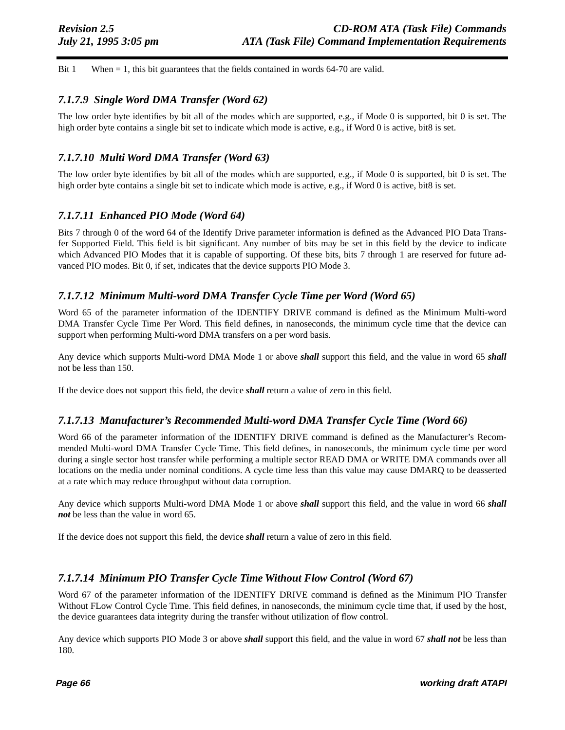Bit 1 When = 1, this bit guarantees that the fields contained in words 64-70 are valid.

# *7.1.7.9 Single Word DMA Transfer (Word 62)*

The low order byte identifies by bit all of the modes which are supported, e.g., if Mode 0 is supported, bit 0 is set. The high order byte contains a single bit set to indicate which mode is active, e.g., if Word 0 is active, bit8 is set.

## *7.1.7.10 Multi Word DMA Transfer (Word 63)*

The low order byte identifies by bit all of the modes which are supported, e.g., if Mode 0 is supported, bit 0 is set. The high order byte contains a single bit set to indicate which mode is active, e.g., if Word 0 is active, bit8 is set.

# *7.1.7.11 Enhanced PIO Mode (Word 64)*

Bits 7 through 0 of the word 64 of the Identify Drive parameter information is defined as the Advanced PIO Data Transfer Supported Field. This field is bit significant. Any number of bits may be set in this field by the device to indicate which Advanced PIO Modes that it is capable of supporting. Of these bits, bits 7 through 1 are reserved for future advanced PIO modes. Bit 0, if set, indicates that the device supports PIO Mode 3.

#### *7.1.7.12 Minimum Multi-word DMA Transfer Cycle Time per Word (Word 65)*

Word 65 of the parameter information of the IDENTIFY DRIVE command is defined as the Minimum Multi-word DMA Transfer Cycle Time Per Word. This field defines, in nanoseconds, the minimum cycle time that the device can support when performing Multi-word DMA transfers on a per word basis.

Any device which supports Multi-word DMA Mode 1 or above *shall* support this field, and the value in word 65 *shall* not be less than 150.

If the device does not support this field, the device *shall* return a value of zero in this field.

#### *7.1.7.13 Manufacturer's Recommended Multi-word DMA Transfer Cycle Time (Word 66)*

Word 66 of the parameter information of the IDENTIFY DRIVE command is defined as the Manufacturer's Recommended Multi-word DMA Transfer Cycle Time. This field defines, in nanoseconds, the minimum cycle time per word during a single sector host transfer while performing a multiple sector READ DMA or WRITE DMA commands over all locations on the media under nominal conditions. A cycle time less than this value may cause DMARQ to be deasserted at a rate which may reduce throughput without data corruption.

Any device which supports Multi-word DMA Mode 1 or above *shall* support this field, and the value in word 66 *shall not* be less than the value in word 65.

If the device does not support this field, the device *shall* return a value of zero in this field.

#### *7.1.7.14 Minimum PIO Transfer Cycle Time Without Flow Control (Word 67)*

Word 67 of the parameter information of the IDENTIFY DRIVE command is defined as the Minimum PIO Transfer Without FLow Control Cycle Time. This field defines, in nanoseconds, the minimum cycle time that, if used by the host, the device guarantees data integrity during the transfer without utilization of flow control.

Any device which supports PIO Mode 3 or above *shall* support this field, and the value in word 67 *shall not* be less than 180.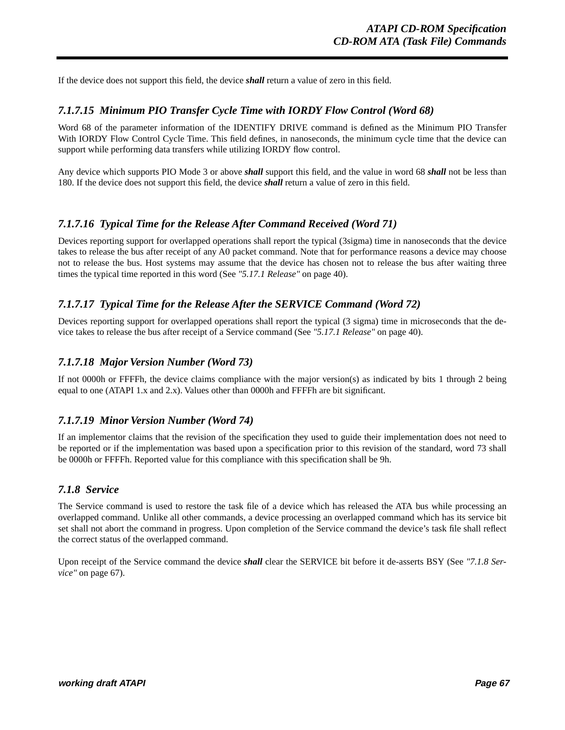If the device does not support this field, the device *shall* return a value of zero in this field.

## *7.1.7.15 Minimum PIO Transfer Cycle Time with IORDY Flow Control (Word 68)*

Word 68 of the parameter information of the IDENTIFY DRIVE command is defined as the Minimum PIO Transfer With IORDY Flow Control Cycle Time. This field defines, in nanoseconds, the minimum cycle time that the device can support while performing data transfers while utilizing IORDY flow control.

Any device which supports PIO Mode 3 or above *shall* support this field, and the value in word 68 *shall* not be less than 180. If the device does not support this field, the device *shall* return a value of zero in this field.

# *7.1.7.16 Typical Time for the Release After Command Received (Word 71)*

Devices reporting support for overlapped operations shall report the typical (3sigma) time in nanoseconds that the device takes to release the bus after receipt of any A0 packet command. Note that for performance reasons a device may choose not to release the bus. Host systems may assume that the device has chosen not to release the bus after waiting three times the typical time reported in this word (See *"5.17.1 Release"* on page 40).

# *7.1.7.17 Typical Time for the Release After the SERVICE Command (Word 72)*

Devices reporting support for overlapped operations shall report the typical (3 sigma) time in microseconds that the device takes to release the bus after receipt of a Service command (See *"5.17.1 Release"* on page 40).

## *7.1.7.18 Major Version Number (Word 73)*

If not 0000h or FFFFh, the device claims compliance with the major version(s) as indicated by bits 1 through 2 being equal to one (ATAPI 1.x and 2.x). Values other than 0000h and FFFFh are bit significant.

# *7.1.7.19 Minor Version Number (Word 74)*

If an implementor claims that the revision of the specification they used to guide their implementation does not need to be reported or if the implementation was based upon a specification prior to this revision of the standard, word 73 shall be 0000h or FFFFh. Reported value for this compliance with this specification shall be 9h.

#### *7.1.8 Service*

The Service command is used to restore the task file of a device which has released the ATA bus while processing an overlapped command. Unlike all other commands, a device processing an overlapped command which has its service bit set shall not abort the command in progress. Upon completion of the Service command the device's task file shall reflect the correct status of the overlapped command.

Upon receipt of the Service command the device *shall* clear the SERVICE bit before it de-asserts BSY (See *"7.1.8 Service"* on page 67).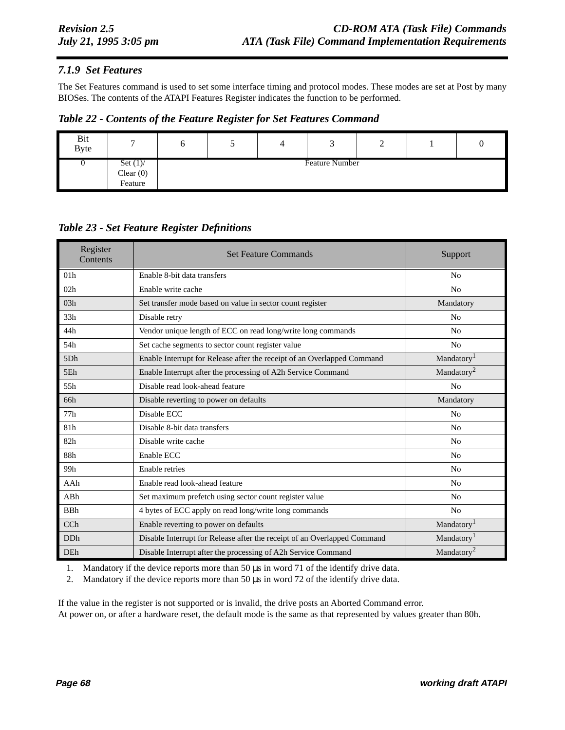# *7.1.9 Set Features*

The Set Features command is used to set some interface timing and protocol modes. These modes are set at Post by many BIOSes. The contents of the ATAPI Features Register indicates the function to be performed.

| Table 22 - Contents of the Feature Register for Set Features Command |
|----------------------------------------------------------------------|
|----------------------------------------------------------------------|

| Bit<br>Byte | −                                     | O |  | ↗<br>سه               | ∸ |  |
|-------------|---------------------------------------|---|--|-----------------------|---|--|
| v           | Set $(1)$ /<br>Clear $(0)$<br>Feature |   |  | <b>Feature Number</b> |   |  |

*Table 23 - Set Feature Register Definitions*

| Register<br>Contents | <b>Set Feature Commands</b>                                              | Support                |
|----------------------|--------------------------------------------------------------------------|------------------------|
| 01 <sub>h</sub>      | Enable 8-bit data transfers                                              | N <sub>0</sub>         |
| 02h                  | Enable write cache                                                       | N <sub>o</sub>         |
| 03h                  | Set transfer mode based on value in sector count register                | Mandatory              |
| 33h                  | Disable retry                                                            | N <sub>0</sub>         |
| 44h                  | Vendor unique length of ECC on read long/write long commands             | N <sub>0</sub>         |
| 54h                  | Set cache segments to sector count register value                        | N <sub>o</sub>         |
| 5 <sub>Dh</sub>      | Enable Interrupt for Release after the receipt of an Overlapped Command  | Mandatory <sup>1</sup> |
| 5Eh                  | Enable Interrupt after the processing of A2h Service Command             | Mandatory <sup>2</sup> |
| 55h                  | Disable read look-ahead feature                                          | N <sub>o</sub>         |
| 66h                  | Disable reverting to power on defaults                                   | Mandatory              |
| 77h                  | Disable ECC                                                              | N <sub>0</sub>         |
| 81h                  | Disable 8-bit data transfers                                             | N <sub>0</sub>         |
| 82h                  | Disable write cache                                                      | N <sub>o</sub>         |
| 88h                  | Enable ECC                                                               | N <sub>0</sub>         |
| 99h                  | Enable retries                                                           | N <sub>o</sub>         |
| AAh                  | Enable read look-ahead feature                                           | N <sub>0</sub>         |
| ABh                  | Set maximum prefetch using sector count register value                   | N <sub>0</sub>         |
| <b>BBh</b>           | 4 bytes of ECC apply on read long/write long commands                    | N <sub>0</sub>         |
| CCh                  | Enable reverting to power on defaults                                    | Mandatory <sup>1</sup> |
| DDh                  | Disable Interrupt for Release after the receipt of an Overlapped Command | Mandatory <sup>1</sup> |
| <b>DEh</b>           | Disable Interrupt after the processing of A2h Service Command            | Mandatory <sup>2</sup> |

1. Mandatory if the device reports more than 50 µs in word 71 of the identify drive data.

2. Mandatory if the device reports more than 50 µs in word 72 of the identify drive data.

If the value in the register is not supported or is invalid, the drive posts an Aborted Command error. At power on, or after a hardware reset, the default mode is the same as that represented by values greater than 80h.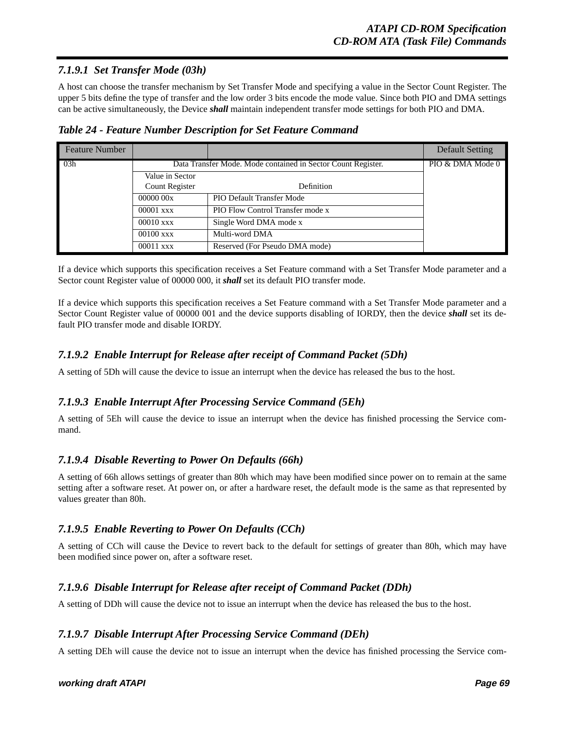# *7.1.9.1 Set Transfer Mode (03h)*

A host can choose the transfer mechanism by Set Transfer Mode and specifying a value in the Sector Count Register. The upper 5 bits define the type of transfer and the low order 3 bits encode the mode value. Since both PIO and DMA settings can be active simultaneously, the Device *shall* maintain independent transfer mode settings for both PIO and DMA.

*Table 24 - Feature Number Description for Set Feature Command*

| <b>Feature Number</b> |                 |                                                              | <b>Default Setting</b> |
|-----------------------|-----------------|--------------------------------------------------------------|------------------------|
| 03h                   |                 | Data Transfer Mode. Mode contained in Sector Count Register. | PIO & DMA Mode 0       |
|                       | Value in Sector |                                                              |                        |
|                       | Count Register  | Definition                                                   |                        |
|                       | 00000000        | <b>PIO Default Transfer Mode</b>                             |                        |
|                       | $00001$ xxx     | PIO Flow Control Transfer mode x                             |                        |
|                       | $00010$ xxx     | Single Word DMA mode x                                       |                        |
|                       | $00100$ xxx     | Multi-word DMA                                               |                        |
|                       | $00011$ xxx     | Reserved (For Pseudo DMA mode)                               |                        |

If a device which supports this specification receives a Set Feature command with a Set Transfer Mode parameter and a Sector count Register value of 00000 000, it *shall* set its default PIO transfer mode.

If a device which supports this specification receives a Set Feature command with a Set Transfer Mode parameter and a Sector Count Register value of 00000 001 and the device supports disabling of IORDY, then the device *shall* set its default PIO transfer mode and disable IORDY.

# *7.1.9.2 Enable Interrupt for Release after receipt of Command Packet (5Dh)*

A setting of 5Dh will cause the device to issue an interrupt when the device has released the bus to the host.

# *7.1.9.3 Enable Interrupt After Processing Service Command (5Eh)*

A setting of 5Eh will cause the device to issue an interrupt when the device has finished processing the Service command.

# *7.1.9.4 Disable Reverting to Power On Defaults (66h)*

A setting of 66h allows settings of greater than 80h which may have been modified since power on to remain at the same setting after a software reset. At power on, or after a hardware reset, the default mode is the same as that represented by values greater than 80h.

# *7.1.9.5 Enable Reverting to Power On Defaults (CCh)*

A setting of CCh will cause the Device to revert back to the default for settings of greater than 80h, which may have been modified since power on, after a software reset.

# *7.1.9.6 Disable Interrupt for Release after receipt of Command Packet (DDh)*

A setting of DDh will cause the device not to issue an interrupt when the device has released the bus to the host.

# *7.1.9.7 Disable Interrupt After Processing Service Command (DEh)*

A setting DEh will cause the device not to issue an interrupt when the device has finished processing the Service com-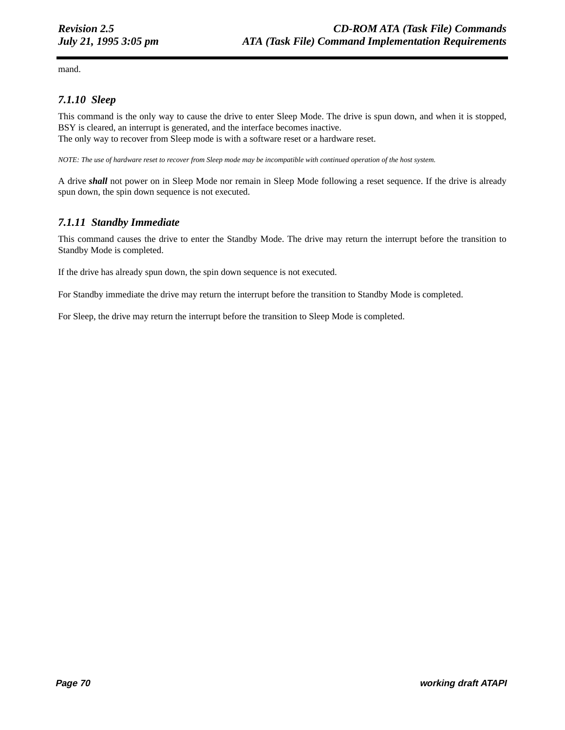mand.

# *7.1.10 Sleep*

This command is the only way to cause the drive to enter Sleep Mode. The drive is spun down, and when it is stopped, BSY is cleared, an interrupt is generated, and the interface becomes inactive. The only way to recover from Sleep mode is with a software reset or a hardware reset.

*NOTE: The use of hardware reset to recover from Sleep mode may be incompatible with continued operation of the host system.*

A drive *shall* not power on in Sleep Mode nor remain in Sleep Mode following a reset sequence. If the drive is already spun down, the spin down sequence is not executed.

# *7.1.11 Standby Immediate*

This command causes the drive to enter the Standby Mode. The drive may return the interrupt before the transition to Standby Mode is completed.

If the drive has already spun down, the spin down sequence is not executed.

For Standby immediate the drive may return the interrupt before the transition to Standby Mode is completed.

For Sleep, the drive may return the interrupt before the transition to Sleep Mode is completed.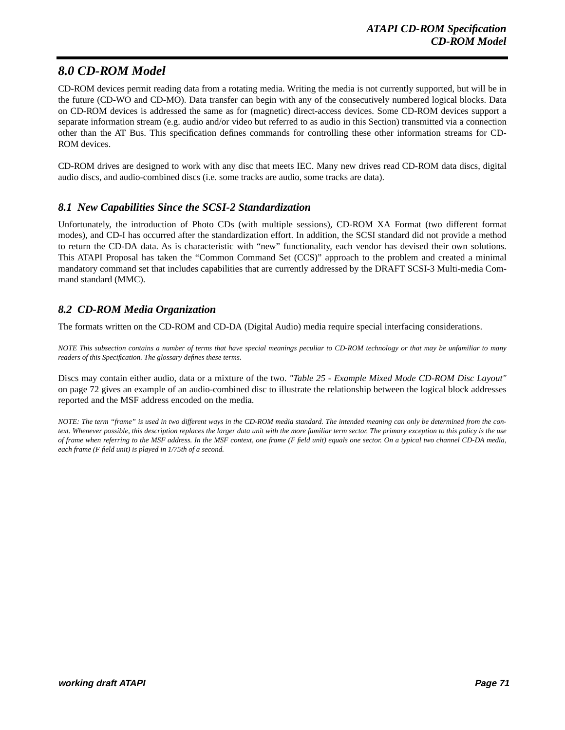# *8.0 CD-ROM Model*

CD-ROM devices permit reading data from a rotating media. Writing the media is not currently supported, but will be in the future (CD-WO and CD-MO). Data transfer can begin with any of the consecutively numbered logical blocks. Data on CD-ROM devices is addressed the same as for (magnetic) direct-access devices. Some CD-ROM devices support a separate information stream (e.g. audio and/or video but referred to as audio in this Section) transmitted via a connection other than the AT Bus. This specification defines commands for controlling these other information streams for CD-ROM devices.

CD-ROM drives are designed to work with any disc that meets IEC. Many new drives read CD-ROM data discs, digital audio discs, and audio-combined discs (i.e. some tracks are audio, some tracks are data).

#### *8.1 New Capabilities Since the SCSI-2 Standardization*

Unfortunately, the introduction of Photo CDs (with multiple sessions), CD-ROM XA Format (two different format modes), and CD-I has occurred after the standardization effort. In addition, the SCSI standard did not provide a method to return the CD-DA data. As is characteristic with "new" functionality, each vendor has devised their own solutions. This ATAPI Proposal has taken the "Common Command Set (CCS)" approach to the problem and created a minimal mandatory command set that includes capabilities that are currently addressed by the DRAFT SCSI-3 Multi-media Command standard (MMC).

# *8.2 CD-ROM Media Organization*

The formats written on the CD-ROM and CD-DA (Digital Audio) media require special interfacing considerations.

*NOTE This subsection contains a number of terms that have special meanings peculiar to CD-ROM technology or that may be unfamiliar to many readers of this Specification. The glossary defines these terms.*

Discs may contain either audio, data or a mixture of the two. *"Table 25 - Example Mixed Mode CD-ROM Disc Layout"* on page 72 gives an example of an audio-combined disc to illustrate the relationship between the logical block addresses reported and the MSF address encoded on the media.

*NOTE: The term "frame" is used in two different ways in the CD-ROM media standard. The intended meaning can only be determined from the context. Whenever possible, this description replaces the larger data unit with the more familiar term sector. The primary exception to this policy is the use of frame when referring to the MSF address. In the MSF context, one frame (F field unit) equals one sector. On a typical two channel CD-DA media, each frame (F field unit) is played in 1/75th of a second.*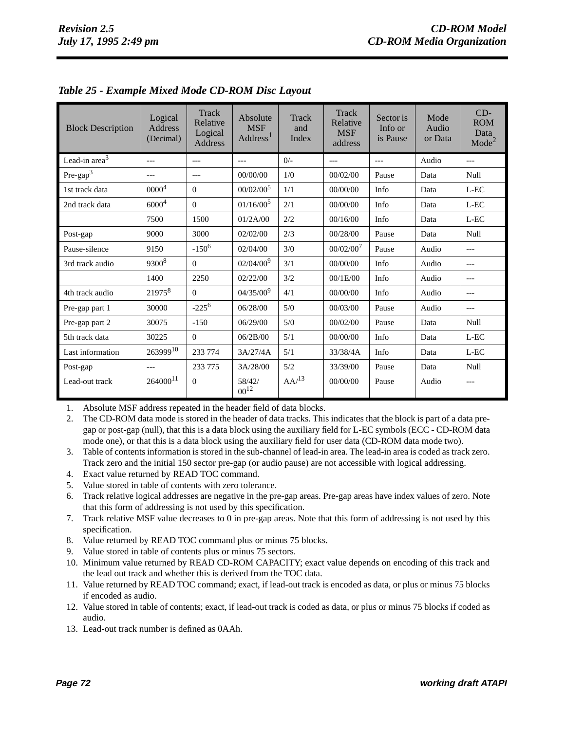| <b>Block Description</b>  | Logical<br><b>Address</b><br>(Decimal) | Track<br>Relative<br>Logical<br>Address | Absolute<br><b>MSF</b><br>Address <sup>1</sup> | <b>Track</b><br>and<br>Index | Track<br>Relative<br><b>MSF</b><br>address | Sector is<br>Info or<br>is Pause | Mode<br>Audio<br>or Data | $CD-$<br><b>ROM</b><br>Data<br>Mode <sup>2</sup> |
|---------------------------|----------------------------------------|-----------------------------------------|------------------------------------------------|------------------------------|--------------------------------------------|----------------------------------|--------------------------|--------------------------------------------------|
| Lead-in area <sup>3</sup> | $---$                                  | $---$                                   | $---$                                          | $0/-$                        | $---$                                      | $---$                            | Audio                    | $---$                                            |
| Pre-gap $3$               | $---$                                  | $---$                                   | 00/00/00                                       | 1/0                          | 00/02/00                                   | Pause                            | Data                     | Null                                             |
| 1st track data            | $0000^{4}$                             | $\Omega$                                | 00/02/00 <sup>5</sup>                          | 1/1                          | 00/00/00                                   | Info                             | Data                     | L-EC                                             |
| 2nd track data            | 6000 <sup>4</sup>                      | $\Omega$                                | $01/16/00^5$                                   | 2/1                          | 00/00/00                                   | Info                             | Data                     | L-EC                                             |
|                           | 7500                                   | 1500                                    | 01/2A/00                                       | 2/2                          | 00/16/00                                   | Info                             | Data                     | L-EC                                             |
| Post-gap                  | 9000                                   | 3000                                    | 02/02/00                                       | 2/3                          | 00/28/00                                   | Pause                            | Data                     | Null                                             |
| Pause-silence             | 9150                                   | $-150^{6}$                              | 02/04/00                                       | 3/0                          | 00/02/00 <sup>7</sup>                      | Pause                            | Audio                    | $---$                                            |
| 3rd track audio           | 9300 <sup>8</sup>                      | $\Omega$                                | $02/04/00^9$                                   | 3/1                          | 00/00/00                                   | Info                             | Audio                    | $---$                                            |
|                           | 1400                                   | 2250                                    | 02/22/00                                       | 3/2                          | 00/1E/00                                   | Info                             | Audio                    | $---$                                            |
| 4th track audio           | 219758                                 | $\Omega$                                | $04/35/00^9$                                   | 4/1                          | 00/00/00                                   | Info                             | Audio                    | $---$                                            |
| Pre-gap part 1            | 30000                                  | $-225^{6}$                              | 06/28/00                                       | 5/0                          | 00/03/00                                   | Pause                            | Audio                    | $---$                                            |
| Pre-gap part 2            | 30075                                  | $-150$                                  | 06/29/00                                       | 5/0                          | 00/02/00                                   | Pause                            | Data                     | Null                                             |
| 5th track data            | 30225                                  | $\Omega$                                | 06/2B/00                                       | 5/1                          | 00/00/00                                   | Info                             | Data                     | L-EC                                             |
| Last information          | 26399910                               | 233 774                                 | 3A/27/4A                                       | 5/1                          | 33/38/4A                                   | Info                             | Data                     | L-EC                                             |
| Post-gap                  | ---                                    | 233 775                                 | 3A/28/00                                       | 5/2                          | 33/39/00                                   | Pause                            | Data                     | Null                                             |
| Lead-out track            | $264000$ <sup>11</sup>                 | $\Omega$                                | 58/42/<br>$00^{12}$                            | AA <sup>13</sup>             | 00/00/00                                   | Pause                            | Audio                    | $---$                                            |

*Table 25 - Example Mixed Mode CD-ROM Disc Layout*

1. Absolute MSF address repeated in the header field of data blocks.

2. The CD-ROM data mode is stored in the header of data tracks. This indicates that the block is part of a data pregap or post-gap (null), that this is a data block using the auxiliary field for L-EC symbols (ECC - CD-ROM data mode one), or that this is a data block using the auxiliary field for user data (CD-ROM data mode two).

- 3. Table of contents information is stored in the sub-channel of lead-in area. The lead-in area is coded as track zero. Track zero and the initial 150 sector pre-gap (or audio pause) are not accessible with logical addressing.
- 4. Exact value returned by READ TOC command.
- 5. Value stored in table of contents with zero tolerance.
- 6. Track relative logical addresses are negative in the pre-gap areas. Pre-gap areas have index values of zero. Note that this form of addressing is not used by this specification.
- 7. Track relative MSF value decreases to 0 in pre-gap areas. Note that this form of addressing is not used by this specification.
- 8. Value returned by READ TOC command plus or minus 75 blocks.
- 9. Value stored in table of contents plus or minus 75 sectors.
- 10. Minimum value returned by READ CD-ROM CAPACITY; exact value depends on encoding of this track and the lead out track and whether this is derived from the TOC data.
- 11. Value returned by READ TOC command; exact, if lead-out track is encoded as data, or plus or minus 75 blocks if encoded as audio.
- 12. Value stored in table of contents; exact, if lead-out track is coded as data, or plus or minus 75 blocks if coded as audio.
- 13. Lead-out track number is defined as 0AAh.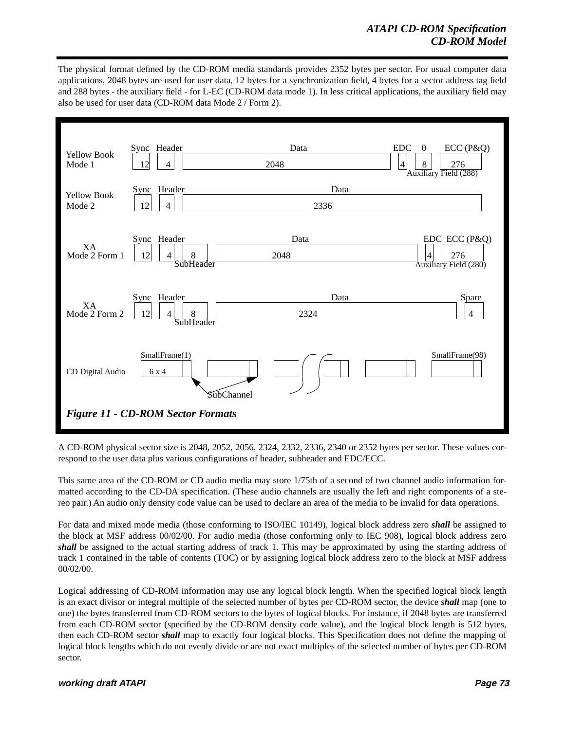# *ATAPI CD-ROM Specification CD-ROM Model*

The physical format defined by the CD-ROM media standards provides 2352 bytes per sector. For usual computer data applications, 2048 bytes are used for user data, 12 bytes for a synchronization field, 4 bytes for a sector address tag field and 288 bytes - the auxiliary field - for L-EC (CD-ROM data mode 1). In less critical applications, the auxiliary field may also be used for user data (CD-ROM data Mode 2 / Form 2).

| <b>Yellow Book</b><br>Mode 1 | Sync Header<br>12<br>$\overline{\mathbf{4}}$                | Data<br>2048 | <b>EDC</b><br>ECC(P&Q)<br>$\overline{0}$<br>$\overline{\mathcal{L}}$<br>8<br>276<br>Auxiliary Field (288) |
|------------------------------|-------------------------------------------------------------|--------------|-----------------------------------------------------------------------------------------------------------|
| <b>Yellow Book</b><br>Mode 2 | Sync Header<br>12<br>$\overline{4}$                         | Data<br>2336 |                                                                                                           |
| XA<br>Mode 2 Form 1          | Sync Header<br>12<br>$\,8\,$<br>$\overline{4}$<br>SubHeader | Data<br>2048 | EDC ECC (P&Q)<br>276<br>$\overline{4}$<br>Auxiliary Field (280)                                           |
| XA<br>Mode 2 Form 2          | Sync Header<br>12<br>SubHeader<br>$\overline{4}$            | Data<br>2324 | Spare<br>$\overline{4}$                                                                                   |
| CD Digital Audio             | SmallFrame(1)<br>6 x 4                                      | SubChannel   | SmallFrame(98)                                                                                            |
|                              | <b>Figure 11 - CD-ROM Sector Formats</b>                    |              |                                                                                                           |

A CD-ROM physical sector size is 2048, 2052, 2056, 2324, 2332, 2336, 2340 or 2352 bytes per sector. These values correspond to the user data plus various configurations of header, subheader and EDC/ECC.

This same area of the CD-ROM or CD audio media may store 1/75th of a second of two channel audio information formatted according to the CD-DA specification. (These audio channels are usually the left and right components of a stereo pair.) An audio only density code value can be used to declare an area of the media to be invalid for data operations.

For data and mixed mode media (those conforming to ISO/IEC 10149), logical block address zero *shall* be assigned to the block at MSF address 00/02/00. For audio media (those conforming only to IEC 908), logical block address zero *shall* be assigned to the actual starting address of track 1. This may be approximated by using the starting address of track 1 contained in the table of contents (TOC) or by assigning logical block address zero to the block at MSF address 00/02/00.

Logical addressing of CD-ROM information may use any logical block length. When the specified logical block length is an exact divisor or integral multiple of the selected number of bytes per CD-ROM sector, the device *shall* map (one to one) the bytes transferred from CD-ROM sectors to the bytes of logical blocks. For instance, if 2048 bytes are transferred from each CD-ROM sector (specified by the CD-ROM density code value), and the logical block length is 512 bytes, then each CD-ROM sector *shall* map to exactly four logical blocks. This Specification does not define the mapping of logical block lengths which do not evenly divide or are not exact multiples of the selected number of bytes per CD-ROM sector.

#### **working draft ATAPI Page 73**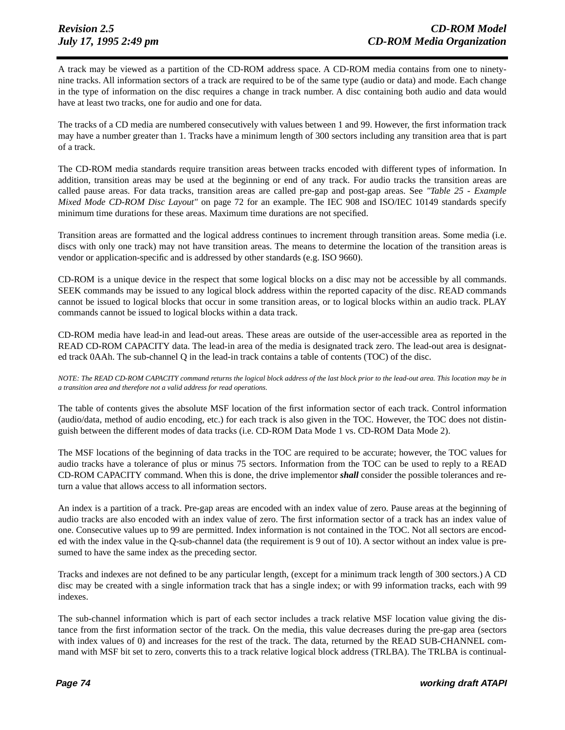A track may be viewed as a partition of the CD-ROM address space. A CD-ROM media contains from one to ninetynine tracks. All information sectors of a track are required to be of the same type (audio or data) and mode. Each change in the type of information on the disc requires a change in track number. A disc containing both audio and data would have at least two tracks, one for audio and one for data.

The tracks of a CD media are numbered consecutively with values between 1 and 99. However, the first information track may have a number greater than 1. Tracks have a minimum length of 300 sectors including any transition area that is part of a track.

The CD-ROM media standards require transition areas between tracks encoded with different types of information. In addition, transition areas may be used at the beginning or end of any track. For audio tracks the transition areas are called pause areas. For data tracks, transition areas are called pre-gap and post-gap areas. See *"Table 25 - Example Mixed Mode CD-ROM Disc Layout"* on page 72 for an example. The IEC 908 and ISO/IEC 10149 standards specify minimum time durations for these areas. Maximum time durations are not specified.

Transition areas are formatted and the logical address continues to increment through transition areas. Some media (i.e. discs with only one track) may not have transition areas. The means to determine the location of the transition areas is vendor or application-specific and is addressed by other standards (e.g. ISO 9660).

CD-ROM is a unique device in the respect that some logical blocks on a disc may not be accessible by all commands. SEEK commands may be issued to any logical block address within the reported capacity of the disc. READ commands cannot be issued to logical blocks that occur in some transition areas, or to logical blocks within an audio track. PLAY commands cannot be issued to logical blocks within a data track.

CD-ROM media have lead-in and lead-out areas. These areas are outside of the user-accessible area as reported in the READ CD-ROM CAPACITY data. The lead-in area of the media is designated track zero. The lead-out area is designated track 0AAh. The sub-channel Q in the lead-in track contains a table of contents (TOC) of the disc.

*NOTE: The READ CD-ROM CAPACITY command returns the logical block address of the last block prior to the lead-out area. This location may be in a transition area and therefore not a valid address for read operations.* 

The table of contents gives the absolute MSF location of the first information sector of each track. Control information (audio/data, method of audio encoding, etc.) for each track is also given in the TOC. However, the TOC does not distinguish between the different modes of data tracks (i.e. CD-ROM Data Mode 1 vs. CD-ROM Data Mode 2).

The MSF locations of the beginning of data tracks in the TOC are required to be accurate; however, the TOC values for audio tracks have a tolerance of plus or minus 75 sectors. Information from the TOC can be used to reply to a READ CD-ROM CAPACITY command. When this is done, the drive implementor *shall* consider the possible tolerances and return a value that allows access to all information sectors.

An index is a partition of a track. Pre-gap areas are encoded with an index value of zero. Pause areas at the beginning of audio tracks are also encoded with an index value of zero. The first information sector of a track has an index value of one. Consecutive values up to 99 are permitted. Index information is not contained in the TOC. Not all sectors are encoded with the index value in the Q-sub-channel data (the requirement is 9 out of 10). A sector without an index value is presumed to have the same index as the preceding sector.

Tracks and indexes are not defined to be any particular length, (except for a minimum track length of 300 sectors.) A CD disc may be created with a single information track that has a single index; or with 99 information tracks, each with 99 indexes.

The sub-channel information which is part of each sector includes a track relative MSF location value giving the distance from the first information sector of the track. On the media, this value decreases during the pre-gap area (sectors with index values of 0) and increases for the rest of the track. The data, returned by the READ SUB-CHANNEL command with MSF bit set to zero, converts this to a track relative logical block address (TRLBA). The TRLBA is continual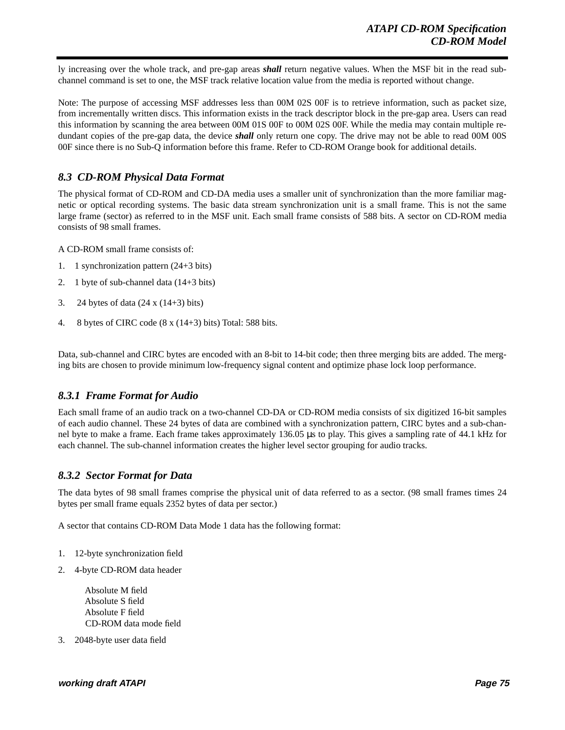ly increasing over the whole track, and pre-gap areas *shall* return negative values. When the MSF bit in the read subchannel command is set to one, the MSF track relative location value from the media is reported without change.

Note: The purpose of accessing MSF addresses less than 00M 02S 00F is to retrieve information, such as packet size, from incrementally written discs. This information exists in the track descriptor block in the pre-gap area. Users can read this information by scanning the area between 00M 01S 00F to 00M 02S 00F. While the media may contain multiple redundant copies of the pre-gap data, the device *shall* only return one copy. The drive may not be able to read 00M 00S 00F since there is no Sub-Q information before this frame. Refer to CD-ROM Orange book for additional details.

# *8.3 CD-ROM Physical Data Format*

The physical format of CD-ROM and CD-DA media uses a smaller unit of synchronization than the more familiar magnetic or optical recording systems. The basic data stream synchronization unit is a small frame. This is not the same large frame (sector) as referred to in the MSF unit. Each small frame consists of 588 bits. A sector on CD-ROM media consists of 98 small frames.

A CD-ROM small frame consists of:

- 1. 1 synchronization pattern (24+3 bits)
- 2. 1 byte of sub-channel data (14+3 bits)
- 3. 24 bytes of data (24 x (14+3) bits)
- 4. 8 bytes of CIRC code (8 x (14+3) bits) Total: 588 bits.

Data, sub-channel and CIRC bytes are encoded with an 8-bit to 14-bit code; then three merging bits are added. The merging bits are chosen to provide minimum low-frequency signal content and optimize phase lock loop performance.

#### *8.3.1 Frame Format for Audio*

Each small frame of an audio track on a two-channel CD-DA or CD-ROM media consists of six digitized 16-bit samples of each audio channel. These 24 bytes of data are combined with a synchronization pattern, CIRC bytes and a sub-channel byte to make a frame. Each frame takes approximately 136.05 µs to play. This gives a sampling rate of 44.1 kHz for each channel. The sub-channel information creates the higher level sector grouping for audio tracks.

#### *8.3.2 Sector Format for Data*

The data bytes of 98 small frames comprise the physical unit of data referred to as a sector. (98 small frames times 24 bytes per small frame equals 2352 bytes of data per sector.)

A sector that contains CD-ROM Data Mode 1 data has the following format:

- 1. 12-byte synchronization field
- 2. 4-byte CD-ROM data header

 Absolute M field Absolute S field Absolute F field CD-ROM data mode field

3. 2048-byte user data field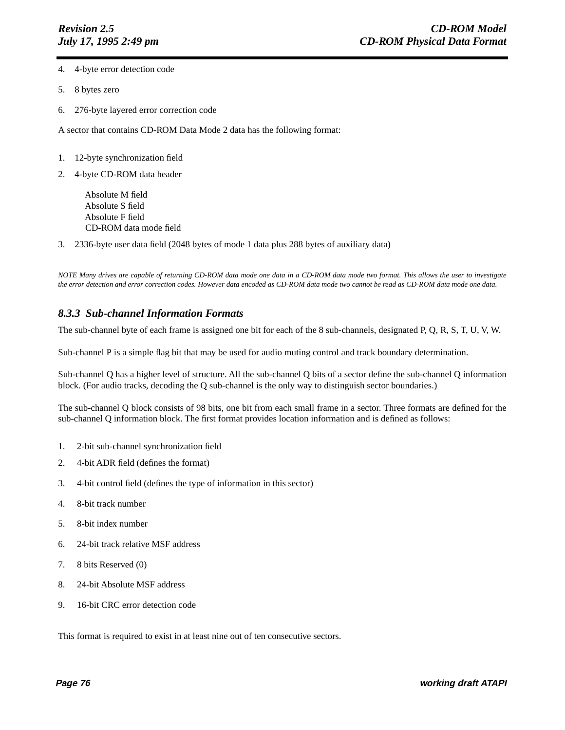4. 4-byte error detection code

- 5. 8 bytes zero
- 6. 276-byte layered error correction code

A sector that contains CD-ROM Data Mode 2 data has the following format:

- 1. 12-byte synchronization field
- 2. 4-byte CD-ROM data header

 Absolute M field Absolute S field Absolute F field CD-ROM data mode field

3. 2336-byte user data field (2048 bytes of mode 1 data plus 288 bytes of auxiliary data)

*NOTE Many drives are capable of returning CD-ROM data mode one data in a CD-ROM data mode two format. This allows the user to investigate the error detection and error correction codes. However data encoded as CD-ROM data mode two cannot be read as CD-ROM data mode one data.*

#### *8.3.3 Sub-channel Information Formats*

The sub-channel byte of each frame is assigned one bit for each of the 8 sub-channels, designated P, Q, R, S, T, U, V, W.

Sub-channel P is a simple flag bit that may be used for audio muting control and track boundary determination.

Sub-channel Q has a higher level of structure. All the sub-channel Q bits of a sector define the sub-channel Q information block. (For audio tracks, decoding the Q sub-channel is the only way to distinguish sector boundaries.)

The sub-channel Q block consists of 98 bits, one bit from each small frame in a sector. Three formats are defined for the sub-channel Q information block. The first format provides location information and is defined as follows:

- 1. 2-bit sub-channel synchronization field
- 2. 4-bit ADR field (defines the format)
- 3. 4-bit control field (defines the type of information in this sector)
- 4. 8-bit track number
- 5. 8-bit index number
- 6. 24-bit track relative MSF address
- 7. 8 bits Reserved (0)
- 8. 24-bit Absolute MSF address
- 9. 16-bit CRC error detection code

This format is required to exist in at least nine out of ten consecutive sectors.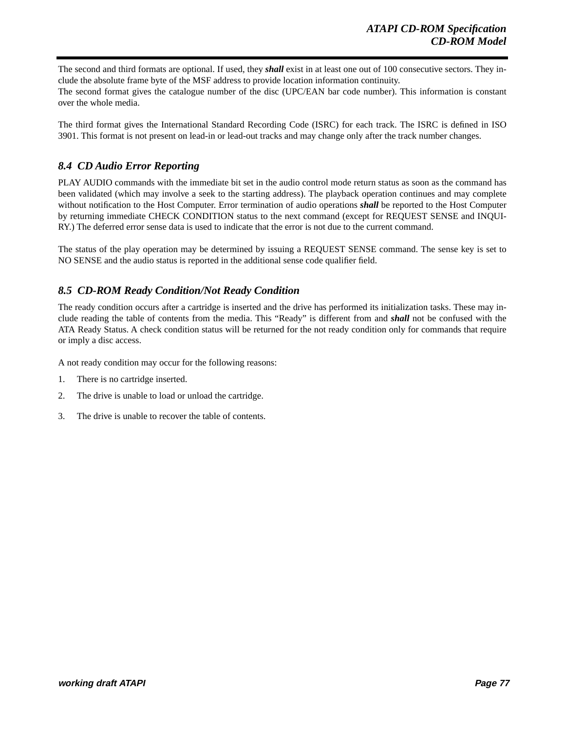The second and third formats are optional. If used, they *shall* exist in at least one out of 100 consecutive sectors. They include the absolute frame byte of the MSF address to provide location information continuity. The second format gives the catalogue number of the disc (UPC/EAN bar code number). This information is constant over the whole media.

The third format gives the International Standard Recording Code (ISRC) for each track. The ISRC is defined in ISO 3901. This format is not present on lead-in or lead-out tracks and may change only after the track number changes.

# *8.4 CD Audio Error Reporting*

PLAY AUDIO commands with the immediate bit set in the audio control mode return status as soon as the command has been validated (which may involve a seek to the starting address). The playback operation continues and may complete without notification to the Host Computer. Error termination of audio operations *shall* be reported to the Host Computer by returning immediate CHECK CONDITION status to the next command (except for REQUEST SENSE and INQUI-RY.) The deferred error sense data is used to indicate that the error is not due to the current command.

The status of the play operation may be determined by issuing a REQUEST SENSE command. The sense key is set to NO SENSE and the audio status is reported in the additional sense code qualifier field.

# *8.5 CD-ROM Ready Condition/Not Ready Condition*

The ready condition occurs after a cartridge is inserted and the drive has performed its initialization tasks. These may include reading the table of contents from the media. This "Ready" is different from and *shall* not be confused with the ATA Ready Status. A check condition status will be returned for the not ready condition only for commands that require or imply a disc access.

A not ready condition may occur for the following reasons:

- 1. There is no cartridge inserted.
- 2. The drive is unable to load or unload the cartridge.
- 3. The drive is unable to recover the table of contents.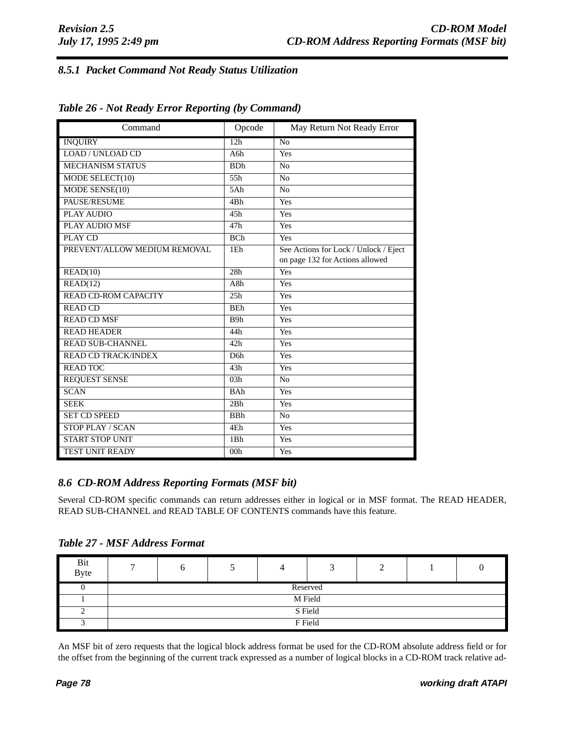# *8.5.1 Packet Command Not Ready Status Utilization*

| Command                      | Opcode           | May Return Not Ready Error                                               |
|------------------------------|------------------|--------------------------------------------------------------------------|
| <b>INQUIRY</b>               | 12h              | $\overline{N_0}$                                                         |
| <b>LOAD / UNLOAD CD</b>      | A6h              | Yes                                                                      |
| <b>MECHANISM STATUS</b>      | <b>BDh</b>       | No                                                                       |
| MODE SELECT(10)              | 55h              | No                                                                       |
| MODE SENSE(10)               | 5Ah              | No                                                                       |
| <b>PAUSE/RESUME</b>          | 4Bh              | Yes                                                                      |
| <b>PLAY AUDIO</b>            | 45h              | Yes                                                                      |
| <b>PLAY AUDIO MSF</b>        | 47h              | Yes                                                                      |
| PLAY CD                      | <b>BCh</b>       | Yes                                                                      |
| PREVENT/ALLOW MEDIUM REMOVAL | 1E <sub>h</sub>  | See Actions for Lock / Unlock / Eject<br>on page 132 for Actions allowed |
| READ(10)                     | 28h              | Yes                                                                      |
| READ(12)                     | A8h              | Yes                                                                      |
| <b>READ CD-ROM CAPACITY</b>  | 25h              | Yes                                                                      |
| <b>READ CD</b>               | <b>BEh</b>       | Yes                                                                      |
| <b>READ CD MSF</b>           | B <sub>9h</sub>  | Yes                                                                      |
| <b>READ HEADER</b>           | 44h              | Yes                                                                      |
| <b>READ SUB-CHANNEL</b>      | 42h              | Yes                                                                      |
| <b>READ CD TRACK/INDEX</b>   | D <sub>6</sub> h | Yes                                                                      |
| <b>READ TOC</b>              | 43h              | Yes                                                                      |
| <b>REQUEST SENSE</b>         | 03h              | No                                                                       |
| $\overline{SCAN}$            | BAh              | Yes                                                                      |
| <b>SEEK</b>                  | 2Bh              | Yes                                                                      |
| <b>SET CD SPEED</b>          | <b>BBh</b>       | No                                                                       |
| <b>STOP PLAY / SCAN</b>      | 4Eh              | Yes                                                                      |
| <b>START STOP UNIT</b>       | 1 <sub>Bh</sub>  | Yes                                                                      |
| <b>TEST UNIT READY</b>       | 00 <sub>h</sub>  | <b>Yes</b>                                                               |

|  |  |  | Table 26 - Not Ready Error Reporting (by Command) |
|--|--|--|---------------------------------------------------|
|  |  |  |                                                   |

# *8.6 CD-ROM Address Reporting Formats (MSF bit)*

Several CD-ROM specific commands can return addresses either in logical or in MSF format. The READ HEADER, READ SUB-CHANNEL and READ TABLE OF CONTENTS commands have this feature.

*Table 27 - MSF Address Format*

| Bit<br>Byte | ∽ | r        |  |  | ⌒ | ∽<br>∼ |  |  |  |  |  |
|-------------|---|----------|--|--|---|--------|--|--|--|--|--|
|             |   | Reserved |  |  |   |        |  |  |  |  |  |
|             |   | M Field  |  |  |   |        |  |  |  |  |  |
| ∠           |   | S Field  |  |  |   |        |  |  |  |  |  |
| $\sim$      |   | F Field  |  |  |   |        |  |  |  |  |  |

An MSF bit of zero requests that the logical block address format be used for the CD-ROM absolute address field or for the offset from the beginning of the current track expressed as a number of logical blocks in a CD-ROM track relative ad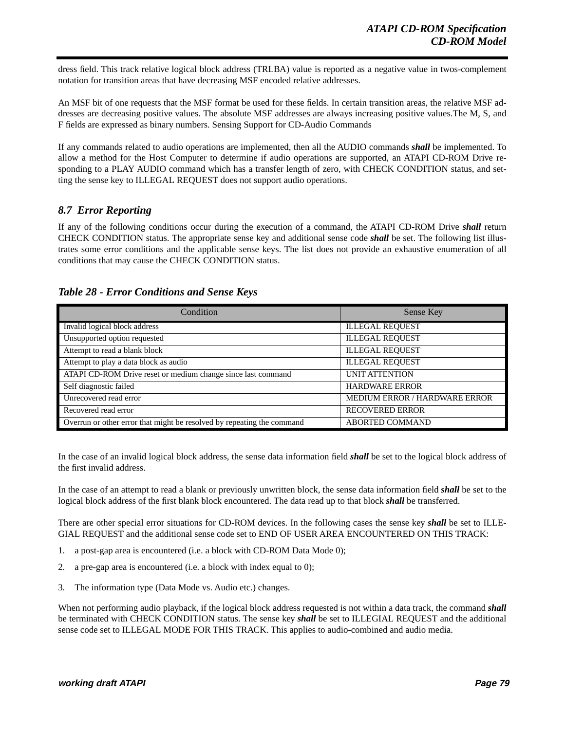dress field. This track relative logical block address (TRLBA) value is reported as a negative value in twos-complement notation for transition areas that have decreasing MSF encoded relative addresses.

An MSF bit of one requests that the MSF format be used for these fields. In certain transition areas, the relative MSF addresses are decreasing positive values. The absolute MSF addresses are always increasing positive values.The M, S, and F fields are expressed as binary numbers. Sensing Support for CD-Audio Commands

If any commands related to audio operations are implemented, then all the AUDIO commands *shall* be implemented. To allow a method for the Host Computer to determine if audio operations are supported, an ATAPI CD-ROM Drive responding to a PLAY AUDIO command which has a transfer length of zero, with CHECK CONDITION status, and setting the sense key to ILLEGAL REQUEST does not support audio operations.

#### *8.7 Error Reporting*

If any of the following conditions occur during the execution of a command, the ATAPI CD-ROM Drive *shall* return CHECK CONDITION status. The appropriate sense key and additional sense code *shall* be set. The following list illustrates some error conditions and the applicable sense keys. The list does not provide an exhaustive enumeration of all conditions that may cause the CHECK CONDITION status.

#### *Table 28 - Error Conditions and Sense Keys*

| Condition                                                              | Sense Key                            |
|------------------------------------------------------------------------|--------------------------------------|
| Invalid logical block address                                          | <b>ILLEGAL REQUEST</b>               |
| Unsupported option requested                                           | <b>ILLEGAL REQUEST</b>               |
| Attempt to read a blank block                                          | <b>ILLEGAL REQUEST</b>               |
| Attempt to play a data block as audio                                  | <b>ILLEGAL REQUEST</b>               |
| ATAPI CD-ROM Drive reset or medium change since last command           | <b>UNIT ATTENTION</b>                |
| Self diagnostic failed                                                 | <b>HARDWARE ERROR</b>                |
| Unrecovered read error                                                 | <b>MEDIUM ERROR / HARDWARE ERROR</b> |
| Recovered read error                                                   | <b>RECOVERED ERROR</b>               |
| Overrun or other error that might be resolved by repeating the command | <b>ABORTED COMMAND</b>               |

In the case of an invalid logical block address, the sense data information field *shall* be set to the logical block address of the first invalid address.

In the case of an attempt to read a blank or previously unwritten block, the sense data information field *shall* be set to the logical block address of the first blank block encountered. The data read up to that block *shall* be transferred.

There are other special error situations for CD-ROM devices. In the following cases the sense key *shall* be set to ILLE-GIAL REQUEST and the additional sense code set to END OF USER AREA ENCOUNTERED ON THIS TRACK:

- 1. a post-gap area is encountered (i.e. a block with CD-ROM Data Mode 0);
- 2. a pre-gap area is encountered (i.e. a block with index equal to 0);
- 3. The information type (Data Mode vs. Audio etc.) changes.

When not performing audio playback, if the logical block address requested is not within a data track, the command *shall* be terminated with CHECK CONDITION status. The sense key *shall* be set to ILLEGIAL REQUEST and the additional sense code set to ILLEGAL MODE FOR THIS TRACK. This applies to audio-combined and audio media.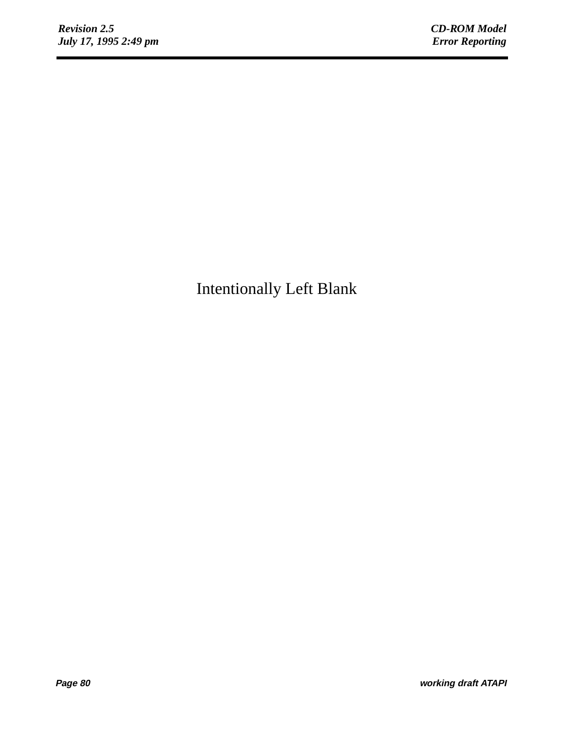Intentionally Left Blank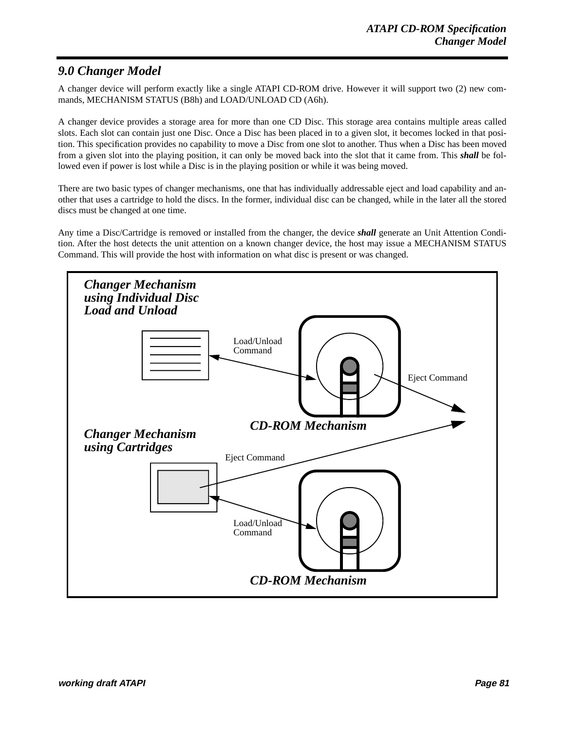# *9.0 Changer Model*

A changer device will perform exactly like a single ATAPI CD-ROM drive. However it will support two (2) new commands, MECHANISM STATUS (B8h) and LOAD/UNLOAD CD (A6h).

A changer device provides a storage area for more than one CD Disc. This storage area contains multiple areas called slots. Each slot can contain just one Disc. Once a Disc has been placed in to a given slot, it becomes locked in that position. This specification provides no capability to move a Disc from one slot to another. Thus when a Disc has been moved from a given slot into the playing position, it can only be moved back into the slot that it came from. This *shall* be followed even if power is lost while a Disc is in the playing position or while it was being moved.

There are two basic types of changer mechanisms, one that has individually addressable eject and load capability and another that uses a cartridge to hold the discs. In the former, individual disc can be changed, while in the later all the stored discs must be changed at one time.

Any time a Disc/Cartridge is removed or installed from the changer, the device *shall* generate an Unit Attention Condition. After the host detects the unit attention on a known changer device, the host may issue a MECHANISM STATUS Command. This will provide the host with information on what disc is present or was changed.

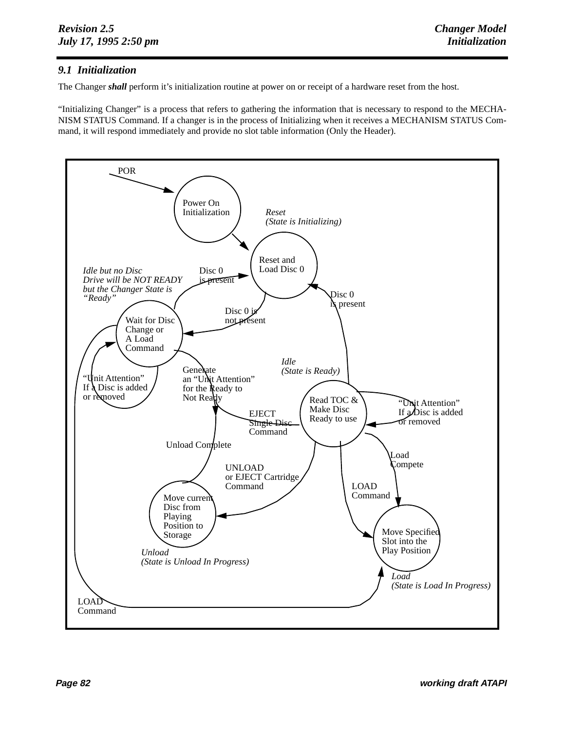# *9.1 Initialization*

The Changer *shall* perform it's initialization routine at power on or receipt of a hardware reset from the host.

"Initializing Changer" is a process that refers to gathering the information that is necessary to respond to the MECHA-NISM STATUS Command. If a changer is in the process of Initializing when it receives a MECHANISM STATUS Command, it will respond immediately and provide no slot table information (Only the Header).

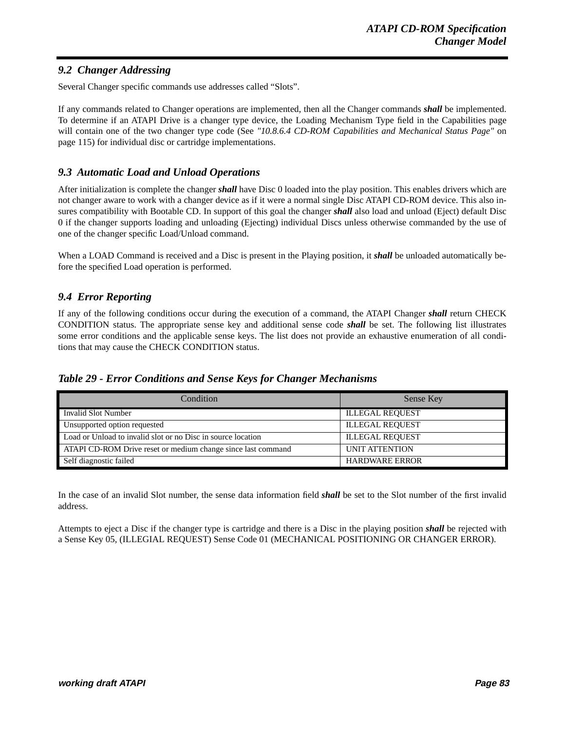# *9.2 Changer Addressing*

Several Changer specific commands use addresses called "Slots".

If any commands related to Changer operations are implemented, then all the Changer commands *shall* be implemented. To determine if an ATAPI Drive is a changer type device, the Loading Mechanism Type field in the Capabilities page will contain one of the two changer type code (See *"10.8.6.4 CD-ROM Capabilities and Mechanical Status Page"* on page 115) for individual disc or cartridge implementations.

## *9.3 Automatic Load and Unload Operations*

After initialization is complete the changer *shall* have Disc 0 loaded into the play position. This enables drivers which are not changer aware to work with a changer device as if it were a normal single Disc ATAPI CD-ROM device. This also insures compatibility with Bootable CD. In support of this goal the changer *shall* also load and unload (Eject) default Disc 0 if the changer supports loading and unloading (Ejecting) individual Discs unless otherwise commanded by the use of one of the changer specific Load/Unload command.

When a LOAD Command is received and a Disc is present in the Playing position, it *shall* be unloaded automatically before the specified Load operation is performed.

#### *9.4 Error Reporting*

If any of the following conditions occur during the execution of a command, the ATAPI Changer *shall* return CHECK CONDITION status. The appropriate sense key and additional sense code *shall* be set. The following list illustrates some error conditions and the applicable sense keys. The list does not provide an exhaustive enumeration of all conditions that may cause the CHECK CONDITION status.

*Table 29 - Error Conditions and Sense Keys for Changer Mechanisms*

| Condition                                                    | Sense Key              |
|--------------------------------------------------------------|------------------------|
| Invalid Slot Number                                          | <b>ILLEGAL REQUEST</b> |
| Unsupported option requested                                 | <b>ILLEGAL REQUEST</b> |
| Load or Unload to invalid slot or no Disc in source location | <b>ILLEGAL REQUEST</b> |
| ATAPI CD-ROM Drive reset or medium change since last command | <b>UNIT ATTENTION</b>  |
| Self diagnostic failed                                       | <b>HARDWARE ERROR</b>  |

In the case of an invalid Slot number, the sense data information field *shall* be set to the Slot number of the first invalid address.

Attempts to eject a Disc if the changer type is cartridge and there is a Disc in the playing position *shall* be rejected with a Sense Key 05, (ILLEGIAL REQUEST) Sense Code 01 (MECHANICAL POSITIONING OR CHANGER ERROR).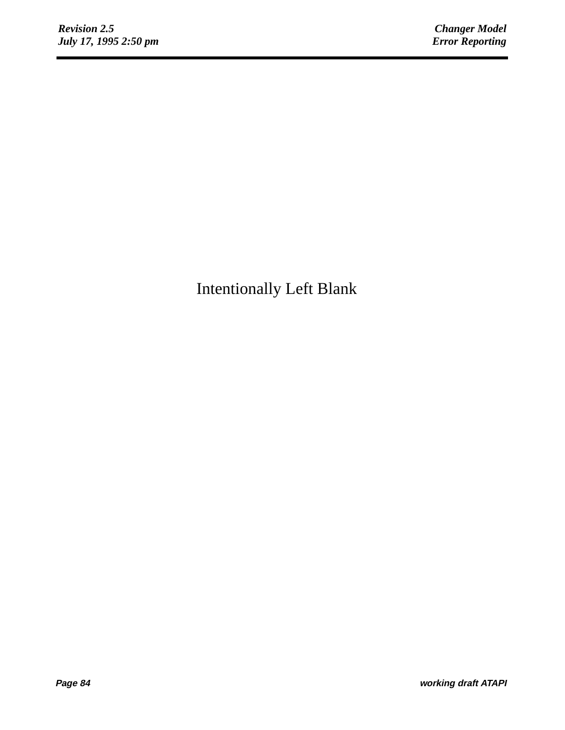# Intentionally Left Blank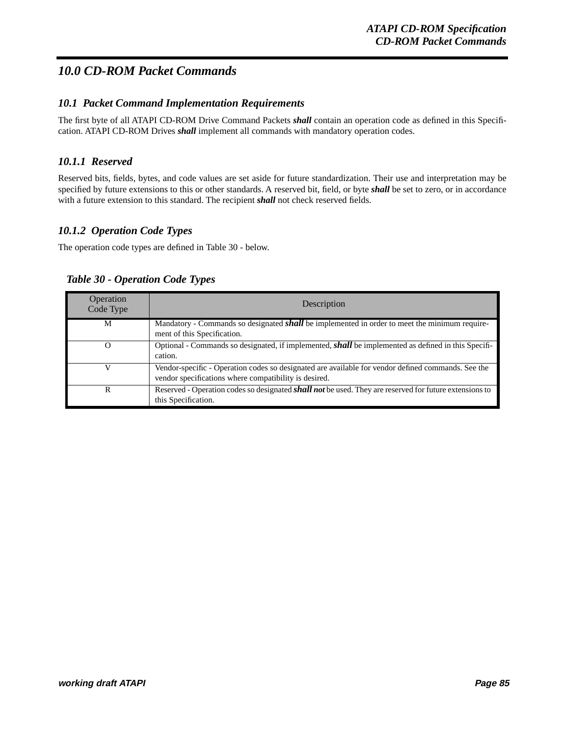# *10.0 CD-ROM Packet Commands*

# *10.1 Packet Command Implementation Requirements*

The first byte of all ATAPI CD-ROM Drive Command Packets *shall* contain an operation code as defined in this Specification. ATAPI CD-ROM Drives *shall* implement all commands with mandatory operation codes.

# *10.1.1 Reserved*

Reserved bits, fields, bytes, and code values are set aside for future standardization. Their use and interpretation may be specified by future extensions to this or other standards. A reserved bit, field, or byte *shall* be set to zero, or in accordance with a future extension to this standard. The recipient *shall* not check reserved fields.

# *10.1.2 Operation Code Types*

The operation code types are defined in Table 30 - below.

# *Table 30 - Operation Code Types*

| Operation<br>Code Type | Description                                                                                                                                                 |
|------------------------|-------------------------------------------------------------------------------------------------------------------------------------------------------------|
| M                      | Mandatory - Commands so designated <b>shall</b> be implemented in order to meet the minimum require-<br>ment of this Specification.                         |
|                        | Optional - Commands so designated, if implemented, <i>shall</i> be implemented as defined in this Specifi-<br>cation.                                       |
|                        | Vendor-specific - Operation codes so designated are available for vendor defined commands. See the<br>vendor specifications where compatibility is desired. |
| R                      | Reserved - Operation codes so designated <b>shall not</b> be used. They are reserved for future extensions to<br>this Specification.                        |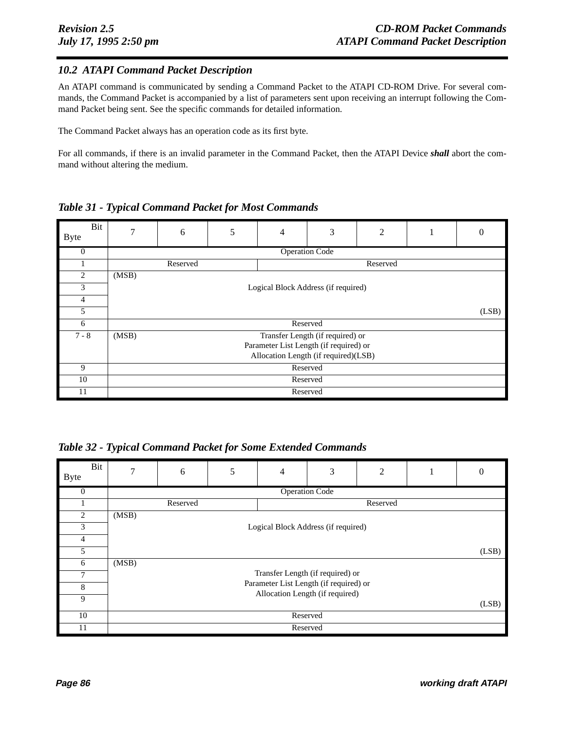# *10.2 ATAPI Command Packet Description*

An ATAPI command is communicated by sending a Command Packet to the ATAPI CD-ROM Drive. For several commands, the Command Packet is accompanied by a list of parameters sent upon receiving an interrupt following the Command Packet being sent. See the specific commands for detailed information.

The Command Packet always has an operation code as its first byte.

For all commands, if there is an invalid parameter in the Command Packet, then the ATAPI Device *shall* abort the command without altering the medium.

#### *Table 31 - Typical Command Packet for Most Commands*

| Bit<br><b>Byte</b> | 7     | 6                                      | 5 | 4                                   | 3 | $\overline{c}$ |  |  |  |  |  |
|--------------------|-------|----------------------------------------|---|-------------------------------------|---|----------------|--|--|--|--|--|
| $\overline{0}$     |       | <b>Operation Code</b>                  |   |                                     |   |                |  |  |  |  |  |
|                    |       | Reserved                               |   |                                     |   | Reserved       |  |  |  |  |  |
| 2                  | (MSB) |                                        |   |                                     |   |                |  |  |  |  |  |
| 3                  |       |                                        |   | Logical Block Address (if required) |   |                |  |  |  |  |  |
| $\overline{4}$     |       |                                        |   |                                     |   |                |  |  |  |  |  |
| 5                  |       | (LSB)                                  |   |                                     |   |                |  |  |  |  |  |
| 6                  |       | Reserved                               |   |                                     |   |                |  |  |  |  |  |
| $7 - 8$            | (MSB) | Transfer Length (if required) or       |   |                                     |   |                |  |  |  |  |  |
|                    |       | Parameter List Length (if required) or |   |                                     |   |                |  |  |  |  |  |
|                    |       | Allocation Length (if required)(LSB)   |   |                                     |   |                |  |  |  |  |  |
| 9                  |       | Reserved                               |   |                                     |   |                |  |  |  |  |  |
| 10                 |       | Reserved                               |   |                                     |   |                |  |  |  |  |  |
| 11                 |       |                                        |   | Reserved                            |   |                |  |  |  |  |  |

*Table 32 - Typical Command Packet for Some Extended Commands*

| Bit<br><b>Byte</b> | $\mathcal{I}$ | 6                                                                         | 5 | 4 | 3        | $\overline{2}$ |  | $\theta$ |  |  |  |
|--------------------|---------------|---------------------------------------------------------------------------|---|---|----------|----------------|--|----------|--|--|--|
| $\theta$           |               | <b>Operation Code</b>                                                     |   |   |          |                |  |          |  |  |  |
|                    |               | Reserved                                                                  |   |   |          | Reserved       |  |          |  |  |  |
| 2                  | (MSB)         |                                                                           |   |   |          |                |  |          |  |  |  |
| 3                  |               | Logical Block Address (if required)                                       |   |   |          |                |  |          |  |  |  |
| $\overline{4}$     |               |                                                                           |   |   |          |                |  |          |  |  |  |
| 5                  |               |                                                                           |   |   |          |                |  | (LSB)    |  |  |  |
| 6                  | (MSB)         |                                                                           |   |   |          |                |  |          |  |  |  |
| 7                  |               | Transfer Length (if required) or                                          |   |   |          |                |  |          |  |  |  |
| 8                  |               | Parameter List Length (if required) or<br>Allocation Length (if required) |   |   |          |                |  |          |  |  |  |
| 9                  |               |                                                                           |   |   |          |                |  |          |  |  |  |
|                    |               |                                                                           |   |   |          |                |  | (LSB)    |  |  |  |
| 10                 |               | Reserved                                                                  |   |   |          |                |  |          |  |  |  |
| 11                 |               |                                                                           |   |   | Reserved |                |  |          |  |  |  |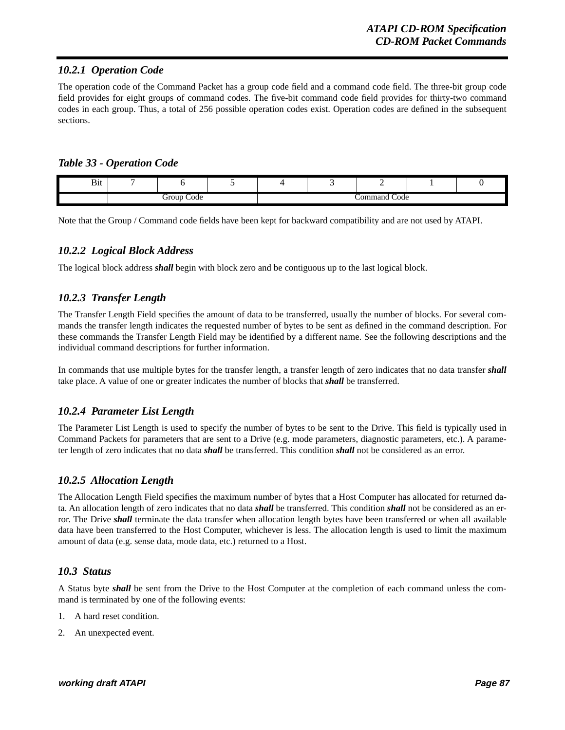# *10.2.1 Operation Code*

The operation code of the Command Packet has a group code field and a command code field. The three-bit group code field provides for eight groups of command codes. The five-bit command code field provides for thirty-two command codes in each group. Thus, a total of 256 possible operation codes exist. Operation codes are defined in the subsequent sections.

#### *Table 33 - Operation Code*

| D÷<br>DIU |                     |  |  |  |                                                                                                                                  |  |
|-----------|---------------------|--|--|--|----------------------------------------------------------------------------------------------------------------------------------|--|
|           | `ode<br>.<br>$\sim$ |  |  |  | -<br>'ode<br>$\sim$ mond<br>.<br>$\begin{array}{cccccccccccccc} \cdots & \cdots & \cdots & \cdots & \cdots & \cdots \end{array}$ |  |

Note that the Group / Command code fields have been kept for backward compatibility and are not used by ATAPI.

# *10.2.2 Logical Block Address*

The logical block address *shall* begin with block zero and be contiguous up to the last logical block.

# *10.2.3 Transfer Length*

The Transfer Length Field specifies the amount of data to be transferred, usually the number of blocks. For several commands the transfer length indicates the requested number of bytes to be sent as defined in the command description. For these commands the Transfer Length Field may be identified by a different name. See the following descriptions and the individual command descriptions for further information.

In commands that use multiple bytes for the transfer length, a transfer length of zero indicates that no data transfer *shall* take place. A value of one or greater indicates the number of blocks that *shall* be transferred.

# *10.2.4 Parameter List Length*

The Parameter List Length is used to specify the number of bytes to be sent to the Drive. This field is typically used in Command Packets for parameters that are sent to a Drive (e.g. mode parameters, diagnostic parameters, etc.). A parameter length of zero indicates that no data *shall* be transferred. This condition *shall* not be considered as an error.

#### *10.2.5 Allocation Length*

The Allocation Length Field specifies the maximum number of bytes that a Host Computer has allocated for returned data. An allocation length of zero indicates that no data *shall* be transferred. This condition *shall* not be considered as an error. The Drive *shall* terminate the data transfer when allocation length bytes have been transferred or when all available data have been transferred to the Host Computer, whichever is less. The allocation length is used to limit the maximum amount of data (e.g. sense data, mode data, etc.) returned to a Host.

#### *10.3 Status*

A Status byte *shall* be sent from the Drive to the Host Computer at the completion of each command unless the command is terminated by one of the following events:

- 1. A hard reset condition.
- 2. An unexpected event.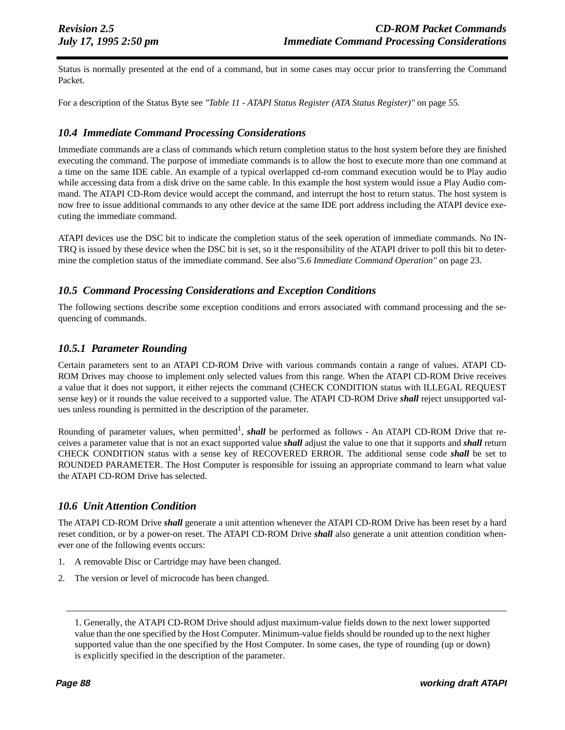Status is normally presented at the end of a command, but in some cases may occur prior to transferring the Command Packet.

For a description of the Status Byte see *"Table 11 - ATAPI Status Register (ATA Status Register)"* on page 55.

## *10.4 Immediate Command Processing Considerations*

Immediate commands are a class of commands which return completion status to the host system before they are finished executing the command. The purpose of immediate commands is to allow the host to execute more than one command at a time on the same IDE cable. An example of a typical overlapped cd-rom command execution would be to Play audio while accessing data from a disk drive on the same cable. In this example the host system would issue a Play Audio command. The ATAPI CD-Rom device would accept the command, and interrupt the host to return status. The host system is now free to issue additional commands to any other device at the same IDE port address including the ATAPI device executing the immediate command.

ATAPI devices use the DSC bit to indicate the completion status of the seek operation of immediate commands. No IN-TRQ is issued by these device when the DSC bit is set, so it the responsibility of the ATAPI driver to poll this bit to determine the completion status of the immediate command. See also*"5.6 Immediate Command Operation"* on page 23.

#### *10.5 Command Processing Considerations and Exception Conditions*

The following sections describe some exception conditions and errors associated with command processing and the sequencing of commands.

#### *10.5.1 Parameter Rounding*

Certain parameters sent to an ATAPI CD-ROM Drive with various commands contain a range of values. ATAPI CD-ROM Drives may choose to implement only selected values from this range. When the ATAPI CD-ROM Drive receives a value that it does not support, it either rejects the command (CHECK CONDITION status with ILLEGAL REQUEST sense key) or it rounds the value received to a supported value. The ATAPI CD-ROM Drive *shall* reject unsupported values unless rounding is permitted in the description of the parameter.

Rounding of parameter values, when permitted<sup>1</sup>, *shall* be performed as follows - An ATAPI CD-ROM Drive that receives a parameter value that is not an exact supported value *shall* adjust the value to one that it supports and *shall* return CHECK CONDITION status with a sense key of RECOVERED ERROR. The additional sense code *shall* be set to ROUNDED PARAMETER. The Host Computer is responsible for issuing an appropriate command to learn what value the ATAPI CD-ROM Drive has selected.

#### *10.6 Unit Attention Condition*

The ATAPI CD-ROM Drive *shall* generate a unit attention whenever the ATAPI CD-ROM Drive has been reset by a hard reset condition, or by a power-on reset. The ATAPI CD-ROM Drive *shall* also generate a unit attention condition whenever one of the following events occurs:

- 1. A removable Disc or Cartridge may have been changed.
- 2. The version or level of microcode has been changed.

<sup>1.</sup> Generally, the ATAPI CD-ROM Drive should adjust maximum-value fields down to the next lower supported value than the one specified by the Host Computer. Minimum-value fields should be rounded up to the next higher supported value than the one specified by the Host Computer. In some cases, the type of rounding (up or down) is explicitly specified in the description of the parameter.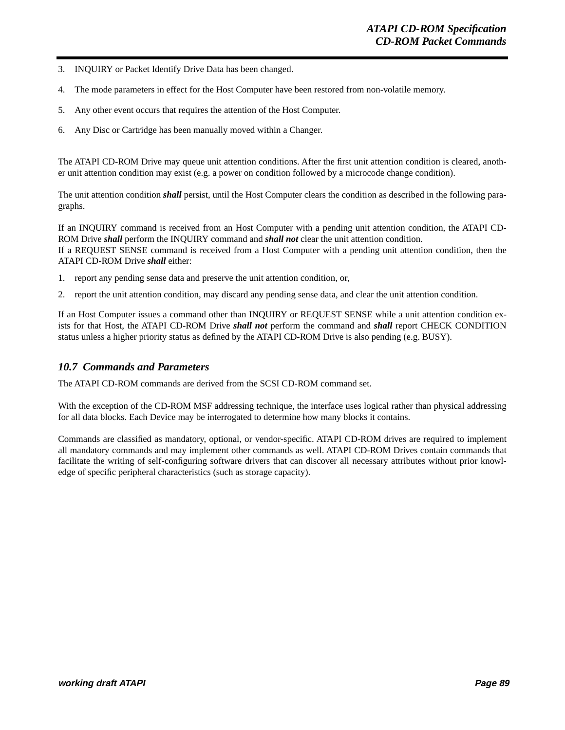- 3. INQUIRY or Packet Identify Drive Data has been changed.
- 4. The mode parameters in effect for the Host Computer have been restored from non-volatile memory.
- 5. Any other event occurs that requires the attention of the Host Computer.
- 6. Any Disc or Cartridge has been manually moved within a Changer.

The ATAPI CD-ROM Drive may queue unit attention conditions. After the first unit attention condition is cleared, another unit attention condition may exist (e.g. a power on condition followed by a microcode change condition).

The unit attention condition *shall* persist, until the Host Computer clears the condition as described in the following paragraphs.

If an INQUIRY command is received from an Host Computer with a pending unit attention condition, the ATAPI CD-ROM Drive *shall* perform the INQUIRY command and *shall not* clear the unit attention condition. If a REQUEST SENSE command is received from a Host Computer with a pending unit attention condition, then the ATAPI CD-ROM Drive *shall* either:

- 1. report any pending sense data and preserve the unit attention condition, or,
- 2. report the unit attention condition, may discard any pending sense data, and clear the unit attention condition.

If an Host Computer issues a command other than INQUIRY or REQUEST SENSE while a unit attention condition exists for that Host, the ATAPI CD-ROM Drive *shall not* perform the command and *shall* report CHECK CONDITION status unless a higher priority status as defined by the ATAPI CD-ROM Drive is also pending (e.g. BUSY).

#### *10.7 Commands and Parameters*

The ATAPI CD-ROM commands are derived from the SCSI CD-ROM command set.

With the exception of the CD-ROM MSF addressing technique, the interface uses logical rather than physical addressing for all data blocks. Each Device may be interrogated to determine how many blocks it contains.

Commands are classified as mandatory, optional, or vendor-specific. ATAPI CD-ROM drives are required to implement all mandatory commands and may implement other commands as well. ATAPI CD-ROM Drives contain commands that facilitate the writing of self-configuring software drivers that can discover all necessary attributes without prior knowledge of specific peripheral characteristics (such as storage capacity).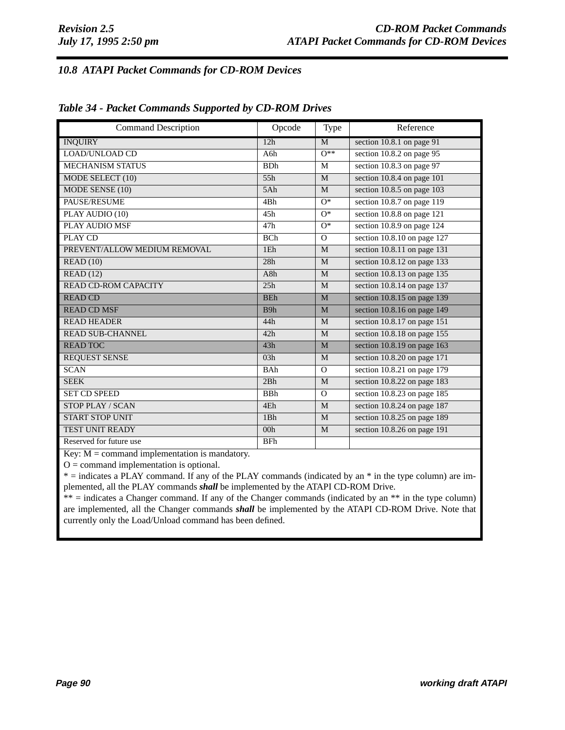# *10.8 ATAPI Packet Commands for CD-ROM Devices*

| <b>Command Description</b>   | Opcode           | Type                | Reference                                |
|------------------------------|------------------|---------------------|------------------------------------------|
| <b>INQUIRY</b>               | 12h              | $\overline{M}$      | section 10.8.1 on page 91                |
| <b>LOAD/UNLOAD CD</b>        | A6h              | $\overline{O^{**}}$ | section $10.8.2$ on page 95              |
| <b>MECHANISM STATUS</b>      | <b>BDh</b>       | M                   | section $10.8.3$ on page 97              |
| MODE SELECT (10)             | 55h              | M                   | section $10.8.4$ on page 101             |
| MODE SENSE (10)              | 5Ah              | M                   | section $10.8.5$ on page 103             |
| <b>PAUSE/RESUME</b>          | 4 <sub>Bh</sub>  | $O^*$               | section 10.8.7 on page 119               |
| PLAY AUDIO (10)              | 45h              | $O^*$               | section $10.8.8$ on page 121             |
| PLAY AUDIO MSF               | 47h              | $O^*$               | section 10.8.9 on page 124               |
| PLAY CD                      | <b>BCh</b>       | $\Omega$            | section $10.8.10$ on page 127            |
| PREVENT/ALLOW MEDIUM REMOVAL | 1Eh              | M                   | section 10.8.11 on page 131              |
| READ(10)                     | 28h              | M                   | section 10.8.12 on page 133              |
| READ(12)                     | A8h              | M                   | section 10.8.13 on page 135              |
| <b>READ CD-ROM CAPACITY</b>  | 25h              | M                   | section $10.8.14$ on page 137            |
| <b>READ CD</b>               | <b>BEh</b>       | M                   | section $10.8.15$ on page 139            |
| <b>READ CD MSF</b>           | B <sub>9</sub> h | M                   | section 10.8.16 on page 149              |
| <b>READ HEADER</b>           | 44h              | M                   | section $10.8.17$ on page 151            |
| <b>READ SUB-CHANNEL</b>      | 42h              | M                   | section $10.8.18$ on page 155            |
| <b>READ TOC</b>              | 43h              | M                   | section 10.8.19 on page $163$            |
| <b>REQUEST SENSE</b>         | 0.3 <sub>h</sub> | M                   | section $10.8.20$ on page 171            |
| $\overline{SCAN}$            | <b>BAh</b>       | $\Omega$            | section $10.8.21$ on page 179            |
| <b>SEEK</b>                  | 2Bh              | M                   | section $10.8.22$ on page 183            |
| <b>SET CD SPEED</b>          | <b>BBh</b>       | $\Omega$            | section $\overline{10.8.23}$ on page 185 |
| <b>STOP PLAY / SCAN</b>      | 4Eh              | M                   | section $\overline{10.8.24}$ on page 187 |
| <b>START STOP UNIT</b>       | 1Bh              | M                   | section $10.8.25$ on page 189            |
| <b>TEST UNIT READY</b>       | 00 <sub>h</sub>  | M                   | section $10.8.26$ on page 191            |
| Reserved for future use      | <b>BFh</b>       |                     |                                          |

## *Table 34 - Packet Commands Supported by CD-ROM Drives*

Key:  $M =$  command implementation is mandatory.

 $O =$  command implementation is optional.

\* = indicates a PLAY command. If any of the PLAY commands (indicated by an \* in the type column) are implemented, all the PLAY commands *shall* be implemented by the ATAPI CD-ROM Drive.

 $**$  = indicates a Changer command. If any of the Changer commands (indicated by an  $**$  in the type column) are implemented, all the Changer commands *shall* be implemented by the ATAPI CD-ROM Drive. Note that currently only the Load/Unload command has been defined.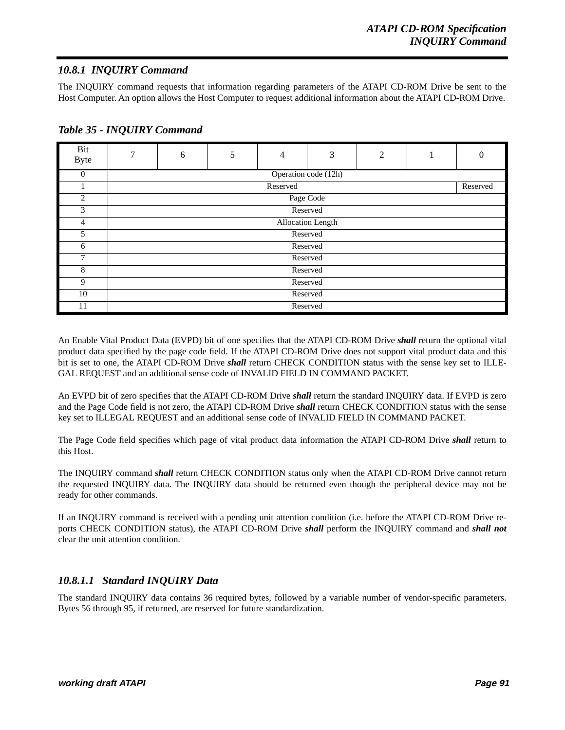# *10.8.1 INQUIRY Command*

The INQUIRY command requests that information regarding parameters of the ATAPI CD-ROM Drive be sent to the Host Computer. An option allows the Host Computer to request additional information about the ATAPI CD-ROM Drive.

| Bit<br><b>Byte</b> | 7        | 6                 | 5 | 4        | 3                    | $\overline{2}$ |  |          |
|--------------------|----------|-------------------|---|----------|----------------------|----------------|--|----------|
| $\overline{0}$     |          |                   |   |          | Operation code (12h) |                |  |          |
|                    |          |                   |   | Reserved |                      |                |  | Reserved |
| 2                  |          |                   |   |          | Page Code            |                |  |          |
| 3                  |          | Reserved          |   |          |                      |                |  |          |
| $\overline{4}$     |          | Allocation Length |   |          |                      |                |  |          |
| 5                  |          | Reserved          |   |          |                      |                |  |          |
| 6                  |          | Reserved          |   |          |                      |                |  |          |
| 7                  |          | Reserved          |   |          |                      |                |  |          |
| 8                  | Reserved |                   |   |          |                      |                |  |          |
| 9                  |          | Reserved          |   |          |                      |                |  |          |
| 10                 |          | Reserved          |   |          |                      |                |  |          |
| 11                 | Reserved |                   |   |          |                      |                |  |          |

*Table 35 - INQUIRY Command*

An Enable Vital Product Data (EVPD) bit of one specifies that the ATAPI CD-ROM Drive *shall* return the optional vital product data specified by the page code field. If the ATAPI CD-ROM Drive does not support vital product data and this bit is set to one, the ATAPI CD-ROM Drive *shall* return CHECK CONDITION status with the sense key set to ILLE-GAL REQUEST and an additional sense code of INVALID FIELD IN COMMAND PACKET.

An EVPD bit of zero specifies that the ATAPI CD-ROM Drive *shall* return the standard INQUIRY data. If EVPD is zero and the Page Code field is not zero, the ATAPI CD-ROM Drive *shall* return CHECK CONDITION status with the sense key set to ILLEGAL REQUEST and an additional sense code of INVALID FIELD IN COMMAND PACKET.

The Page Code field specifies which page of vital product data information the ATAPI CD-ROM Drive *shall* return to this Host.

The INQUIRY command *shall* return CHECK CONDITION status only when the ATAPI CD-ROM Drive cannot return the requested INQUIRY data. The INQUIRY data should be returned even though the peripheral device may not be ready for other commands.

If an INQUIRY command is received with a pending unit attention condition (i.e. before the ATAPI CD-ROM Drive reports CHECK CONDITION status), the ATAPI CD-ROM Drive *shall* perform the INQUIRY command and *shall not* clear the unit attention condition.

# *10.8.1.1 Standard INQUIRY Data*

The standard INQUIRY data contains 36 required bytes, followed by a variable number of vendor-specific parameters. Bytes 56 through 95, if returned, are reserved for future standardization.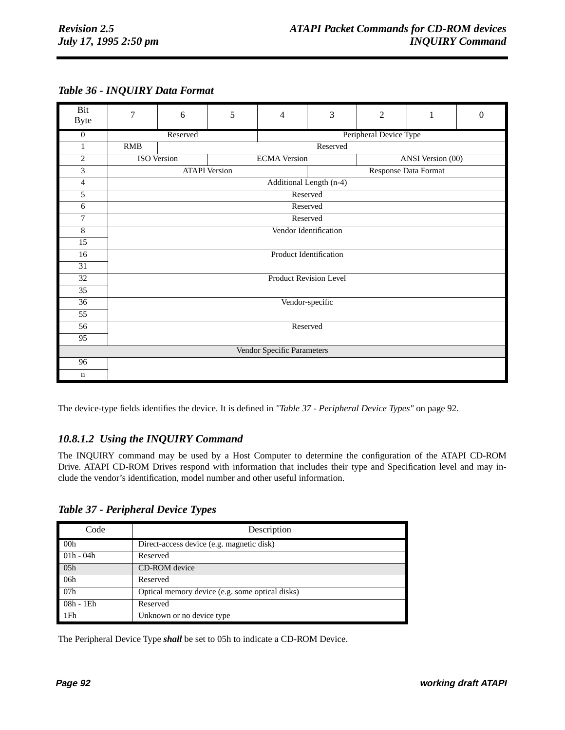|  | Table 36 - INQUIRY Data Format |  |  |
|--|--------------------------------|--|--|
|--|--------------------------------|--|--|

| Bit<br><b>Byte</b> | 7                             | 6                     | 5                    | $\overline{4}$             | 3                       | 2                        | 1                    | $\boldsymbol{0}$ |  |
|--------------------|-------------------------------|-----------------------|----------------------|----------------------------|-------------------------|--------------------------|----------------------|------------------|--|
| $\overline{0}$     |                               | Reserved              |                      |                            | Peripheral Device Type  |                          |                      |                  |  |
| $\mathbf{1}$       | RMB                           |                       |                      |                            | Reserved                |                          |                      |                  |  |
| $\overline{2}$     |                               | <b>ISO</b> Version    |                      | <b>ECMA</b> Version        |                         | <b>ANSI</b> Version (00) |                      |                  |  |
| $\overline{3}$     |                               |                       | <b>ATAPI</b> Version |                            |                         |                          | Response Data Format |                  |  |
| $\overline{4}$     |                               |                       |                      |                            | Additional Length (n-4) |                          |                      |                  |  |
| 5                  |                               |                       |                      | Reserved                   |                         |                          |                      |                  |  |
| 6                  |                               |                       |                      |                            | Reserved                |                          |                      |                  |  |
| $\overline{7}$     |                               | Reserved              |                      |                            |                         |                          |                      |                  |  |
| $\overline{8}$     |                               | Vendor Identification |                      |                            |                         |                          |                      |                  |  |
| $\overline{15}$    |                               |                       |                      |                            |                         |                          |                      |                  |  |
| 16                 | <b>Product Identification</b> |                       |                      |                            |                         |                          |                      |                  |  |
| 31                 |                               |                       |                      |                            |                         |                          |                      |                  |  |
| $\overline{32}$    | <b>Product Revision Level</b> |                       |                      |                            |                         |                          |                      |                  |  |
| $\overline{35}$    |                               |                       |                      |                            |                         |                          |                      |                  |  |
| 36                 | Vendor-specific               |                       |                      |                            |                         |                          |                      |                  |  |
| $\overline{55}$    |                               |                       |                      |                            |                         |                          |                      |                  |  |
| 56                 | Reserved                      |                       |                      |                            |                         |                          |                      |                  |  |
| $\overline{95}$    |                               |                       |                      |                            |                         |                          |                      |                  |  |
|                    |                               |                       |                      | Vendor Specific Parameters |                         |                          |                      |                  |  |
| 96                 |                               |                       |                      |                            |                         |                          |                      |                  |  |
| $\mathbf n$        |                               |                       |                      |                            |                         |                          |                      |                  |  |

The device-type fields identifies the device. It is defined in *"Table 37 - Peripheral Device Types"* on page 92.

# *10.8.1.2 Using the INQUIRY Command*

The INQUIRY command may be used by a Host Computer to determine the configuration of the ATAPI CD-ROM Drive. ATAPI CD-ROM Drives respond with information that includes their type and Specification level and may include the vendor's identification, model number and other useful information.

*Table 37 - Peripheral Device Types*

| Code            | Description                                     |
|-----------------|-------------------------------------------------|
| 00 <sub>h</sub> | Direct-access device (e.g. magnetic disk)       |
| $01h - 04h$     | Reserved                                        |
| 05h             | CD-ROM device                                   |
| 06h             | Reserved                                        |
| 07h             | Optical memory device (e.g. some optical disks) |
| 08h - 1Eh       | Reserved                                        |
| 1F <sub>h</sub> | Unknown or no device type                       |

The Peripheral Device Type *shall* be set to 05h to indicate a CD-ROM Device.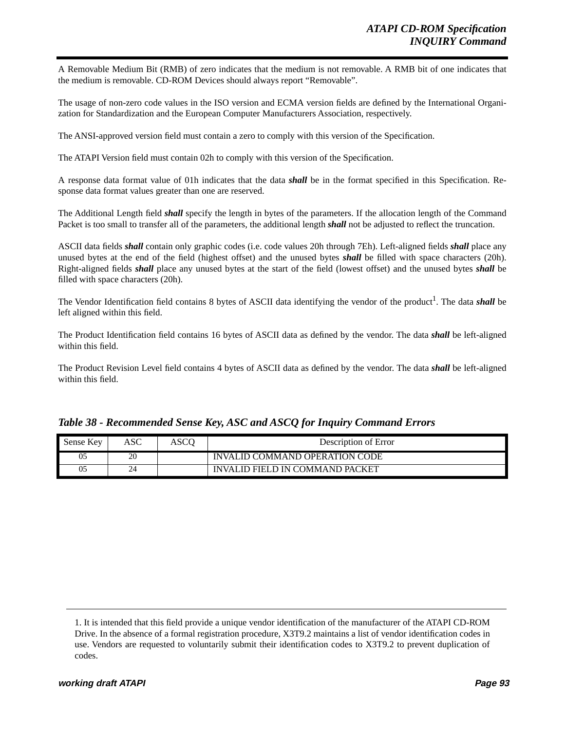A Removable Medium Bit (RMB) of zero indicates that the medium is not removable. A RMB bit of one indicates that the medium is removable. CD-ROM Devices should always report "Removable".

The usage of non-zero code values in the ISO version and ECMA version fields are defined by the International Organization for Standardization and the European Computer Manufacturers Association, respectively.

The ANSI-approved version field must contain a zero to comply with this version of the Specification.

The ATAPI Version field must contain 02h to comply with this version of the Specification.

A response data format value of 01h indicates that the data *shall* be in the format specified in this Specification. Response data format values greater than one are reserved.

The Additional Length field *shall* specify the length in bytes of the parameters. If the allocation length of the Command Packet is too small to transfer all of the parameters, the additional length *shall* not be adjusted to reflect the truncation.

ASCII data fields *shall* contain only graphic codes (i.e. code values 20h through 7Eh). Left-aligned fields *shall* place any unused bytes at the end of the field (highest offset) and the unused bytes *shall* be filled with space characters (20h). Right-aligned fields *shall* place any unused bytes at the start of the field (lowest offset) and the unused bytes *shall* be filled with space characters (20h).

The Vendor Identification field contains 8 bytes of ASCII data identifying the vendor of the product<sup>1</sup>. The data *shall* be left aligned within this field.

The Product Identification field contains 16 bytes of ASCII data as defined by the vendor. The data *shall* be left-aligned within this field.

The Product Revision Level field contains 4 bytes of ASCII data as defined by the vendor. The data *shall* be left-aligned within this field.

| Sense Key | ASC | ASCO | Description of Error            |
|-----------|-----|------|---------------------------------|
| 05        | 20  |      | INVALID COMMAND OPERATION CODE  |
| 05        | 24  |      | INVALID FIELD IN COMMAND PACKET |

*Table 38 - Recommended Sense Key, ASC and ASCQ for Inquiry Command Errors*

<sup>1.</sup> It is intended that this field provide a unique vendor identification of the manufacturer of the ATAPI CD-ROM Drive. In the absence of a formal registration procedure, X3T9.2 maintains a list of vendor identification codes in use. Vendors are requested to voluntarily submit their identification codes to X3T9.2 to prevent duplication of codes.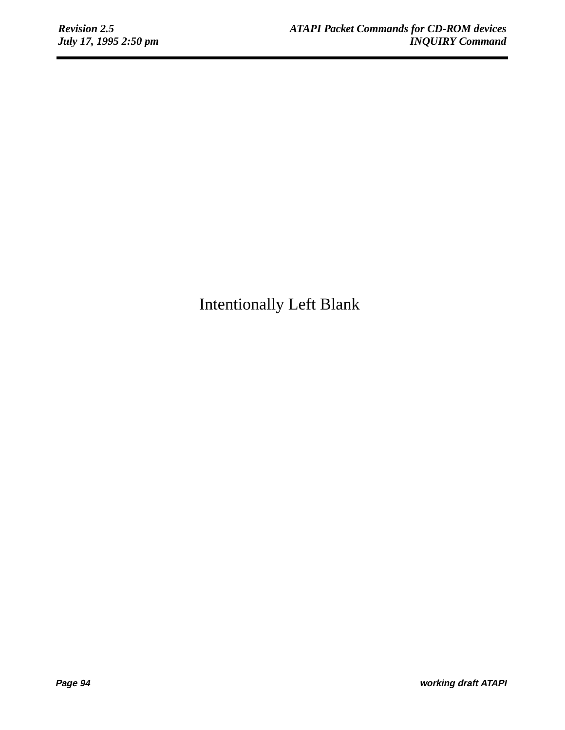Intentionally Left Blank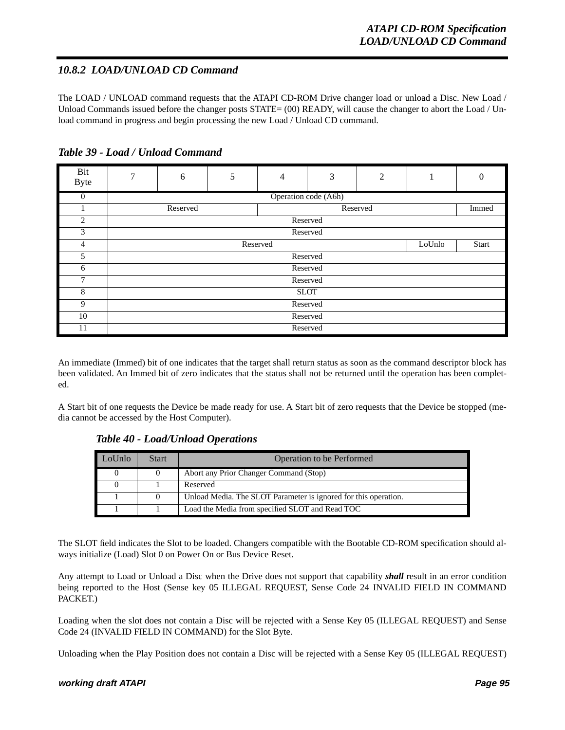## *10.8.2 LOAD/UNLOAD CD Command*

The LOAD / UNLOAD command requests that the ATAPI CD-ROM Drive changer load or unload a Disc. New Load / Unload Commands issued before the changer posts STATE= (00) READY, will cause the changer to abort the Load / Unload command in progress and begin processing the new Load / Unload CD command.

*Table 39 - Load / Unload Command*

| Bit<br><b>Byte</b> | $\mathcal{I}$ | 6        | 5 | 4        | 3<br>$\overline{2}$<br>1<br>$\theta$ |          |              |       |  |  |
|--------------------|---------------|----------|---|----------|--------------------------------------|----------|--------------|-------|--|--|
| $\overline{0}$     |               |          |   |          | Operation code (A6h)                 |          |              |       |  |  |
|                    |               | Reserved |   |          |                                      | Reserved |              | Immed |  |  |
| 2                  |               |          |   |          | Reserved                             |          |              |       |  |  |
| 3                  |               |          |   | Reserved |                                      |          |              |       |  |  |
| $\overline{4}$     |               |          |   | Reserved |                                      | LoUnlo   | <b>Start</b> |       |  |  |
| 5                  |               |          |   |          | Reserved                             |          |              |       |  |  |
| 6                  |               |          |   | Reserved |                                      |          |              |       |  |  |
| 7                  |               |          |   | Reserved |                                      |          |              |       |  |  |
| 8                  | <b>SLOT</b>   |          |   |          |                                      |          |              |       |  |  |
| 9                  |               |          |   | Reserved |                                      |          |              |       |  |  |
| 10                 |               |          |   |          | Reserved                             |          |              |       |  |  |
| 11                 |               |          |   |          | Reserved                             |          |              |       |  |  |

An immediate (Immed) bit of one indicates that the target shall return status as soon as the command descriptor block has been validated. An Immed bit of zero indicates that the status shall not be returned until the operation has been completed.

A Start bit of one requests the Device be made ready for use. A Start bit of zero requests that the Device be stopped (media cannot be accessed by the Host Computer).

*Table 40 - Load/Unload Operations*

| LoUnlo | <b>Start</b> | Operation to be Performed                                       |
|--------|--------------|-----------------------------------------------------------------|
| O      |              | Abort any Prior Changer Command (Stop)                          |
| 0      |              | Reserved                                                        |
|        |              | Unload Media. The SLOT Parameter is ignored for this operation. |
|        |              | Load the Media from specified SLOT and Read TOC                 |

The SLOT field indicates the Slot to be loaded. Changers compatible with the Bootable CD-ROM specification should always initialize (Load) Slot 0 on Power On or Bus Device Reset.

Any attempt to Load or Unload a Disc when the Drive does not support that capability *shall* result in an error condition being reported to the Host (Sense key 05 ILLEGAL REQUEST, Sense Code 24 INVALID FIELD IN COMMAND PACKET.)

Loading when the slot does not contain a Disc will be rejected with a Sense Key 05 (ILLEGAL REQUEST) and Sense Code 24 (INVALID FIELD IN COMMAND) for the Slot Byte.

Unloading when the Play Position does not contain a Disc will be rejected with a Sense Key 05 (ILLEGAL REQUEST)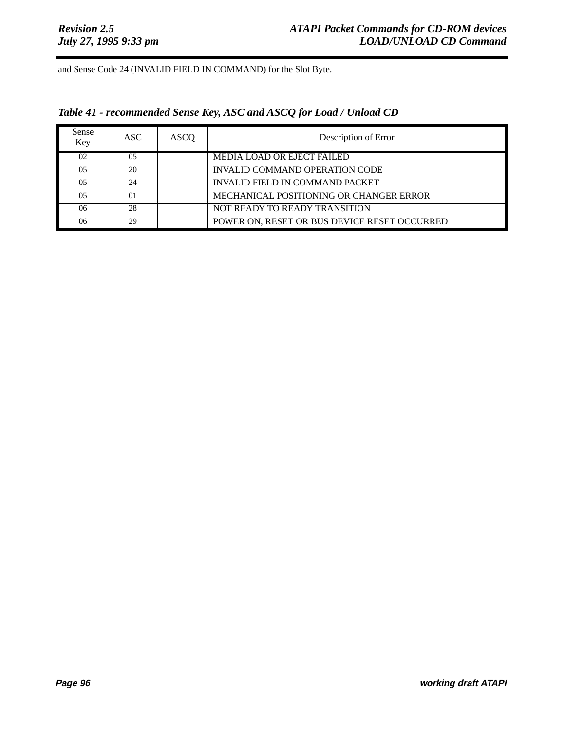and Sense Code 24 (INVALID FIELD IN COMMAND) for the Slot Byte.

| Sense<br>Key  | ASC.    | <b>ASCO</b> | Description of Error                         |
|---------------|---------|-------------|----------------------------------------------|
| 02            | 0.5     |             | <b>MEDIA LOAD OR EJECT FAILED</b>            |
| 0.5           | 20      |             | INVALID COMMAND OPERATION CODE               |
| $0.5^{\circ}$ | 24      |             | <b>INVALID FIELD IN COMMAND PACKET</b>       |
| 0.5           | $_{01}$ |             | MECHANICAL POSITIONING OR CHANGER ERROR      |
| 06            | 28      |             | NOT READY TO READY TRANSITION                |
| 06            | 29      |             | POWER ON, RESET OR BUS DEVICE RESET OCCURRED |

## *Table 41 - recommended Sense Key, ASC and ASCQ for Load / Unload CD*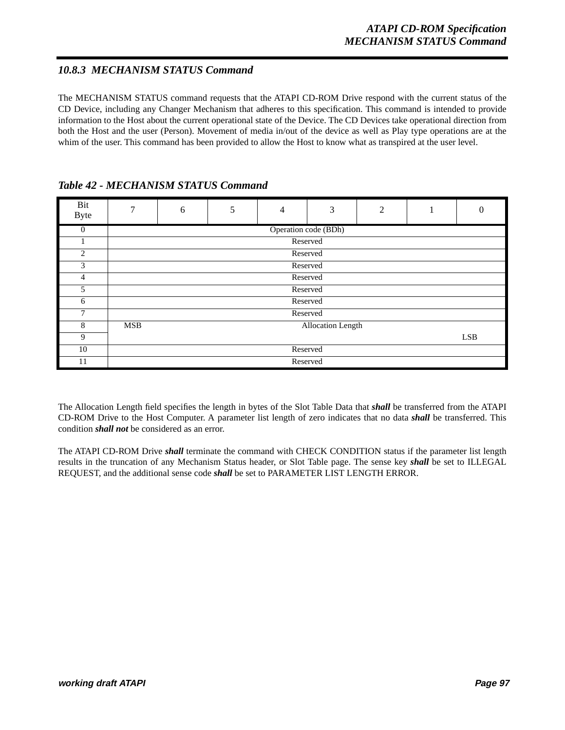## *10.8.3 MECHANISM STATUS Command*

The MECHANISM STATUS command requests that the ATAPI CD-ROM Drive respond with the current status of the CD Device, including any Changer Mechanism that adheres to this specification. This command is intended to provide information to the Host about the current operational state of the Device. The CD Devices take operational direction from both the Host and the user (Person). Movement of media in/out of the device as well as Play type operations are at the whim of the user. This command has been provided to allow the Host to know what as transpired at the user level.

| Bit<br><b>Byte</b> | 7          | 6                        | 5 | 4        | 3                    | 2 |  | $\Omega$ |
|--------------------|------------|--------------------------|---|----------|----------------------|---|--|----------|
| $\overline{0}$     |            |                          |   |          | Operation code (BDh) |   |  |          |
|                    |            |                          |   | Reserved |                      |   |  |          |
| $\overline{c}$     |            |                          |   | Reserved |                      |   |  |          |
| 3                  |            |                          |   |          | Reserved             |   |  |          |
| $\overline{4}$     |            |                          |   | Reserved |                      |   |  |          |
| 5                  |            |                          |   | Reserved |                      |   |  |          |
| 6                  |            |                          |   |          | Reserved             |   |  |          |
| 7                  |            |                          |   |          | Reserved             |   |  |          |
| 8                  | <b>MSB</b> | <b>Allocation Length</b> |   |          |                      |   |  |          |
| 9                  |            | <b>LSB</b>               |   |          |                      |   |  |          |
| 10                 |            | Reserved                 |   |          |                      |   |  |          |
| 11                 |            |                          |   | Reserved |                      |   |  |          |

## *Table 42 - MECHANISM STATUS Command*

The Allocation Length field specifies the length in bytes of the Slot Table Data that *shall* be transferred from the ATAPI CD-ROM Drive to the Host Computer. A parameter list length of zero indicates that no data *shall* be transferred. This condition *shall not* be considered as an error.

The ATAPI CD-ROM Drive *shall* terminate the command with CHECK CONDITION status if the parameter list length results in the truncation of any Mechanism Status header, or Slot Table page. The sense key *shall* be set to ILLEGAL REQUEST, and the additional sense code *shall* be set to PARAMETER LIST LENGTH ERROR.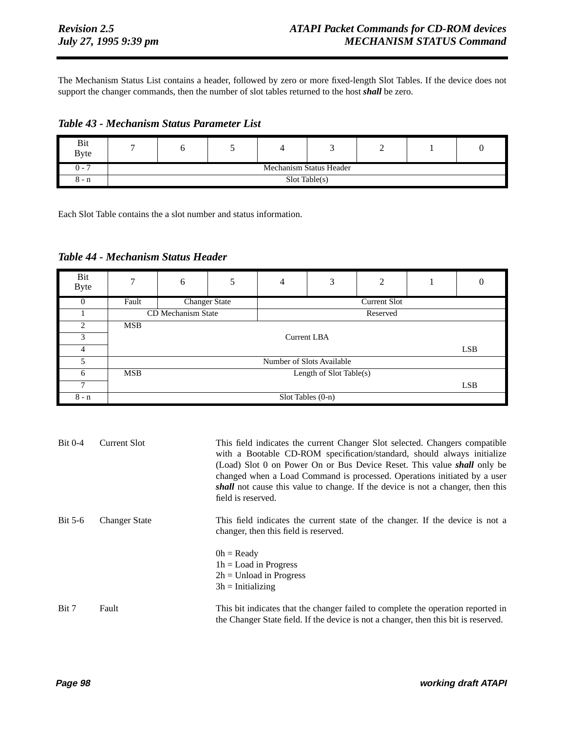The Mechanism Status List contains a header, followed by zero or more fixed-length Slot Tables. If the device does not support the changer commands, then the number of slot tables returned to the host *shall* be zero.

*Table 43 - Mechanism Status Parameter List*

| Bit<br>Byte            | - |                         |  |               |  | ⊷ |  |  |
|------------------------|---|-------------------------|--|---------------|--|---|--|--|
| $\overline{ }$<br>() – |   | Mechanism Status Header |  |               |  |   |  |  |
| 8 - n                  |   |                         |  | Slot Table(s) |  |   |  |  |

Each Slot Table contains the a slot number and status information.

*Table 44 - Mechanism Status Header*

| Bit<br><b>Byte</b> | 7          | 6          | 3<br>2<br>5<br>0<br>4          |                    |                           |                     |  |            |  |  |
|--------------------|------------|------------|--------------------------------|--------------------|---------------------------|---------------------|--|------------|--|--|
| $\Omega$           | Fault      |            | <b>Changer State</b>           |                    |                           | <b>Current Slot</b> |  |            |  |  |
|                    |            |            | CD Mechanism State<br>Reserved |                    |                           |                     |  |            |  |  |
| 2                  | <b>MSB</b> |            |                                |                    |                           |                     |  |            |  |  |
| 3                  |            |            |                                | <b>Current LBA</b> |                           |                     |  |            |  |  |
| 4                  |            |            |                                |                    |                           |                     |  | <b>LSB</b> |  |  |
|                    |            |            |                                |                    | Number of Slots Available |                     |  |            |  |  |
| 6                  | <b>MSB</b> |            |                                |                    | Length of Slot Table(s)   |                     |  |            |  |  |
|                    |            | <b>LSB</b> |                                |                    |                           |                     |  |            |  |  |
| $8 - n$            |            |            |                                |                    | $Slot$ Tables $(0-n)$     |                     |  |            |  |  |

| $Bit 0-4$ | <b>Current Slot</b>  | This field indicates the current Changer Slot selected. Changers compatible<br>with a Bootable CD-ROM specification/standard, should always initialize<br>(Load) Slot 0 on Power On or Bus Device Reset. This value <i>shall</i> only be<br>changed when a Load Command is processed. Operations initiated by a user<br>shall not cause this value to change. If the device is not a changer, then this<br>field is reserved. |
|-----------|----------------------|-------------------------------------------------------------------------------------------------------------------------------------------------------------------------------------------------------------------------------------------------------------------------------------------------------------------------------------------------------------------------------------------------------------------------------|
| Bit $5-6$ | <b>Changer State</b> | This field indicates the current state of the changer. If the device is not a<br>changer, then this field is reserved.                                                                                                                                                                                                                                                                                                        |
|           |                      | $0h =$ Ready<br>$1h =$ Load in Progress<br>$2h =$ Unload in Progress<br>$3h =$ Initializing                                                                                                                                                                                                                                                                                                                                   |
| Bit 7     | Fault                | This bit indicates that the changer failed to complete the operation reported in<br>the Changer State field. If the device is not a changer, then this bit is reserved.                                                                                                                                                                                                                                                       |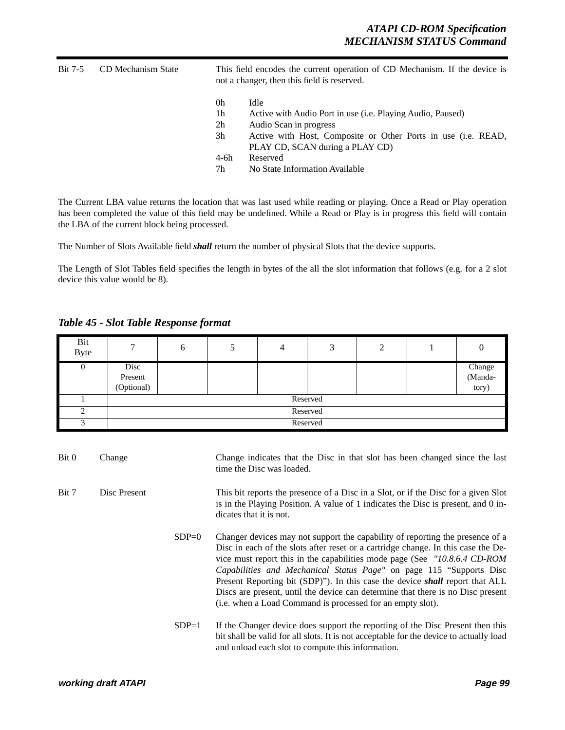| <b>Bit 7-5</b> | CD Mechanism State |      | This field encodes the current operation of CD Mechanism. If the device is<br>not a changer, then this field is reserved. |
|----------------|--------------------|------|---------------------------------------------------------------------------------------------------------------------------|
|                |                    | 0h   | Idle                                                                                                                      |
|                |                    | 1h   | Active with Audio Port in use (i.e. Playing Audio, Paused)                                                                |
|                |                    | 2h   | Audio Scan in progress                                                                                                    |
|                |                    | 3h   | Active with Host, Composite or Other Ports in use (i.e. READ,                                                             |
|                |                    |      | PLAY CD, SCAN during a PLAY CD)                                                                                           |
|                |                    | 4-6h | Reserved                                                                                                                  |
|                |                    | 7h   | No State Information Available                                                                                            |
|                |                    |      |                                                                                                                           |

The Current LBA value returns the location that was last used while reading or playing. Once a Read or Play operation has been completed the value of this field may be undefined. While a Read or Play is in progress this field will contain the LBA of the current block being processed.

The Number of Slots Available field *shall* return the number of physical Slots that the device supports.

The Length of Slot Tables field specifies the length in bytes of the all the slot information that follows (e.g. for a 2 slot device this value would be 8).

*Table 45 - Slot Table Response format*

| Bit<br><b>Byte</b> | 7                                    | 6       | 5                       | 4                                                          | 3        | $\overline{2}$ | 1                                                                                                                                                                                                                                                                                                                                                                                                                                                                                         | $\boldsymbol{0}$           |
|--------------------|--------------------------------------|---------|-------------------------|------------------------------------------------------------|----------|----------------|-------------------------------------------------------------------------------------------------------------------------------------------------------------------------------------------------------------------------------------------------------------------------------------------------------------------------------------------------------------------------------------------------------------------------------------------------------------------------------------------|----------------------------|
| $\overline{0}$     | <b>Disc</b><br>Present<br>(Optional) |         |                         |                                                            |          |                |                                                                                                                                                                                                                                                                                                                                                                                                                                                                                           | Change<br>(Manda-<br>tory) |
| $\mathbf{1}$       |                                      |         |                         |                                                            | Reserved |                |                                                                                                                                                                                                                                                                                                                                                                                                                                                                                           |                            |
| $\mathbf{2}$       |                                      |         |                         |                                                            | Reserved |                |                                                                                                                                                                                                                                                                                                                                                                                                                                                                                           |                            |
| 3                  |                                      |         |                         |                                                            | Reserved |                |                                                                                                                                                                                                                                                                                                                                                                                                                                                                                           |                            |
| Bit 0              | Change                               |         |                         | time the Disc was loaded.                                  |          |                | Change indicates that the Disc in that slot has been changed since the last                                                                                                                                                                                                                                                                                                                                                                                                               |                            |
| Bit 7              | Disc Present                         |         | dicates that it is not. |                                                            |          |                | This bit reports the presence of a Disc in a Slot, or if the Disc for a given Slot<br>is in the Playing Position. A value of 1 indicates the Disc is present, and 0 in-                                                                                                                                                                                                                                                                                                                   |                            |
|                    |                                      | $SDP=0$ |                         | (i.e. when a Load Command is processed for an empty slot). |          |                | Changer devices may not support the capability of reporting the presence of a<br>Disc in each of the slots after reset or a cartridge change. In this case the De-<br>vice must report this in the capabilities mode page (See "10.8.6.4 CD-ROM<br>Capabilities and Mechanical Status Page" on page 115 "Supports Disc<br>Present Reporting bit (SDP)"). In this case the device shall report that ALL<br>Discs are present, until the device can determine that there is no Disc present |                            |
|                    |                                      | $SDP=1$ |                         | and unload each slot to compute this information.          |          |                | If the Changer device does support the reporting of the Disc Present then this<br>bit shall be valid for all slots. It is not acceptable for the device to actually load                                                                                                                                                                                                                                                                                                                  |                            |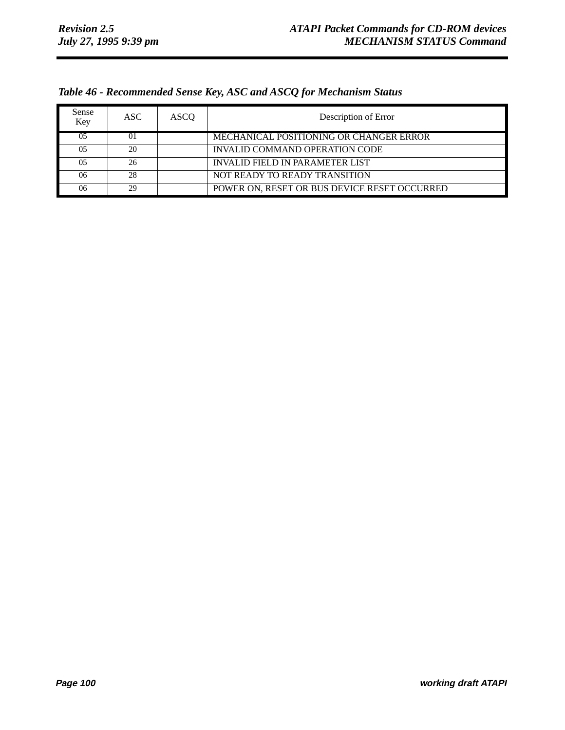| Sense<br>Key | ASC.     | <b>ASCO</b> | Description of Error                         |
|--------------|----------|-------------|----------------------------------------------|
| 0.5          | $\Omega$ |             | MECHANICAL POSITIONING OR CHANGER ERROR      |
| 05           | 20       |             | INVALID COMMAND OPERATION CODE               |
| 0.5          | 26       |             | INVALID FIELD IN PARAMETER LIST              |
| 06           | 28       |             | NOT READY TO READY TRANSITION                |
| 06           | 29       |             | POWER ON, RESET OR BUS DEVICE RESET OCCURRED |

# *Table 46 - Recommended Sense Key, ASC and ASCQ for Mechanism Status*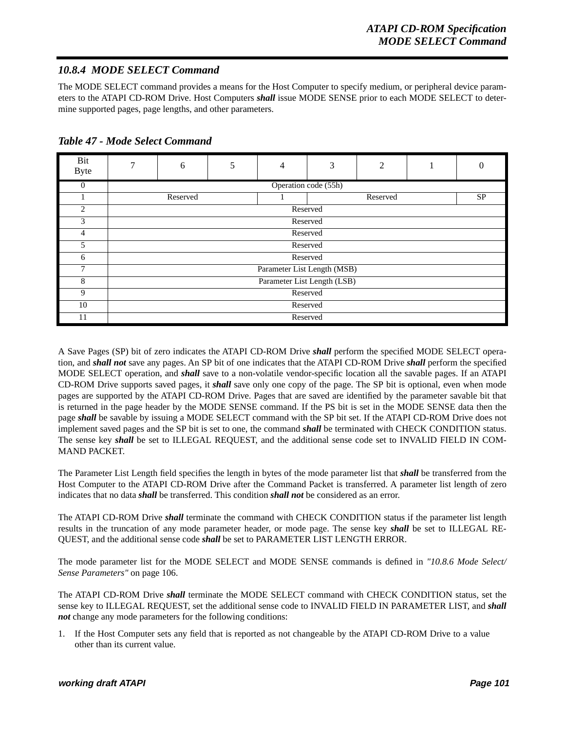## *10.8.4 MODE SELECT Command*

The MODE SELECT command provides a means for the Host Computer to specify medium, or peripheral device parameters to the ATAPI CD-ROM Drive. Host Computers *shall* issue MODE SENSE prior to each MODE SELECT to determine supported pages, page lengths, and other parameters.

| Bit<br><b>Byte</b> | 7 | 6                           | 5 | 4 | 3                           | $\overline{2}$ |  | 0         |
|--------------------|---|-----------------------------|---|---|-----------------------------|----------------|--|-----------|
| $\overline{0}$     |   |                             |   |   | Operation code (55h)        |                |  |           |
|                    |   | Reserved                    |   |   |                             | Reserved       |  | <b>SP</b> |
| $\overline{2}$     |   |                             |   |   | Reserved                    |                |  |           |
| 3                  |   |                             |   |   | Reserved                    |                |  |           |
| 4                  |   |                             |   |   | Reserved                    |                |  |           |
| 5                  |   |                             |   |   | Reserved                    |                |  |           |
| 6                  |   |                             |   |   | Reserved                    |                |  |           |
| 7                  |   |                             |   |   | Parameter List Length (MSB) |                |  |           |
| 8                  |   | Parameter List Length (LSB) |   |   |                             |                |  |           |
| 9                  |   | Reserved                    |   |   |                             |                |  |           |
| 10                 |   | Reserved                    |   |   |                             |                |  |           |
| 11                 |   |                             |   |   | Reserved                    |                |  |           |

*Table 47 - Mode Select Command*

A Save Pages (SP) bit of zero indicates the ATAPI CD-ROM Drive *shall* perform the specified MODE SELECT operation, and *shall not* save any pages. An SP bit of one indicates that the ATAPI CD-ROM Drive *shall* perform the specified MODE SELECT operation, and *shall* save to a non-volatile vendor-specific location all the savable pages. If an ATAPI CD-ROM Drive supports saved pages, it *shall* save only one copy of the page. The SP bit is optional, even when mode pages are supported by the ATAPI CD-ROM Drive. Pages that are saved are identified by the parameter savable bit that is returned in the page header by the MODE SENSE command. If the PS bit is set in the MODE SENSE data then the page *shall* be savable by issuing a MODE SELECT command with the SP bit set. If the ATAPI CD-ROM Drive does not implement saved pages and the SP bit is set to one, the command *shall* be terminated with CHECK CONDITION status. The sense key *shall* be set to ILLEGAL REQUEST, and the additional sense code set to INVALID FIELD IN COM-MAND PACKET.

The Parameter List Length field specifies the length in bytes of the mode parameter list that *shall* be transferred from the Host Computer to the ATAPI CD-ROM Drive after the Command Packet is transferred. A parameter list length of zero indicates that no data *shall* be transferred. This condition *shall not* be considered as an error.

The ATAPI CD-ROM Drive *shall* terminate the command with CHECK CONDITION status if the parameter list length results in the truncation of any mode parameter header, or mode page. The sense key *shall* be set to ILLEGAL RE-QUEST, and the additional sense code *shall* be set to PARAMETER LIST LENGTH ERROR.

The mode parameter list for the MODE SELECT and MODE SENSE commands is defined in *"10.8.6 Mode Select/ Sense Parameters"* on page 106.

The ATAPI CD-ROM Drive *shall* terminate the MODE SELECT command with CHECK CONDITION status, set the sense key to ILLEGAL REQUEST, set the additional sense code to INVALID FIELD IN PARAMETER LIST, and *shall not* change any mode parameters for the following conditions:

1. If the Host Computer sets any field that is reported as not changeable by the ATAPI CD-ROM Drive to a value other than its current value.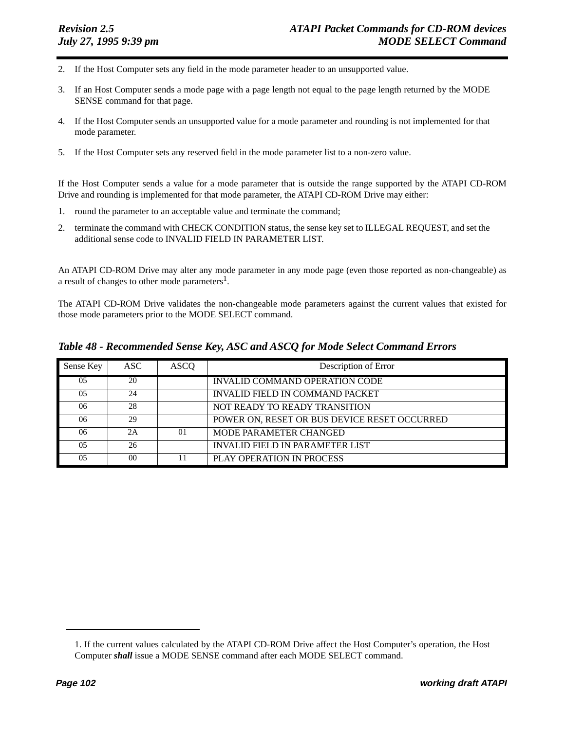- 2. If the Host Computer sets any field in the mode parameter header to an unsupported value.
- 3. If an Host Computer sends a mode page with a page length not equal to the page length returned by the MODE SENSE command for that page.
- 4. If the Host Computer sends an unsupported value for a mode parameter and rounding is not implemented for that mode parameter.
- 5. If the Host Computer sets any reserved field in the mode parameter list to a non-zero value.

If the Host Computer sends a value for a mode parameter that is outside the range supported by the ATAPI CD-ROM Drive and rounding is implemented for that mode parameter, the ATAPI CD-ROM Drive may either:

- 1. round the parameter to an acceptable value and terminate the command;
- 2. terminate the command with CHECK CONDITION status, the sense key set to ILLEGAL REQUEST, and set the additional sense code to INVALID FIELD IN PARAMETER LIST.

An ATAPI CD-ROM Drive may alter any mode parameter in any mode page (even those reported as non-changeable) as a result of changes to other mode parameters<sup>1</sup>.

The ATAPI CD-ROM Drive validates the non-changeable mode parameters against the current values that existed for those mode parameters prior to the MODE SELECT command.

| Sense Key     | ASC.           | <b>ASCO</b> | Description of Error                         |
|---------------|----------------|-------------|----------------------------------------------|
| 05            | 20             |             | <b>INVALID COMMAND OPERATION CODE</b>        |
| $0.5^{\circ}$ | 24             |             | INVALID FIELD IN COMMAND PACKET              |
| 06            | 28             |             | NOT READY TO READY TRANSITION                |
| 06            | 29             |             | POWER ON, RESET OR BUS DEVICE RESET OCCURRED |
| 06            | 2A             | 01          | MODE PARAMETER CHANGED                       |
| 0.5           | 26             |             | <b>INVALID FIELD IN PARAMETER LIST</b>       |
| 0.5           | 0 <sup>0</sup> | 11          | PLAY OPERATION IN PROCESS                    |

*Table 48 - Recommended Sense Key, ASC and ASCQ for Mode Select Command Errors*

<sup>1.</sup> If the current values calculated by the ATAPI CD-ROM Drive affect the Host Computer's operation, the Host Computer *shall* issue a MODE SENSE command after each MODE SELECT command.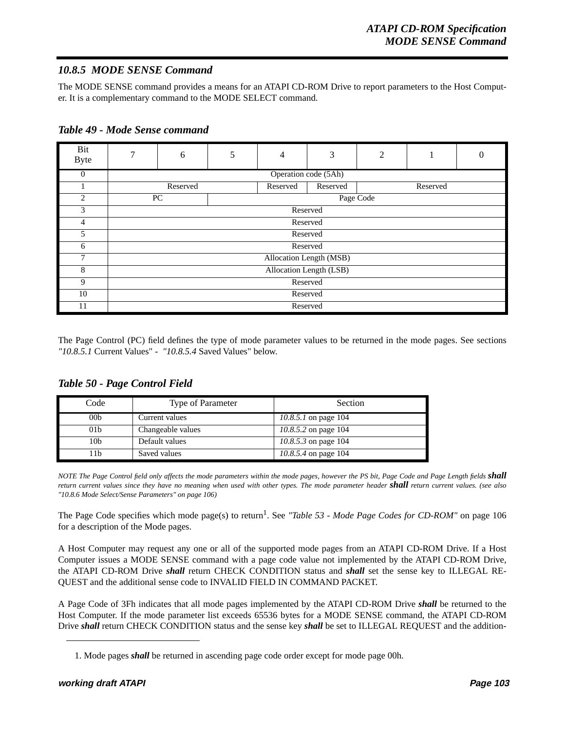## *10.8.5 MODE SENSE Command*

The MODE SENSE command provides a means for an ATAPI CD-ROM Drive to report parameters to the Host Computer. It is a complementary command to the MODE SELECT command.

*Table 49 - Mode Sense command*

| Bit<br><b>Byte</b> | $\mathbf{r}$ | 6                       | 5 | 4                       | 3        | $\overline{c}$ |          | 0 |
|--------------------|--------------|-------------------------|---|-------------------------|----------|----------------|----------|---|
| $\overline{0}$     |              |                         |   | Operation code (5Ah)    |          |                |          |   |
|                    |              | Reserved                |   | Reserved                | Reserved |                | Reserved |   |
| 2                  |              | PC                      |   |                         |          | Page Code      |          |   |
| 3                  |              |                         |   | Reserved                |          |                |          |   |
| $\overline{4}$     |              |                         |   | Reserved                |          |                |          |   |
| 5                  |              |                         |   | Reserved                |          |                |          |   |
| 6                  |              |                         |   | Reserved                |          |                |          |   |
| $\tau$             |              |                         |   | Allocation Length (MSB) |          |                |          |   |
| 8                  |              | Allocation Length (LSB) |   |                         |          |                |          |   |
| 9                  |              | Reserved                |   |                         |          |                |          |   |
| 10                 |              | Reserved                |   |                         |          |                |          |   |
| 11                 |              |                         |   |                         | Reserved |                |          |   |

The Page Control (PC) field defines the type of mode parameter values to be returned in the mode pages. See sections *"10.8.5.1* Current Values" - *"10.8.5.4* Saved Values" below.

*Table 50 - Page Control Field*

| Code            | Type of Parameter | Section              |
|-----------------|-------------------|----------------------|
| 00 <sub>b</sub> | Current values    | 10.8.5.1 on page 104 |
| 01 <sub>b</sub> | Changeable values | 10.8.5.2 on page 104 |
| 10b             | Default values    | 10.8.5.3 on page 104 |
| ' 1b            | Saved values      | 10.8.5.4 on page 104 |

*NOTE The Page Control field only affects the mode parameters within the mode pages, however the PS bit, Page Code and Page Length fields shall return current values since they have no meaning when used with other types. The mode parameter header shall return current values. (see also "10.8.6 Mode Select/Sense Parameters" on page 106)*

The Page Code specifies which mode page(s) to return<sup>1</sup>. See *"Table 53 - Mode Page Codes for CD-ROM"* on page 106 for a description of the Mode pages.

A Host Computer may request any one or all of the supported mode pages from an ATAPI CD-ROM Drive. If a Host Computer issues a MODE SENSE command with a page code value not implemented by the ATAPI CD-ROM Drive, the ATAPI CD-ROM Drive *shall* return CHECK CONDITION status and *shall* set the sense key to ILLEGAL RE-QUEST and the additional sense code to INVALID FIELD IN COMMAND PACKET.

A Page Code of 3Fh indicates that all mode pages implemented by the ATAPI CD-ROM Drive *shall* be returned to the Host Computer. If the mode parameter list exceeds 65536 bytes for a MODE SENSE command, the ATAPI CD-ROM Drive *shall* return CHECK CONDITION status and the sense key *shall* be set to ILLEGAL REQUEST and the addition-

<sup>1.</sup> Mode pages *shall* be returned in ascending page code order except for mode page 00h.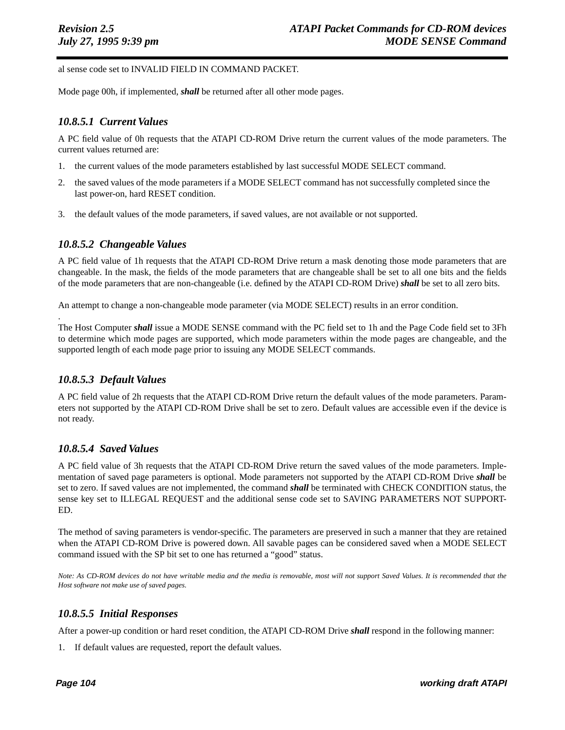al sense code set to INVALID FIELD IN COMMAND PACKET.

Mode page 00h, if implemented, *shall* be returned after all other mode pages.

### *10.8.5.1 Current Values*

A PC field value of 0h requests that the ATAPI CD-ROM Drive return the current values of the mode parameters. The current values returned are:

- 1. the current values of the mode parameters established by last successful MODE SELECT command.
- 2. the saved values of the mode parameters if a MODE SELECT command has not successfully completed since the last power-on, hard RESET condition.
- 3. the default values of the mode parameters, if saved values, are not available or not supported.

#### *10.8.5.2 Changeable Values*

A PC field value of 1h requests that the ATAPI CD-ROM Drive return a mask denoting those mode parameters that are changeable. In the mask, the fields of the mode parameters that are changeable shall be set to all one bits and the fields of the mode parameters that are non-changeable (i.e. defined by the ATAPI CD-ROM Drive) *shall* be set to all zero bits.

An attempt to change a non-changeable mode parameter (via MODE SELECT) results in an error condition.

The Host Computer *shall* issue a MODE SENSE command with the PC field set to 1h and the Page Code field set to 3Fh to determine which mode pages are supported, which mode parameters within the mode pages are changeable, and the supported length of each mode page prior to issuing any MODE SELECT commands.

#### *10.8.5.3 Default Values*

.

A PC field value of 2h requests that the ATAPI CD-ROM Drive return the default values of the mode parameters. Parameters not supported by the ATAPI CD-ROM Drive shall be set to zero. Default values are accessible even if the device is not ready.

#### *10.8.5.4 Saved Values*

A PC field value of 3h requests that the ATAPI CD-ROM Drive return the saved values of the mode parameters. Implementation of saved page parameters is optional. Mode parameters not supported by the ATAPI CD-ROM Drive *shall* be set to zero. If saved values are not implemented, the command *shall* be terminated with CHECK CONDITION status, the sense key set to ILLEGAL REQUEST and the additional sense code set to SAVING PARAMETERS NOT SUPPORT-ED.

The method of saving parameters is vendor-specific. The parameters are preserved in such a manner that they are retained when the ATAPI CD-ROM Drive is powered down. All savable pages can be considered saved when a MODE SELECT command issued with the SP bit set to one has returned a "good" status.

*Note: As CD-ROM devices do not have writable media and the media is removable, most will not support Saved Values. It is recommended that the Host software not make use of saved pages.*

## *10.8.5.5 Initial Responses*

After a power-up condition or hard reset condition, the ATAPI CD-ROM Drive *shall* respond in the following manner:

1. If default values are requested, report the default values.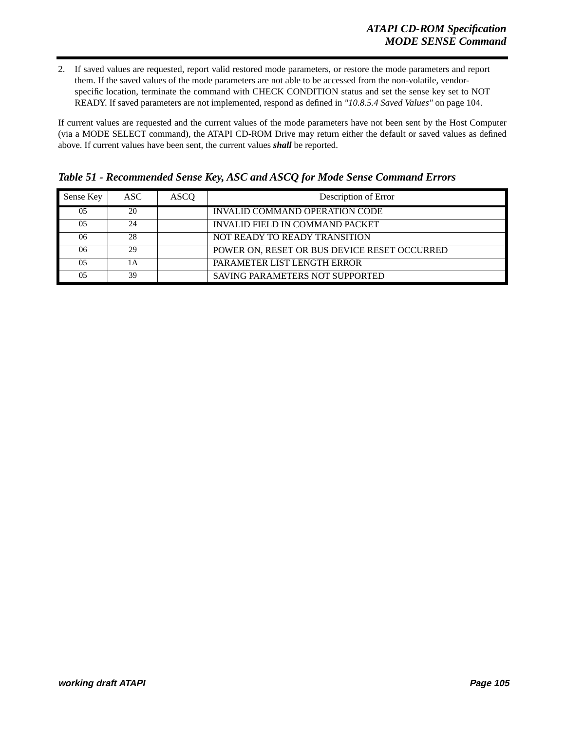2. If saved values are requested, report valid restored mode parameters, or restore the mode parameters and report them. If the saved values of the mode parameters are not able to be accessed from the non-volatile, vendorspecific location, terminate the command with CHECK CONDITION status and set the sense key set to NOT READY. If saved parameters are not implemented, respond as defined in *"10.8.5.4 Saved Values"* on page 104.

If current values are requested and the current values of the mode parameters have not been sent by the Host Computer (via a MODE SELECT command), the ATAPI CD-ROM Drive may return either the default or saved values as defined above. If current values have been sent, the current values *shall* be reported.

*Table 51 - Recommended Sense Key, ASC and ASCQ for Mode Sense Command Errors*

| Sense Key     | ASC. | <b>ASCO</b> | Description of Error                         |
|---------------|------|-------------|----------------------------------------------|
| 05            | 20   |             | <b>INVALID COMMAND OPERATION CODE</b>        |
| $0.5^{\circ}$ | 24   |             | <b>INVALID FIELD IN COMMAND PACKET</b>       |
| 06            | 28   |             | NOT READY TO READY TRANSITION                |
| 06            | 29   |             | POWER ON, RESET OR BUS DEVICE RESET OCCURRED |
| 05            | 1Α   |             | PARAMETER LIST LENGTH ERROR                  |
| 05            | 39   |             | SAVING PARAMETERS NOT SUPPORTED              |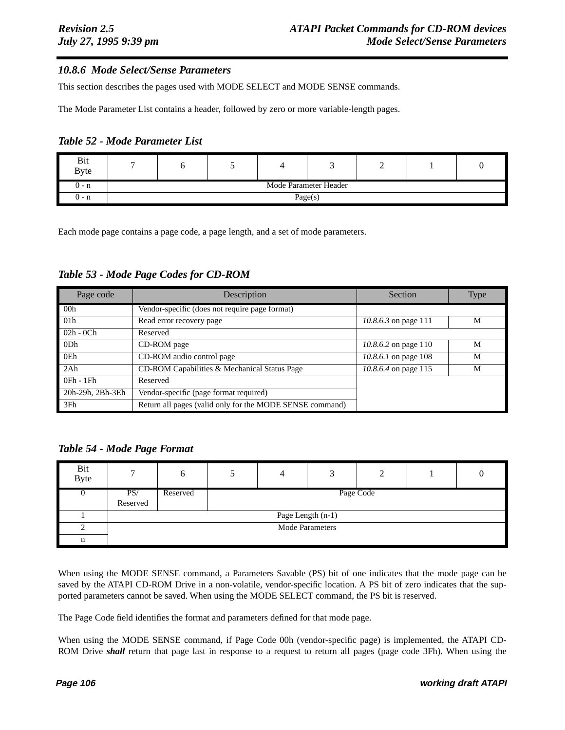## *10.8.6 Mode Select/Sense Parameters*

This section describes the pages used with MODE SELECT and MODE SENSE commands.

The Mode Parameter List contains a header, followed by zero or more variable-length pages.

*Table 52 - Mode Parameter List*

| Bit<br>Byte | − |                       |  |  |  | - |  |  |  |  |
|-------------|---|-----------------------|--|--|--|---|--|--|--|--|
| 0 - n       |   | Mode Parameter Header |  |  |  |   |  |  |  |  |
| $0 - n$     |   | Page(s)               |  |  |  |   |  |  |  |  |

Each mode page contains a page code, a page length, and a set of mode parameters.

*Table 53 - Mode Page Codes for CD-ROM*

| Page code        | Description                                              | Section              | <b>Type</b> |
|------------------|----------------------------------------------------------|----------------------|-------------|
| 00 <sub>h</sub>  | Vendor-specific (does not require page format)           |                      |             |
| 01 <sub>h</sub>  | Read error recovery page                                 | 10.8.6.3 on page 111 | М           |
| $02h - OCh$      | Reserved                                                 |                      |             |
| ODh              | CD-ROM page                                              | 10.8.6.2 on page 110 | M           |
| 0E <sub>h</sub>  | CD-ROM audio control page                                | 10.8.6.1 on page 108 | M           |
| 2Ah              | CD-ROM Capabilities & Mechanical Status Page             | 10.8.6.4 on page 115 | M           |
| $0Fh - 1Fh$      | Reserved                                                 |                      |             |
| 20h-29h, 2Bh-3Eh | Vendor-specific (page format required)                   |                      |             |
| 3Fh              | Return all pages (valid only for the MODE SENSE command) |                      |             |

*Table 54 - Mode Page Format*

| Bit<br>Byte |                 | O               |           |                   | 2<br>ت | ∠ |  |  |  |
|-------------|-----------------|-----------------|-----------|-------------------|--------|---|--|--|--|
|             | PS/<br>Reserved | Reserved        | Page Code |                   |        |   |  |  |  |
|             |                 |                 |           |                   |        |   |  |  |  |
|             |                 |                 |           | Page Length (n-1) |        |   |  |  |  |
| ◠<br>∠      |                 | Mode Parameters |           |                   |        |   |  |  |  |
| n           |                 |                 |           |                   |        |   |  |  |  |

When using the MODE SENSE command, a Parameters Savable (PS) bit of one indicates that the mode page can be saved by the ATAPI CD-ROM Drive in a non-volatile, vendor-specific location. A PS bit of zero indicates that the supported parameters cannot be saved. When using the MODE SELECT command, the PS bit is reserved.

The Page Code field identifies the format and parameters defined for that mode page.

When using the MODE SENSE command, if Page Code 00h (vendor-specific page) is implemented, the ATAPI CD-ROM Drive *shall* return that page last in response to a request to return all pages (page code 3Fh). When using the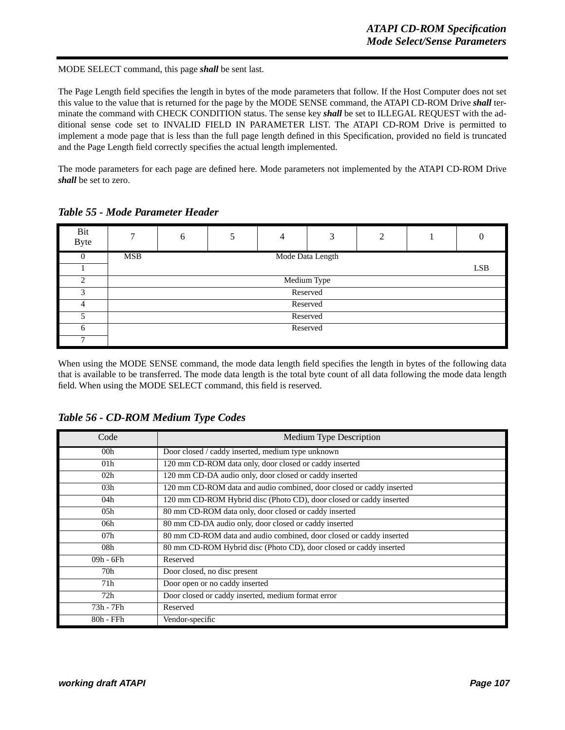MODE SELECT command, this page *shall* be sent last.

The Page Length field specifies the length in bytes of the mode parameters that follow. If the Host Computer does not set this value to the value that is returned for the page by the MODE SENSE command, the ATAPI CD-ROM Drive *shall* terminate the command with CHECK CONDITION status. The sense key *shall* be set to ILLEGAL REQUEST with the additional sense code set to INVALID FIELD IN PARAMETER LIST. The ATAPI CD-ROM Drive is permitted to implement a mode page that is less than the full page length defined in this Specification, provided no field is truncated and the Page Length field correctly specifies the actual length implemented.

The mode parameters for each page are defined here. Mode parameters not implemented by the ATAPI CD-ROM Drive *shall* be set to zero.

| Bit<br><b>Byte</b> | ⇁          | 6           |  | 4 | 3                | $\overline{2}$ |  | $\Omega$   |  |  |
|--------------------|------------|-------------|--|---|------------------|----------------|--|------------|--|--|
| $\Omega$           | <b>MSB</b> |             |  |   | Mode Data Length |                |  |            |  |  |
|                    |            |             |  |   |                  |                |  | <b>LSB</b> |  |  |
| ◠                  |            | Medium Type |  |   |                  |                |  |            |  |  |
| 3                  |            | Reserved    |  |   |                  |                |  |            |  |  |
| 4                  |            |             |  |   | Reserved         |                |  |            |  |  |
|                    |            | Reserved    |  |   |                  |                |  |            |  |  |
| 6                  |            | Reserved    |  |   |                  |                |  |            |  |  |
| $\mathbf{r}$       |            |             |  |   |                  |                |  |            |  |  |

*Table 55 - Mode Parameter Header*

When using the MODE SENSE command, the mode data length field specifies the length in bytes of the following data that is available to be transferred. The mode data length is the total byte count of all data following the mode data length field. When using the MODE SELECT command, this field is reserved.

| Code            | <b>Medium Type Description</b>                                       |
|-----------------|----------------------------------------------------------------------|
| 00 <sub>h</sub> | Door closed / caddy inserted, medium type unknown                    |
| 01 <sub>h</sub> | 120 mm CD-ROM data only, door closed or caddy inserted               |
| 02h             | 120 mm CD-DA audio only, door closed or caddy inserted               |
| 03h             | 120 mm CD-ROM data and audio combined, door closed or caddy inserted |
| 04h             | 120 mm CD-ROM Hybrid disc (Photo CD), door closed or caddy inserted  |
| 05h             | 80 mm CD-ROM data only, door closed or caddy inserted                |
| 06h             | 80 mm CD-DA audio only, door closed or caddy inserted                |
| 07h             | 80 mm CD-ROM data and audio combined, door closed or caddy inserted  |
| 08h             | 80 mm CD-ROM Hybrid disc (Photo CD), door closed or caddy inserted   |
| 09h - 6Fh       | Reserved                                                             |
| 70h             | Door closed, no disc present                                         |
| 71h             | Door open or no caddy inserted                                       |
| 72h             | Door closed or caddy inserted, medium format error                   |
| 73h - 7Fh       | Reserved                                                             |
| 80h - FFh       | Vendor-specific                                                      |

*Table 56 - CD-ROM Medium Type Codes*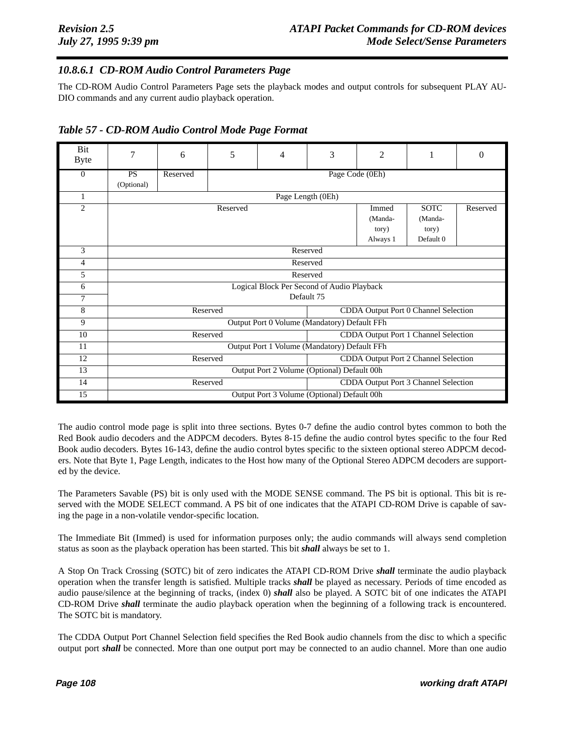## *10.8.6.1 CD-ROM Audio Control Parameters Page*

The CD-ROM Audio Control Parameters Page sets the playback modes and output controls for subsequent PLAY AU-DIO commands and any current audio playback operation.

| Bit<br><b>Byte</b> | 7          | 6                                                | 5        | 4                                            | 3                 | 2                                    |             | $\Omega$ |  |
|--------------------|------------|--------------------------------------------------|----------|----------------------------------------------|-------------------|--------------------------------------|-------------|----------|--|
| $\overline{0}$     | PS         | Reserved                                         |          |                                              |                   | Page Code (0Eh)                      |             |          |  |
|                    | (Optional) |                                                  |          |                                              |                   |                                      |             |          |  |
| 1                  |            |                                                  |          |                                              | Page Length (0Eh) |                                      |             |          |  |
| $\overline{2}$     |            |                                                  | Reserved |                                              |                   | Immed                                | <b>SOTC</b> | Reserved |  |
|                    |            |                                                  |          |                                              |                   | (Manda-                              | (Manda-     |          |  |
|                    |            |                                                  |          |                                              |                   | tory)                                | tory)       |          |  |
|                    |            |                                                  |          |                                              |                   | Always 1                             | Default 0   |          |  |
| 3                  |            |                                                  |          |                                              | Reserved          |                                      |             |          |  |
| 4                  |            |                                                  |          |                                              | Reserved          |                                      |             |          |  |
| 5                  |            |                                                  |          |                                              | Reserved          |                                      |             |          |  |
| 6                  |            |                                                  |          | Logical Block Per Second of Audio Playback   |                   |                                      |             |          |  |
| 7                  |            |                                                  |          | Default 75                                   |                   |                                      |             |          |  |
| 8                  |            |                                                  | Reserved |                                              |                   | CDDA Output Port 0 Channel Selection |             |          |  |
| 9                  |            |                                                  |          | Output Port 0 Volume (Mandatory) Default FFh |                   |                                      |             |          |  |
| 10                 |            |                                                  | Reserved |                                              |                   | CDDA Output Port 1 Channel Selection |             |          |  |
| 11                 |            |                                                  |          | Output Port 1 Volume (Mandatory) Default FFh |                   |                                      |             |          |  |
| 12                 |            | Reserved<br>CDDA Output Port 2 Channel Selection |          |                                              |                   |                                      |             |          |  |
| 13                 |            | Output Port 2 Volume (Optional) Default 00h      |          |                                              |                   |                                      |             |          |  |
| 14                 |            |                                                  | Reserved |                                              |                   | CDDA Output Port 3 Channel Selection |             |          |  |
| 15                 |            |                                                  |          | Output Port 3 Volume (Optional) Default 00h  |                   |                                      |             |          |  |

*Table 57 - CD-ROM Audio Control Mode Page Format*

The audio control mode page is split into three sections. Bytes 0-7 define the audio control bytes common to both the Red Book audio decoders and the ADPCM decoders. Bytes 8-15 define the audio control bytes specific to the four Red Book audio decoders. Bytes 16-143, define the audio control bytes specific to the sixteen optional stereo ADPCM decoders. Note that Byte 1, Page Length, indicates to the Host how many of the Optional Stereo ADPCM decoders are supported by the device.

The Parameters Savable (PS) bit is only used with the MODE SENSE command. The PS bit is optional. This bit is reserved with the MODE SELECT command. A PS bit of one indicates that the ATAPI CD-ROM Drive is capable of saving the page in a non-volatile vendor-specific location.

The Immediate Bit (Immed) is used for information purposes only; the audio commands will always send completion status as soon as the playback operation has been started. This bit *shall* always be set to 1.

A Stop On Track Crossing (SOTC) bit of zero indicates the ATAPI CD-ROM Drive *shall* terminate the audio playback operation when the transfer length is satisfied. Multiple tracks *shall* be played as necessary. Periods of time encoded as audio pause/silence at the beginning of tracks, (index 0) *shall* also be played. A SOTC bit of one indicates the ATAPI CD-ROM Drive *shall* terminate the audio playback operation when the beginning of a following track is encountered. The SOTC bit is mandatory.

The CDDA Output Port Channel Selection field specifies the Red Book audio channels from the disc to which a specific output port *shall* be connected. More than one output port may be connected to an audio channel. More than one audio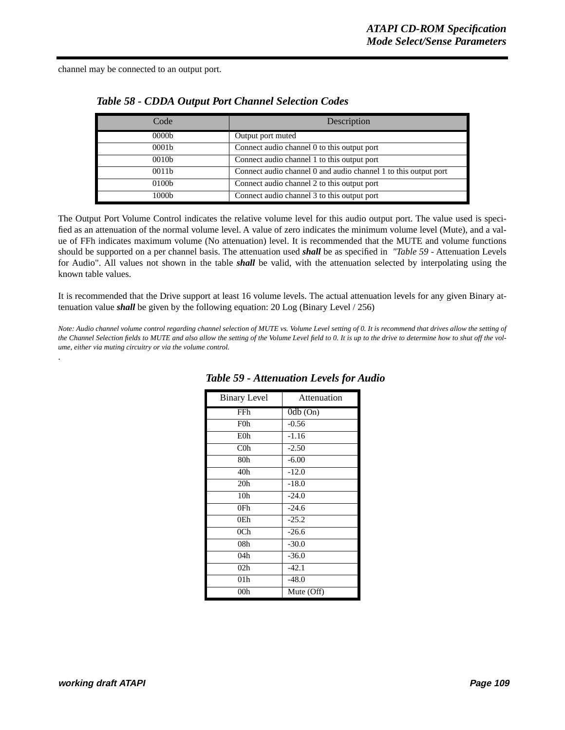channel may be connected to an output port.

| Code              | Description                                                     |
|-------------------|-----------------------------------------------------------------|
| 0000 <sub>b</sub> | Output port muted                                               |
| 0001b             | Connect audio channel 0 to this output port                     |
| 0010 <sub>b</sub> | Connect audio channel 1 to this output port                     |
| 0011 <sub>b</sub> | Connect audio channel 0 and audio channel 1 to this output port |
| 0100 <sub>b</sub> | Connect audio channel 2 to this output port                     |
| 1000b             | Connect audio channel 3 to this output port                     |

## *Table 58 - CDDA Output Port Channel Selection Codes*

The Output Port Volume Control indicates the relative volume level for this audio output port. The value used is specified as an attenuation of the normal volume level. A value of zero indicates the minimum volume level (Mute), and a value of FFh indicates maximum volume (No attenuation) level. It is recommended that the MUTE and volume functions should be supported on a per channel basis. The attenuation used *shall* be as specified in *"Table 59 -* Attenuation Levels for Audio". All values not shown in the table *shall* be valid, with the attenuation selected by interpolating using the known table values.

It is recommended that the Drive support at least 16 volume levels. The actual attenuation levels for any given Binary attenuation value *shall* be given by the following equation: 20 Log (Binary Level / 256)

*Note: Audio channel volume control regarding channel selection of MUTE vs. Volume Level setting of 0. It is recommend that drives allow the setting of the Channel Selection fields to MUTE and also allow the setting of the Volume Level field to 0. It is up to the drive to determine how to shut off the volume, either via muting circuitry or via the volume control.*

| <b>Binary Level</b> | Attenuation |
|---------------------|-------------|
| FFh                 | 0db(On)     |
| FOh                 | $-0.56$     |
| E <sub>0</sub> h    | $-1.16$     |
| $\rm C0h$           | $-2.50$     |
| 80h                 | $-6.00$     |
| 40 <sub>h</sub>     | $-12.0$     |
| 20 <sub>h</sub>     | $-18.0$     |
| 10 <sub>h</sub>     | $-24.0$     |
| 0Fh                 | $-24.6$     |
| 0Eh                 | $-25.2$     |
| 0Ch                 | $-26.6$     |
| 08h                 | $-30.0$     |
| 04h                 | $-36.0$     |
| 02h                 | $-42.1$     |
| 01 <sub>h</sub>     | $-48.0$     |
| 00 <sub>h</sub>     | Mute (Off)  |

#### *Table 59 - Attenuation Levels for Audio*

.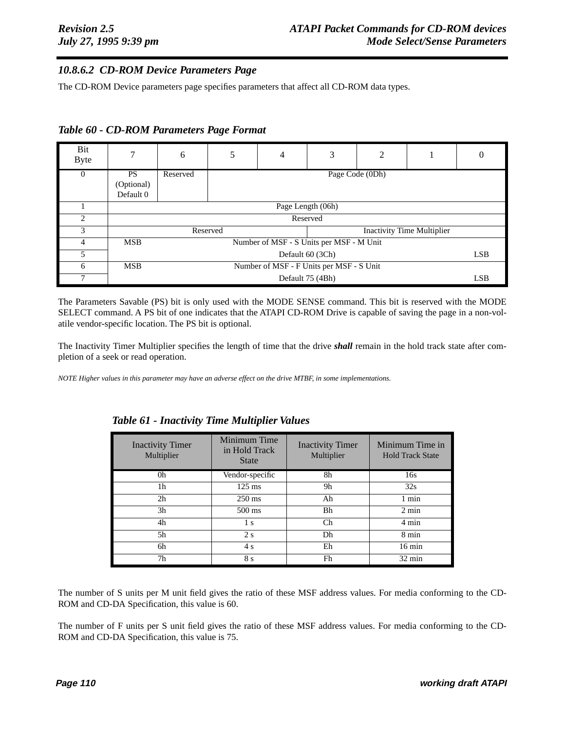## *10.8.6.2 CD-ROM Device Parameters Page*

The CD-ROM Device parameters page specifies parameters that affect all CD-ROM data types.

| Bit<br><b>Byte</b> | ┑                             | 6                                        |                 | 4                                        | 3                | 2 |                                   | $\left( \right)$ |  |
|--------------------|-------------------------------|------------------------------------------|-----------------|------------------------------------------|------------------|---|-----------------------------------|------------------|--|
| $\mathbf{0}$       | PS<br>(Optional)<br>Default 0 | Reserved                                 | Page Code (0Dh) |                                          |                  |   |                                   |                  |  |
|                    |                               | Page Length (06h)                        |                 |                                          |                  |   |                                   |                  |  |
| $\mathfrak{D}$     |                               |                                          |                 | Reserved                                 |                  |   |                                   |                  |  |
| 3                  |                               |                                          | Reserved        |                                          |                  |   | <b>Inactivity Time Multiplier</b> |                  |  |
| 4                  | <b>MSB</b>                    |                                          |                 | Number of MSF - S Units per MSF - M Unit |                  |   |                                   |                  |  |
| 5                  |                               | Default 60 (3Ch)<br><b>LSB</b>           |                 |                                          |                  |   |                                   |                  |  |
| 6                  | <b>MSB</b>                    | Number of MSF - F Units per MSF - S Unit |                 |                                          |                  |   |                                   |                  |  |
| ┑                  |                               |                                          |                 |                                          | Default 75 (4Bh) |   |                                   | <b>LSB</b>       |  |

*Table 60 - CD-ROM Parameters Page Format*

The Parameters Savable (PS) bit is only used with the MODE SENSE command. This bit is reserved with the MODE SELECT command. A PS bit of one indicates that the ATAPI CD-ROM Drive is capable of saving the page in a non-volatile vendor-specific location. The PS bit is optional.

The Inactivity Timer Multiplier specifies the length of time that the drive *shall* remain in the hold track state after completion of a seek or read operation.

*NOTE Higher values in this parameter may have an adverse effect on the drive MTBF, in some implementations.*

| <b>Inactivity Timer</b><br>Multiplier | Minimum Time<br>in Hold Track<br><b>State</b> | <b>Inactivity Timer</b><br>Multiplier | Minimum Time in<br><b>Hold Track State</b> |
|---------------------------------------|-----------------------------------------------|---------------------------------------|--------------------------------------------|
| 0 <sub>h</sub>                        | Vendor-specific                               | 8h                                    | 16s                                        |
| 1 <sub>h</sub>                        | $125 \text{ ms}$                              | 9h                                    | 32s                                        |
| 2 <sub>h</sub>                        | $250 \text{ ms}$                              | Ah                                    | 1 min                                      |
| 3 <sub>h</sub>                        | $500 \text{ ms}$                              | Bh                                    | $2 \text{ min}$                            |
| 4h                                    | 1 <sub>s</sub>                                | Ch                                    | 4 min                                      |
| 5h                                    | 2s                                            | Dh                                    | 8 min                                      |
| 6h                                    | 4 s                                           | Eh                                    | $16 \text{ min}$                           |
| 7h                                    | 8 s                                           | Fh                                    | $32 \text{ min}$                           |

#### *Table 61 - Inactivity Time Multiplier Values*

The number of S units per M unit field gives the ratio of these MSF address values. For media conforming to the CD-ROM and CD-DA Specification, this value is 60.

The number of F units per S unit field gives the ratio of these MSF address values. For media conforming to the CD-ROM and CD-DA Specification, this value is 75.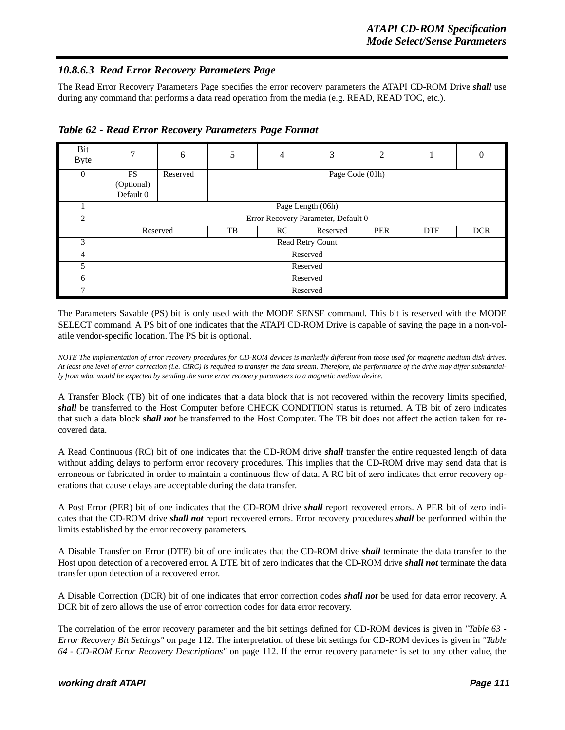## *10.8.6.3 Read Error Recovery Parameters Page*

The Read Error Recovery Parameters Page specifies the error recovery parameters the ATAPI CD-ROM Drive *shall* use during any command that performs a data read operation from the media (e.g. READ, READ TOC, etc.).

| Bit<br><b>Byte</b> | 7                | 6                                   |                                                         | 4 | 3               | 2 |  | 0 |
|--------------------|------------------|-------------------------------------|---------------------------------------------------------|---|-----------------|---|--|---|
| $\overline{0}$     | PS<br>(Optional) | Reserved                            |                                                         |   | Page Code (01h) |   |  |   |
|                    | Default 0        |                                     |                                                         |   |                 |   |  |   |
|                    |                  | Page Length (06h)                   |                                                         |   |                 |   |  |   |
| 2                  |                  | Error Recovery Parameter, Default 0 |                                                         |   |                 |   |  |   |
|                    |                  | Reserved                            | TB<br>PER<br><b>DCR</b><br>RC<br><b>DTE</b><br>Reserved |   |                 |   |  |   |
| 3                  |                  | Read Retry Count                    |                                                         |   |                 |   |  |   |
| $\overline{4}$     |                  | Reserved                            |                                                         |   |                 |   |  |   |
| 5                  |                  | Reserved                            |                                                         |   |                 |   |  |   |
| 6                  |                  | Reserved                            |                                                         |   |                 |   |  |   |
| 7                  |                  | Reserved                            |                                                         |   |                 |   |  |   |

*Table 62 - Read Error Recovery Parameters Page Format*

The Parameters Savable (PS) bit is only used with the MODE SENSE command. This bit is reserved with the MODE SELECT command. A PS bit of one indicates that the ATAPI CD-ROM Drive is capable of saving the page in a non-volatile vendor-specific location. The PS bit is optional.

*NOTE The implementation of error recovery procedures for CD-ROM devices is markedly different from those used for magnetic medium disk drives. At least one level of error correction (i.e. CIRC) is required to transfer the data stream. Therefore, the performance of the drive may differ substantially from what would be expected by sending the same error recovery parameters to a magnetic medium device.*

A Transfer Block (TB) bit of one indicates that a data block that is not recovered within the recovery limits specified, *shall* be transferred to the Host Computer before CHECK CONDITION status is returned. A TB bit of zero indicates that such a data block *shall not* be transferred to the Host Computer. The TB bit does not affect the action taken for recovered data.

A Read Continuous (RC) bit of one indicates that the CD-ROM drive *shall* transfer the entire requested length of data without adding delays to perform error recovery procedures. This implies that the CD-ROM drive may send data that is erroneous or fabricated in order to maintain a continuous flow of data. A RC bit of zero indicates that error recovery operations that cause delays are acceptable during the data transfer.

A Post Error (PER) bit of one indicates that the CD-ROM drive *shall* report recovered errors. A PER bit of zero indicates that the CD-ROM drive *shall not* report recovered errors. Error recovery procedures *shall* be performed within the limits established by the error recovery parameters.

A Disable Transfer on Error (DTE) bit of one indicates that the CD-ROM drive *shall* terminate the data transfer to the Host upon detection of a recovered error. A DTE bit of zero indicates that the CD-ROM drive *shall not* terminate the data transfer upon detection of a recovered error.

A Disable Correction (DCR) bit of one indicates that error correction codes *shall not* be used for data error recovery. A DCR bit of zero allows the use of error correction codes for data error recovery.

The correlation of the error recovery parameter and the bit settings defined for CD-ROM devices is given in *"Table 63 - Error Recovery Bit Settings"* on page 112. The interpretation of these bit settings for CD-ROM devices is given in *"Table 64 - CD-ROM Error Recovery Descriptions"* on page 112. If the error recovery parameter is set to any other value, the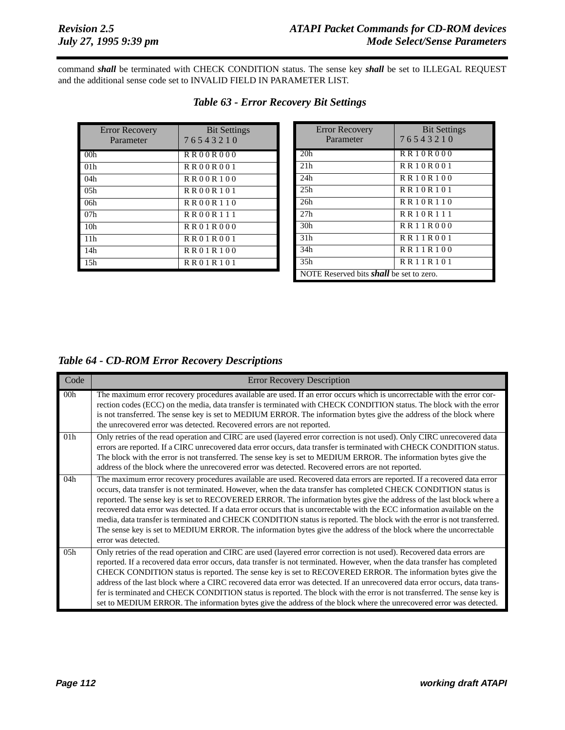command *shall* be terminated with CHECK CONDITION status. The sense key *shall* be set to ILLEGAL REQUEST and the additional sense code set to INVALID FIELD IN PARAMETER LIST.

| <b>Error Recovery</b><br>Parameter | <b>Bit Settings</b><br>76543210 |
|------------------------------------|---------------------------------|
| 00 <sub>h</sub>                    | <b>RR00R000</b>                 |
| 01 <sub>h</sub>                    | $R$ R 0 0 R 0 0 1               |
| 04h                                | <b>RR00R100</b>                 |
| 0.5h                               | RR00R101                        |
| 06h                                | RR00R110                        |
| 07 <sub>h</sub>                    | RR00R111                        |
| 10 <sub>h</sub>                    | <b>RR01R000</b>                 |
| 11h                                | <b>RR01R001</b>                 |
| 14h                                | RR01R100                        |
| 15h                                | RR01R101                        |

## *Table 63 - Error Recovery Bit Settings*

| <b>Error Recovery</b>                           | <b>Bit Settings</b> |  |  |
|-------------------------------------------------|---------------------|--|--|
| Parameter                                       | 76543210            |  |  |
| 20 <sub>h</sub>                                 | <b>RR10R000</b>     |  |  |
| 21h                                             | RR10R001            |  |  |
| 24h                                             | RR10R100            |  |  |
| 25h                                             | RR10R101            |  |  |
| 26h                                             | RR10R110            |  |  |
| 27 <sub>h</sub>                                 | RR10R111            |  |  |
| 30h                                             | RR11R000            |  |  |
| 31 <sub>h</sub>                                 | RR11R001            |  |  |
| 34h                                             | RR11R100            |  |  |
| 35h                                             | RR11R101            |  |  |
| NOTE Reserved bits <b>shall</b> be set to zero. |                     |  |  |

## *Table 64 - CD-ROM Error Recovery Descriptions*

| Code            | <b>Error Recovery Description</b>                                                                                                                                                                                                                                                                                                                                                                                                                                                                                                                                                                                                                                                                                                                                      |
|-----------------|------------------------------------------------------------------------------------------------------------------------------------------------------------------------------------------------------------------------------------------------------------------------------------------------------------------------------------------------------------------------------------------------------------------------------------------------------------------------------------------------------------------------------------------------------------------------------------------------------------------------------------------------------------------------------------------------------------------------------------------------------------------------|
| 00h             | The maximum error recovery procedures available are used. If an error occurs which is uncorrectable with the error cor-<br>rection codes (ECC) on the media, data transfer is terminated with CHECK CONDITION status. The block with the error<br>is not transferred. The sense key is set to MEDIUM ERROR. The information bytes give the address of the block where<br>the unrecovered error was detected. Recovered errors are not reported.                                                                                                                                                                                                                                                                                                                        |
| 01 <sub>h</sub> | Only retries of the read operation and CIRC are used (layered error correction is not used). Only CIRC unrecovered data<br>errors are reported. If a CIRC unrecovered data error occurs, data transfer is terminated with CHECK CONDITION status.<br>The block with the error is not transferred. The sense key is set to MEDIUM ERROR. The information bytes give the<br>address of the block where the unrecovered error was detected. Recovered errors are not reported.                                                                                                                                                                                                                                                                                            |
| 04h             | The maximum error recovery procedures available are used. Recovered data errors are reported. If a recovered data error<br>occurs, data transfer is not terminated. However, when the data transfer has completed CHECK CONDITION status is<br>reported. The sense key is set to RECOVERED ERROR. The information bytes give the address of the last block where a<br>recovered data error was detected. If a data error occurs that is uncorrectable with the ECC information available on the<br>media, data transfer is terminated and CHECK CONDITION status is reported. The block with the error is not transferred.<br>The sense key is set to MEDIUM ERROR. The information bytes give the address of the block where the uncorrectable<br>error was detected. |
| 05h             | Only retries of the read operation and CIRC are used (layered error correction is not used). Recovered data errors are<br>reported. If a recovered data error occurs, data transfer is not terminated. However, when the data transfer has completed<br>CHECK CONDITION status is reported. The sense key is set to RECOVERED ERROR. The information bytes give the<br>address of the last block where a CIRC recovered data error was detected. If an unrecovered data error occurs, data trans-<br>fer is terminated and CHECK CONDITION status is reported. The block with the error is not transferred. The sense key is<br>set to MEDIUM ERROR. The information bytes give the address of the block where the unrecovered error was detected.                     |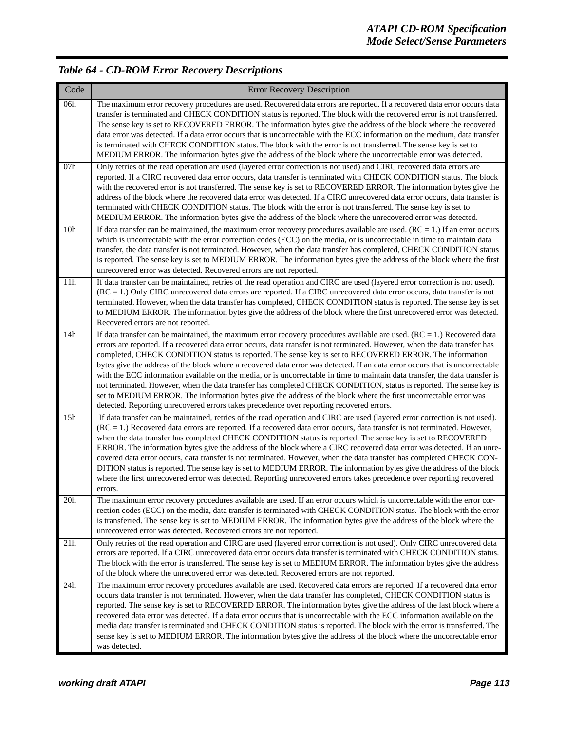|  |  |  |  | Table 64 - CD-ROM Error Recovery Descriptions |
|--|--|--|--|-----------------------------------------------|
|--|--|--|--|-----------------------------------------------|

| Code            | <b>Error Recovery Description</b>                                                                                                                                                                                                                                                                                                                                                                                                                                                                                                                                                                                                                                                                                                                                                                                                                                                                                                                                          |
|-----------------|----------------------------------------------------------------------------------------------------------------------------------------------------------------------------------------------------------------------------------------------------------------------------------------------------------------------------------------------------------------------------------------------------------------------------------------------------------------------------------------------------------------------------------------------------------------------------------------------------------------------------------------------------------------------------------------------------------------------------------------------------------------------------------------------------------------------------------------------------------------------------------------------------------------------------------------------------------------------------|
| 06h             | The maximum error recovery procedures are used. Recovered data errors are reported. If a recovered data error occurs data<br>transfer is terminated and CHECK CONDITION status is reported. The block with the recovered error is not transferred.<br>The sense key is set to RECOVERED ERROR. The information bytes give the address of the block where the recovered<br>data error was detected. If a data error occurs that is uncorrectable with the ECC information on the medium, data transfer<br>is terminated with CHECK CONDITION status. The block with the error is not transferred. The sense key is set to<br>MEDIUM ERROR. The information bytes give the address of the block where the uncorrectable error was detected.                                                                                                                                                                                                                                  |
| 07h             | Only retries of the read operation are used (layered error correction is not used) and CIRC recovered data errors are<br>reported. If a CIRC recovered data error occurs, data transfer is terminated with CHECK CONDITION status. The block<br>with the recovered error is not transferred. The sense key is set to RECOVERED ERROR. The information bytes give the<br>address of the block where the recovered data error was detected. If a CIRC unrecovered data error occurs, data transfer is<br>terminated with CHECK CONDITION status. The block with the error is not transferred. The sense key is set to<br>MEDIUM ERROR. The information bytes give the address of the block where the unrecovered error was detected.                                                                                                                                                                                                                                         |
| 10 <sub>h</sub> | If data transfer can be maintained, the maximum error recovery procedures available are used. ( $RC = 1$ .) If an error occurs<br>which is uncorrectable with the error correction codes (ECC) on the media, or is uncorrectable in time to maintain data<br>transfer, the data transfer is not terminated. However, when the data transfer has completed, CHECK CONDITION status<br>is reported. The sense key is set to MEDIUM ERROR. The information bytes give the address of the block where the first<br>unrecovered error was detected. Recovered errors are not reported.                                                                                                                                                                                                                                                                                                                                                                                          |
| 11 <sub>h</sub> | If data transfer can be maintained, retries of the read operation and CIRC are used (layered error correction is not used).<br>$(RC = 1.)$ Only CIRC unrecovered data errors are reported. If a CIRC unrecovered data error occurs, data transfer is not<br>terminated. However, when the data transfer has completed, CHECK CONDITION status is reported. The sense key is set<br>to MEDIUM ERROR. The information bytes give the address of the block where the first unrecovered error was detected.<br>Recovered errors are not reported.                                                                                                                                                                                                                                                                                                                                                                                                                              |
| 14h             | If data transfer can be maintained, the maximum error recovery procedures available are used. $(RC = 1)$ . Recovered data<br>errors are reported. If a recovered data error occurs, data transfer is not terminated. However, when the data transfer has<br>completed, CHECK CONDITION status is reported. The sense key is set to RECOVERED ERROR. The information<br>bytes give the address of the block where a recovered data error was detected. If an data error occurs that is uncorrectable<br>with the ECC information available on the media, or is uncorrectable in time to maintain data transfer, the data transfer is<br>not terminated. However, when the data transfer has completed CHECK CONDITION, status is reported. The sense key is<br>set to MEDIUM ERROR. The information bytes give the address of the block where the first uncorrectable error was<br>detected. Reporting unrecovered errors takes precedence over reporting recovered errors. |
| 15 <sub>h</sub> | If data transfer can be maintained, retries of the read operation and CIRC are used (layered error correction is not used).<br>(RC = 1.) Recovered data errors are reported. If a recovered data error occurs, data transfer is not terminated. However,<br>when the data transfer has completed CHECK CONDITION status is reported. The sense key is set to RECOVERED<br>ERROR. The information bytes give the address of the block where a CIRC recovered data error was detected. If an unre-<br>covered data error occurs, data transfer is not terminated. However, when the data transfer has completed CHECK CON-<br>DITION status is reported. The sense key is set to MEDIUM ERROR. The information bytes give the address of the block<br>where the first unrecovered error was detected. Reporting unrecovered errors takes precedence over reporting recovered<br>errors.                                                                                      |
| 20h             | The maximum error recovery procedures available are used. If an error occurs which is uncorrectable with the error cor-<br>rection codes (ECC) on the media, data transfer is terminated with CHECK CONDITION status. The block with the error<br>is transferred. The sense key is set to MEDIUM ERROR. The information bytes give the address of the block where the<br>unrecovered error was detected. Recovered errors are not reported.                                                                                                                                                                                                                                                                                                                                                                                                                                                                                                                                |
| 21h             | Only retries of the read operation and CIRC are used (layered error correction is not used). Only CIRC unrecovered data<br>errors are reported. If a CIRC unrecovered data error occurs data transfer is terminated with CHECK CONDITION status.<br>The block with the error is transferred. The sense key is set to MEDIUM ERROR. The information bytes give the address<br>of the block where the unrecovered error was detected. Recovered errors are not reported.                                                                                                                                                                                                                                                                                                                                                                                                                                                                                                     |
| 24h             | The maximum error recovery procedures available are used. Recovered data errors are reported. If a recovered data error<br>occurs data transfer is not terminated. However, when the data transfer has completed, CHECK CONDITION status is<br>reported. The sense key is set to RECOVERED ERROR. The information bytes give the address of the last block where a<br>recovered data error was detected. If a data error occurs that is uncorrectable with the ECC information available on the<br>media data transfer is terminated and CHECK CONDITION status is reported. The block with the error is transferred. The<br>sense key is set to MEDIUM ERROR. The information bytes give the address of the block where the uncorrectable error<br>was detected.                                                                                                                                                                                                          |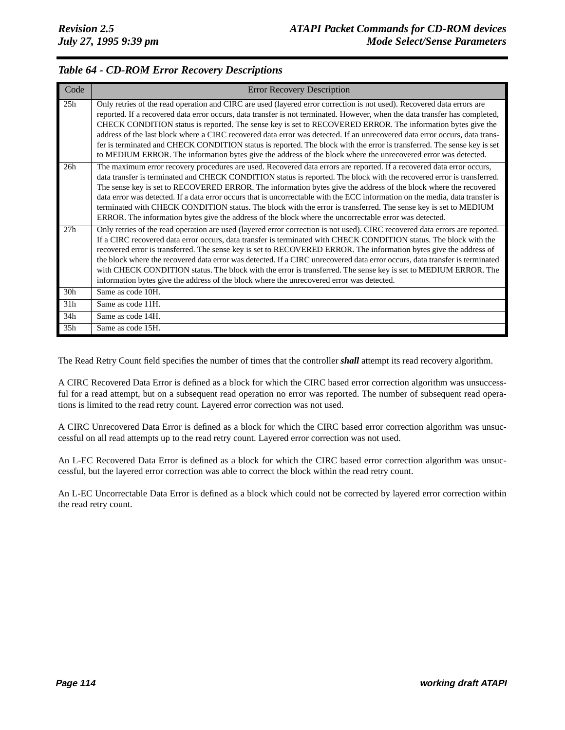## *Table 64 - CD-ROM Error Recovery Descriptions*

| Code            | <b>Error Recovery Description</b>                                                                                                                                                                                                                                                                                                                                                                                                                                                                                                                                                                                                                                                                                                               |
|-----------------|-------------------------------------------------------------------------------------------------------------------------------------------------------------------------------------------------------------------------------------------------------------------------------------------------------------------------------------------------------------------------------------------------------------------------------------------------------------------------------------------------------------------------------------------------------------------------------------------------------------------------------------------------------------------------------------------------------------------------------------------------|
| 25h             | Only retries of the read operation and CIRC are used (layered error correction is not used). Recovered data errors are<br>reported. If a recovered data error occurs, data transfer is not terminated. However, when the data transfer has completed,<br>CHECK CONDITION status is reported. The sense key is set to RECOVERED ERROR. The information bytes give the<br>address of the last block where a CIRC recovered data error was detected. If an unrecovered data error occurs, data trans-<br>fer is terminated and CHECK CONDITION status is reported. The block with the error is transferred. The sense key is set<br>to MEDIUM ERROR. The information bytes give the address of the block where the unrecovered error was detected. |
| 26h             | The maximum error recovery procedures are used. Recovered data errors are reported. If a recovered data error occurs,<br>data transfer is terminated and CHECK CONDITION status is reported. The block with the recovered error is transferred.<br>The sense key is set to RECOVERED ERROR. The information bytes give the address of the block where the recovered<br>data error was detected. If a data error occurs that is uncorrectable with the ECC information on the media, data transfer is<br>terminated with CHECK CONDITION status. The block with the error is transferred. The sense key is set to MEDIUM<br>ERROR. The information bytes give the address of the block where the uncorrectable error was detected.               |
| 27h             | Only retries of the read operation are used (layered error correction is not used). CIRC recovered data errors are reported.<br>If a CIRC recovered data error occurs, data transfer is terminated with CHECK CONDITION status. The block with the<br>recovered error is transferred. The sense key is set to RECOVERED ERROR. The information bytes give the address of<br>the block where the recovered data error was detected. If a CIRC unrecovered data error occurs, data transfer is terminated<br>with CHECK CONDITION status. The block with the error is transferred. The sense key is set to MEDIUM ERROR. The<br>information bytes give the address of the block where the unrecovered error was detected.                         |
| 30 <sub>h</sub> | Same as code 10H.                                                                                                                                                                                                                                                                                                                                                                                                                                                                                                                                                                                                                                                                                                                               |
| 31h             | Same as code 11H.                                                                                                                                                                                                                                                                                                                                                                                                                                                                                                                                                                                                                                                                                                                               |
| 34h             | Same as code 14H.                                                                                                                                                                                                                                                                                                                                                                                                                                                                                                                                                                                                                                                                                                                               |
| 35h             | Same as code 15H.                                                                                                                                                                                                                                                                                                                                                                                                                                                                                                                                                                                                                                                                                                                               |

The Read Retry Count field specifies the number of times that the controller *shall* attempt its read recovery algorithm.

A CIRC Recovered Data Error is defined as a block for which the CIRC based error correction algorithm was unsuccessful for a read attempt, but on a subsequent read operation no error was reported. The number of subsequent read operations is limited to the read retry count. Layered error correction was not used.

A CIRC Unrecovered Data Error is defined as a block for which the CIRC based error correction algorithm was unsuccessful on all read attempts up to the read retry count. Layered error correction was not used.

An L-EC Recovered Data Error is defined as a block for which the CIRC based error correction algorithm was unsuccessful, but the layered error correction was able to correct the block within the read retry count.

An L-EC Uncorrectable Data Error is defined as a block which could not be corrected by layered error correction within the read retry count.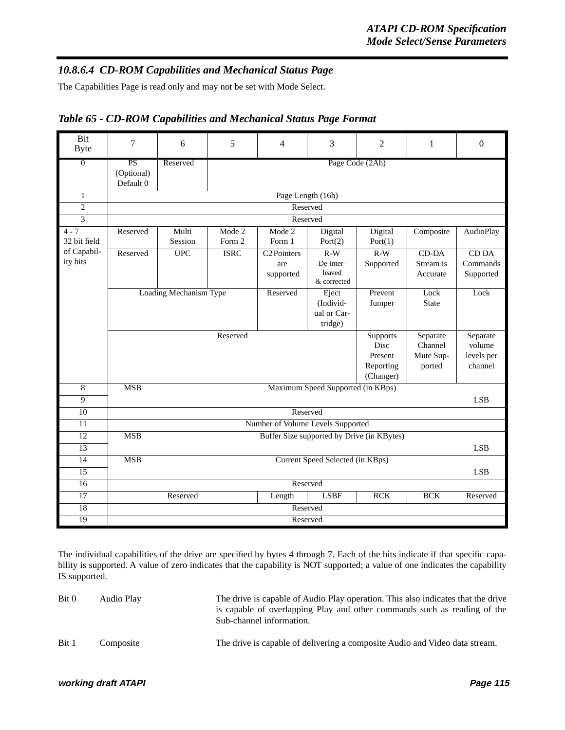## *10.8.6.4 CD-ROM Capabilities and Mechanical Status Page*

The Capabilities Page is read only and may not be set with Mode Select.

| Bit<br><b>Byte</b>      | 7                                                             | 6                      | 5                 | $\overline{4}$                              | 3                                            | $\overline{2}$                                        | 1                                          | $\mathbf{0}$                                |
|-------------------------|---------------------------------------------------------------|------------------------|-------------------|---------------------------------------------|----------------------------------------------|-------------------------------------------------------|--------------------------------------------|---------------------------------------------|
| $\overline{0}$          | PS<br>(Optional)<br>Default 0                                 | Reserved               |                   |                                             | Page Code (2Ah)                              |                                                       |                                            |                                             |
| $\mathbf{1}$            |                                                               |                        | Page Length (16h) |                                             |                                              |                                                       |                                            |                                             |
| $\overline{2}$          |                                                               |                        |                   |                                             | Reserved                                     |                                                       |                                            |                                             |
| 3                       |                                                               |                        |                   |                                             | Reserved                                     |                                                       |                                            |                                             |
| $4 - 7$<br>32 bit field | Reserved                                                      | Multi<br>Session       | Mode 2<br>Form 2  | Mode 2<br>Form 1                            | Digital<br>Port(2)                           | Digital<br>Port(1)                                    | Composite                                  | AudioPlay                                   |
| of Capabil-<br>ity bits | Reserved                                                      | $\overline{UPC}$       | <b>ISRC</b>       | C <sub>2</sub> Pointers<br>are<br>supported | $R-W$<br>De-inter-<br>leaved<br>& corrected  | $R-W$<br>Supported                                    | $CD-DA$<br>Stream is<br>Accurate           | CD <sub>DA</sub><br>Commands<br>Supported   |
|                         |                                                               | Loading Mechanism Type |                   | Reserved                                    | Eject<br>(Individ-<br>ual or Car-<br>tridge) | Prevent<br>Jumper                                     | Lock<br><b>State</b>                       | Lock                                        |
|                         |                                                               |                        | Reserved          |                                             |                                              | Supports<br>Disc<br>Present<br>Reporting<br>(Changer) | Separate<br>Channel<br>Mute Sup-<br>ported | Separate<br>volume<br>levels per<br>channel |
| 8                       | <b>MSB</b>                                                    |                        |                   |                                             | Maximum Speed Supported (in KBps)            |                                                       |                                            |                                             |
| $\overline{9}$          |                                                               |                        |                   |                                             |                                              |                                                       |                                            | <b>LSB</b>                                  |
| 10                      |                                                               |                        |                   |                                             | Reserved                                     |                                                       |                                            |                                             |
| 11                      |                                                               |                        |                   | Number of Volume Levels Supported           |                                              |                                                       |                                            |                                             |
| 12                      | MSB                                                           |                        |                   |                                             | Buffer Size supported by Drive (in KBytes)   |                                                       |                                            |                                             |
| 13                      |                                                               |                        |                   |                                             |                                              |                                                       |                                            | <b>LSB</b>                                  |
| 14                      | <b>MSB</b>                                                    |                        |                   |                                             | Current Speed Selected (in KBps)             |                                                       |                                            |                                             |
| $\overline{15}$         |                                                               |                        |                   |                                             |                                              |                                                       |                                            | <b>LSB</b>                                  |
| 16                      | Reserved                                                      |                        |                   |                                             |                                              |                                                       |                                            |                                             |
| $\overline{17}$         | Reserved<br>Length<br><b>LSBF</b><br><b>RCK</b><br><b>BCK</b> |                        |                   |                                             | Reserved                                     |                                                       |                                            |                                             |
| 18                      | Reserved                                                      |                        |                   |                                             |                                              |                                                       |                                            |                                             |
| $\overline{19}$         | Reserved                                                      |                        |                   |                                             |                                              |                                                       |                                            |                                             |

*Table 65 - CD-ROM Capabilities and Mechanical Status Page Format*

The individual capabilities of the drive are specified by bytes 4 through 7. Each of the bits indicate if that specific capability is supported. A value of zero indicates that the capability is NOT supported; a value of one indicates the capability IS supported.

| Bit 0 | Audio Play | The drive is capable of Audio Play operation. This also indicates that the drive<br>is capable of overlapping Play and other commands such as reading of the<br>Sub-channel information. |
|-------|------------|------------------------------------------------------------------------------------------------------------------------------------------------------------------------------------------|
| Bit 1 | Composite  | The drive is capable of delivering a composite Audio and Video data stream.                                                                                                              |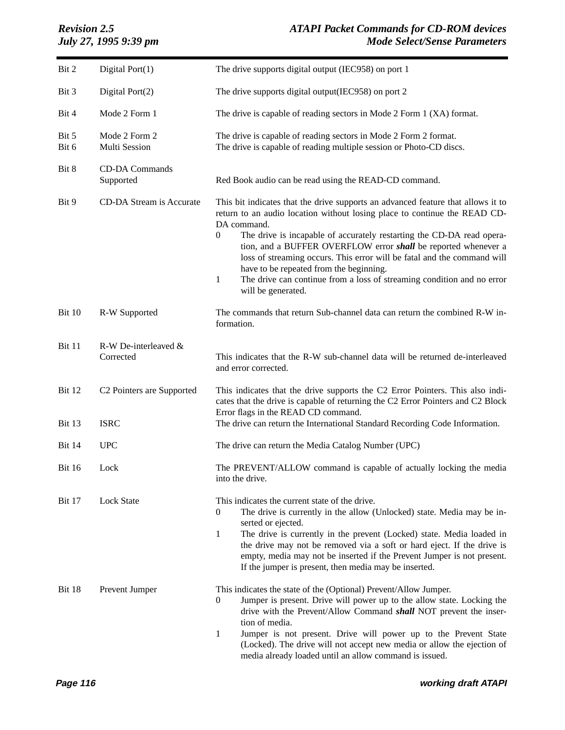## *Revision 2.5 ATAPI Packet Commands for CD-ROM devices Mode Select/Sense Parameters*

| Bit 2          | Digital Port(1)                    | The drive supports digital output (IEC958) on port 1                                                                                                                                                                                                                                                                                                                                                                                                                                                                                                                   |
|----------------|------------------------------------|------------------------------------------------------------------------------------------------------------------------------------------------------------------------------------------------------------------------------------------------------------------------------------------------------------------------------------------------------------------------------------------------------------------------------------------------------------------------------------------------------------------------------------------------------------------------|
| Bit 3          | Digital Port $(2)$                 | The drive supports digital output (IEC958) on port 2                                                                                                                                                                                                                                                                                                                                                                                                                                                                                                                   |
| Bit 4          | Mode 2 Form 1                      | The drive is capable of reading sectors in Mode 2 Form 1 (XA) format.                                                                                                                                                                                                                                                                                                                                                                                                                                                                                                  |
| Bit 5<br>Bit 6 | Mode 2 Form 2<br>Multi Session     | The drive is capable of reading sectors in Mode 2 Form 2 format.<br>The drive is capable of reading multiple session or Photo-CD discs.                                                                                                                                                                                                                                                                                                                                                                                                                                |
| Bit 8          | <b>CD-DA Commands</b><br>Supported | Red Book audio can be read using the READ-CD command.                                                                                                                                                                                                                                                                                                                                                                                                                                                                                                                  |
| Bit 9          | CD-DA Stream is Accurate           | This bit indicates that the drive supports an advanced feature that allows it to<br>return to an audio location without losing place to continue the READ CD-<br>DA command.<br>The drive is incapable of accurately restarting the CD-DA read opera-<br>$\boldsymbol{0}$<br>tion, and a BUFFER OVERFLOW error shall be reported whenever a<br>loss of streaming occurs. This error will be fatal and the command will<br>have to be repeated from the beginning.<br>The drive can continue from a loss of streaming condition and no error<br>1<br>will be generated. |
| Bit 10         | R-W Supported                      | The commands that return Sub-channel data can return the combined R-W in-<br>formation.                                                                                                                                                                                                                                                                                                                                                                                                                                                                                |
| Bit 11         | R-W De-interleaved &<br>Corrected  | This indicates that the R-W sub-channel data will be returned de-interleaved<br>and error corrected.                                                                                                                                                                                                                                                                                                                                                                                                                                                                   |
| Bit 12         | C2 Pointers are Supported          | This indicates that the drive supports the C2 Error Pointers. This also indi-<br>cates that the drive is capable of returning the C2 Error Pointers and C2 Block<br>Error flags in the READ CD command.                                                                                                                                                                                                                                                                                                                                                                |
| Bit 13         | <b>ISRC</b>                        | The drive can return the International Standard Recording Code Information.                                                                                                                                                                                                                                                                                                                                                                                                                                                                                            |
| Bit 14         | <b>UPC</b>                         | The drive can return the Media Catalog Number (UPC)                                                                                                                                                                                                                                                                                                                                                                                                                                                                                                                    |
| <b>Bit 16</b>  | Lock                               | The PREVENT/ALLOW command is capable of actually locking the media<br>into the drive.                                                                                                                                                                                                                                                                                                                                                                                                                                                                                  |
| <b>Bit 17</b>  | <b>Lock State</b>                  | This indicates the current state of the drive.<br>The drive is currently in the allow (Unlocked) state. Media may be in-<br>$\theta$<br>serted or ejected.<br>The drive is currently in the prevent (Locked) state. Media loaded in<br>1<br>the drive may not be removed via a soft or hard eject. If the drive is<br>empty, media may not be inserted if the Prevent Jumper is not present.<br>If the jumper is present, then media may be inserted.                                                                                                                  |
| Bit 18         | Prevent Jumper                     | This indicates the state of the (Optional) Prevent/Allow Jumper.<br>Jumper is present. Drive will power up to the allow state. Locking the<br>0<br>drive with the Prevent/Allow Command shall NOT prevent the inser-<br>tion of media.<br>Jumper is not present. Drive will power up to the Prevent State<br>1<br>(Locked). The drive will not accept new media or allow the ejection of<br>media already loaded until an allow command is issued.                                                                                                                     |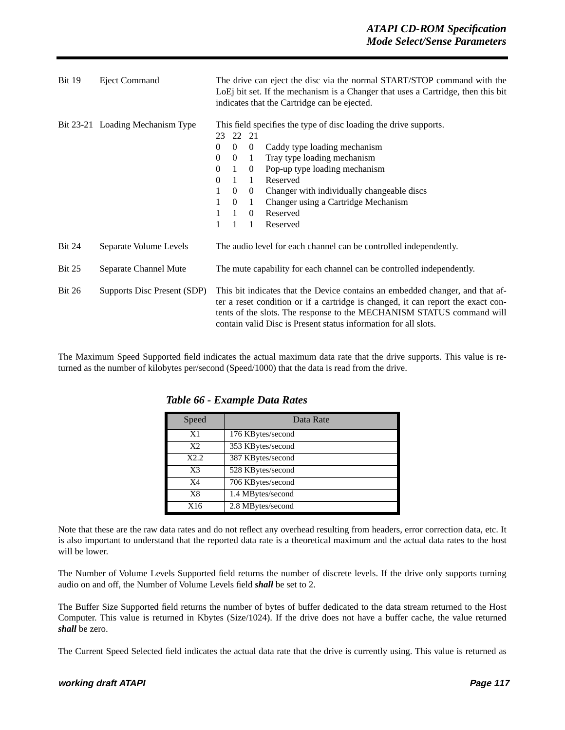| <b>Bit 19</b> | Eject Command                    | The drive can eject the disc via the normal START/STOP command with the<br>LoEj bit set. If the mechanism is a Changer that uses a Cartridge, then this bit<br>indicates that the Cartridge can be ejected.                                                                                                                                                                                                                                                                                                                                                                                    |
|---------------|----------------------------------|------------------------------------------------------------------------------------------------------------------------------------------------------------------------------------------------------------------------------------------------------------------------------------------------------------------------------------------------------------------------------------------------------------------------------------------------------------------------------------------------------------------------------------------------------------------------------------------------|
|               | Bit 23-21 Loading Mechanism Type | This field specifies the type of disc loading the drive supports.<br>22 21<br>23<br>$\overline{0}$<br>$\overline{0}$<br>Caddy type loading mechanism<br>0<br>$\overline{0}$<br>Tray type loading mechanism<br>$\overline{0}$<br>-1<br>Pop-up type loading mechanism<br>$\overline{0}$<br>-1<br>$\theta$<br>Reserved<br>$\Omega$<br>$\overline{1}$<br>1<br>Changer with individually changeable discs<br>$\mathbf{1}$<br>$\overline{0}$<br>$\bf{0}$<br>Changer using a Cartridge Mechanism<br>$\overline{0}$<br>1<br>-1<br>Reserved<br>1<br>1<br>$\theta$<br>$\mathbf{1}$<br>Reserved<br>1<br>1 |
| <b>Bit 24</b> | Separate Volume Levels           | The audio level for each channel can be controlled independently.                                                                                                                                                                                                                                                                                                                                                                                                                                                                                                                              |
| Bit 25        | Separate Channel Mute            | The mute capability for each channel can be controlled independently.                                                                                                                                                                                                                                                                                                                                                                                                                                                                                                                          |
| Bit $26$      | Supports Disc Present (SDP)      | This bit indicates that the Device contains an embedded changer, and that af-<br>ter a reset condition or if a cartridge is changed, it can report the exact con-<br>tents of the slots. The response to the MECHANISM STATUS command will<br>contain valid Disc is Present status information for all slots.                                                                                                                                                                                                                                                                                  |

The Maximum Speed Supported field indicates the actual maximum data rate that the drive supports. This value is returned as the number of kilobytes per/second (Speed/1000) that the data is read from the drive.

| Speed                       | Data Rate         |
|-----------------------------|-------------------|
| $\overline{X}$ <sup>1</sup> | 176 KBytes/second |
| X <sub>2</sub>              | 353 KBytes/second |
| X2.2                        | 387 KBytes/second |
| X <sub>3</sub>              | 528 KBytes/second |
| X4                          | 706 KBytes/second |
| X8                          | 1.4 MBytes/second |
| X16                         | 2.8 MBytes/second |

*Table 66 - Example Data Rates*

Note that these are the raw data rates and do not reflect any overhead resulting from headers, error correction data, etc. It is also important to understand that the reported data rate is a theoretical maximum and the actual data rates to the host will be lower.

The Number of Volume Levels Supported field returns the number of discrete levels. If the drive only supports turning audio on and off, the Number of Volume Levels field *shall* be set to 2.

The Buffer Size Supported field returns the number of bytes of buffer dedicated to the data stream returned to the Host Computer. This value is returned in Kbytes (Size/1024). If the drive does not have a buffer cache, the value returned *shall* be zero.

The Current Speed Selected field indicates the actual data rate that the drive is currently using. This value is returned as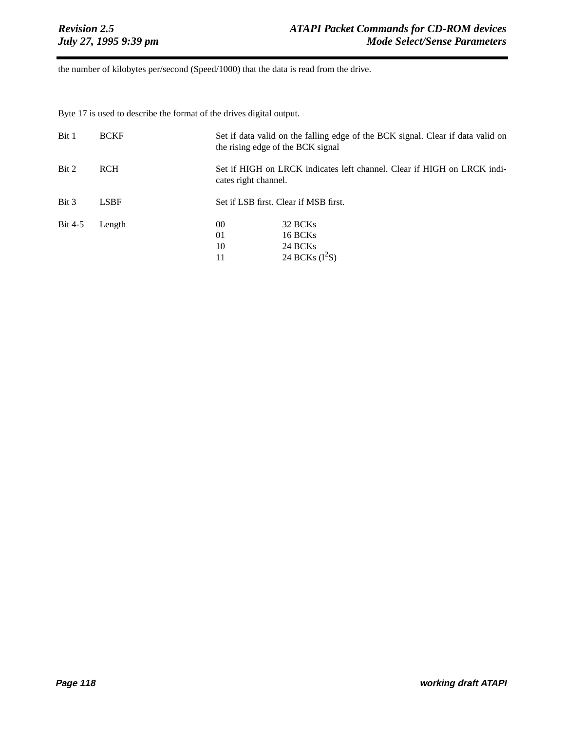the number of kilobytes per/second (Speed/1000) that the data is read from the drive.

Byte 17 is used to describe the format of the drives digital output.

| Bit 1          | <b>BCKF</b> | Set if data valid on the falling edge of the BCK signal. Clear if data valid on<br>the rising edge of the BCK signal |  |  |  |  |
|----------------|-------------|----------------------------------------------------------------------------------------------------------------------|--|--|--|--|
| Bit 2          | <b>RCH</b>  | Set if HIGH on LRCK indicates left channel. Clear if HIGH on LRCK indi-<br>cates right channel.                      |  |  |  |  |
| Bit 3          | <b>LSBF</b> | Set if LSB first. Clear if MSB first.                                                                                |  |  |  |  |
| <b>Bit 4-5</b> | Length      | 00<br>32 BCKs<br>01<br>16 BCKs<br>24 BCKs<br>10<br>24 BCKs $(I2S)$<br>11                                             |  |  |  |  |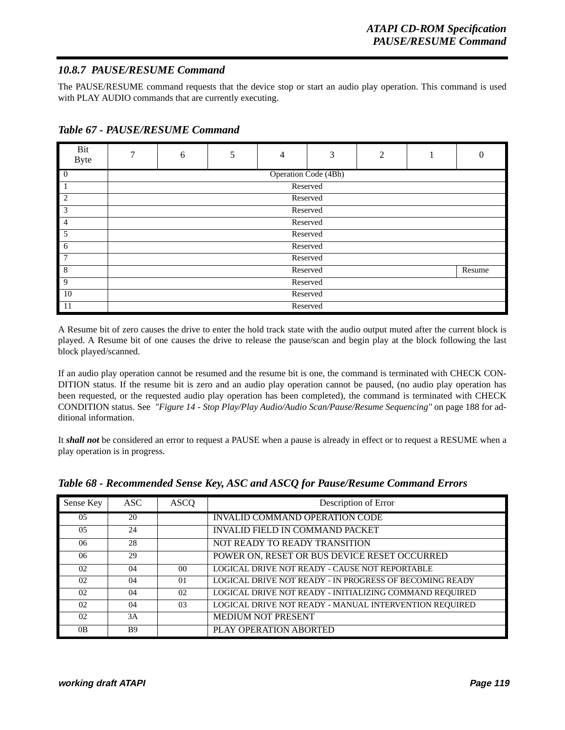## *10.8.7 PAUSE/RESUME Command*

The PAUSE/RESUME command requests that the device stop or start an audio play operation. This command is used with PLAY AUDIO commands that are currently executing.

| Bit<br><b>Byte</b> | 7 | 6        |  | $\overline{4}$ | 3                           | $\overline{c}$ |  | $\left( \right)$ |  |  |
|--------------------|---|----------|--|----------------|-----------------------------|----------------|--|------------------|--|--|
| $\overline{0}$     |   |          |  |                | <b>Operation Code (4Bh)</b> |                |  |                  |  |  |
| $\vert$ 1          |   |          |  |                | Reserved                    |                |  |                  |  |  |
| 2                  |   |          |  |                | Reserved                    |                |  |                  |  |  |
| $\overline{3}$     |   |          |  |                | Reserved                    |                |  |                  |  |  |
| $\overline{4}$     |   |          |  |                | Reserved                    |                |  |                  |  |  |
| 5                  |   |          |  |                | Reserved                    |                |  |                  |  |  |
| - 6                |   |          |  |                | Reserved                    |                |  |                  |  |  |
| $\overline{7}$     |   |          |  |                | Reserved                    |                |  |                  |  |  |
| 8                  |   |          |  |                | Reserved                    |                |  | Resume           |  |  |
| $\overline{9}$     |   | Reserved |  |                |                             |                |  |                  |  |  |
| 10                 |   |          |  |                | Reserved                    |                |  |                  |  |  |
| <sup>11</sup>      |   |          |  |                | Reserved                    |                |  |                  |  |  |

*Table 67 - PAUSE/RESUME Command*

A Resume bit of zero causes the drive to enter the hold track state with the audio output muted after the current block is played. A Resume bit of one causes the drive to release the pause/scan and begin play at the block following the last block played/scanned.

If an audio play operation cannot be resumed and the resume bit is one, the command is terminated with CHECK CON-DITION status. If the resume bit is zero and an audio play operation cannot be paused, (no audio play operation has been requested, or the requested audio play operation has been completed), the command is terminated with CHECK CONDITION status. See *"Figure 14 - Stop Play/Play Audio/Audio Scan/Pause/Resume Sequencing"* on page 188 for additional information.

It *shall not* be considered an error to request a PAUSE when a pause is already in effect or to request a RESUME when a play operation is in progress.

| Sense Key       | ASC.            | <b>ASCQ</b>     | Description of Error                                    |
|-----------------|-----------------|-----------------|---------------------------------------------------------|
| $\overline{05}$ | $\overline{20}$ |                 | <b>INVALID COMMAND OPERATION CODE</b>                   |
| 05              | 24              |                 | <b>INVALID FIELD IN COMMAND PACKET</b>                  |
| 06              | 28              |                 | NOT READY TO READY TRANSITION                           |
| 06              | 29              |                 | POWER ON, RESET OR BUS DEVICE RESET OCCURRED            |
| 02              | 04              | 00 <sup>2</sup> | <b>LOGICAL DRIVE NOT READY - CAUSE NOT REPORTABLE</b>   |
| 02              | 04              | 01              | LOGICAL DRIVE NOT READY - IN PROGRESS OF BECOMING READY |
| 02              | 04              | 02              | LOGICAL DRIVE NOT READY - INITIALIZING COMMAND REQUIRED |
| 02              | 04              | 03              | LOGICAL DRIVE NOT READY - MANUAL INTERVENTION REQUIRED  |
| 02              | 3A              |                 | <b>MEDIUM NOT PRESENT</b>                               |
| 0B              | B9              |                 | PLAY OPERATION ABORTED                                  |

*Table 68 - Recommended Sense Key, ASC and ASCQ for Pause/Resume Command Errors*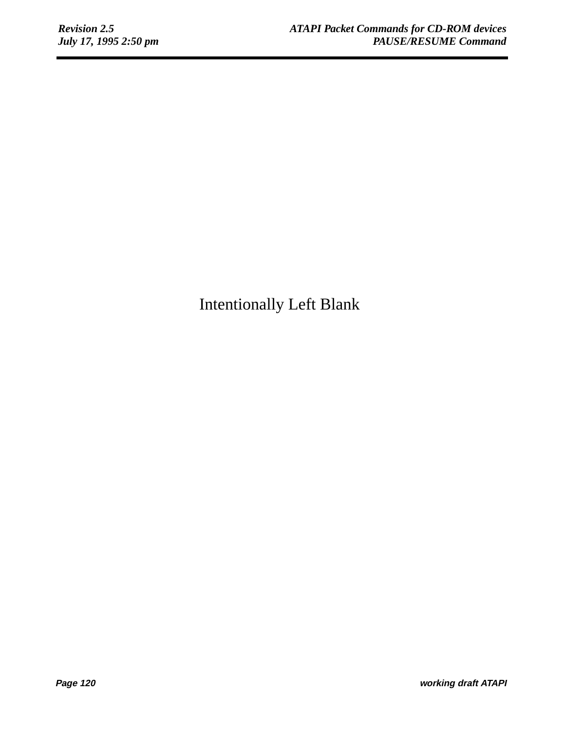Intentionally Left Blank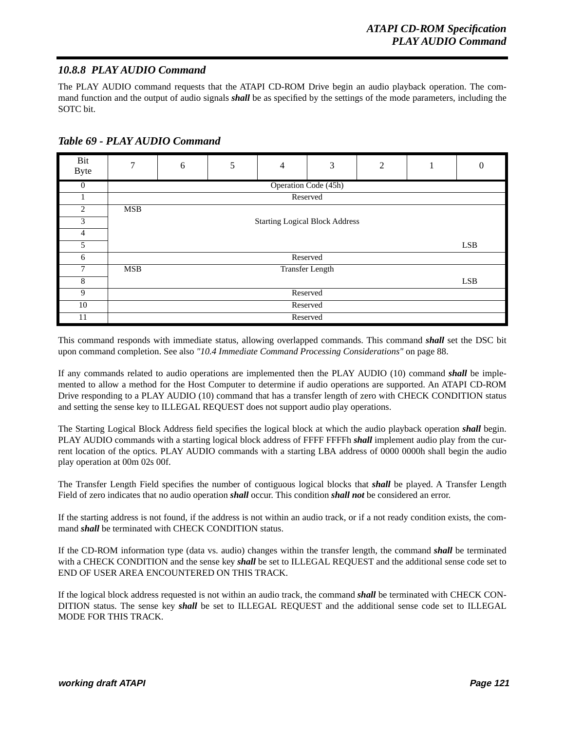## *10.8.8 PLAY AUDIO Command*

The PLAY AUDIO command requests that the ATAPI CD-ROM Drive begin an audio playback operation. The command function and the output of audio signals *shall* be as specified by the settings of the mode parameters, including the SOTC bit.

*Table 69 - PLAY AUDIO Command*

| Bit<br><b>Byte</b> | 7          | 6                                     | 5 | 4        | 3                      | 2 |  | $\boldsymbol{0}$ |  |
|--------------------|------------|---------------------------------------|---|----------|------------------------|---|--|------------------|--|
| $\overline{0}$     |            |                                       |   |          | Operation Code (45h)   |   |  |                  |  |
|                    |            |                                       |   | Reserved |                        |   |  |                  |  |
| $\overline{c}$     | <b>MSB</b> |                                       |   |          |                        |   |  |                  |  |
| 3                  |            | <b>Starting Logical Block Address</b> |   |          |                        |   |  |                  |  |
| $\overline{4}$     |            |                                       |   |          |                        |   |  |                  |  |
| 5                  |            |                                       |   |          |                        |   |  | <b>LSB</b>       |  |
| 6                  |            |                                       |   |          | Reserved               |   |  |                  |  |
| 7                  | <b>MSB</b> |                                       |   |          | <b>Transfer Length</b> |   |  |                  |  |
| $\,8\,$            |            | LSB                                   |   |          |                        |   |  |                  |  |
| 9                  |            | Reserved                              |   |          |                        |   |  |                  |  |
| 10                 |            | Reserved                              |   |          |                        |   |  |                  |  |
| 11                 |            |                                       |   |          | Reserved               |   |  |                  |  |

This command responds with immediate status, allowing overlapped commands. This command *shall* set the DSC bit upon command completion. See also *"10.4 Immediate Command Processing Considerations"* on page 88.

If any commands related to audio operations are implemented then the PLAY AUDIO (10) command *shall* be implemented to allow a method for the Host Computer to determine if audio operations are supported. An ATAPI CD-ROM Drive responding to a PLAY AUDIO (10) command that has a transfer length of zero with CHECK CONDITION status and setting the sense key to ILLEGAL REQUEST does not support audio play operations.

The Starting Logical Block Address field specifies the logical block at which the audio playback operation *shall* begin. PLAY AUDIO commands with a starting logical block address of FFFF FFFFh *shall* implement audio play from the current location of the optics. PLAY AUDIO commands with a starting LBA address of 0000 0000h shall begin the audio play operation at 00m 02s 00f.

The Transfer Length Field specifies the number of contiguous logical blocks that *shall* be played. A Transfer Length Field of zero indicates that no audio operation *shall* occur. This condition *shall not* be considered an error.

If the starting address is not found, if the address is not within an audio track, or if a not ready condition exists, the command *shall* be terminated with CHECK CONDITION status.

If the CD-ROM information type (data vs. audio) changes within the transfer length, the command *shall* be terminated with a CHECK CONDITION and the sense key *shall* be set to ILLEGAL REQUEST and the additional sense code set to END OF USER AREA ENCOUNTERED ON THIS TRACK.

If the logical block address requested is not within an audio track, the command *shall* be terminated with CHECK CON-DITION status. The sense key *shall* be set to ILLEGAL REQUEST and the additional sense code set to ILLEGAL MODE FOR THIS TRACK.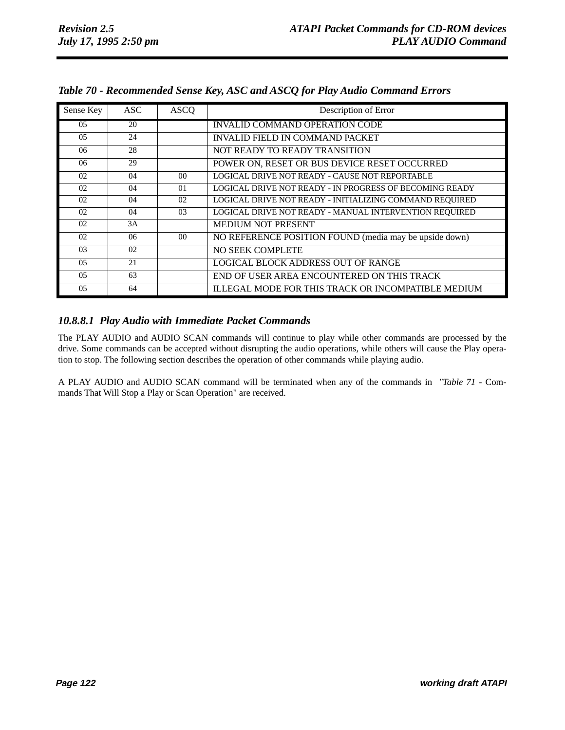| Sense Key | <b>ASC</b>      | <b>ASCQ</b>     | Description of Error                                    |
|-----------|-----------------|-----------------|---------------------------------------------------------|
| 05        | $\overline{20}$ |                 | <b>INVALID COMMAND OPERATION CODE</b>                   |
| 05        | 24              |                 | <b>INVALID FIELD IN COMMAND PACKET</b>                  |
| 06        | 28              |                 | NOT READY TO READY TRANSITION                           |
| 06        | 29              |                 | POWER ON, RESET OR BUS DEVICE RESET OCCURRED            |
| 02        | 04              | 0 <sup>0</sup>  | <b>LOGICAL DRIVE NOT READY - CAUSE NOT REPORTABLE</b>   |
| 02        | 04              | 01              | LOGICAL DRIVE NOT READY - IN PROGRESS OF BECOMING READY |
| 02        | 04              | 02              | LOGICAL DRIVE NOT READY - INITIALIZING COMMAND REQUIRED |
| 02        | 04              | 03              | LOGICAL DRIVE NOT READY - MANUAL INTERVENTION REQUIRED  |
| 02        | 3A              |                 | <b>MEDIUM NOT PRESENT</b>                               |
| 02        | 06              | 00 <sup>2</sup> | NO REFERENCE POSITION FOUND (media may be upside down)  |
| 03        | 02              |                 | NO SEEK COMPLETE                                        |
| 0.5       | 21              |                 | LOGICAL BLOCK ADDRESS OUT OF RANGE                      |
| 0.5       | 63              |                 | END OF USER AREA ENCOUNTERED ON THIS TRACK              |
| 0.5       | 64              |                 | ILLEGAL MODE FOR THIS TRACK OR INCOMPATIBLE MEDIUM      |

*Table 70 - Recommended Sense Key, ASC and ASCQ for Play Audio Command Errors*

### *10.8.8.1 Play Audio with Immediate Packet Commands*

The PLAY AUDIO and AUDIO SCAN commands will continue to play while other commands are processed by the drive. Some commands can be accepted without disrupting the audio operations, while others will cause the Play operation to stop. The following section describes the operation of other commands while playing audio.

A PLAY AUDIO and AUDIO SCAN command will be terminated when any of the commands in *"Table 71 -* Commands That Will Stop a Play or Scan Operation" are received.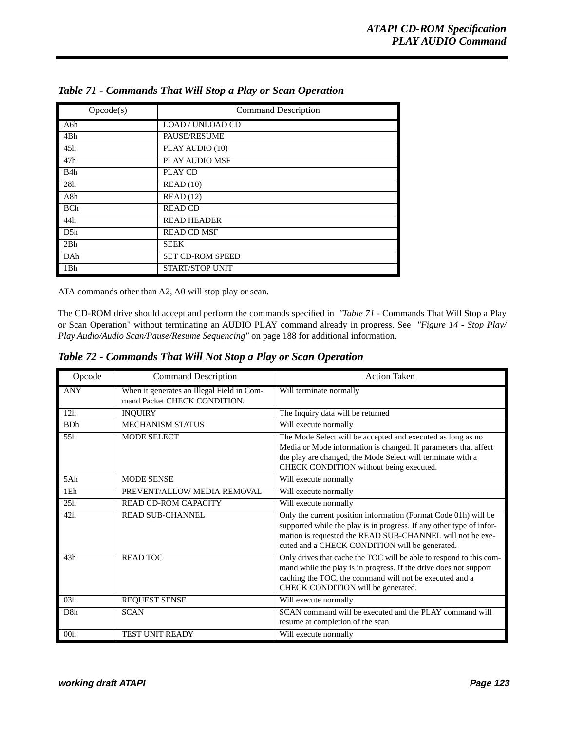| Opcode(s)        | <b>Command Description</b> |
|------------------|----------------------------|
| A6h              | <b>LOAD / UNLOAD CD</b>    |
| 4Bh              | <b>PAUSE/RESUME</b>        |
| 45h              | PLAY AUDIO (10)            |
| 47h              | PLAY AUDIO MSF             |
| B <sub>4</sub> h | PLAY CD                    |
| 28h              | READ(10)                   |
| A8h              | READ(12)                   |
| <b>BCh</b>       | <b>READ CD</b>             |
| 44h              | <b>READ HEADER</b>         |
| D5h              | <b>READ CD MSF</b>         |
| 2Bh              | <b>SEEK</b>                |
| DAh              | <b>SET CD-ROM SPEED</b>    |
| 1Bh              | <b>START/STOP UNIT</b>     |

*Table 71 - Commands That Will Stop a Play or Scan Operation*

ATA commands other than A2, A0 will stop play or scan.

The CD-ROM drive should accept and perform the commands specified in *"Table 71 -* Commands That Will Stop a Play or Scan Operation" without terminating an AUDIO PLAY command already in progress. See *"Figure 14 - Stop Play/ Play Audio/Audio Scan/Pause/Resume Sequencing"* on page 188 for additional information.

| Opcode           | <b>Command Description</b>                                                 | <b>Action Taken</b>                                                                                                                                                                                                                                    |
|------------------|----------------------------------------------------------------------------|--------------------------------------------------------------------------------------------------------------------------------------------------------------------------------------------------------------------------------------------------------|
| <b>ANY</b>       | When it generates an Illegal Field in Com-<br>mand Packet CHECK CONDITION. | Will terminate normally                                                                                                                                                                                                                                |
| 12h              | <b>INQUIRY</b>                                                             | The Inquiry data will be returned                                                                                                                                                                                                                      |
| <b>BDh</b>       | <b>MECHANISM STATUS</b>                                                    | Will execute normally                                                                                                                                                                                                                                  |
| 55h              | <b>MODE SELECT</b>                                                         | The Mode Select will be accepted and executed as long as no<br>Media or Mode information is changed. If parameters that affect<br>the play are changed, the Mode Select will terminate with a<br>CHECK CONDITION without being executed.               |
| 5Ah              | <b>MODE SENSE</b>                                                          | Will execute normally                                                                                                                                                                                                                                  |
| 1E <sub>h</sub>  | PREVENT/ALLOW MEDIA REMOVAL                                                | Will execute normally                                                                                                                                                                                                                                  |
| 25h              | <b>READ CD-ROM CAPACITY</b>                                                | Will execute normally                                                                                                                                                                                                                                  |
| 42h              | <b>READ SUB-CHANNEL</b>                                                    | Only the current position information (Format Code 01h) will be<br>supported while the play is in progress. If any other type of infor-<br>mation is requested the READ SUB-CHANNEL will not be exe-<br>cuted and a CHECK CONDITION will be generated. |
| 43h              | <b>READ TOC</b>                                                            | Only drives that cache the TOC will be able to respond to this com-<br>mand while the play is in progress. If the drive does not support<br>caching the TOC, the command will not be executed and a<br>CHECK CONDITION will be generated.              |
| 03h              | <b>REQUEST SENSE</b>                                                       | Will execute normally                                                                                                                                                                                                                                  |
| D <sub>8</sub> h | <b>SCAN</b>                                                                | SCAN command will be executed and the PLAY command will<br>resume at completion of the scan                                                                                                                                                            |
| 00h              | <b>TEST UNIT READY</b>                                                     | Will execute normally                                                                                                                                                                                                                                  |

*Table 72 - Commands That Will Not Stop a Play or Scan Operation*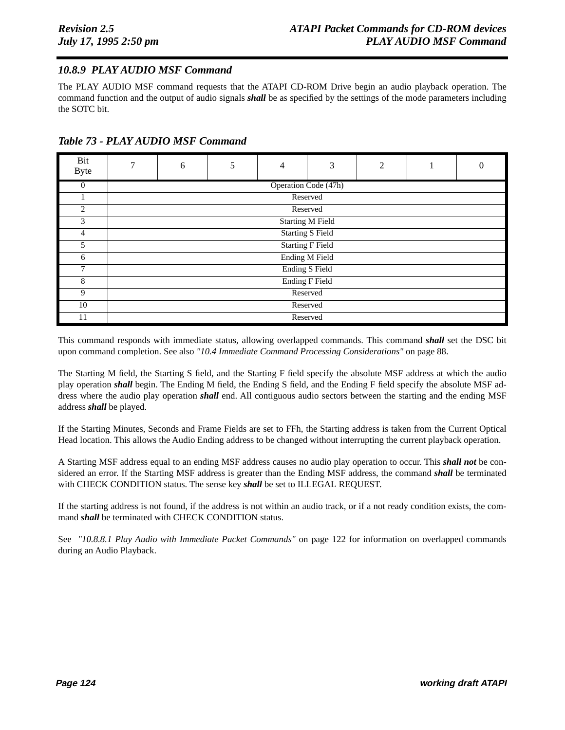## *10.8.9 PLAY AUDIO MSF Command*

The PLAY AUDIO MSF command requests that the ATAPI CD-ROM Drive begin an audio playback operation. The command function and the output of audio signals *shall* be as specified by the settings of the mode parameters including the SOTC bit.

*Table 73 - PLAY AUDIO MSF Command*

| Bit<br><b>Byte</b> | ⇁ | 6                       | 5 | 4 | 3                       | 2 |  | 0 |  |  |
|--------------------|---|-------------------------|---|---|-------------------------|---|--|---|--|--|
| $\overline{0}$     |   |                         |   |   | Operation Code (47h)    |   |  |   |  |  |
|                    |   | Reserved                |   |   |                         |   |  |   |  |  |
| $\overline{2}$     |   |                         |   |   | Reserved                |   |  |   |  |  |
| 3                  |   | <b>Starting M Field</b> |   |   |                         |   |  |   |  |  |
| $\overline{4}$     |   |                         |   |   | <b>Starting S Field</b> |   |  |   |  |  |
| 5                  |   |                         |   |   | <b>Starting F Field</b> |   |  |   |  |  |
| 6                  |   |                         |   |   | <b>Ending M Field</b>   |   |  |   |  |  |
| $\tau$             |   |                         |   |   | <b>Ending S Field</b>   |   |  |   |  |  |
| 8                  |   |                         |   |   | <b>Ending F Field</b>   |   |  |   |  |  |
| 9                  |   | Reserved                |   |   |                         |   |  |   |  |  |
| 10                 |   | Reserved                |   |   |                         |   |  |   |  |  |
| 11                 |   |                         |   |   | Reserved                |   |  |   |  |  |

This command responds with immediate status, allowing overlapped commands. This command *shall* set the DSC bit upon command completion. See also *"10.4 Immediate Command Processing Considerations"* on page 88.

The Starting M field, the Starting S field, and the Starting F field specify the absolute MSF address at which the audio play operation *shall* begin. The Ending M field, the Ending S field, and the Ending F field specify the absolute MSF address where the audio play operation *shall* end. All contiguous audio sectors between the starting and the ending MSF address *shall* be played.

If the Starting Minutes, Seconds and Frame Fields are set to FFh, the Starting address is taken from the Current Optical Head location. This allows the Audio Ending address to be changed without interrupting the current playback operation.

A Starting MSF address equal to an ending MSF address causes no audio play operation to occur. This *shall not* be considered an error. If the Starting MSF address is greater than the Ending MSF address, the command *shall* be terminated with CHECK CONDITION status. The sense key *shall* be set to ILLEGAL REQUEST.

If the starting address is not found, if the address is not within an audio track, or if a not ready condition exists, the command *shall* be terminated with CHECK CONDITION status.

See *"10.8.8.1 Play Audio with Immediate Packet Commands"* on page 122 for information on overlapped commands during an Audio Playback.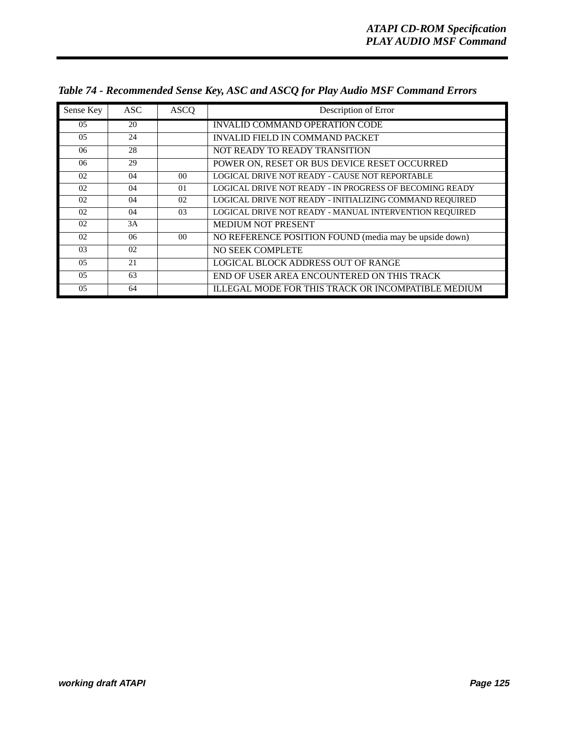| Sense Key       | ASC             | <b>ASCQ</b>    | Description of Error                                      |
|-----------------|-----------------|----------------|-----------------------------------------------------------|
| $\overline{05}$ | $\overline{20}$ |                | <b>INVALID COMMAND OPERATION CODE</b>                     |
| 0 <sub>5</sub>  | 24              |                | <b>INVALID FIELD IN COMMAND PACKET</b>                    |
| 06              | 28              |                | NOT READY TO READY TRANSITION                             |
| 06              | 29              |                | POWER ON, RESET OR BUS DEVICE RESET OCCURRED              |
| 02              | 04              | 0 <sup>0</sup> | <b>LOGICAL DRIVE NOT READY - CAUSE NOT REPORTABLE</b>     |
| 02              | 04              | 01             | LOGICAL DRIVE NOT READY - IN PROGRESS OF BECOMING READY   |
| 02              | 04              | 02             | LOGICAL DRIVE NOT READY - INITIALIZING COMMAND REQUIRED   |
| 02              | 04              | 0 <sub>3</sub> | LOGICAL DRIVE NOT READY - MANUAL INTERVENTION REQUIRED    |
| 02              | 3A              |                | <b>MEDIUM NOT PRESENT</b>                                 |
| 02              | 06              | $00\,$         | NO REFERENCE POSITION FOUND (media may be upside down)    |
| 0 <sub>3</sub>  | 02              |                | NO SEEK COMPLETE                                          |
| 0 <sub>5</sub>  | 21              |                | LOGICAL BLOCK ADDRESS OUT OF RANGE                        |
| 0 <sub>5</sub>  | 63              |                | END OF USER AREA ENCOUNTERED ON THIS TRACK                |
| 05              | 64              |                | <b>ILLEGAL MODE FOR THIS TRACK OR INCOMPATIBLE MEDIUM</b> |

*Table 74 - Recommended Sense Key, ASC and ASCQ for Play Audio MSF Command Errors*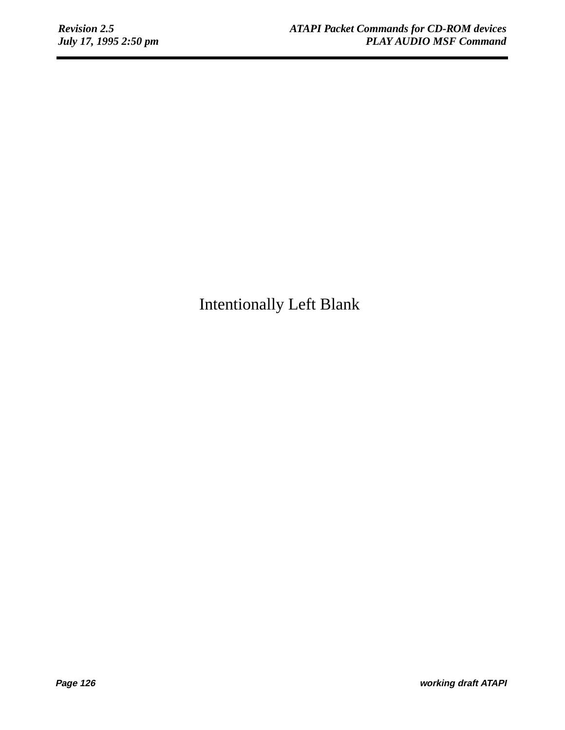Intentionally Left Blank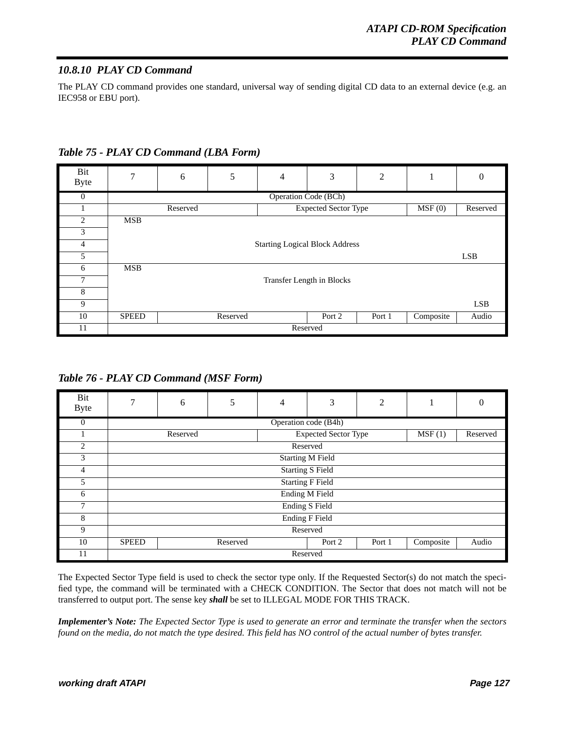## *10.8.10 PLAY CD Command*

The PLAY CD command provides one standard, universal way of sending digital CD data to an external device (e.g. an IEC958 or EBU port).

| Bit<br><b>Byte</b> | 7            | 6                                     | 5        | $\overline{4}$ | 3                                     | 2      |           | 0          |  |  |
|--------------------|--------------|---------------------------------------|----------|----------------|---------------------------------------|--------|-----------|------------|--|--|
| $\Omega$           |              |                                       |          |                | <b>Operation Code (BCh)</b>           |        |           |            |  |  |
|                    |              | Reserved                              |          |                | MSF(0)<br><b>Expected Sector Type</b> |        |           |            |  |  |
| 2                  | <b>MSB</b>   |                                       |          |                |                                       |        |           |            |  |  |
| 3                  |              |                                       |          |                |                                       |        |           |            |  |  |
| 4                  |              | <b>Starting Logical Block Address</b> |          |                |                                       |        |           |            |  |  |
| 5                  |              | <b>LSB</b>                            |          |                |                                       |        |           |            |  |  |
| 6                  | <b>MSB</b>   |                                       |          |                |                                       |        |           |            |  |  |
| 7                  |              |                                       |          |                | Transfer Length in Blocks             |        |           |            |  |  |
| 8                  |              |                                       |          |                |                                       |        |           |            |  |  |
| 9                  |              |                                       |          |                |                                       |        |           | <b>LSB</b> |  |  |
| 10                 | <b>SPEED</b> |                                       | Reserved |                | Port 2                                | Port 1 | Composite | Audio      |  |  |
| 11                 |              |                                       |          | Reserved       |                                       |        |           |            |  |  |

*Table 75 - PLAY CD Command (LBA Form)*

## *Table 76 - PLAY CD Command (MSF Form)*

| Bit<br><b>Byte</b> | $\mathcal{L}$ | 6                       | 5        | 4        | 3                           | 2      |                            | $\theta$ |  |  |
|--------------------|---------------|-------------------------|----------|----------|-----------------------------|--------|----------------------------|----------|--|--|
| $\overline{0}$     |               | Operation code (B4h)    |          |          |                             |        |                            |          |  |  |
|                    |               | Reserved                |          |          | <b>Expected Sector Type</b> |        | $\overline{\text{MSF}}(1)$ | Reserved |  |  |
| 2                  |               |                         |          | Reserved |                             |        |                            |          |  |  |
| 3                  |               | <b>Starting M Field</b> |          |          |                             |        |                            |          |  |  |
| $\overline{4}$     |               | <b>Starting S Field</b> |          |          |                             |        |                            |          |  |  |
| 5                  |               | <b>Starting F Field</b> |          |          |                             |        |                            |          |  |  |
| 6                  |               | <b>Ending M Field</b>   |          |          |                             |        |                            |          |  |  |
| 7                  |               | <b>Ending S Field</b>   |          |          |                             |        |                            |          |  |  |
| 8                  |               | <b>Ending F Field</b>   |          |          |                             |        |                            |          |  |  |
| 9                  |               | Reserved                |          |          |                             |        |                            |          |  |  |
| 10                 | <b>SPEED</b>  |                         | Reserved |          | Port 2                      | Port 1 | Composite                  | Audio    |  |  |
| 11                 |               |                         |          | Reserved |                             |        |                            |          |  |  |

The Expected Sector Type field is used to check the sector type only. If the Requested Sector(s) do not match the specified type, the command will be terminated with a CHECK CONDITION. The Sector that does not match will not be transferred to output port. The sense key *shall* be set to ILLEGAL MODE FOR THIS TRACK.

*Implementer's Note: The Expected Sector Type is used to generate an error and terminate the transfer when the sectors found on the media, do not match the type desired. This field has NO control of the actual number of bytes transfer.*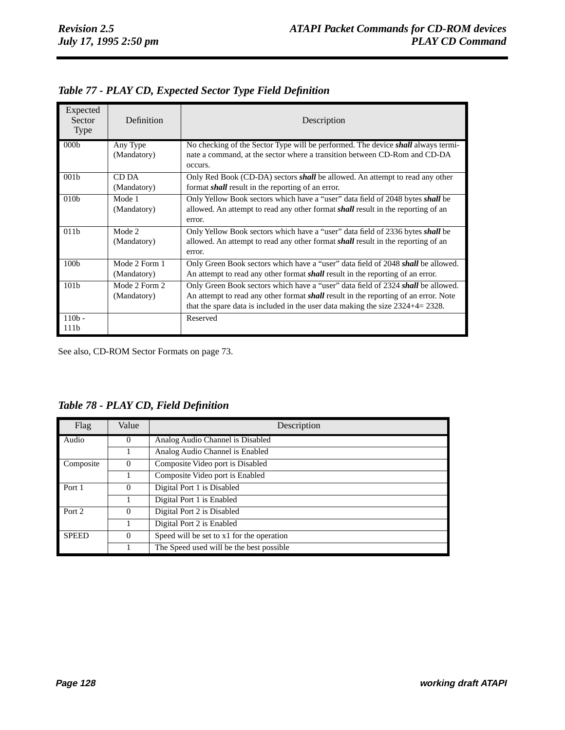| Expected<br>Sector<br><b>Type</b> | Definition                   | Description                                                                                                                                                                                                                                                               |
|-----------------------------------|------------------------------|---------------------------------------------------------------------------------------------------------------------------------------------------------------------------------------------------------------------------------------------------------------------------|
| 000 <sub>b</sub>                  | Any Type<br>(Mandatory)      | No checking of the Sector Type will be performed. The device shall always termi-<br>nate a command, at the sector where a transition between CD-Rom and CD-DA<br>occurs.                                                                                                  |
| 001 <sub>b</sub>                  | CD DA<br>(Mandatory)         | Only Red Book (CD-DA) sectors <i>shall</i> be allowed. An attempt to read any other<br>format <i>shall</i> result in the reporting of an error.                                                                                                                           |
| 010 <sub>b</sub>                  | Mode 1<br>(Mandatory)        | Only Yellow Book sectors which have a "user" data field of 2048 bytes <i>shall</i> be<br>allowed. An attempt to read any other format <i>shall</i> result in the reporting of an<br>error.                                                                                |
| 011 <sub>b</sub>                  | Mode 2<br>(Mandatory)        | Only Yellow Book sectors which have a "user" data field of 2336 bytes shall be<br>allowed. An attempt to read any other format <i>shall</i> result in the reporting of an<br>error.                                                                                       |
| 100 <sub>b</sub>                  | Mode 2 Form 1<br>(Mandatory) | Only Green Book sectors which have a "user" data field of 2048 shall be allowed.<br>An attempt to read any other format <i>shall</i> result in the reporting of an error.                                                                                                 |
| 101 <sub>b</sub>                  | Mode 2 Form 2<br>(Mandatory) | Only Green Book sectors which have a "user" data field of 2324 <b>shall</b> be allowed.<br>An attempt to read any other format <i>shall</i> result in the reporting of an error. Note<br>that the spare data is included in the user data making the size $2324+4=2328$ . |
| $110b$ -<br>111b                  |                              | Reserved                                                                                                                                                                                                                                                                  |

See also, CD-ROM Sector Formats on page 73.

*Table 78 - PLAY CD, Field Definition*

| Flag                                     | Value    | Description                               |  |
|------------------------------------------|----------|-------------------------------------------|--|
| Audio                                    | $\Omega$ | Analog Audio Channel is Disabled          |  |
|                                          |          | Analog Audio Channel is Enabled           |  |
| Composite                                | $\Omega$ | Composite Video port is Disabled          |  |
|                                          |          | Composite Video port is Enabled           |  |
| Port 1                                   | $\Omega$ | Digital Port 1 is Disabled                |  |
|                                          |          | Digital Port 1 is Enabled                 |  |
| Port 2                                   | $\Omega$ | Digital Port 2 is Disabled                |  |
|                                          |          | Digital Port 2 is Enabled                 |  |
| <b>SPEED</b>                             | $\Omega$ | Speed will be set to x1 for the operation |  |
| The Speed used will be the best possible |          |                                           |  |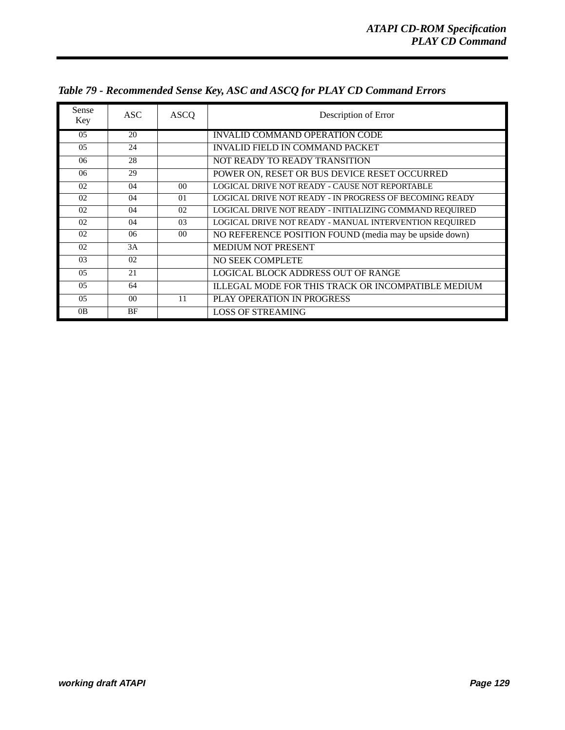| Sense<br>Key    | ASC.            | <b>ASCQ</b>     | Description of Error                                    |
|-----------------|-----------------|-----------------|---------------------------------------------------------|
| $\overline{05}$ | $\overline{20}$ |                 | <b>INVALID COMMAND OPERATION CODE</b>                   |
| 0.5             | 24              |                 | <b>INVALID FIELD IN COMMAND PACKET</b>                  |
| 06              | 28              |                 | NOT READY TO READY TRANSITION                           |
| 06              | 29              |                 | POWER ON, RESET OR BUS DEVICE RESET OCCURRED            |
| 02              | 04              | 00 <sup>1</sup> | <b>LOGICAL DRIVE NOT READY - CAUSE NOT REPORTABLE</b>   |
| 02              | 04              | 01              | LOGICAL DRIVE NOT READY - IN PROGRESS OF BECOMING READY |
| 02              | 04              | 02              | LOGICAL DRIVE NOT READY - INITIALIZING COMMAND REQUIRED |
| 02              | 04              | 03              | LOGICAL DRIVE NOT READY - MANUAL INTERVENTION REQUIRED  |
| 02              | 06              | $00\,$          | NO REFERENCE POSITION FOUND (media may be upside down)  |
| 02              | 3A              |                 | <b>MEDIUM NOT PRESENT</b>                               |
| 03              | 02              |                 | NO SEEK COMPLETE                                        |
| 0.5             | 21              |                 | LOGICAL BLOCK ADDRESS OUT OF RANGE                      |
| 0 <sub>5</sub>  | 64              |                 | ILLEGAL MODE FOR THIS TRACK OR INCOMPATIBLE MEDIUM      |
| 0.5             | 0 <sup>0</sup>  | 11              | PLAY OPERATION IN PROGRESS                              |
| 0B              | BF              |                 | <b>LOSS OF STREAMING</b>                                |

*Table 79 - Recommended Sense Key, ASC and ASCQ for PLAY CD Command Errors*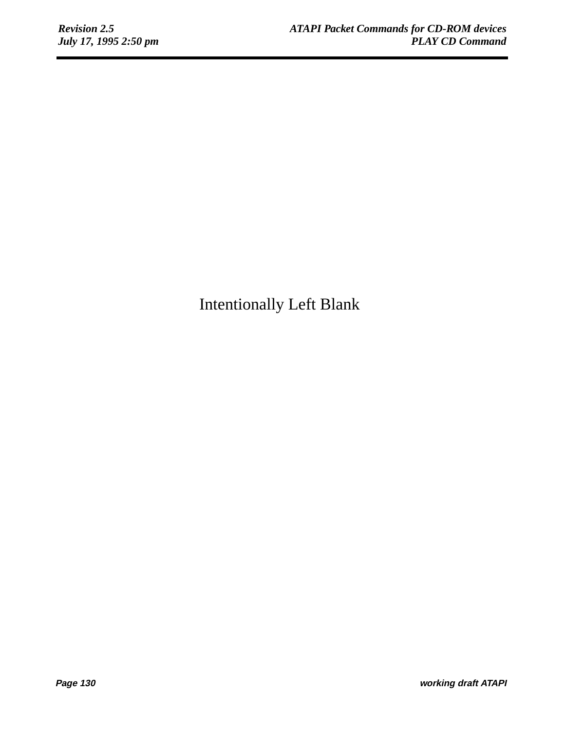Intentionally Left Blank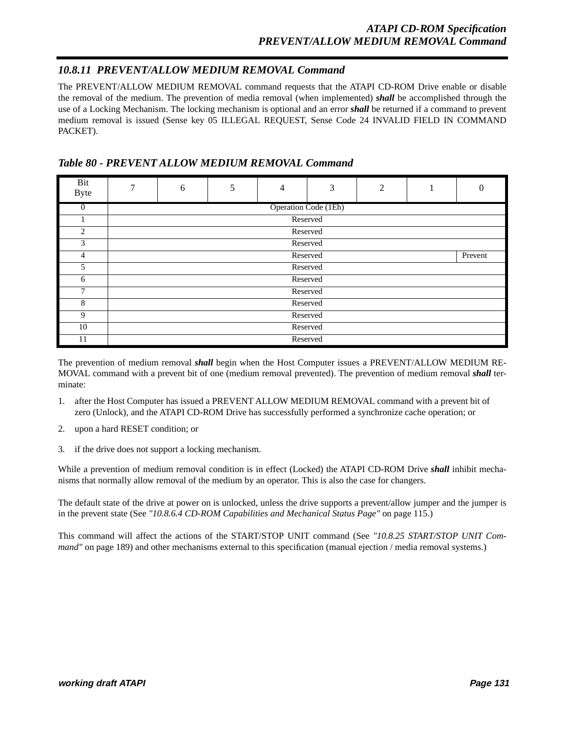## *10.8.11 PREVENT/ALLOW MEDIUM REMOVAL Command*

The PREVENT/ALLOW MEDIUM REMOVAL command requests that the ATAPI CD-ROM Drive enable or disable the removal of the medium. The prevention of media removal (when implemented) *shall* be accomplished through the use of a Locking Mechanism. The locking mechanism is optional and an error *shall* be returned if a command to prevent medium removal is issued (Sense key 05 ILLEGAL REQUEST, Sense Code 24 INVALID FIELD IN COMMAND PACKET).

| <b>Table 80 - PREVENT ALLOW MEDIUM REMOVAL Command</b> |
|--------------------------------------------------------|
|--------------------------------------------------------|

| Bit<br><b>Byte</b> | $\mathcal{I}$ | 6        | 5 | $\overline{4}$ | 3                    | 2 |  | 0       |  |  |
|--------------------|---------------|----------|---|----------------|----------------------|---|--|---------|--|--|
| $\overline{0}$     |               |          |   |                | Operation Code (1Eh) |   |  |         |  |  |
|                    |               |          |   |                | Reserved             |   |  |         |  |  |
| 2                  |               |          |   |                | Reserved             |   |  |         |  |  |
| 3                  |               |          |   |                | Reserved             |   |  |         |  |  |
| 4                  |               |          |   |                | Reserved             |   |  | Prevent |  |  |
| 5                  |               | Reserved |   |                |                      |   |  |         |  |  |
| 6                  |               |          |   |                | Reserved             |   |  |         |  |  |
| 7                  |               | Reserved |   |                |                      |   |  |         |  |  |
| 8                  |               | Reserved |   |                |                      |   |  |         |  |  |
| 9                  |               | Reserved |   |                |                      |   |  |         |  |  |
| 10                 |               | Reserved |   |                |                      |   |  |         |  |  |
| 11                 |               |          |   |                | Reserved             |   |  |         |  |  |

The prevention of medium removal *shall* begin when the Host Computer issues a PREVENT/ALLOW MEDIUM RE-MOVAL command with a prevent bit of one (medium removal prevented). The prevention of medium removal *shall* terminate:

- 1. after the Host Computer has issued a PREVENT ALLOW MEDIUM REMOVAL command with a prevent bit of zero (Unlock), and the ATAPI CD-ROM Drive has successfully performed a synchronize cache operation; or
- 2. upon a hard RESET condition; or
- 3. if the drive does not support a locking mechanism.

While a prevention of medium removal condition is in effect (Locked) the ATAPI CD-ROM Drive *shall* inhibit mechanisms that normally allow removal of the medium by an operator. This is also the case for changers.

The default state of the drive at power on is unlocked, unless the drive supports a prevent/allow jumper and the jumper is in the prevent state (See *"10.8.6.4 CD-ROM Capabilities and Mechanical Status Page"* on page 115.)

This command will affect the actions of the START/STOP UNIT command (See *"10.8.25 START/STOP UNIT Command"* on page 189) and other mechanisms external to this specification (manual ejection / media removal systems.)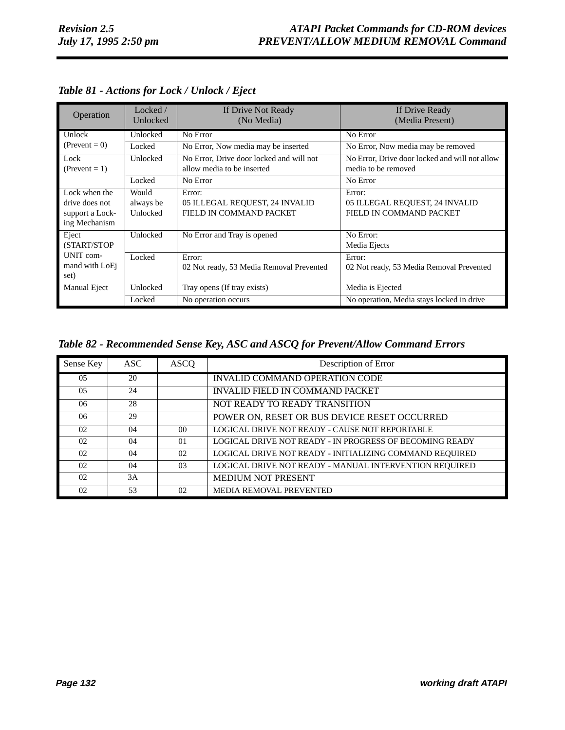| Operation                                                           | Locked /<br>Unlocked           | If Drive Not Ready<br>(No Media)                                       | If Drive Ready<br>(Media Present)                                     |
|---------------------------------------------------------------------|--------------------------------|------------------------------------------------------------------------|-----------------------------------------------------------------------|
| Unlock                                                              | Unlocked                       | No Error                                                               | No Error                                                              |
| $(Prevent = 0)$                                                     | Locked                         | No Error, Now media may be inserted                                    | No Error, Now media may be removed                                    |
| Lock<br>$(Prevent = 1)$                                             | Unlocked                       | No Error, Drive door locked and will not<br>allow media to be inserted | No Error, Drive door locked and will not allow<br>media to be removed |
|                                                                     | Locked                         | No Error                                                               | No Error                                                              |
| Lock when the<br>drive does not<br>support a Lock-<br>ing Mechanism | Would<br>always be<br>Unlocked | Error:<br>05 ILLEGAL REQUEST, 24 INVALID<br>FIELD IN COMMAND PACKET    | Error:<br>05 ILLEGAL REQUEST, 24 INVALID<br>FIELD IN COMMAND PACKET   |
| Eject<br>(START/STOP)                                               | Unlocked                       | No Error and Tray is opened                                            | No Error:<br>Media Ejects                                             |
| UNIT com-<br>mand with LoEj<br>set)                                 | Locked                         | Error:<br>02 Not ready, 53 Media Removal Prevented                     | Error:<br>02 Not ready, 53 Media Removal Prevented                    |
| Manual Eject                                                        | Unlocked                       | Tray opens (If tray exists)                                            | Media is Ejected                                                      |
|                                                                     | Locked                         | No operation occurs                                                    | No operation, Media stays locked in drive                             |

*Table 81 - Actions for Lock / Unlock / Eject*

|  | Table 82 - Recommended Sense Key, ASC and ASCQ for Prevent/Allow Command Errors |  |  |  |  |
|--|---------------------------------------------------------------------------------|--|--|--|--|
|  |                                                                                 |  |  |  |  |

| Sense Key       | ASC             | <b>ASCQ</b>     | Description of Error                                    |
|-----------------|-----------------|-----------------|---------------------------------------------------------|
| $\overline{05}$ | $\overline{20}$ |                 | <b>INVALID COMMAND OPERATION CODE</b>                   |
| 0.5             | 24              |                 | <b>INVALID FIELD IN COMMAND PACKET</b>                  |
| 06              | 28              |                 | NOT READY TO READY TRANSITION                           |
| 06              | 29              |                 | POWER ON, RESET OR BUS DEVICE RESET OCCURRED            |
| 02              | 04              | 00 <sup>1</sup> | LOGICAL DRIVE NOT READY - CAUSE NOT REPORTABLE          |
| 02              | 04              | 01              | LOGICAL DRIVE NOT READY - IN PROGRESS OF BECOMING READY |
| 02              | 04              | 02              | LOGICAL DRIVE NOT READY - INITIALIZING COMMAND REQUIRED |
| 02              | 04              | 03              | LOGICAL DRIVE NOT READY - MANUAL INTERVENTION REQUIRED  |
| 02              | 3A              |                 | <b>MEDIUM NOT PRESENT</b>                               |
| 02              | 53              | 02              | MEDIA REMOVAL PREVENTED                                 |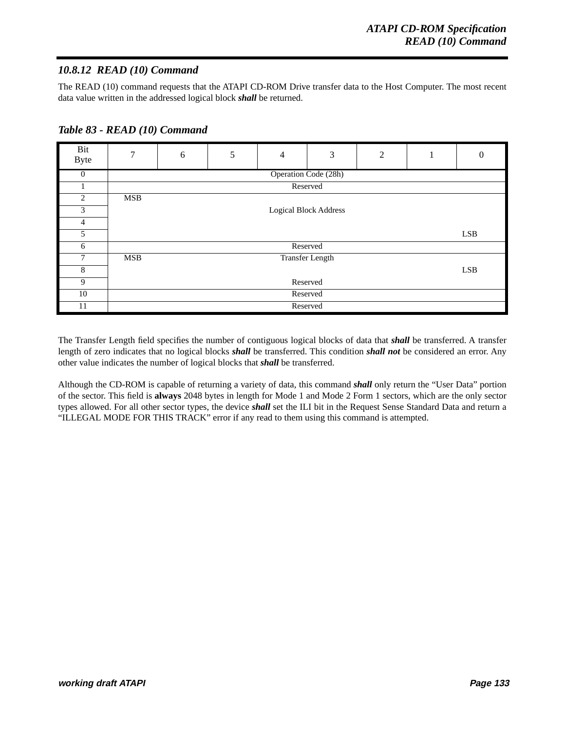## *10.8.12 READ (10) Command*

The READ (10) command requests that the ATAPI CD-ROM Drive transfer data to the Host Computer. The most recent data value written in the addressed logical block *shall* be returned.

| Bit<br><b>Byte</b> | $\mathcal{I}$ | 6                    | 5 | 4                            | 3               | 2 |  | $\boldsymbol{0}$ |  |  |  |
|--------------------|---------------|----------------------|---|------------------------------|-----------------|---|--|------------------|--|--|--|
| $\overline{0}$     |               | Operation Code (28h) |   |                              |                 |   |  |                  |  |  |  |
|                    |               | Reserved             |   |                              |                 |   |  |                  |  |  |  |
| $\overline{2}$     | <b>MSB</b>    |                      |   |                              |                 |   |  |                  |  |  |  |
| 3                  |               |                      |   | <b>Logical Block Address</b> |                 |   |  |                  |  |  |  |
| $\overline{4}$     |               |                      |   |                              |                 |   |  |                  |  |  |  |
| 5                  |               | <b>LSB</b>           |   |                              |                 |   |  |                  |  |  |  |
| 6                  |               |                      |   |                              | Reserved        |   |  |                  |  |  |  |
| 7                  | <b>MSB</b>    |                      |   |                              | Transfer Length |   |  |                  |  |  |  |
| $8\,$              |               | LSB                  |   |                              |                 |   |  |                  |  |  |  |
| 9                  |               | Reserved             |   |                              |                 |   |  |                  |  |  |  |
| 10                 |               | Reserved             |   |                              |                 |   |  |                  |  |  |  |
| 11                 |               |                      |   |                              | Reserved        |   |  |                  |  |  |  |

The Transfer Length field specifies the number of contiguous logical blocks of data that *shall* be transferred. A transfer length of zero indicates that no logical blocks *shall* be transferred. This condition *shall not* be considered an error. Any other value indicates the number of logical blocks that *shall* be transferred.

Although the CD-ROM is capable of returning a variety of data, this command *shall* only return the "User Data" portion of the sector. This field is **always** 2048 bytes in length for Mode 1 and Mode 2 Form 1 sectors, which are the only sector types allowed. For all other sector types, the device *shall* set the ILI bit in the Request Sense Standard Data and return a "ILLEGAL MODE FOR THIS TRACK" error if any read to them using this command is attempted.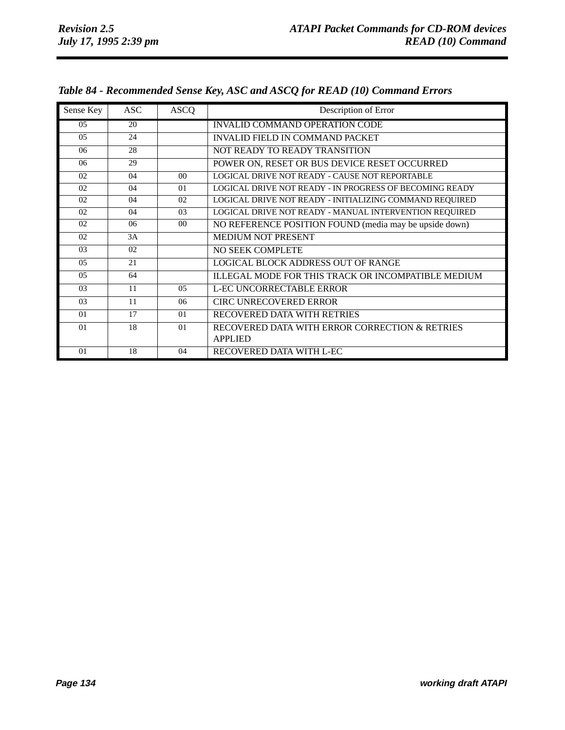| Sense Key       | ASC | <b>ASCQ</b>    | Description of Error                                      |
|-----------------|-----|----------------|-----------------------------------------------------------|
| $\overline{05}$ | 20  |                | <b>INVALID COMMAND OPERATION CODE</b>                     |
| 05              | 24  |                | <b>INVALID FIELD IN COMMAND PACKET</b>                    |
| 06              | 28  |                | NOT READY TO READY TRANSITION                             |
| 06              | 29  |                | POWER ON, RESET OR BUS DEVICE RESET OCCURRED              |
| 02              | 04  | 0 <sup>0</sup> | <b>LOGICAL DRIVE NOT READY - CAUSE NOT REPORTABLE</b>     |
| 02              | 04  | 01             | LOGICAL DRIVE NOT READY - IN PROGRESS OF BECOMING READY   |
| 02              | 04  | 02             | LOGICAL DRIVE NOT READY - INITIALIZING COMMAND REQUIRED   |
| 02              | 04  | 03             | LOGICAL DRIVE NOT READY - MANUAL INTERVENTION REQUIRED    |
| 02              | 06  | 0 <sup>0</sup> | NO REFERENCE POSITION FOUND (media may be upside down)    |
| 02              | 3A  |                | <b>MEDIUM NOT PRESENT</b>                                 |
| 03              | 02  |                | NO SEEK COMPLETE                                          |
| 0 <sub>5</sub>  | 21  |                | LOGICAL BLOCK ADDRESS OUT OF RANGE                        |
| 0 <sub>5</sub>  | 64  |                | <b>ILLEGAL MODE FOR THIS TRACK OR INCOMPATIBLE MEDIUM</b> |
| 03              | 11  | 0.5            | L-EC UNCORRECTABLE ERROR                                  |
| 03              | 11  | 06             | <b>CIRC UNRECOVERED ERROR</b>                             |
| 01              | 17  | 01             | RECOVERED DATA WITH RETRIES                               |
| 01              | 18  | 01             | RECOVERED DATA WITH ERROR CORRECTION & RETRIES            |
|                 |     |                | <b>APPLIED</b>                                            |
| 01              | 18  | 04             | RECOVERED DATA WITH L-EC                                  |

# *Table 84 - Recommended Sense Key, ASC and ASCQ for READ (10) Command Errors*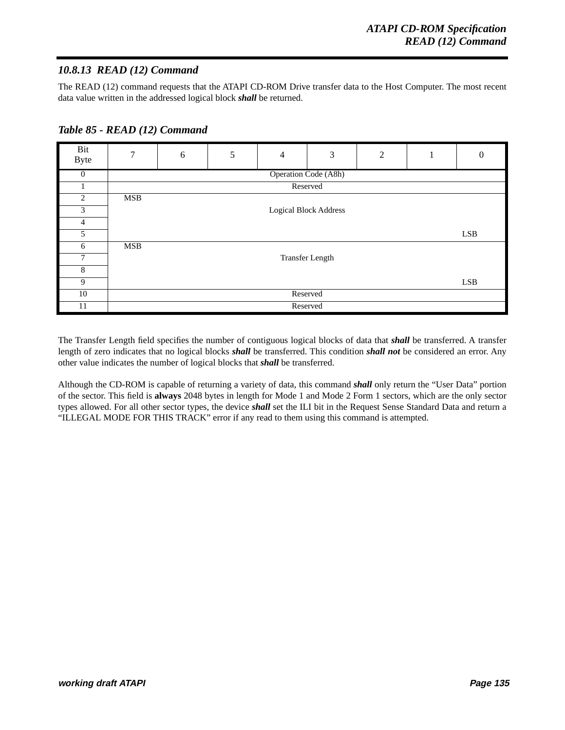## *10.8.13 READ (12) Command*

The READ (12) command requests that the ATAPI CD-ROM Drive transfer data to the Host Computer. The most recent data value written in the addressed logical block *shall* be returned.

| Bit<br><b>Byte</b> | $\mathcal{I}$ | 6                           | 5 | 4 | 3                            | $\overline{2}$ | 1 | $\boldsymbol{0}$ |  |  |  |
|--------------------|---------------|-----------------------------|---|---|------------------------------|----------------|---|------------------|--|--|--|
| $\overline{0}$     |               | <b>Operation Code (A8h)</b> |   |   |                              |                |   |                  |  |  |  |
|                    |               |                             |   |   | Reserved                     |                |   |                  |  |  |  |
| 2                  | <b>MSB</b>    |                             |   |   |                              |                |   |                  |  |  |  |
| 3                  |               |                             |   |   | <b>Logical Block Address</b> |                |   |                  |  |  |  |
| $\overline{4}$     |               |                             |   |   |                              |                |   |                  |  |  |  |
| 5                  |               |                             |   |   |                              |                |   | <b>LSB</b>       |  |  |  |
| 6                  | <b>MSB</b>    |                             |   |   |                              |                |   |                  |  |  |  |
| 7                  |               | <b>Transfer Length</b>      |   |   |                              |                |   |                  |  |  |  |
| 8                  |               |                             |   |   |                              |                |   |                  |  |  |  |
| 9                  |               | <b>LSB</b>                  |   |   |                              |                |   |                  |  |  |  |
| 10                 |               | Reserved                    |   |   |                              |                |   |                  |  |  |  |
| 11                 |               |                             |   |   | Reserved                     |                |   |                  |  |  |  |

The Transfer Length field specifies the number of contiguous logical blocks of data that *shall* be transferred. A transfer length of zero indicates that no logical blocks *shall* be transferred. This condition *shall not* be considered an error. Any other value indicates the number of logical blocks that *shall* be transferred.

Although the CD-ROM is capable of returning a variety of data, this command *shall* only return the "User Data" portion of the sector. This field is **always** 2048 bytes in length for Mode 1 and Mode 2 Form 1 sectors, which are the only sector types allowed. For all other sector types, the device *shall* set the ILI bit in the Request Sense Standard Data and return a "ILLEGAL MODE FOR THIS TRACK" error if any read to them using this command is attempted.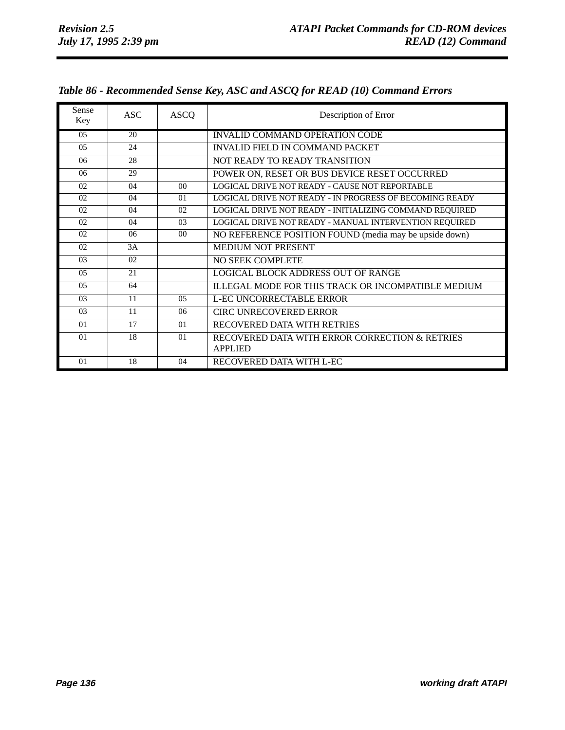| Sense<br>Key | ASC.            | <b>ASCQ</b>    | Description of Error                                      |
|--------------|-----------------|----------------|-----------------------------------------------------------|
| 05           | $\overline{20}$ |                | <b>INVALID COMMAND OPERATION CODE</b>                     |
| 0.5          | 24              |                | <b>INVALID FIELD IN COMMAND PACKET</b>                    |
| 06           | 28              |                | NOT READY TO READY TRANSITION                             |
| 06           | 29              |                | POWER ON, RESET OR BUS DEVICE RESET OCCURRED              |
| 02           | 04              | 0 <sup>0</sup> | LOGICAL DRIVE NOT READY - CAUSE NOT REPORTABLE            |
| 02           | 04              | 01             | LOGICAL DRIVE NOT READY - IN PROGRESS OF BECOMING READY   |
| 02           | 04              | 02             | LOGICAL DRIVE NOT READY - INITIALIZING COMMAND REQUIRED   |
| 02           | 04              | 03             | LOGICAL DRIVE NOT READY - MANUAL INTERVENTION REQUIRED    |
| 02           | 06              | 0 <sub>0</sub> | NO REFERENCE POSITION FOUND (media may be upside down)    |
| 02           | 3A              |                | <b>MEDIUM NOT PRESENT</b>                                 |
| 03           | 02              |                | NO SEEK COMPLETE                                          |
| 0.5          | 21              |                | <b>LOGICAL BLOCK ADDRESS OUT OF RANGE</b>                 |
| 0.5          | 64              |                | <b>ILLEGAL MODE FOR THIS TRACK OR INCOMPATIBLE MEDIUM</b> |
| 03           | 11              | 05             | L-EC UNCORRECTABLE ERROR                                  |
| 03           | 11              | 06             | <b>CIRC UNRECOVERED ERROR</b>                             |
| 01           | 17              | 01             | RECOVERED DATA WITH RETRIES                               |
| 01           | 18              | 01             | RECOVERED DATA WITH ERROR CORRECTION & RETRIES            |
|              |                 |                | <b>APPLIED</b>                                            |
| 01           | 18              | 04             | RECOVERED DATA WITH L-EC                                  |

# *Table 86 - Recommended Sense Key, ASC and ASCQ for READ (10) Command Errors*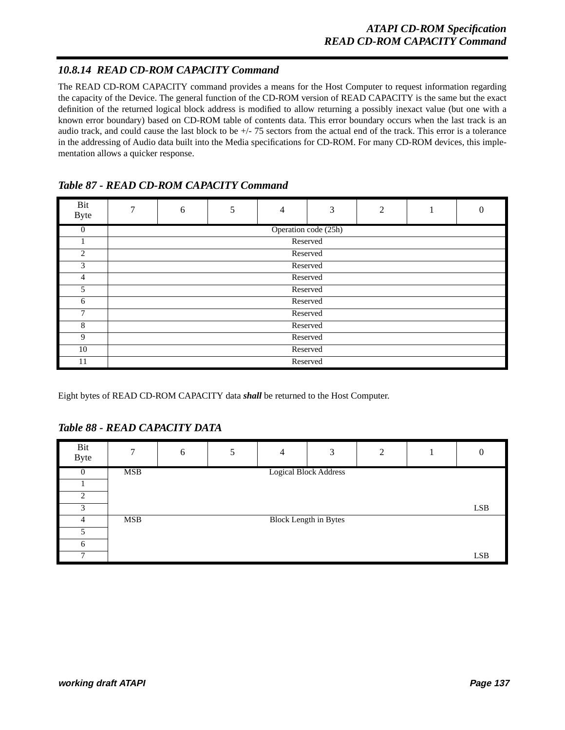# *10.8.14 READ CD-ROM CAPACITY Command*

The READ CD-ROM CAPACITY command provides a means for the Host Computer to request information regarding the capacity of the Device. The general function of the CD-ROM version of READ CAPACITY is the same but the exact definition of the returned logical block address is modified to allow returning a possibly inexact value (but one with a known error boundary) based on CD-ROM table of contents data. This error boundary occurs when the last track is an audio track, and could cause the last block to be  $+/-75$  sectors from the actual end of the track. This error is a tolerance in the addressing of Audio data built into the Media specifications for CD-ROM. For many CD-ROM devices, this implementation allows a quicker response.

| Bit<br><b>Byte</b> | 7 | 6        | 5 | 4        | 3                    | $\overline{2}$ |  | $\overline{0}$ |  |  |
|--------------------|---|----------|---|----------|----------------------|----------------|--|----------------|--|--|
| $\overline{0}$     |   |          |   |          | Operation code (25h) |                |  |                |  |  |
|                    |   |          |   |          | Reserved             |                |  |                |  |  |
| $\overline{2}$     |   |          |   |          | Reserved             |                |  |                |  |  |
| 3                  |   |          |   |          | Reserved             |                |  |                |  |  |
| $\overline{4}$     |   |          |   |          | Reserved             |                |  |                |  |  |
| 5                  |   | Reserved |   |          |                      |                |  |                |  |  |
| 6                  |   |          |   |          | Reserved             |                |  |                |  |  |
| 7                  |   |          |   |          | Reserved             |                |  |                |  |  |
| 8                  |   | Reserved |   |          |                      |                |  |                |  |  |
| 9                  |   | Reserved |   |          |                      |                |  |                |  |  |
| 10                 |   | Reserved |   |          |                      |                |  |                |  |  |
| 11                 |   |          |   | Reserved |                      |                |  |                |  |  |

## *Table 87 - READ CD-ROM CAPACITY Command*

Eight bytes of READ CD-ROM CAPACITY data *shall* be returned to the Host Computer.

# *Table 88 - READ CAPACITY DATA*

| Bit<br>Byte   | $\mathcal{I}$ | $\boldsymbol{6}$ | 5 | 4                            | 3                            | 2 | $\theta$   |
|---------------|---------------|------------------|---|------------------------------|------------------------------|---|------------|
| $\Omega$      | <b>MSB</b>    |                  |   |                              | <b>Logical Block Address</b> |   |            |
|               |               |                  |   |                              |                              |   |            |
| $\mathcal{L}$ |               |                  |   |                              |                              |   |            |
| ⌒             |               |                  |   |                              |                              |   | LSB        |
| 4             | <b>MSB</b>    |                  |   | <b>Block Length in Bytes</b> |                              |   |            |
|               |               |                  |   |                              |                              |   |            |
| 6             |               |                  |   |                              |                              |   |            |
| $\mathbf{r}$  |               |                  |   |                              |                              |   | <b>LSB</b> |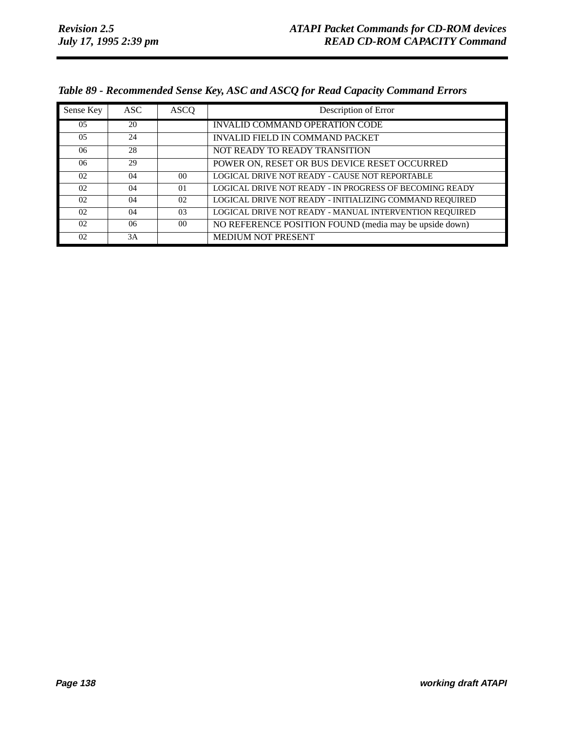| Sense Key       | ASC | ASCQ            | Description of Error                                    |
|-----------------|-----|-----------------|---------------------------------------------------------|
| $\overline{05}$ | 20  |                 | <b>INVALID COMMAND OPERATION CODE</b>                   |
| 0.5             | 24  |                 | <b>INVALID FIELD IN COMMAND PACKET</b>                  |
| 06              | 28  |                 | NOT READY TO READY TRANSITION                           |
| 06              | 29  |                 | POWER ON, RESET OR BUS DEVICE RESET OCCURRED            |
| 02              | 04  | 00 <sup>1</sup> | LOGICAL DRIVE NOT READY - CAUSE NOT REPORTABLE          |
| 02              | 04  | 01              | LOGICAL DRIVE NOT READY - IN PROGRESS OF BECOMING READY |
| 02              | 04  | 02              | LOGICAL DRIVE NOT READY - INITIALIZING COMMAND REQUIRED |
| 02              | 04  | 03              | LOGICAL DRIVE NOT READY - MANUAL INTERVENTION REQUIRED  |
| 02              | 06  | 00 <sup>2</sup> | NO REFERENCE POSITION FOUND (media may be upside down)  |
| 02              | 3A  |                 | <b>MEDIUM NOT PRESENT</b>                               |

# *Table 89 - Recommended Sense Key, ASC and ASCQ for Read Capacity Command Errors*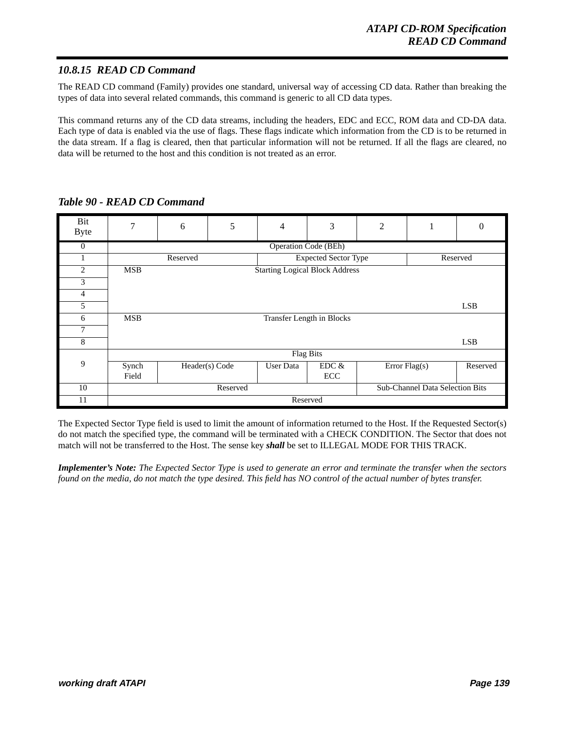## *10.8.15 READ CD Command*

The READ CD command (Family) provides one standard, universal way of accessing CD data. Rather than breaking the types of data into several related commands, this command is generic to all CD data types.

This command returns any of the CD data streams, including the headers, EDC and ECC, ROM data and CD-DA data. Each type of data is enabled via the use of flags. These flags indicate which information from the CD is to be returned in the data stream. If a flag is cleared, then that particular information will not be returned. If all the flags are cleared, no data will be returned to the host and this condition is not treated as an error.

| Bit<br><b>Byte</b> | 7                                           | 6                         | 5              | 4                                     | 3                           | $\overline{2}$ | 1<br>1        | $\overline{0}$ |
|--------------------|---------------------------------------------|---------------------------|----------------|---------------------------------------|-----------------------------|----------------|---------------|----------------|
| $\overline{0}$     |                                             |                           |                | <b>Operation Code (BEh)</b>           |                             |                |               |                |
|                    |                                             | Reserved                  |                |                                       | <b>Expected Sector Type</b> |                |               | Reserved       |
| 2                  | <b>MSB</b>                                  |                           |                | <b>Starting Logical Block Address</b> |                             |                |               |                |
| 3                  |                                             |                           |                |                                       |                             |                |               |                |
| $\overline{4}$     |                                             |                           |                |                                       |                             |                |               |                |
| 5                  |                                             |                           |                |                                       |                             |                |               | <b>LSB</b>     |
| 6                  | <b>MSB</b>                                  | Transfer Length in Blocks |                |                                       |                             |                |               |                |
| 7                  |                                             |                           |                |                                       |                             |                |               |                |
| 8                  |                                             | <b>LSB</b>                |                |                                       |                             |                |               |                |
|                    | Flag Bits                                   |                           |                |                                       |                             |                |               |                |
| 9                  | Synch<br>Field                              |                           | Header(s) Code | <b>User Data</b>                      | EDC &<br><b>ECC</b>         |                | Error Flag(s) | Reserved       |
| 10                 | Sub-Channel Data Selection Bits<br>Reserved |                           |                |                                       |                             |                |               |                |
| 11                 |                                             | Reserved                  |                |                                       |                             |                |               |                |

*Table 90 - READ CD Command*

The Expected Sector Type field is used to limit the amount of information returned to the Host. If the Requested Sector(s) do not match the specified type, the command will be terminated with a CHECK CONDITION. The Sector that does not match will not be transferred to the Host. The sense key *shall* be set to ILLEGAL MODE FOR THIS TRACK.

*Implementer's Note: The Expected Sector Type is used to generate an error and terminate the transfer when the sectors found on the media, do not match the type desired. This field has NO control of the actual number of bytes transfer.*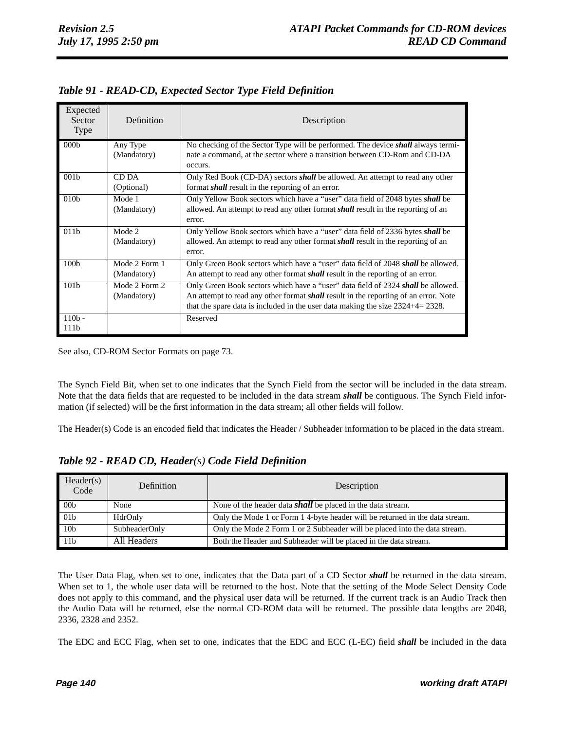| Expected<br><b>Sector</b><br><b>Type</b> | Definition                   | Description                                                                                                                                                                                                                                                               |
|------------------------------------------|------------------------------|---------------------------------------------------------------------------------------------------------------------------------------------------------------------------------------------------------------------------------------------------------------------------|
| 000 <sub>b</sub>                         | Any Type<br>(Mandatory)      | No checking of the Sector Type will be performed. The device <i>shall</i> always termi-<br>nate a command, at the sector where a transition between CD-Rom and CD-DA<br>occurs.                                                                                           |
| 001 <sub>b</sub>                         | CD DA<br>(Optional)          | Only Red Book (CD-DA) sectors <i>shall</i> be allowed. An attempt to read any other<br>format <i>shall</i> result in the reporting of an error.                                                                                                                           |
| 010 <sub>b</sub>                         | Mode 1<br>(Mandatory)        | Only Yellow Book sectors which have a "user" data field of 2048 bytes <i>shall</i> be<br>allowed. An attempt to read any other format <i>shall</i> result in the reporting of an<br>error.                                                                                |
| 011 <sub>b</sub>                         | Mode 2<br>(Mandatory)        | Only Yellow Book sectors which have a "user" data field of 2336 bytes shall be<br>allowed. An attempt to read any other format <i>shall</i> result in the reporting of an<br>error.                                                                                       |
| 100 <sub>b</sub>                         | Mode 2 Form 1<br>(Mandatory) | Only Green Book sectors which have a "user" data field of 2048 <b>shall</b> be allowed.<br>An attempt to read any other format <i>shall</i> result in the reporting of an error.                                                                                          |
| 101 <sub>b</sub>                         | Mode 2 Form 2<br>(Mandatory) | Only Green Book sectors which have a "user" data field of 2324 <b>shall</b> be allowed.<br>An attempt to read any other format <i>shall</i> result in the reporting of an error. Note<br>that the spare data is included in the user data making the size $2324+4=2328$ . |
| $110b$ -<br>111b                         |                              | Reserved                                                                                                                                                                                                                                                                  |

See also, CD-ROM Sector Formats on page 73.

The Synch Field Bit, when set to one indicates that the Synch Field from the sector will be included in the data stream. Note that the data fields that are requested to be included in the data stream *shall* be contiguous. The Synch Field information (if selected) will be the first information in the data stream; all other fields will follow.

The Header(s) Code is an encoded field that indicates the Header / Subheader information to be placed in the data stream.

| Header(s)<br>Code | Definition    | Description                                                                  |  |  |  |  |
|-------------------|---------------|------------------------------------------------------------------------------|--|--|--|--|
| 00 <sub>b</sub>   | None          | None of the header data <b>shall</b> be placed in the data stream.           |  |  |  |  |
| 01 <sub>b</sub>   | HdrOnly       | Only the Mode 1 or Form 1 4-byte header will be returned in the data stream. |  |  |  |  |
| 10 <sub>b</sub>   | SubheaderOnly | Only the Mode 2 Form 1 or 2 Subheader will be placed into the data stream.   |  |  |  |  |
| 11 <sub>b</sub>   | All Headers   | Both the Header and Subheader will be placed in the data stream.             |  |  |  |  |

*Table 92 - READ CD, Header(s) Code Field Definition*

The User Data Flag, when set to one, indicates that the Data part of a CD Sector *shall* be returned in the data stream. When set to 1, the whole user data will be returned to the host. Note that the setting of the Mode Select Density Code does not apply to this command, and the physical user data will be returned. If the current track is an Audio Track then the Audio Data will be returned, else the normal CD-ROM data will be returned. The possible data lengths are 2048, 2336, 2328 and 2352.

The EDC and ECC Flag, when set to one, indicates that the EDC and ECC (L-EC) field *shall* be included in the data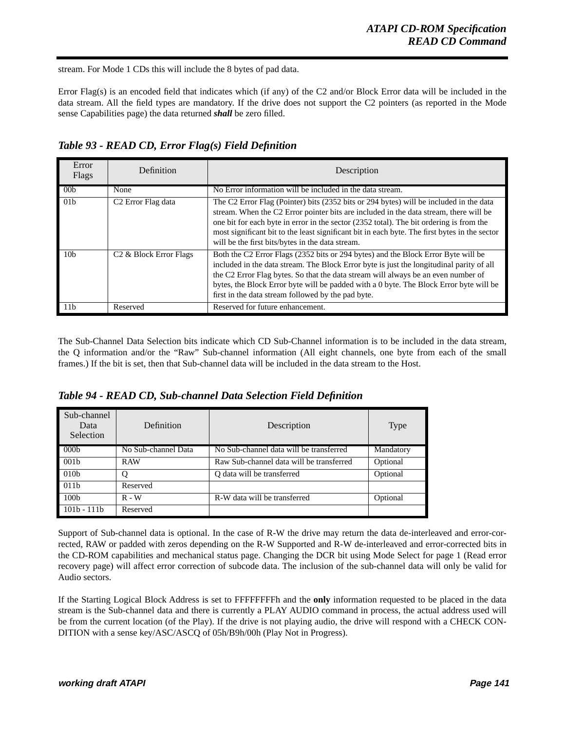stream. For Mode 1 CDs this will include the 8 bytes of pad data.

Error Flag(s) is an encoded field that indicates which (if any) of the C2 and/or Block Error data will be included in the data stream. All the field types are mandatory. If the drive does not support the C2 pointers (as reported in the Mode sense Capabilities page) the data returned *shall* be zero filled.

*Table 93 - READ CD, Error Flag(s) Field Definition*

| Error<br>Flags  | Definition                         | Description                                                                                                                                                                                                                                                                                                                                                                                                                                |
|-----------------|------------------------------------|--------------------------------------------------------------------------------------------------------------------------------------------------------------------------------------------------------------------------------------------------------------------------------------------------------------------------------------------------------------------------------------------------------------------------------------------|
| 00 <sub>b</sub> | None                               | No Error information will be included in the data stream.                                                                                                                                                                                                                                                                                                                                                                                  |
| 01 <sub>b</sub> | C <sub>2</sub> Error Flag data     | The C2 Error Flag (Pointer) bits (2352 bits or 294 bytes) will be included in the data<br>stream. When the C2 Error pointer bits are included in the data stream, there will be<br>one bit for each byte in error in the sector $(2352 \text{ total})$ . The bit ordering is from the<br>most significant bit to the least significant bit in each byte. The first bytes in the sector<br>will be the first bits/bytes in the data stream. |
| 10 <sub>b</sub> | C <sub>2</sub> & Block Error Flags | Both the C2 Error Flags (2352 bits or 294 bytes) and the Block Error Byte will be<br>included in the data stream. The Block Error byte is just the longitudinal parity of all<br>the C2 Error Flag bytes. So that the data stream will always be an even number of<br>bytes, the Block Error byte will be padded with a 0 byte. The Block Error byte will be<br>first in the data stream followed by the pad byte.                         |
| 11 <sub>b</sub> | Reserved                           | Reserved for future enhancement.                                                                                                                                                                                                                                                                                                                                                                                                           |

The Sub-Channel Data Selection bits indicate which CD Sub-Channel information is to be included in the data stream, the Q information and/or the "Raw" Sub-channel information (All eight channels, one byte from each of the small frames.) If the bit is set, then that Sub-channel data will be included in the data stream to the Host.

*Table 94 - READ CD, Sub-channel Data Selection Field Definition*

| Sub-channel<br>Data<br>Selection | Definition          | Description                              | <b>Type</b> |
|----------------------------------|---------------------|------------------------------------------|-------------|
| 000 <sub>b</sub>                 | No Sub-channel Data | No Sub-channel data will be transferred  | Mandatory   |
| 001 <sub>b</sub>                 | <b>RAW</b>          | Raw Sub-channel data will be transferred | Optional    |
| 010 <sub>b</sub>                 | Ő                   | O data will be transferred               | Optional    |
| 011 <sub>b</sub>                 | Reserved            |                                          |             |
| 100 <sub>b</sub>                 | $R - W$             | R-W data will be transferred             | Optional    |
| $101b - 111b$                    | Reserved            |                                          |             |

Support of Sub-channel data is optional. In the case of R-W the drive may return the data de-interleaved and error-corrected, RAW or padded with zeros depending on the R-W Supported and R-W de-interleaved and error-corrected bits in the CD-ROM capabilities and mechanical status page. Changing the DCR bit using Mode Select for page 1 (Read error recovery page) will affect error correction of subcode data. The inclusion of the sub-channel data will only be valid for Audio sectors.

If the Starting Logical Block Address is set to FFFFFFFFh and the **only** information requested to be placed in the data stream is the Sub-channel data and there is currently a PLAY AUDIO command in process, the actual address used will be from the current location (of the Play). If the drive is not playing audio, the drive will respond with a CHECK CON-DITION with a sense key/ASC/ASCQ of 05h/B9h/00h (Play Not in Progress).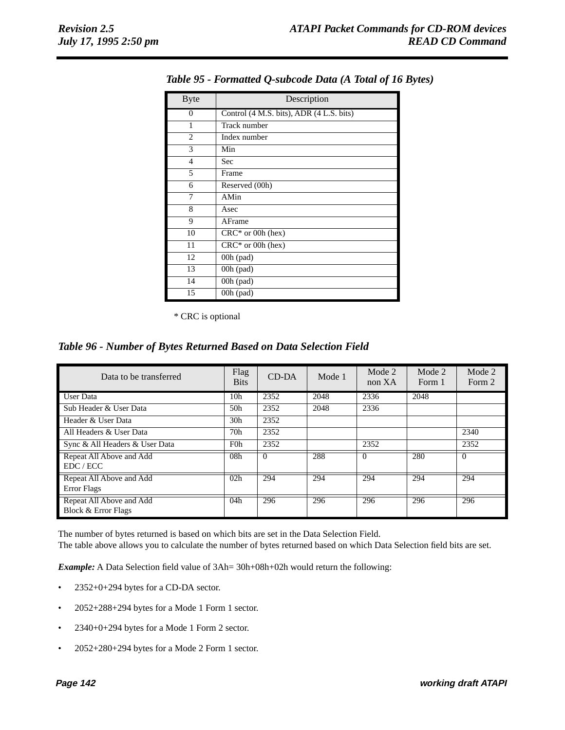| <b>Byte</b>    | Description                              |
|----------------|------------------------------------------|
| $\overline{0}$ | Control (4 M.S. bits), ADR (4 L.S. bits) |
| 1              | Track number                             |
| $\overline{c}$ | Index number                             |
| 3              | Min                                      |
| 4              | Sec                                      |
| 5              | Frame                                    |
| 6              | Reserved (00h)                           |
| 7              | AMin                                     |
| 8              | Asec                                     |
| 9              | AFrame                                   |
| 10             | $CRC*$ or 00h (hex)                      |
| 11             | $CRC*$ or 00h (hex)                      |
| 12             | $00h$ (pad)                              |
| 13             | 00h (pad)                                |
| 14             | 00h (pad)                                |
| 15             | 00h (pad)                                |

*Table 95 - Formatted Q-subcode Data (A Total of 16 Bytes)*

\* CRC is optional

*Table 96 - Number of Bytes Returned Based on Data Selection Field* 

| Data to be transferred                          |                 | $CD-DA$  | Mode 1 | Mode 2<br>non XA | Mode 2<br>Form 1 | Mode 2<br>Form 2 |
|-------------------------------------------------|-----------------|----------|--------|------------------|------------------|------------------|
| <b>User Data</b>                                | 10 <sub>h</sub> | 2352     | 2048   | 2336             | 2048             |                  |
| Sub Header & User Data                          | 50h             | 2352     | 2048   | 2336             |                  |                  |
| Header & User Data                              | 30 <sub>h</sub> | 2352     |        |                  |                  |                  |
| All Headers & User Data                         | 70h             | 2352     |        |                  |                  | 2340             |
| Sync & All Headers & User Data                  | F0h             | 2352     |        | 2352             |                  | 2352             |
| Repeat All Above and Add<br>EDC / ECC           | 08h             | $\Omega$ | 288    | 0                | 280              | $\Omega$         |
| Repeat All Above and Add<br>Error Flags         | 02h             | 294      | 294    | 294              | 294              | 294              |
| Repeat All Above and Add<br>Block & Error Flags | 04h             | 296      | 296    | 296              | 296              | 296              |

The number of bytes returned is based on which bits are set in the Data Selection Field. The table above allows you to calculate the number of bytes returned based on which Data Selection field bits are set.

*Example:* A Data Selection field value of 3Ah= 30h+08h+02h would return the following:

- 2352+0+294 bytes for a CD-DA sector.
- 2052+288+294 bytes for a Mode 1 Form 1 sector.
- 2340+0+294 bytes for a Mode 1 Form 2 sector.
- 2052+280+294 bytes for a Mode 2 Form 1 sector.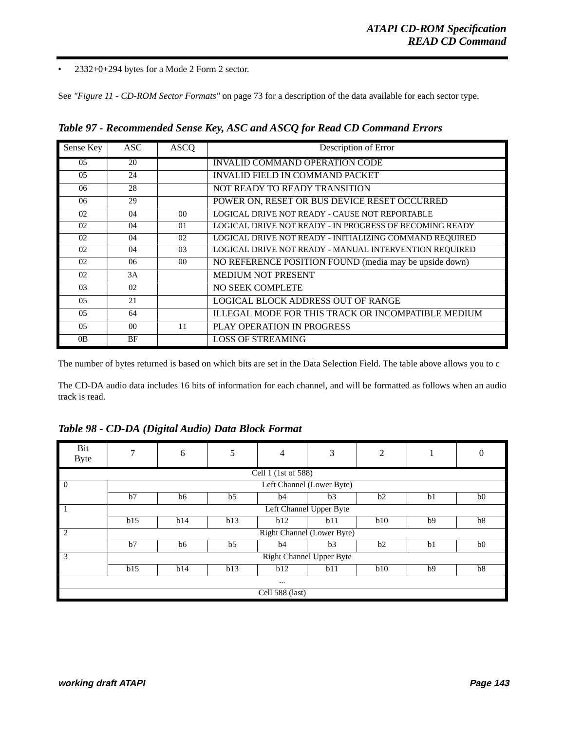#### • 2332+0+294 bytes for a Mode 2 Form 2 sector.

See *"Figure 11 - CD-ROM Sector Formats"* on page 73 for a description of the data available for each sector type.

*Table 97 - Recommended Sense Key, ASC and ASCQ for Read CD Command Errors*

| Sense Key       | <b>ASC</b>      | <b>ASCQ</b>     | Description of Error                                    |
|-----------------|-----------------|-----------------|---------------------------------------------------------|
| $\overline{05}$ | $\overline{20}$ |                 | <b>INVALID COMMAND OPERATION CODE</b>                   |
| 05              | 24              |                 | <b>INVALID FIELD IN COMMAND PACKET</b>                  |
| 06              | 28              |                 | NOT READY TO READY TRANSITION                           |
| 06              | 29              |                 | POWER ON, RESET OR BUS DEVICE RESET OCCURRED            |
| 02              | 04              | 00 <sup>1</sup> | LOGICAL DRIVE NOT READY - CAUSE NOT REPORTABLE          |
| 02              | 04              | 01              | LOGICAL DRIVE NOT READY - IN PROGRESS OF BECOMING READY |
| 02              | 04              | 02              | LOGICAL DRIVE NOT READY - INITIALIZING COMMAND REOUIRED |
| 02              | 04              | 03              | LOGICAL DRIVE NOT READY - MANUAL INTERVENTION REQUIRED  |
| 02              | 06              | $00\,$          | NO REFERENCE POSITION FOUND (media may be upside down)  |
| 02              | 3A              |                 | <b>MEDIUM NOT PRESENT</b>                               |
| 03              | 02              |                 | NO SEEK COMPLETE                                        |
| 0.5             | 21              |                 | LOGICAL BLOCK ADDRESS OUT OF RANGE                      |
| 0.5             | 64              |                 | ILLEGAL MODE FOR THIS TRACK OR INCOMPATIBLE MEDIUM      |
| 0.5             | 00 <sup>2</sup> | 11              | PLAY OPERATION IN PROGRESS                              |
| 0B              | BF              |                 | <b>LOSS OF STREAMING</b>                                |

The number of bytes returned is based on which bits are set in the Data Selection Field. The table above allows you to c

The CD-DA audio data includes 16 bits of information for each channel, and will be formatted as follows when an audio track is read.

| Bit<br><b>Byte</b> | 7                        | 6   | 5              | 4                   | 3                          | 2   |                | $\boldsymbol{0}$ |  |
|--------------------|--------------------------|-----|----------------|---------------------|----------------------------|-----|----------------|------------------|--|
|                    |                          |     |                | Cell 1 (1st of 588) |                            |     |                |                  |  |
| $\overline{0}$     |                          |     |                |                     | Left Channel (Lower Byte)  |     |                |                  |  |
|                    | b7                       | b6  | b <sub>5</sub> | b4                  | b3                         | b2  | b1             | b <sub>0</sub>   |  |
|                    |                          |     |                |                     | Left Channel Upper Byte    |     |                |                  |  |
|                    | b15                      | b14 | b13            | b12                 | b11                        | b10 | b9             | b <sub>8</sub>   |  |
| $\overline{2}$     |                          |     |                |                     | Right Channel (Lower Byte) |     |                |                  |  |
|                    | b7                       | b6  | b <sub>5</sub> | b4                  | b3                         | b2  | b <sub>1</sub> | b <sub>0</sub>   |  |
| 3                  | Right Channel Upper Byte |     |                |                     |                            |     |                |                  |  |
|                    | b15                      | b14 | b13            | b12                 | b11                        | b10 | b9             | b <sub>8</sub>   |  |
|                    | $\cdots$                 |     |                |                     |                            |     |                |                  |  |
|                    |                          |     |                | Cell 588 (last)     |                            |     |                |                  |  |

*Table 98 - CD-DA (Digital Audio) Data Block Format*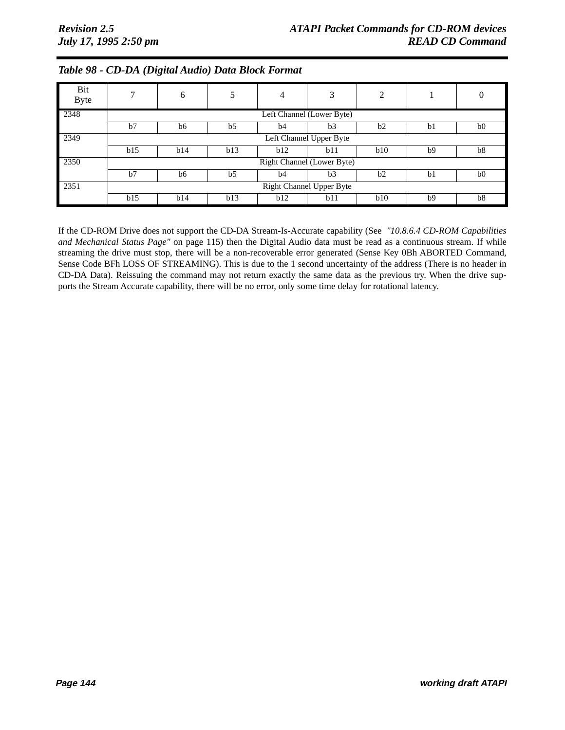| Bit<br><b>Byte</b> | $\mathcal{L}$             | 6   |                | 4   | 3                               | C<br>∠ |                | $\theta$       |  |
|--------------------|---------------------------|-----|----------------|-----|---------------------------------|--------|----------------|----------------|--|
| 2348               | Left Channel (Lower Byte) |     |                |     |                                 |        |                |                |  |
|                    | b7                        | b6  | b <sub>5</sub> | b4  | b3                              | b2     | b <sub>1</sub> | b <sub>0</sub> |  |
| 2349               | Left Channel Upper Byte   |     |                |     |                                 |        |                |                |  |
|                    | b15                       | b14 | b13            | b12 | b11                             | b10    | b9             | b <sub>8</sub> |  |
| 2350               |                           |     |                |     | Right Channel (Lower Byte)      |        |                |                |  |
|                    | b7                        | b6  | b <sub>5</sub> | b4  | b <sub>3</sub>                  | b2     | <sub>b1</sub>  | b <sub>0</sub> |  |
| 2351               |                           |     |                |     | <b>Right Channel Upper Byte</b> |        |                |                |  |
|                    | b15                       | b14 | b13            | b12 | b11                             | b10    | b9             | b <sub>8</sub> |  |

| Table 98 - CD-DA (Digital Audio) Data Block Format |  |  |  |
|----------------------------------------------------|--|--|--|
|----------------------------------------------------|--|--|--|

If the CD-ROM Drive does not support the CD-DA Stream-Is-Accurate capability (See *"10.8.6.4 CD-ROM Capabilities and Mechanical Status Page"* on page 115) then the Digital Audio data must be read as a continuous stream. If while streaming the drive must stop, there will be a non-recoverable error generated (Sense Key 0Bh ABORTED Command, Sense Code BFh LOSS OF STREAMING). This is due to the 1 second uncertainty of the address (There is no header in CD-DA Data). Reissuing the command may not return exactly the same data as the previous try. When the drive supports the Stream Accurate capability, there will be no error, only some time delay for rotational latency.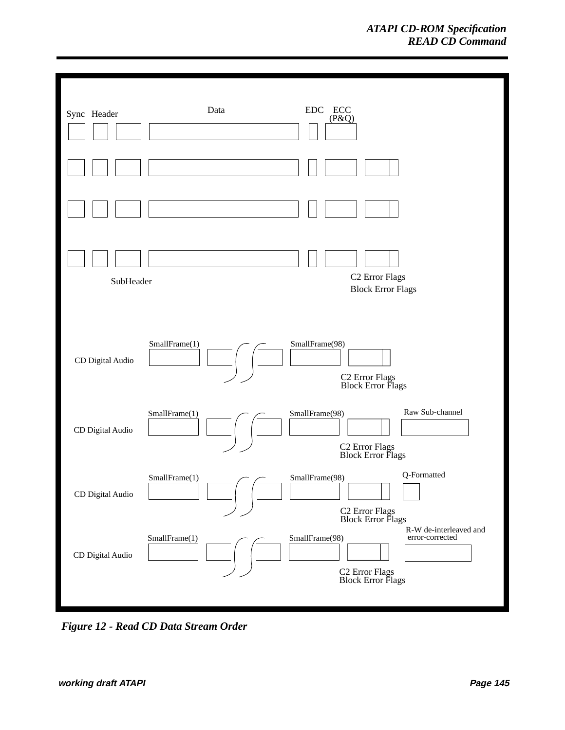| Sync Header      | Data          | EDC ECC<br>(P&Q)                                                                                           |
|------------------|---------------|------------------------------------------------------------------------------------------------------------|
| SubHeader        |               | C <sub>2</sub> Error Flags<br><b>Block Error Flags</b>                                                     |
| CD Digital Audio | SmallFrame(1) | SmallFrame(98)<br>C <sub>2</sub> Error Flags<br>Block Error Flags                                          |
| CD Digital Audio | SmallFrame(1) | Raw Sub-channel<br>SmallFrame(98)<br>C <sub>2</sub> Error Flags<br>Block Error Flags                       |
| CD Digital Audio | SmallFrame(1) | Q-Formatted<br>SmallFrame(98)<br>C <sub>2</sub> Error Flags<br>Block Error Flags<br>R-W de-interleaved and |
| CD Digital Audio | SmallFrame(1) | SmallFrame(98)<br>error-corrected<br>C <sub>2</sub> Error Flags<br>Block Error Flags                       |

*Figure 12 - Read CD Data Stream Order*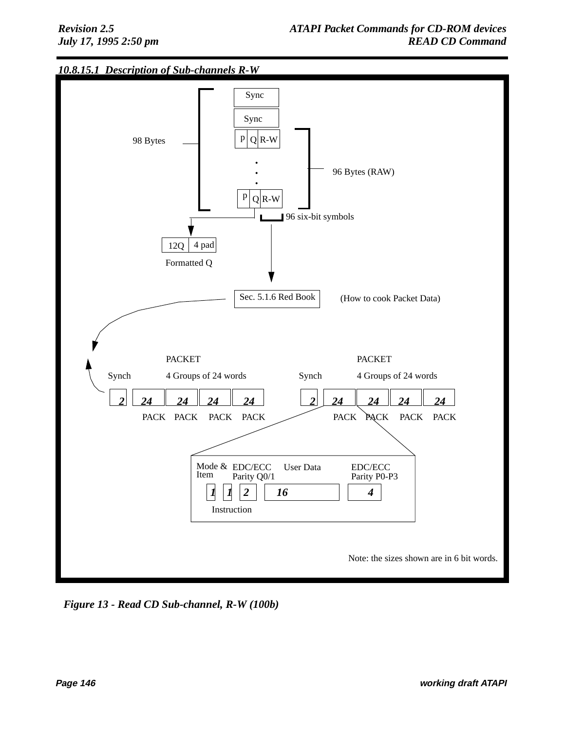

*Figure 13 - Read CD Sub-channel, R-W (100b)*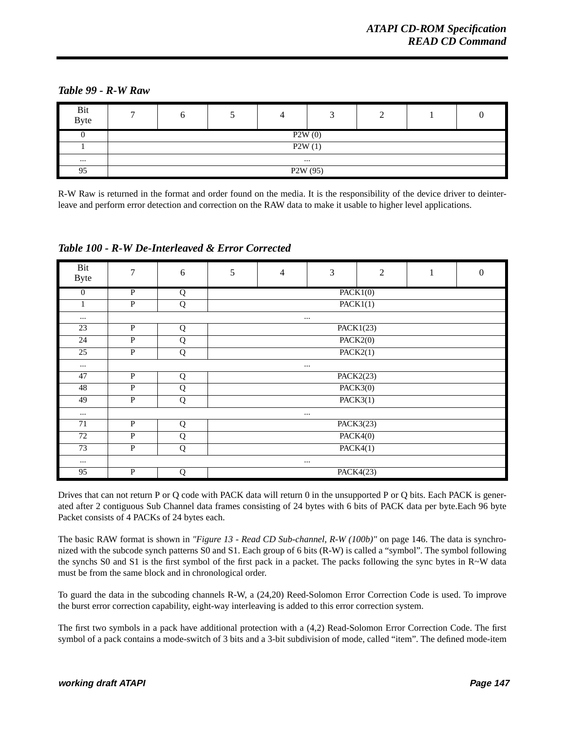#### *Table 99 - R-W Raw*

| Bit<br>Byte | -        | h      |  |  | $\sqrt{2}$ | ⌒<br>∠ |  |  |  |  |  |
|-------------|----------|--------|--|--|------------|--------|--|--|--|--|--|
| 0           |          | P2W(0) |  |  |            |        |  |  |  |  |  |
|             |          | P2W(1) |  |  |            |        |  |  |  |  |  |
| $\cdots$    |          |        |  |  |            |        |  |  |  |  |  |
| 95          | P2W (95) |        |  |  |            |        |  |  |  |  |  |

R-W Raw is returned in the format and order found on the media. It is the responsibility of the device driver to deinterleave and perform error detection and correction on the RAW data to make it usable to higher level applications.

| Bit<br><b>Byte</b> | 7                                           | 6              | 5                            | 4        | 3                            | $\overline{2}$ | 1 | $\theta$ |  |  |  |  |
|--------------------|---------------------------------------------|----------------|------------------------------|----------|------------------------------|----------------|---|----------|--|--|--|--|
| $\overline{0}$     | $\overline{P}$                              | $\overline{Q}$ |                              | PACK1(0) |                              |                |   |          |  |  |  |  |
| $\mathbf{1}$       | $\overline{P}$                              | $\overline{Q}$ | $\overline{\text{PACK1}(1)}$ |          |                              |                |   |          |  |  |  |  |
| $\cdots$           | $\cdots$                                    |                |                              |          |                              |                |   |          |  |  |  |  |
| 23                 | $\mathbf{P}$<br>PACK1(23)<br>$\overline{Q}$ |                |                              |          |                              |                |   |          |  |  |  |  |
| 24                 | $\mathbf{P}$                                | Q              |                              |          | PACK2(0)                     |                |   |          |  |  |  |  |
| $25\,$             | $\, {\bf P}$                                | Q              |                              |          | PACK2(1)                     |                |   |          |  |  |  |  |
| $\cdots$           | $\cdots$                                    |                |                              |          |                              |                |   |          |  |  |  |  |
| 47                 | $\mathbf{P}$                                | Q              |                              |          |                              | PACK2(23)      |   |          |  |  |  |  |
| 48                 | $\mathbf{P}$                                | Q              |                              |          |                              | PACK3(0)       |   |          |  |  |  |  |
| 49                 | $\mathbf{P}$                                | Q              |                              |          | $\overline{\text{PACK3}(1)}$ |                |   |          |  |  |  |  |
| $\cdots$           |                                             |                |                              |          | $\cdots$                     |                |   |          |  |  |  |  |
| 71                 | $\mathbf{P}$                                | Q              |                              |          |                              | PACK3(23)      |   |          |  |  |  |  |
| $\overline{72}$    | $\overline{P}$                              | $\overline{Q}$ |                              |          |                              | PACK4(0)       |   |          |  |  |  |  |
| 73                 | $\mathbf{P}$                                | Q              | PACK4(1)                     |          |                              |                |   |          |  |  |  |  |
| $\cdots$           | $\cdots$                                    |                |                              |          |                              |                |   |          |  |  |  |  |
| 95                 | $\mathbf{P}$                                | Q              |                              |          |                              | PACK4(23)      |   |          |  |  |  |  |

*Table 100 - R-W De-Interleaved & Error Corrected*

Drives that can not return P or Q code with PACK data will return 0 in the unsupported P or Q bits. Each PACK is generated after 2 contiguous Sub Channel data frames consisting of 24 bytes with 6 bits of PACK data per byte.Each 96 byte Packet consists of 4 PACKs of 24 bytes each.

The basic RAW format is shown in *"Figure 13 - Read CD Sub-channel, R-W (100b)"* on page 146. The data is synchronized with the subcode synch patterns S0 and S1. Each group of 6 bits (R-W) is called a "symbol". The symbol following the synchs S0 and S1 is the first symbol of the first pack in a packet. The packs following the sync bytes in  $R~W$  data must be from the same block and in chronological order.

To guard the data in the subcoding channels R-W, a (24,20) Reed-Solomon Error Correction Code is used. To improve the burst error correction capability, eight-way interleaving is added to this error correction system.

The first two symbols in a pack have additional protection with a (4,2) Read-Solomon Error Correction Code. The first symbol of a pack contains a mode-switch of 3 bits and a 3-bit subdivision of mode, called "item". The defined mode-item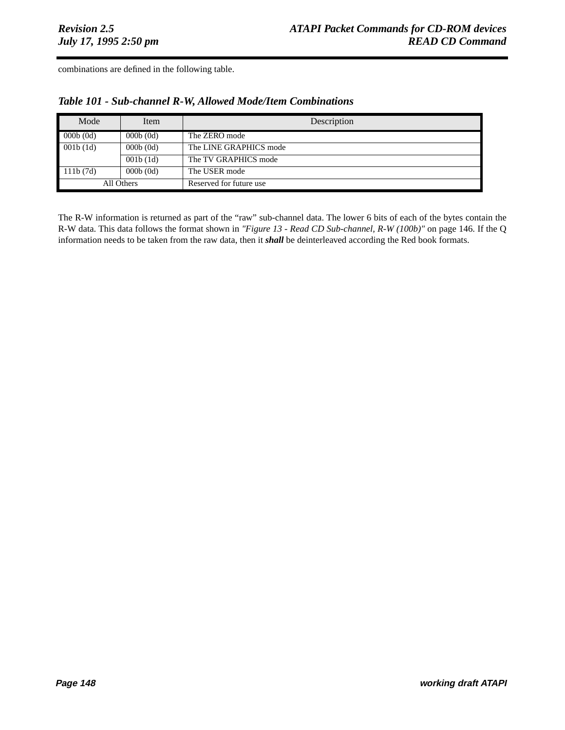combinations are defined in the following table.

| Mode                   | Item        | Description             |  |  |  |
|------------------------|-------------|-------------------------|--|--|--|
| $\overline{000b}$ (0d) | 000b(0d)    | The ZERO mode           |  |  |  |
| 001b(1d)               | $000b$ (0d) | The LINE GRAPHICS mode  |  |  |  |
|                        | 001b(1d)    | The TV GRAPHICS mode    |  |  |  |
| 111b(7d)               | $000b$ (0d) | The USER mode           |  |  |  |
|                        | All Others  | Reserved for future use |  |  |  |

*Table 101 - Sub-channel R-W, Allowed Mode/Item Combinations*

The R-W information is returned as part of the "raw" sub-channel data. The lower 6 bits of each of the bytes contain the R-W data. This data follows the format shown in *"Figure 13 - Read CD Sub-channel, R-W (100b)"* on page 146. If the Q information needs to be taken from the raw data, then it *shall* be deinterleaved according the Red book formats.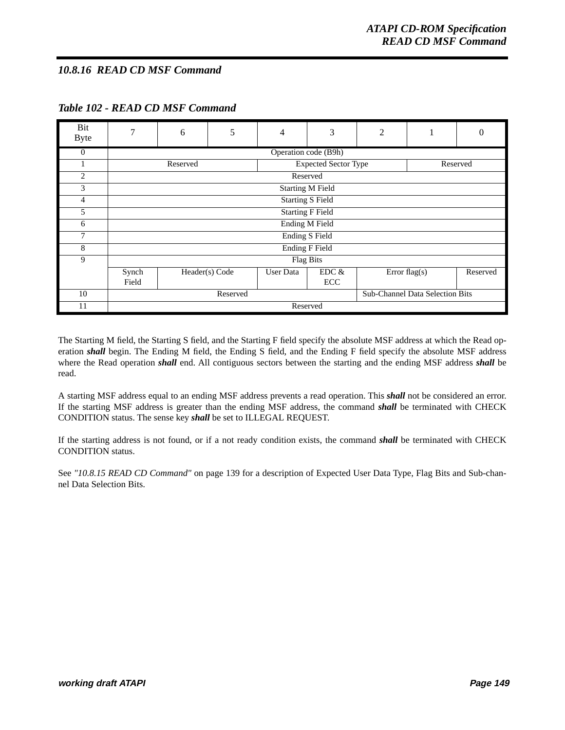# *10.8.16 READ CD MSF Command*

| Bit<br><b>Byte</b> | 7                       | 6                       | 5              | 4         | 3                           | 2 |                                 |          |  |  |  |  |
|--------------------|-------------------------|-------------------------|----------------|-----------|-----------------------------|---|---------------------------------|----------|--|--|--|--|
| $\Omega$           |                         | Operation code (B9h)    |                |           |                             |   |                                 |          |  |  |  |  |
|                    |                         | Reserved                |                |           | <b>Expected Sector Type</b> |   |                                 | Reserved |  |  |  |  |
| 2                  |                         | Reserved                |                |           |                             |   |                                 |          |  |  |  |  |
| 3                  | <b>Starting M Field</b> |                         |                |           |                             |   |                                 |          |  |  |  |  |
| $\overline{4}$     | <b>Starting S Field</b> |                         |                |           |                             |   |                                 |          |  |  |  |  |
| 5                  |                         | <b>Starting F Field</b> |                |           |                             |   |                                 |          |  |  |  |  |
| 6                  |                         |                         |                |           | <b>Ending M Field</b>       |   |                                 |          |  |  |  |  |
| 7                  |                         |                         |                |           | <b>Ending S Field</b>       |   |                                 |          |  |  |  |  |
| 8                  |                         |                         |                |           | Ending F Field              |   |                                 |          |  |  |  |  |
| 9                  |                         |                         |                | Flag Bits |                             |   |                                 |          |  |  |  |  |
|                    | Synch                   |                         | Header(s) Code | User Data | EDC &                       |   | Error flag(s)                   | Reserved |  |  |  |  |
|                    | Field                   |                         |                |           | ECC                         |   |                                 |          |  |  |  |  |
| 10                 |                         |                         | Reserved       |           |                             |   | Sub-Channel Data Selection Bits |          |  |  |  |  |
| 11                 |                         |                         |                | Reserved  |                             |   |                                 |          |  |  |  |  |

*Table 102 - READ CD MSF Command*

The Starting M field, the Starting S field, and the Starting F field specify the absolute MSF address at which the Read operation *shall* begin. The Ending M field, the Ending S field, and the Ending F field specify the absolute MSF address where the Read operation *shall* end. All contiguous sectors between the starting and the ending MSF address *shall* be read.

A starting MSF address equal to an ending MSF address prevents a read operation. This *shall* not be considered an error. If the starting MSF address is greater than the ending MSF address, the command *shall* be terminated with CHECK CONDITION status. The sense key *shall* be set to ILLEGAL REQUEST.

If the starting address is not found, or if a not ready condition exists, the command *shall* be terminated with CHECK CONDITION status.

See *"10.8.15 READ CD Command"* on page 139 for a description of Expected User Data Type, Flag Bits and Sub-channel Data Selection Bits.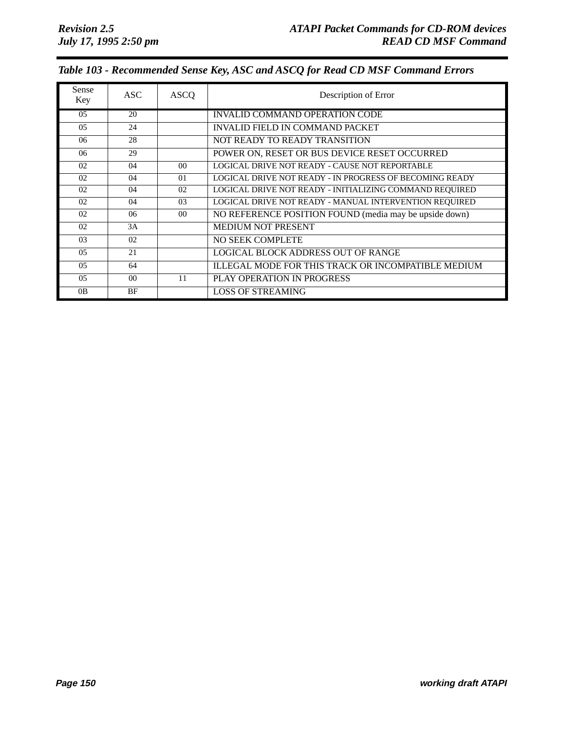## *Table 103 - Recommended Sense Key, ASC and ASCQ for Read CD MSF Command Errors*

| Sense<br>Key  | ASC             | <b>ASCQ</b>     | Description of Error                                    |
|---------------|-----------------|-----------------|---------------------------------------------------------|
| 0.5           | 20              |                 | INVALID COMMAND OPERATION CODE                          |
| $0.5^{\circ}$ | 24              |                 | <b>INVALID FIELD IN COMMAND PACKET</b>                  |
| 06            | 28              |                 | NOT READY TO READY TRANSITION                           |
| 06            | 29              |                 | POWER ON, RESET OR BUS DEVICE RESET OCCURRED            |
| 02            | 04              | 00 <sup>1</sup> | LOGICAL DRIVE NOT READY - CAUSE NOT REPORTABLE          |
| 02            | 04              | 01              | LOGICAL DRIVE NOT READY - IN PROGRESS OF BECOMING READY |
| 02            | 04              | 02              | LOGICAL DRIVE NOT READY - INITIALIZING COMMAND REQUIRED |
| 02            | 04              | 03              | LOGICAL DRIVE NOT READY - MANUAL INTERVENTION REQUIRED  |
| 02            | 06              | 00 <sup>°</sup> | NO REFERENCE POSITION FOUND (media may be upside down)  |
| 02            | 3A              |                 | <b>MEDIUM NOT PRESENT</b>                               |
| 03            | 02              |                 | NO SEEK COMPLETE                                        |
| 0.5           | 21              |                 | <b>LOGICAL BLOCK ADDRESS OUT OF RANGE</b>               |
| $0.5^{\circ}$ | 64              |                 | ILLEGAL MODE FOR THIS TRACK OR INCOMPATIBLE MEDIUM      |
| 0.5           | 00 <sup>2</sup> | 11              | <b>PLAY OPERATION IN PROGRESS</b>                       |
| $_{\rm OB}$   | <b>BF</b>       |                 | <b>LOSS OF STREAMING</b>                                |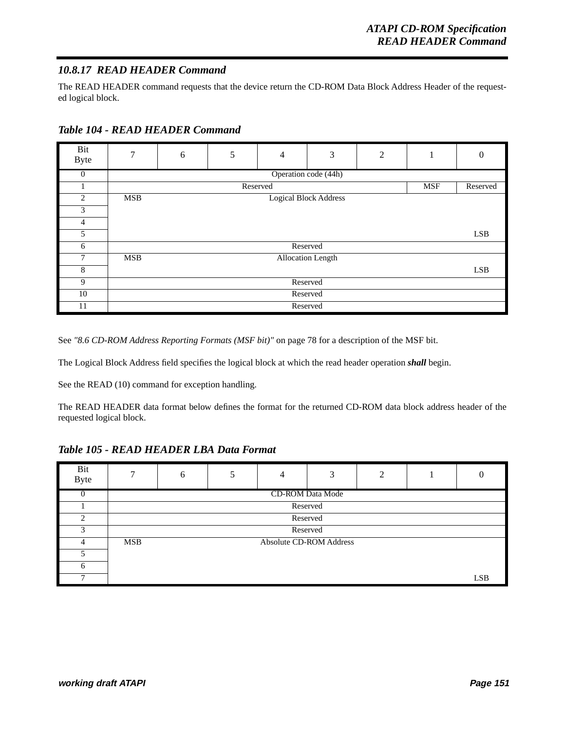## *10.8.17 READ HEADER Command*

The READ HEADER command requests that the device return the CD-ROM Data Block Address Header of the requested logical block.

*Table 104 - READ HEADER Command*

| Bit<br><b>Byte</b> | $\mathcal{I}$ | $\boldsymbol{6}$             | 5 | 4 | 3                 | 2 | 1 | $\boldsymbol{0}$ |  |  |  |  |
|--------------------|---------------|------------------------------|---|---|-------------------|---|---|------------------|--|--|--|--|
| $\overline{0}$     |               | Operation code (44h)         |   |   |                   |   |   |                  |  |  |  |  |
|                    |               | <b>MSF</b><br>Reserved       |   |   |                   |   |   |                  |  |  |  |  |
| 2                  | <b>MSB</b>    | <b>Logical Block Address</b> |   |   |                   |   |   |                  |  |  |  |  |
| 3                  |               |                              |   |   |                   |   |   |                  |  |  |  |  |
| $\overline{4}$     |               |                              |   |   |                   |   |   |                  |  |  |  |  |
| 5                  |               |                              |   |   |                   |   |   | <b>LSB</b>       |  |  |  |  |
| 6                  |               |                              |   |   | Reserved          |   |   |                  |  |  |  |  |
| 7                  | <b>MSB</b>    |                              |   |   | Allocation Length |   |   |                  |  |  |  |  |
| 8                  |               | <b>LSB</b>                   |   |   |                   |   |   |                  |  |  |  |  |
| 9                  |               | Reserved                     |   |   |                   |   |   |                  |  |  |  |  |
| 10                 |               | Reserved                     |   |   |                   |   |   |                  |  |  |  |  |
| 11                 |               |                              |   |   | Reserved          |   |   |                  |  |  |  |  |

See *"8.6 CD-ROM Address Reporting Formats (MSF bit)"* on page 78 for a description of the MSF bit.

The Logical Block Address field specifies the logical block at which the read header operation *shall* begin.

See the READ (10) command for exception handling.

The READ HEADER data format below defines the format for the returned CD-ROM data block address header of the requested logical block.

*Table 105 - READ HEADER LBA Data Format*

| Bit<br><b>Byte</b> |                         | 6        |  | 4 | 3                       | ↑ |  |  |  |  |  |
|--------------------|-------------------------|----------|--|---|-------------------------|---|--|--|--|--|--|
| $\Omega$           | <b>CD-ROM</b> Data Mode |          |  |   |                         |   |  |  |  |  |  |
|                    |                         | Reserved |  |   |                         |   |  |  |  |  |  |
| $\bigcap$          |                         | Reserved |  |   |                         |   |  |  |  |  |  |
| 3                  |                         |          |  |   | Reserved                |   |  |  |  |  |  |
| 4                  | MSB                     |          |  |   | Absolute CD-ROM Address |   |  |  |  |  |  |
|                    |                         |          |  |   |                         |   |  |  |  |  |  |
| 6                  |                         |          |  |   |                         |   |  |  |  |  |  |
|                    | <b>LSB</b>              |          |  |   |                         |   |  |  |  |  |  |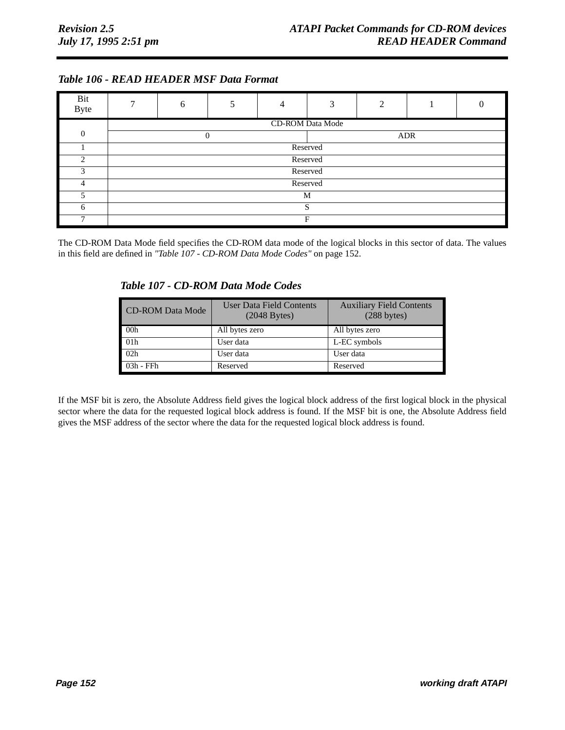|  |  |  | Table 106 - READ HEADER MSF Data Format |  |  |  |
|--|--|--|-----------------------------------------|--|--|--|
|--|--|--|-----------------------------------------|--|--|--|

| Bit<br><b>Byte</b>          | -                       | 6        |   |  | 3        | $\gamma$ |  |  |  |  |  |
|-----------------------------|-------------------------|----------|---|--|----------|----------|--|--|--|--|--|
|                             | <b>CD-ROM</b> Data Mode |          |   |  |          |          |  |  |  |  |  |
| $\Omega$                    |                         |          | O |  |          | ADR      |  |  |  |  |  |
|                             |                         | Reserved |   |  |          |          |  |  |  |  |  |
| $\mathcal{D}_{\mathcal{L}}$ |                         | Reserved |   |  |          |          |  |  |  |  |  |
| 3                           |                         |          |   |  | Reserved |          |  |  |  |  |  |
| 4                           |                         |          |   |  | Reserved |          |  |  |  |  |  |
|                             |                         | M        |   |  |          |          |  |  |  |  |  |
| 6                           |                         | S        |   |  |          |          |  |  |  |  |  |
| -                           |                         |          |   |  | Е        |          |  |  |  |  |  |

The CD-ROM Data Mode field specifies the CD-ROM data mode of the logical blocks in this sector of data. The values in this field are defined in *"Table 107 - CD-ROM Data Mode Codes"* on page 152.

| Table 107 - CD-ROM Data Mode Codes |
|------------------------------------|
|------------------------------------|

| <b>CD-ROM Data Mode</b> | User Data Field Contents<br>$(2048$ Bytes) | <b>Auxiliary Field Contents</b><br>$(288 \text{ bytes})$ |  |  |
|-------------------------|--------------------------------------------|----------------------------------------------------------|--|--|
| 00h                     | All bytes zero                             | All bytes zero                                           |  |  |
| 01h                     | User data                                  | L-EC symbols                                             |  |  |
| 02h                     | User data                                  | User data                                                |  |  |
| $03h$ - FF $h$          | Reserved                                   | Reserved                                                 |  |  |

If the MSF bit is zero, the Absolute Address field gives the logical block address of the first logical block in the physical sector where the data for the requested logical block address is found. If the MSF bit is one, the Absolute Address field gives the MSF address of the sector where the data for the requested logical block address is found.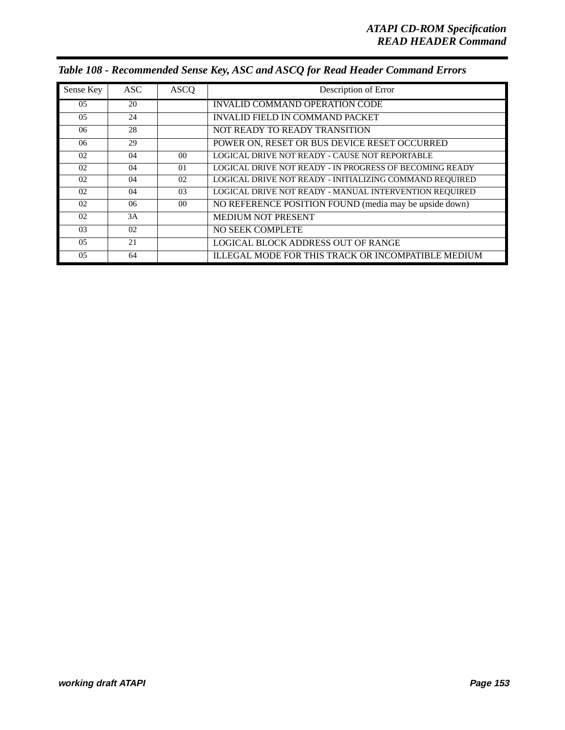| Sense Key      | <b>ASC</b> | <b>ASCQ</b>     | Description of Error                                    |
|----------------|------------|-----------------|---------------------------------------------------------|
| 05             | 20         |                 | <b>INVALID COMMAND OPERATION CODE</b>                   |
| 0.5            | 24         |                 | <b>INVALID FIELD IN COMMAND PACKET</b>                  |
| 06             | 28         |                 | NOT READY TO READY TRANSITION                           |
| 06             | 29         |                 | POWER ON, RESET OR BUS DEVICE RESET OCCURRED            |
| 02             | 04         | 00 <sup>1</sup> | LOGICAL DRIVE NOT READY - CAUSE NOT REPORTABLE          |
| 02             | 04         | 01              | LOGICAL DRIVE NOT READY - IN PROGRESS OF BECOMING READY |
| 02             | 04         | 02              | LOGICAL DRIVE NOT READY - INITIALIZING COMMAND REQUIRED |
| 02             | 04         | 0 <sub>3</sub>  | LOGICAL DRIVE NOT READY - MANUAL INTERVENTION REQUIRED  |
| 02             | 06         | $00\,$          | NO REFERENCE POSITION FOUND (media may be upside down)  |
| 02             | 3A         |                 | <b>MEDIUM NOT PRESENT</b>                               |
| 0 <sub>3</sub> | 02         |                 | <b>NO SEEK COMPLETE</b>                                 |
| 0.5            | 21         |                 | LOGICAL BLOCK ADDRESS OUT OF RANGE                      |
| 05             | 64         |                 | ILLEGAL MODE FOR THIS TRACK OR INCOMPATIBLE MEDIUM      |

# *Table 108 - Recommended Sense Key, ASC and ASCQ for Read Header Command Errors*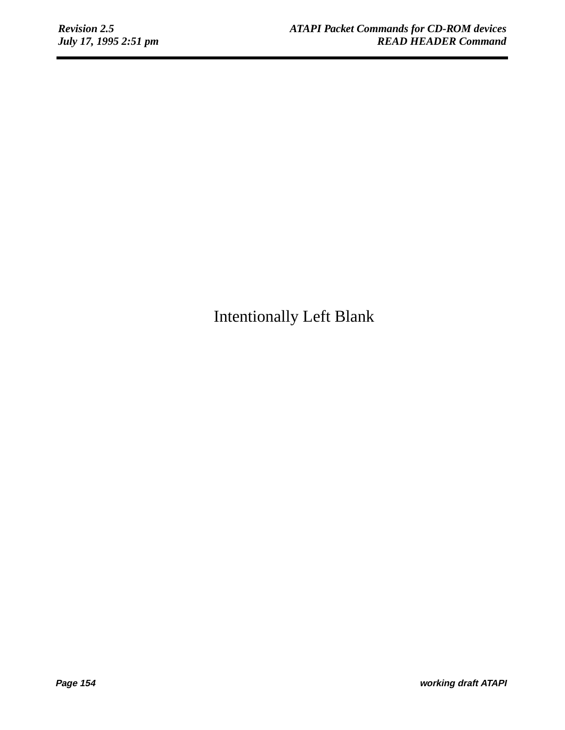Intentionally Left Blank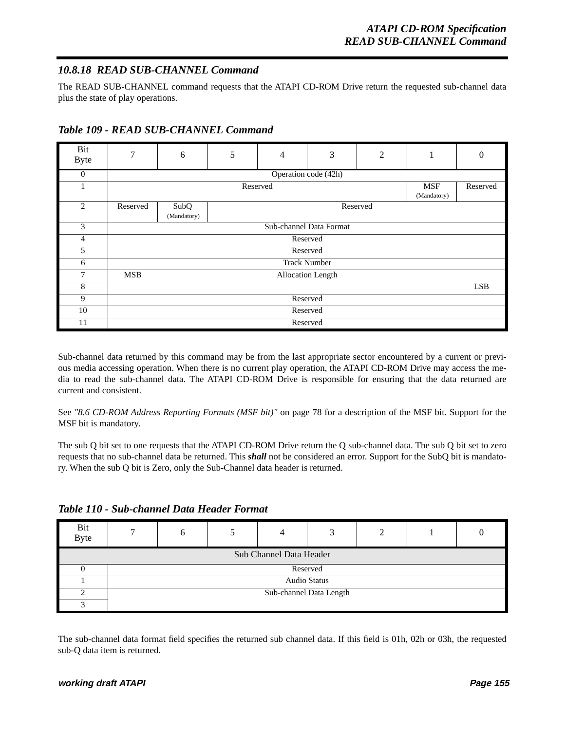# *10.8.18 READ SUB-CHANNEL Command*

The READ SUB-CHANNEL command requests that the ATAPI CD-ROM Drive return the requested sub-channel data plus the state of play operations.

| Bit<br><b>Byte</b> | 7          | 6                                     | 5 | 4                    | 3                        | 2 |  |          |
|--------------------|------------|---------------------------------------|---|----------------------|--------------------------|---|--|----------|
| $\overline{0}$     |            |                                       |   | Operation code (42h) |                          |   |  |          |
|                    |            | <b>MSF</b><br>Reserved<br>(Mandatory) |   |                      |                          |   |  | Reserved |
| 2                  | Reserved   | SubQ<br>(Mandatory)                   |   |                      | Reserved                 |   |  |          |
| 3                  |            |                                       |   |                      | Sub-channel Data Format  |   |  |          |
| 4                  |            |                                       |   |                      | Reserved                 |   |  |          |
| 5                  |            |                                       |   |                      | Reserved                 |   |  |          |
| 6                  |            |                                       |   |                      | <b>Track Number</b>      |   |  |          |
| 7                  | <b>MSB</b> |                                       |   |                      | <b>Allocation Length</b> |   |  |          |
| 8                  |            | <b>LSB</b>                            |   |                      |                          |   |  |          |
| 9                  | Reserved   |                                       |   |                      |                          |   |  |          |
| 10                 |            | Reserved                              |   |                      |                          |   |  |          |
| 11                 |            |                                       |   |                      | Reserved                 |   |  |          |

## *Table 109 - READ SUB-CHANNEL Command*

Sub-channel data returned by this command may be from the last appropriate sector encountered by a current or previous media accessing operation. When there is no current play operation, the ATAPI CD-ROM Drive may access the media to read the sub-channel data. The ATAPI CD-ROM Drive is responsible for ensuring that the data returned are current and consistent.

See *"8.6 CD-ROM Address Reporting Formats (MSF bit)"* on page 78 for a description of the MSF bit. Support for the MSF bit is mandatory.

The sub Q bit set to one requests that the ATAPI CD-ROM Drive return the Q sub-channel data. The sub Q bit set to zero requests that no sub-channel data be returned. This *shall* not be considered an error. Support for the SubQ bit is mandatory. When the sub Q bit is Zero, only the Sub-Channel data header is returned.

*Table 110 - Sub-channel Data Header Format*

| Bit<br><b>Byte</b> |                         | b                       |  |  |  |  |  |  |  |
|--------------------|-------------------------|-------------------------|--|--|--|--|--|--|--|
|                    | Sub Channel Data Header |                         |  |  |  |  |  |  |  |
|                    |                         | Reserved                |  |  |  |  |  |  |  |
|                    |                         | <b>Audio Status</b>     |  |  |  |  |  |  |  |
|                    |                         | Sub-channel Data Length |  |  |  |  |  |  |  |
|                    |                         |                         |  |  |  |  |  |  |  |

The sub-channel data format field specifies the returned sub channel data. If this field is 01h, 02h or 03h, the requested sub-Q data item is returned.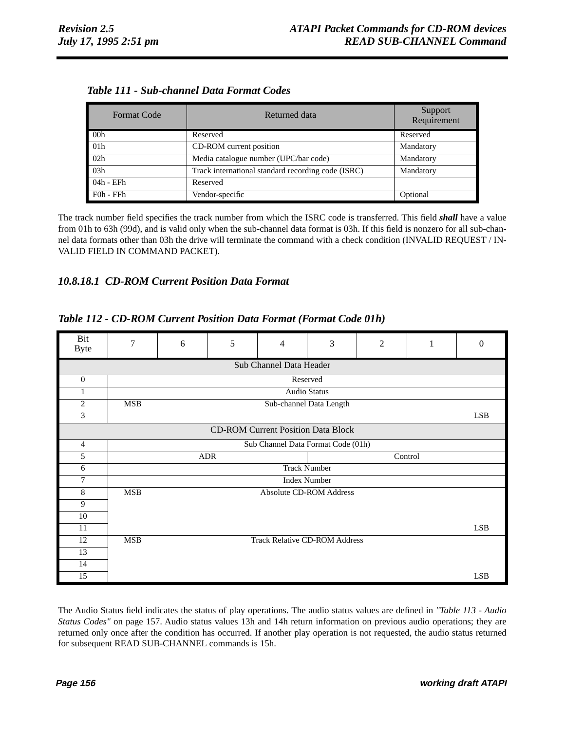| <b>Format Code</b> | Returned data                                      | Support<br>Requirement |
|--------------------|----------------------------------------------------|------------------------|
| 00 <sub>h</sub>    | Reserved                                           | Reserved               |
| 01 <sub>h</sub>    | CD-ROM current position                            | Mandatory              |
| 02h                | Media catalogue number (UPC/bar code)              | Mandatory              |
| 03h                | Track international standard recording code (ISRC) | Mandatory              |
| 04h - EFh          | Reserved                                           |                        |
| $F0h - FFh$        | Vendor-specific                                    | Optional               |

*Table 111 - Sub-channel Data Format Codes*

The track number field specifies the track number from which the ISRC code is transferred. This field *shall* have a value from 01h to 63h (99d), and is valid only when the sub-channel data format is 03h. If this field is nonzero for all sub-channel data formats other than 03h the drive will terminate the command with a check condition (INVALID REQUEST / IN-VALID FIELD IN COMMAND PACKET).

#### *10.8.18.1 CD-ROM Current Position Data Format*

| Bit<br><b>Byte</b> | 7                       | 6          | 5   | $\overline{4}$                            | 3                       | $\overline{2}$ | 1       | $\overline{0}$ |  |  |
|--------------------|-------------------------|------------|-----|-------------------------------------------|-------------------------|----------------|---------|----------------|--|--|
|                    | Sub Channel Data Header |            |     |                                           |                         |                |         |                |  |  |
| $\mathbf{0}$       |                         | Reserved   |     |                                           |                         |                |         |                |  |  |
| 1                  |                         |            |     |                                           | <b>Audio Status</b>     |                |         |                |  |  |
| $\overline{c}$     | <b>MSB</b>              |            |     |                                           | Sub-channel Data Length |                |         |                |  |  |
| 3                  |                         |            |     |                                           |                         |                |         | <b>LSB</b>     |  |  |
|                    |                         |            |     | <b>CD-ROM Current Position Data Block</b> |                         |                |         |                |  |  |
| $\overline{4}$     |                         |            |     | Sub Channel Data Format Code (01h)        |                         |                |         |                |  |  |
| $\overline{5}$     |                         |            | ADR |                                           |                         |                | Control |                |  |  |
| 6                  |                         |            |     |                                           | <b>Track Number</b>     |                |         |                |  |  |
| $\overline{7}$     |                         |            |     |                                           | <b>Index Number</b>     |                |         |                |  |  |
| 8                  | <b>MSB</b>              |            |     |                                           | Absolute CD-ROM Address |                |         |                |  |  |
| 9                  |                         |            |     |                                           |                         |                |         |                |  |  |
| 10                 |                         |            |     |                                           |                         |                |         |                |  |  |
| 11                 |                         | <b>LSB</b> |     |                                           |                         |                |         |                |  |  |
| 12                 | <b>MSB</b>              |            |     | <b>Track Relative CD-ROM Address</b>      |                         |                |         |                |  |  |
| 13                 |                         |            |     |                                           |                         |                |         |                |  |  |
| 14                 |                         |            |     |                                           |                         |                |         |                |  |  |
| 15                 |                         |            |     |                                           |                         |                |         | <b>LSB</b>     |  |  |

*Table 112 - CD-ROM Current Position Data Format (Format Code 01h)* 

The Audio Status field indicates the status of play operations. The audio status values are defined in *"Table 113 - Audio Status Codes"* on page 157. Audio status values 13h and 14h return information on previous audio operations; they are returned only once after the condition has occurred. If another play operation is not requested, the audio status returned for subsequent READ SUB-CHANNEL commands is 15h.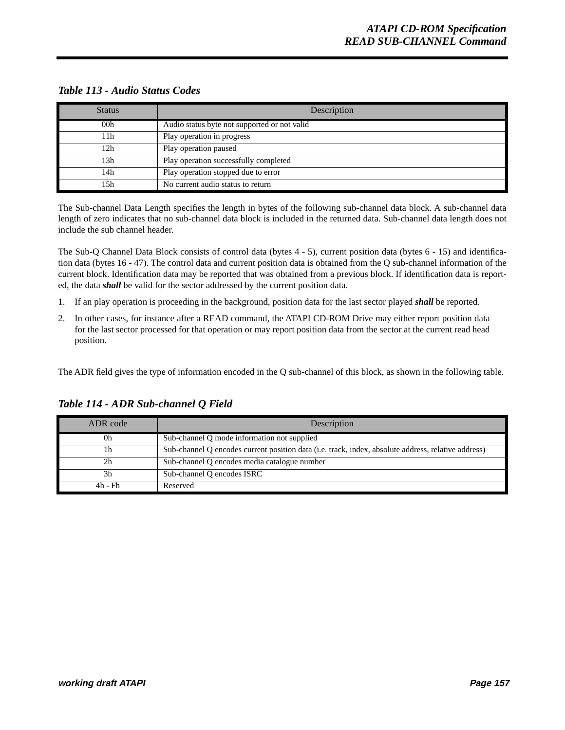| <b>Status</b> | Description                                  |
|---------------|----------------------------------------------|
| 00h           | Audio status byte not supported or not valid |
| 11h           | Play operation in progress                   |
| 12h           | Play operation paused                        |
| 13h           | Play operation successfully completed        |
| 14h           | Play operation stopped due to error          |
| 15h           | No current audio status to return            |

#### *Table 113 - Audio Status Codes*

The Sub-channel Data Length specifies the length in bytes of the following sub-channel data block. A sub-channel data length of zero indicates that no sub-channel data block is included in the returned data. Sub-channel data length does not include the sub channel header.

The Sub-Q Channel Data Block consists of control data (bytes 4 - 5), current position data (bytes 6 - 15) and identification data (bytes 16 - 47). The control data and current position data is obtained from the Q sub-channel information of the current block. Identification data may be reported that was obtained from a previous block. If identification data is reported, the data *shall* be valid for the sector addressed by the current position data.

- 1. If an play operation is proceeding in the background, position data for the last sector played *shall* be reported.
- 2. In other cases, for instance after a READ command, the ATAPI CD-ROM Drive may either report position data for the last sector processed for that operation or may report position data from the sector at the current read head position.

The ADR field gives the type of information encoded in the Q sub-channel of this block, as shown in the following table.

| ADR code    | Description                                                                                         |
|-------------|-----------------------------------------------------------------------------------------------------|
| 0h          | Sub-channel Q mode information not supplied                                                         |
| 1h          | Sub-channel Q encodes current position data (i.e. track, index, absolute address, relative address) |
| 2h          | Sub-channel Q encodes media catalogue number                                                        |
| 3h          | Sub-channel Q encodes ISRC                                                                          |
| $4h$ - $Fh$ | Reserved                                                                                            |

*Table 114 - ADR Sub-channel Q Field*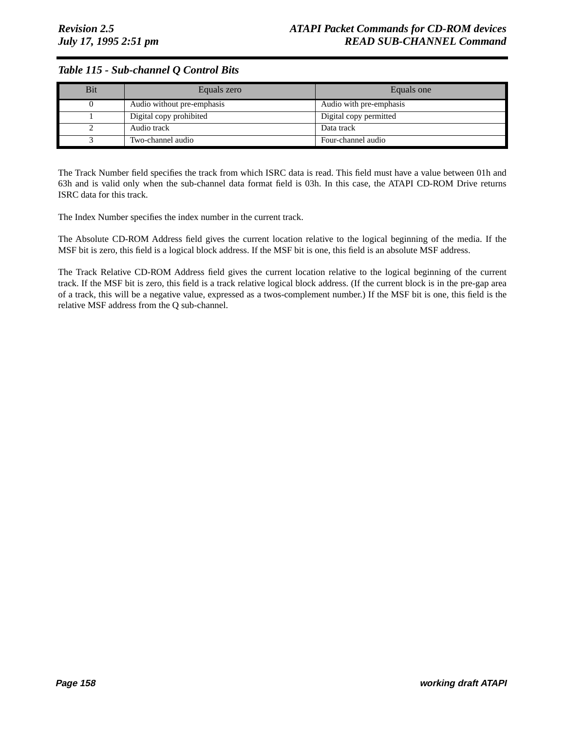#### *Table 115 - Sub-channel Q Control Bits*

| Bit | Equals zero                | Equals one              |
|-----|----------------------------|-------------------------|
|     | Audio without pre-emphasis | Audio with pre-emphasis |
|     | Digital copy prohibited    | Digital copy permitted  |
|     | Audio track                | Data track              |
|     | Two-channel audio          | Four-channel audio      |

The Track Number field specifies the track from which ISRC data is read. This field must have a value between 01h and 63h and is valid only when the sub-channel data format field is 03h. In this case, the ATAPI CD-ROM Drive returns ISRC data for this track.

The Index Number specifies the index number in the current track.

The Absolute CD-ROM Address field gives the current location relative to the logical beginning of the media. If the MSF bit is zero, this field is a logical block address. If the MSF bit is one, this field is an absolute MSF address.

The Track Relative CD-ROM Address field gives the current location relative to the logical beginning of the current track. If the MSF bit is zero, this field is a track relative logical block address. (If the current block is in the pre-gap area of a track, this will be a negative value, expressed as a twos-complement number.) If the MSF bit is one, this field is the relative MSF address from the Q sub-channel.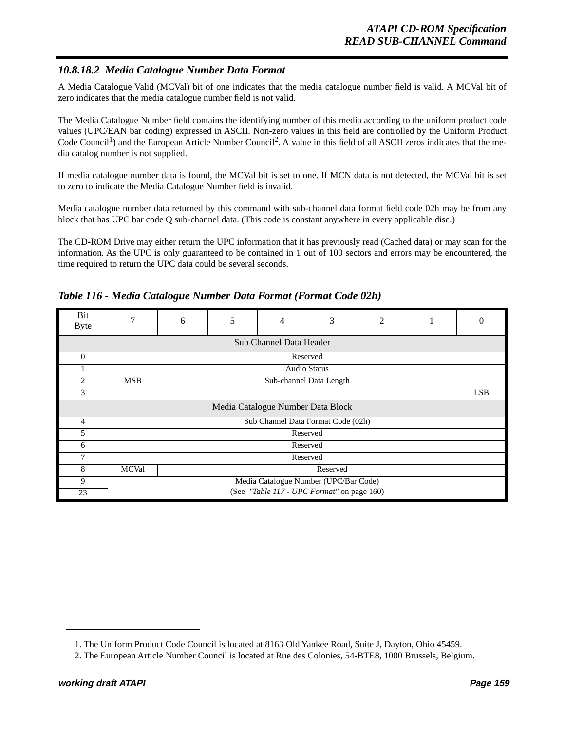#### *10.8.18.2 Media Catalogue Number Data Format*

A Media Catalogue Valid (MCVal) bit of one indicates that the media catalogue number field is valid. A MCVal bit of zero indicates that the media catalogue number field is not valid.

The Media Catalogue Number field contains the identifying number of this media according to the uniform product code values (UPC/EAN bar coding) expressed in ASCII. Non-zero values in this field are controlled by the Uniform Product  $Code Council<sup>1</sup>$  and the European Article Number Council<sup>2</sup>. A value in this field of all ASCII zeros indicates that the media catalog number is not supplied.

If media catalogue number data is found, the MCVal bit is set to one. If MCN data is not detected, the MCVal bit is set to zero to indicate the Media Catalogue Number field is invalid.

Media catalogue number data returned by this command with sub-channel data format field code 02h may be from any block that has UPC bar code Q sub-channel data. (This code is constant anywhere in every applicable disc.)

The CD-ROM Drive may either return the UPC information that it has previously read (Cached data) or may scan for the information. As the UPC is only guaranteed to be contained in 1 out of 100 sectors and errors may be encountered, the time required to return the UPC data could be several seconds.

| Bit<br><b>Byte</b> | 7                                     | 6        | 5 | 4                                          | 3                       | 2 |  | $\Omega$   |  |
|--------------------|---------------------------------------|----------|---|--------------------------------------------|-------------------------|---|--|------------|--|
|                    | Sub Channel Data Header               |          |   |                                            |                         |   |  |            |  |
| $\Omega$           |                                       |          |   |                                            | Reserved                |   |  |            |  |
|                    |                                       |          |   |                                            | Audio Status            |   |  |            |  |
| $\overline{c}$     | <b>MSB</b>                            |          |   |                                            | Sub-channel Data Length |   |  |            |  |
| 3                  |                                       |          |   |                                            |                         |   |  | <b>LSB</b> |  |
|                    |                                       |          |   | Media Catalogue Number Data Block          |                         |   |  |            |  |
| $\overline{4}$     |                                       |          |   | Sub Channel Data Format Code (02h)         |                         |   |  |            |  |
| 5                  |                                       | Reserved |   |                                            |                         |   |  |            |  |
| 6                  |                                       | Reserved |   |                                            |                         |   |  |            |  |
| 7                  |                                       | Reserved |   |                                            |                         |   |  |            |  |
| 8                  | <b>MCVal</b><br>Reserved              |          |   |                                            |                         |   |  |            |  |
| 9                  | Media Catalogue Number (UPC/Bar Code) |          |   |                                            |                         |   |  |            |  |
| 23                 |                                       |          |   | (See "Table 117 - UPC Format" on page 160) |                         |   |  |            |  |

*Table 116 - Media Catalogue Number Data Format (Format Code 02h)*

<sup>1.</sup> The Uniform Product Code Council is located at 8163 Old Yankee Road, Suite J, Dayton, Ohio 45459.

<sup>2.</sup> The European Article Number Council is located at Rue des Colonies, 54-BTE8, 1000 Brussels, Belgium.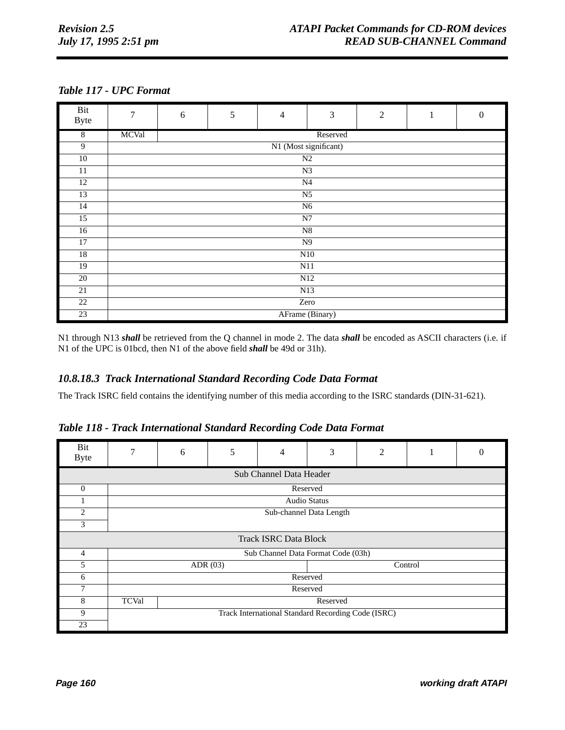*Table 117 - UPC Format*

| Bit<br><b>Byte</b> | 7     | $\sqrt{6}$       | 5 | $\overline{4}$  | $\mathfrak{Z}$        | $\boldsymbol{2}$ | 1 | $\boldsymbol{0}$ |  |  |
|--------------------|-------|------------------|---|-----------------|-----------------------|------------------|---|------------------|--|--|
| $\overline{8}$     | MCVal |                  |   |                 | Reserved              |                  |   |                  |  |  |
| $\overline{9}$     |       |                  |   |                 | N1 (Most significant) |                  |   |                  |  |  |
| $10\,$             |       |                  |   |                 | N2                    |                  |   |                  |  |  |
| 11                 |       |                  |   |                 | $\overline{N3}$       |                  |   |                  |  |  |
| 12                 |       |                  |   |                 | N <sub>4</sub>        |                  |   |                  |  |  |
| 13                 |       |                  |   |                 | N <sub>5</sub>        |                  |   |                  |  |  |
| $\overline{14}$    |       |                  |   |                 | $\overline{N6}$       |                  |   |                  |  |  |
| 15                 |       |                  |   |                 | $\overline{N7}$       |                  |   |                  |  |  |
| 16                 |       |                  |   |                 | N8                    |                  |   |                  |  |  |
| 17                 |       |                  |   |                 | N9                    |                  |   |                  |  |  |
| $\overline{18}$    |       |                  |   |                 | N10                   |                  |   |                  |  |  |
| $\overline{19}$    |       | N11              |   |                 |                       |                  |   |                  |  |  |
| $\overline{20}$    |       | $\overline{N12}$ |   |                 |                       |                  |   |                  |  |  |
| 21                 |       | N13              |   |                 |                       |                  |   |                  |  |  |
| 22                 |       | Zero             |   |                 |                       |                  |   |                  |  |  |
| $\overline{23}$    |       |                  |   | AFrame (Binary) |                       |                  |   |                  |  |  |

N1 through N13 *shall* be retrieved from the Q channel in mode 2. The data *shall* be encoded as ASCII characters (i.e. if N1 of the UPC is 01bcd, then N1 of the above field *shall* be 49d or 31h).

# *10.8.18.3 Track International Standard Recording Code Data Format*

The Track ISRC field contains the identifying number of this media according to the ISRC standards (DIN-31-621).

*Table 118 - Track International Standard Recording Code Data Format*

| Bit<br><b>Byte</b> | 7                                                  | 6 | 5       | 4                                  | 3                       | 2 |         | $\theta$ |  |  |
|--------------------|----------------------------------------------------|---|---------|------------------------------------|-------------------------|---|---------|----------|--|--|
|                    | Sub Channel Data Header                            |   |         |                                    |                         |   |         |          |  |  |
| $\Omega$           |                                                    |   |         |                                    | Reserved                |   |         |          |  |  |
|                    |                                                    |   |         |                                    | <b>Audio Status</b>     |   |         |          |  |  |
| $\overline{2}$     |                                                    |   |         |                                    | Sub-channel Data Length |   |         |          |  |  |
| 3                  |                                                    |   |         |                                    |                         |   |         |          |  |  |
|                    |                                                    |   |         | <b>Track ISRC Data Block</b>       |                         |   |         |          |  |  |
| $\overline{4}$     |                                                    |   |         | Sub Channel Data Format Code (03h) |                         |   |         |          |  |  |
| 5                  |                                                    |   | ADR(03) |                                    |                         |   | Control |          |  |  |
| 6                  |                                                    |   |         |                                    | Reserved                |   |         |          |  |  |
| 7                  | Reserved                                           |   |         |                                    |                         |   |         |          |  |  |
| 8                  | TCVal<br>Reserved                                  |   |         |                                    |                         |   |         |          |  |  |
| 9                  | Track International Standard Recording Code (ISRC) |   |         |                                    |                         |   |         |          |  |  |
| 23                 |                                                    |   |         |                                    |                         |   |         |          |  |  |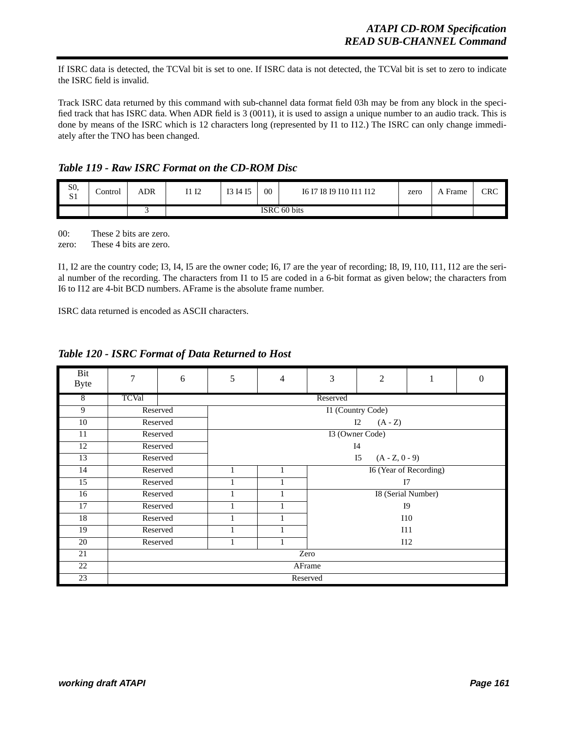If ISRC data is detected, the TCVal bit is set to one. If ISRC data is not detected, the TCVal bit is set to zero to indicate the ISRC field is invalid.

Track ISRC data returned by this command with sub-channel data format field 03h may be from any block in the specified track that has ISRC data. When ADR field is 3 (0011), it is used to assign a unique number to an audio track. This is done by means of the ISRC which is 12 characters long (represented by I1 to I12.) The ISRC can only change immediately after the TNO has been changed.

*Table 119 - Raw ISRC Format on the CD-ROM Disc*

| S <sub>0</sub><br>C11<br>1 ف | $\tilde{\phantom{a}}$<br>Control | ADR | I1 I2 | I3 I4 I5     | 00 | 16 17 18 19 110 111 112 | zero | A Frame | CRC |
|------------------------------|----------------------------------|-----|-------|--------------|----|-------------------------|------|---------|-----|
|                              |                                  |     |       | ISRC 60 bits |    |                         |      |         |     |

00: These 2 bits are zero.

zero: These 4 bits are zero.

I1, I2 are the country code; I3, I4, I5 are the owner code; I6, I7 are the year of recording; I8, I9, I10, I11, I12 are the serial number of the recording. The characters from I1 to I5 are coded in a 6-bit format as given below; the characters from I6 to I12 are 4-bit BCD numbers. AFrame is the absolute frame number.

ISRC data returned is encoded as ASCII characters.

| Bit<br><b>Byte</b> | 7            | 6        | 5                 | 4                      | 3                      | $\overline{2}$  | 1          | $\overline{0}$ |  |  |
|--------------------|--------------|----------|-------------------|------------------------|------------------------|-----------------|------------|----------------|--|--|
| $\overline{8}$     | <b>TCVal</b> |          |                   | Reserved               |                        |                 |            |                |  |  |
| 9                  | Reserved     |          | I1 (Country Code) |                        |                        |                 |            |                |  |  |
| 10                 | Reserved     |          | I2<br>$(A - Z)$   |                        |                        |                 |            |                |  |  |
| 11                 | Reserved     |          |                   |                        |                        | I3 (Owner Code) |            |                |  |  |
| 12                 |              | Reserved |                   |                        |                        | <b>I4</b>       |            |                |  |  |
| 13                 | Reserved     |          |                   | I5<br>$(A - Z, 0 - 9)$ |                        |                 |            |                |  |  |
| 14                 | Reserved     |          |                   | 1                      | I6 (Year of Recording) |                 |            |                |  |  |
| 15                 | Reserved     |          |                   |                        | I7                     |                 |            |                |  |  |
| 16                 | Reserved     |          |                   |                        | I8 (Serial Number)     |                 |            |                |  |  |
| 17                 | Reserved     |          |                   | 1                      |                        |                 | <b>I9</b>  |                |  |  |
| 18                 | Reserved     |          |                   | -1                     |                        |                 | <b>I10</b> |                |  |  |
| 19                 |              | Reserved |                   |                        |                        |                 | I11        |                |  |  |
| 20                 |              | Reserved |                   |                        |                        |                 | I12        |                |  |  |
| 21                 |              |          |                   | Zero                   |                        |                 |            |                |  |  |
| $\overline{22}$    |              | AFrame   |                   |                        |                        |                 |            |                |  |  |
| 23                 |              |          |                   | Reserved               |                        |                 |            |                |  |  |

*Table 120 - ISRC Format of Data Returned to Host*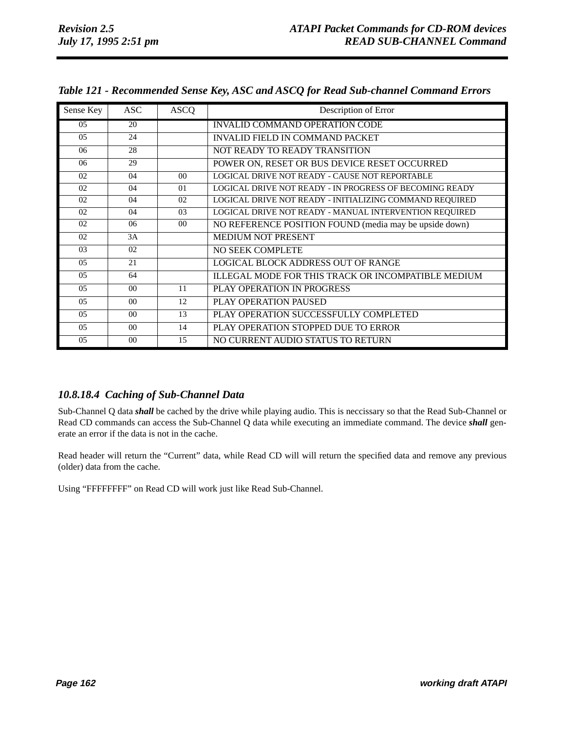| Sense Key       | ASC             | <b>ASCQ</b>    | Description of Error                                    |
|-----------------|-----------------|----------------|---------------------------------------------------------|
| $\overline{05}$ | 20              |                | <b>INVALID COMMAND OPERATION CODE</b>                   |
| 0.5             | 24              |                | <b>INVALID FIELD IN COMMAND PACKET</b>                  |
| 06              | 28              |                | NOT READY TO READY TRANSITION                           |
| 06              | 29              |                | POWER ON, RESET OR BUS DEVICE RESET OCCURRED            |
| 02              | 04              | 0 <sub>0</sub> | LOGICAL DRIVE NOT READY - CAUSE NOT REPORTABLE          |
| 02              | 04              | 01             | LOGICAL DRIVE NOT READY - IN PROGRESS OF BECOMING READY |
| 02              | 04              | 02             | LOGICAL DRIVE NOT READY - INITIALIZING COMMAND REQUIRED |
| 02              | 04              | 03             | LOGICAL DRIVE NOT READY - MANUAL INTERVENTION REQUIRED  |
| 02              | 06              | $00\,$         | NO REFERENCE POSITION FOUND (media may be upside down)  |
| 02              | 3A              |                | <b>MEDIUM NOT PRESENT</b>                               |
| 0 <sub>3</sub>  | 02              |                | NO SEEK COMPLETE                                        |
| 0.5             | 21              |                | LOGICAL BLOCK ADDRESS OUT OF RANGE                      |
| 0.5             | 64              |                | ILLEGAL MODE FOR THIS TRACK OR INCOMPATIBLE MEDIUM      |
| 0.5             | 0 <sup>0</sup>  | 11             | PLAY OPERATION IN PROGRESS                              |
| 0 <sub>5</sub>  | 0 <sup>0</sup>  | 12             | PLAY OPERATION PAUSED                                   |
| 0.5             | 0 <sup>0</sup>  | 13             | PLAY OPERATION SUCCESSFULLY COMPLETED                   |
| 0.5             | 00 <sup>0</sup> | 14             | PLAY OPERATION STOPPED DUE TO ERROR                     |
| 0.5             | 0 <sub>0</sub>  | 15             | NO CURRENT AUDIO STATUS TO RETURN                       |

|  | Table 121 - Recommended Sense Key, ASC and ASCQ for Read Sub-channel Command Errors |  |  |  |  |  |
|--|-------------------------------------------------------------------------------------|--|--|--|--|--|
|  |                                                                                     |  |  |  |  |  |

#### *10.8.18.4 Caching of Sub-Channel Data*

Sub-Channel Q data *shall* be cached by the drive while playing audio. This is neccissary so that the Read Sub-Channel or Read CD commands can access the Sub-Channel Q data while executing an immediate command. The device *shall* generate an error if the data is not in the cache.

Read header will return the "Current" data, while Read CD will will return the specified data and remove any previous (older) data from the cache.

Using "FFFFFFFF" on Read CD will work just like Read Sub-Channel.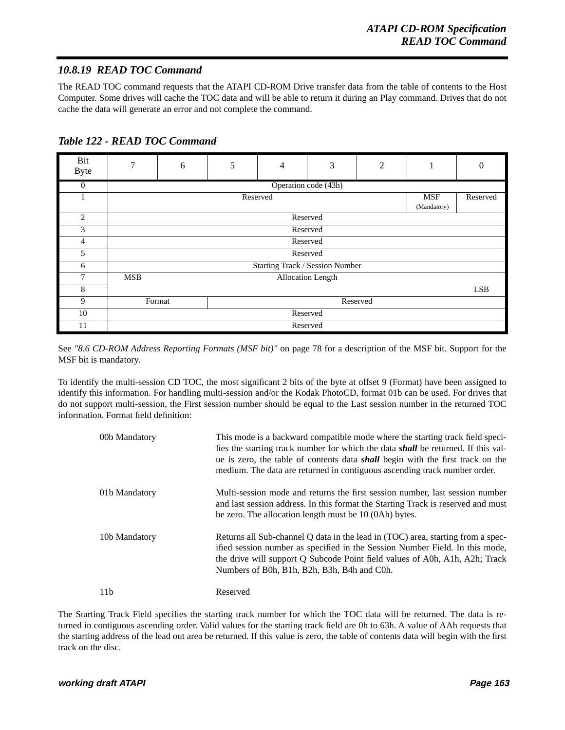#### *10.8.19 READ TOC Command*

The READ TOC command requests that the ATAPI CD-ROM Drive transfer data from the table of contents to the Host Computer. Some drives will cache the TOC data and will be able to return it during an Play command. Drives that do not cache the data will generate an error and not complete the command.

*Table 122 - READ TOC Command*

| Bit<br><b>Byte</b> | $\mathcal{I}$      | 6 | 5 | 4                               | 3                 | $\overline{2}$ |                           | $\boldsymbol{0}$ |
|--------------------|--------------------|---|---|---------------------------------|-------------------|----------------|---------------------------|------------------|
| $\Omega$           |                    |   |   | Operation code (43h)            |                   |                |                           |                  |
|                    |                    |   |   | Reserved                        |                   |                | <b>MSF</b><br>(Mandatory) | Reserved         |
| 2                  |                    |   |   |                                 | Reserved          |                |                           |                  |
| 3                  |                    |   |   |                                 | Reserved          |                |                           |                  |
| $\overline{4}$     |                    |   |   |                                 | Reserved          |                |                           |                  |
| 5                  |                    |   |   |                                 | Reserved          |                |                           |                  |
| 6                  |                    |   |   | Starting Track / Session Number |                   |                |                           |                  |
| 7                  | <b>MSB</b>         |   |   |                                 | Allocation Length |                |                           |                  |
| 8                  |                    |   |   |                                 |                   |                | <b>LSB</b>                |                  |
| 9                  | Format<br>Reserved |   |   |                                 |                   |                |                           |                  |
| 10                 | Reserved           |   |   |                                 |                   |                |                           |                  |
| 11                 |                    |   |   |                                 | Reserved          |                |                           |                  |

See "8.6 CD-ROM Address Reporting Formats (MSF bit)" on page 78 for a description of the MSF bit. Support for the MSF bit is mandatory.

To identify the multi-session CD TOC, the most significant 2 bits of the byte at offset 9 (Format) have been assigned to identify this information. For handling multi-session and/or the Kodak PhotoCD, format 01b can be used. For drives that do not support multi-session, the First session number should be equal to the Last session number in the returned TOC information. Format field definition:

| 00b Mandatory   | This mode is a backward compatible mode where the starting track field speci-<br>fies the starting track number for which the data <b>shall</b> be returned. If this val-<br>ue is zero, the table of contents data <i>shall</i> begin with the first track on the<br>medium. The data are returned in contiguous ascending track number order. |
|-----------------|-------------------------------------------------------------------------------------------------------------------------------------------------------------------------------------------------------------------------------------------------------------------------------------------------------------------------------------------------|
| 01b Mandatory   | Multi-session mode and returns the first session number, last session number<br>and last session address. In this format the Starting Track is reserved and must<br>be zero. The allocation length must be 10 (0Ah) bytes.                                                                                                                      |
| 10b Mandatory   | Returns all Sub-channel Q data in the lead in (TOC) area, starting from a spec-<br>ified session number as specified in the Session Number Field. In this mode,<br>the drive will support Q Subcode Point field values of A0h, A1h, A2h; Track<br>Numbers of B0h, B1h, B2h, B3h, B4h and C0h.                                                   |
| 11 <sub>b</sub> | Reserved                                                                                                                                                                                                                                                                                                                                        |

The Starting Track Field specifies the starting track number for which the TOC data will be returned. The data is returned in contiguous ascending order. Valid values for the starting track field are 0h to 63h. A value of AAh requests that the starting address of the lead out area be returned. If this value is zero, the table of contents data will begin with the first track on the disc.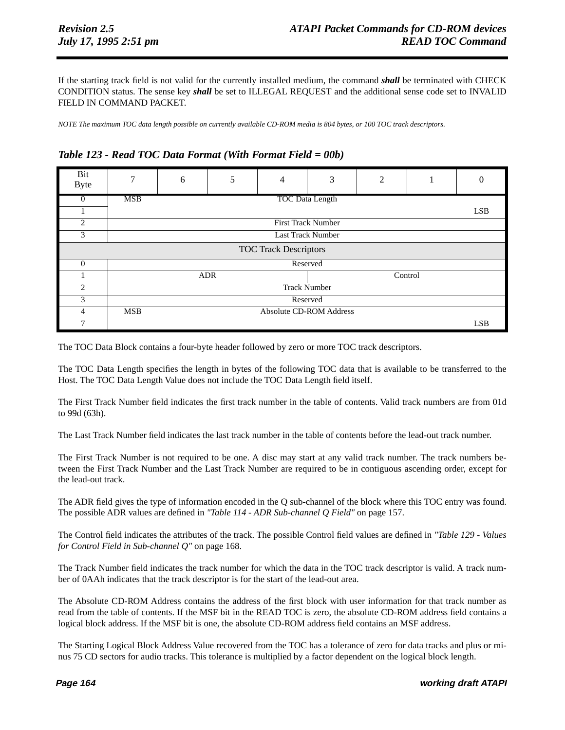If the starting track field is not valid for the currently installed medium, the command *shall* be terminated with CHECK CONDITION status. The sense key *shall* be set to ILLEGAL REQUEST and the additional sense code set to INVALID FIELD IN COMMAND PACKET.

*NOTE The maximum TOC data length possible on currently available CD-ROM media is 804 bytes, or 100 TOC track descriptors.*

*Table 123 - Read TOC Data Format (With Format Field = 00b)*

| Bit<br><b>Byte</b> | ┑                                            | 6                   |            | 4                            | 3                         | 2 |         |            |
|--------------------|----------------------------------------------|---------------------|------------|------------------------------|---------------------------|---|---------|------------|
| $\Omega$           | <b>MSB</b>                                   |                     |            |                              | <b>TOC</b> Data Length    |   |         |            |
|                    |                                              |                     |            |                              |                           |   |         | <b>LSB</b> |
| 2                  |                                              |                     |            |                              | <b>First Track Number</b> |   |         |            |
| 3                  |                                              |                     |            |                              | <b>Last Track Number</b>  |   |         |            |
|                    |                                              |                     |            | <b>TOC Track Descriptors</b> |                           |   |         |            |
| $\Omega$           |                                              |                     |            |                              | Reserved                  |   |         |            |
|                    |                                              |                     | <b>ADR</b> |                              |                           |   | Control |            |
| $\overline{c}$     |                                              | <b>Track Number</b> |            |                              |                           |   |         |            |
| 3                  | Reserved                                     |                     |            |                              |                           |   |         |            |
| $\overline{4}$     | <b>MSB</b><br><b>Absolute CD-ROM Address</b> |                     |            |                              |                           |   |         |            |
|                    |                                              |                     |            |                              |                           |   |         | <b>LSB</b> |

The TOC Data Block contains a four-byte header followed by zero or more TOC track descriptors.

The TOC Data Length specifies the length in bytes of the following TOC data that is available to be transferred to the Host. The TOC Data Length Value does not include the TOC Data Length field itself.

The First Track Number field indicates the first track number in the table of contents. Valid track numbers are from 01d to 99d (63h).

The Last Track Number field indicates the last track number in the table of contents before the lead-out track number.

The First Track Number is not required to be one. A disc may start at any valid track number. The track numbers between the First Track Number and the Last Track Number are required to be in contiguous ascending order, except for the lead-out track.

The ADR field gives the type of information encoded in the Q sub-channel of the block where this TOC entry was found. The possible ADR values are defined in *"Table 114 - ADR Sub-channel Q Field"* on page 157.

The Control field indicates the attributes of the track. The possible Control field values are defined in *"Table 129 - Values for Control Field in Sub-channel Q"* on page 168.

The Track Number field indicates the track number for which the data in the TOC track descriptor is valid. A track number of 0AAh indicates that the track descriptor is for the start of the lead-out area.

The Absolute CD-ROM Address contains the address of the first block with user information for that track number as read from the table of contents. If the MSF bit in the READ TOC is zero, the absolute CD-ROM address field contains a logical block address. If the MSF bit is one, the absolute CD-ROM address field contains an MSF address.

The Starting Logical Block Address Value recovered from the TOC has a tolerance of zero for data tracks and plus or minus 75 CD sectors for audio tracks. This tolerance is multiplied by a factor dependent on the logical block length.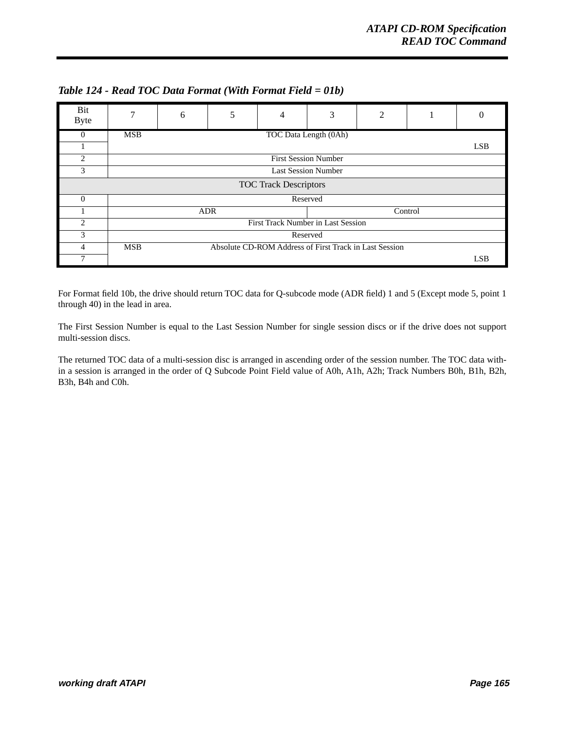| Bit<br><b>Byte</b> | 7                                                                    | 6 | 5          | 4                            | 3                           | 2 |         | 0          |
|--------------------|----------------------------------------------------------------------|---|------------|------------------------------|-----------------------------|---|---------|------------|
| $\Omega$           | <b>MSB</b>                                                           |   |            | TOC Data Length (0Ah)        |                             |   |         |            |
|                    |                                                                      |   |            |                              |                             |   |         | <b>LSB</b> |
| $\overline{2}$     |                                                                      |   |            |                              | <b>First Session Number</b> |   |         |            |
| 3                  |                                                                      |   |            |                              | <b>Last Session Number</b>  |   |         |            |
|                    |                                                                      |   |            | <b>TOC Track Descriptors</b> |                             |   |         |            |
| $\Omega$           |                                                                      |   |            |                              | Reserved                    |   |         |            |
|                    |                                                                      |   | <b>ADR</b> |                              |                             |   | Control |            |
| 2                  | First Track Number in Last Session                                   |   |            |                              |                             |   |         |            |
| 3                  | Reserved                                                             |   |            |                              |                             |   |         |            |
| 4                  | Absolute CD-ROM Address of First Track in Last Session<br><b>MSB</b> |   |            |                              |                             |   |         |            |
|                    |                                                                      |   |            |                              |                             |   |         | <b>LSB</b> |

*Table 124 - Read TOC Data Format (With Format Field = 01b)*

For Format field 10b, the drive should return TOC data for Q-subcode mode (ADR field) 1 and 5 (Except mode 5, point 1 through 40) in the lead in area.

The First Session Number is equal to the Last Session Number for single session discs or if the drive does not support multi-session discs.

The returned TOC data of a multi-session disc is arranged in ascending order of the session number. The TOC data within a session is arranged in the order of Q Subcode Point Field value of A0h, A1h, A2h; Track Numbers B0h, B1h, B2h, B3h, B4h and C0h.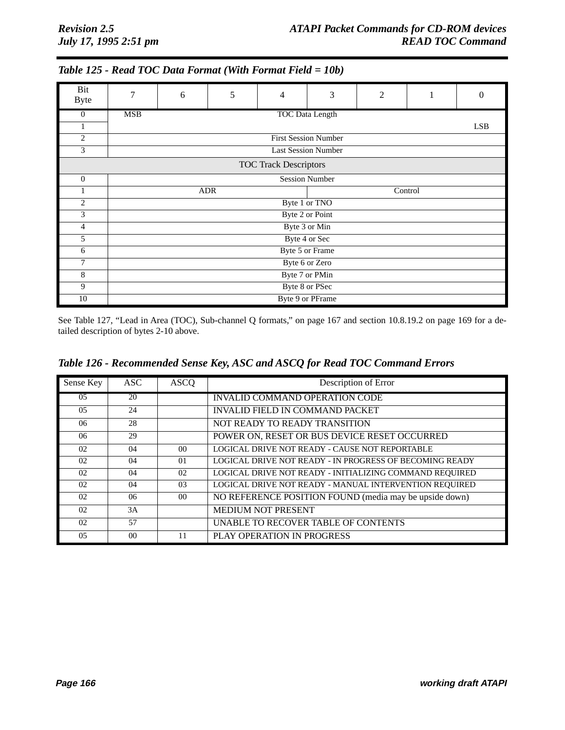| Bit<br><b>Byte</b> | 7          | 6              | 5          | 4                            | 3                           | 2 |         | $\theta$   |
|--------------------|------------|----------------|------------|------------------------------|-----------------------------|---|---------|------------|
| $\boldsymbol{0}$   | <b>MSB</b> |                |            | <b>TOC</b> Data Length       |                             |   |         |            |
| 1                  |            |                |            |                              |                             |   |         | <b>LSB</b> |
| 2                  |            |                |            |                              | <b>First Session Number</b> |   |         |            |
| 3                  |            |                |            |                              | <b>Last Session Number</b>  |   |         |            |
|                    |            |                |            | <b>TOC Track Descriptors</b> |                             |   |         |            |
| $\theta$           |            |                |            |                              | <b>Session Number</b>       |   |         |            |
| 1                  |            |                | <b>ADR</b> |                              |                             |   | Control |            |
| $\overline{2}$     |            |                |            | Byte 1 or TNO                |                             |   |         |            |
| 3                  |            |                |            |                              | <b>Byte 2 or Point</b>      |   |         |            |
| $\overline{4}$     |            |                |            |                              | Byte 3 or Min               |   |         |            |
| 5                  |            |                |            |                              | Byte 4 or Sec               |   |         |            |
| 6                  |            |                |            |                              | Byte 5 or Frame             |   |         |            |
| $\overline{7}$     |            | Byte 6 or Zero |            |                              |                             |   |         |            |
| $\,8\,$            |            | Byte 7 or PMin |            |                              |                             |   |         |            |
| 9                  |            | Byte 8 or PSec |            |                              |                             |   |         |            |
| 10                 |            |                |            |                              | Byte 9 or PFrame            |   |         |            |

| Table 125 - Read TOC Data Format (With Format Field = 10b) |  |  |  |  |  |  |  |
|------------------------------------------------------------|--|--|--|--|--|--|--|
|------------------------------------------------------------|--|--|--|--|--|--|--|

See Table 127, "Lead in Area (TOC), Sub-channel Q formats," on page 167 and section 10.8.19.2 on page 169 for a detailed description of bytes 2-10 above.

| Sense Key | ASC             | <b>ASCO</b>     | Description of Error                                    |
|-----------|-----------------|-----------------|---------------------------------------------------------|
| 05        | $\overline{20}$ |                 | <b>INVALID COMMAND OPERATION CODE</b>                   |
| 0.5       | 24              |                 | INVALID FIELD IN COMMAND PACKET                         |
| 06        | 28              |                 | NOT READY TO READY TRANSITION                           |
| 06        | 29              |                 | POWER ON, RESET OR BUS DEVICE RESET OCCURRED            |
| 02        | 04              | 00 <sup>°</sup> | LOGICAL DRIVE NOT READY - CAUSE NOT REPORTABLE          |
| 02        | 04              | 01              | LOGICAL DRIVE NOT READY - IN PROGRESS OF BECOMING READY |
| 02        | 04              | 02              | LOGICAL DRIVE NOT READY - INITIALIZING COMMAND REQUIRED |
| 02        | 04              | 03              | LOGICAL DRIVE NOT READY - MANUAL INTERVENTION REQUIRED  |
| 02        | 06              | 00 <sup>°</sup> | NO REFERENCE POSITION FOUND (media may be upside down)  |
| 02        | 3A              |                 | <b>MEDIUM NOT PRESENT</b>                               |
| 02        | 57              |                 | UNABLE TO RECOVER TABLE OF CONTENTS                     |
| 05        | 00 <sup>0</sup> | 11              | <b>PLAY OPERATION IN PROGRESS</b>                       |

*Table 126 - Recommended Sense Key, ASC and ASCQ for Read TOC Command Errors*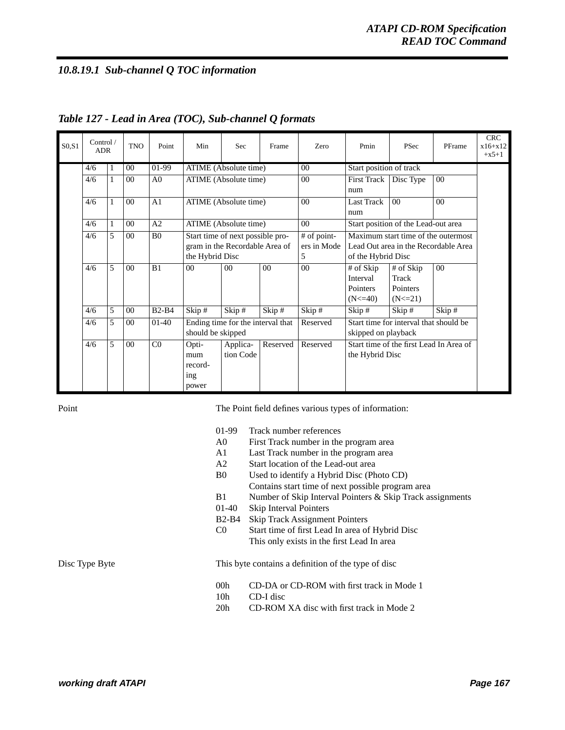# *10.8.19.1 Sub-channel Q TOC information*

| S0.S1 | Control /<br><b>ADR</b> |   | <b>TNO</b>      | Point          | Min                                     | Sec                                                                                   | Frame    | Zero                            | Pmin                                                                                              | <b>PSec</b>                                      | PFrame                   | <b>CRC</b><br>$x16+x12$<br>$+x5+1$ |
|-------|-------------------------|---|-----------------|----------------|-----------------------------------------|---------------------------------------------------------------------------------------|----------|---------------------------------|---------------------------------------------------------------------------------------------------|--------------------------------------------------|--------------------------|------------------------------------|
|       | 4/6                     |   | $\overline{00}$ | $01-99$        |                                         | ATIME (Absolute time)                                                                 |          | $\overline{00}$                 | Start position of track                                                                           |                                                  |                          |                                    |
|       | 4/6                     |   | $00\,$          | A <sub>0</sub> |                                         | ATIME (Absolute time)                                                                 |          | $00\,$                          | <b>First Track</b><br>num                                                                         | Disc Type                                        | $00\,$                   |                                    |
|       | 4/6                     |   | 0 <sub>0</sub>  | A1             |                                         | ATIME (Absolute time)                                                                 |          |                                 | <b>Last Track</b><br>num                                                                          | 0 <sup>0</sup>                                   | 0 <sup>0</sup>           |                                    |
|       | 4/6                     |   | 0 <sub>0</sub>  | A2             |                                         | ATIME (Absolute time)                                                                 |          | $00\,$                          |                                                                                                   | Start position of the Lead-out area              |                          |                                    |
|       | 4/6                     | 5 | 0 <sub>0</sub>  | B <sub>0</sub> |                                         | Start time of next possible pro-<br>gram in the Recordable Area of<br>the Hybrid Disc |          | # of point-<br>ers in Mode<br>5 | Maximum start time of the outermost<br>Lead Out area in the Recordable Area<br>of the Hybrid Disc |                                                  |                          |                                    |
|       | 4/6                     | 5 | 0 <sub>0</sub>  | B1             | 0 <sup>0</sup>                          | 0 <sub>0</sub>                                                                        | $00\,$   | $00\,$                          | # of Skip<br>Interval<br><b>Pointers</b><br>$(N < = 40)$                                          | $#$ of Skip<br>Track<br>Pointers<br>$(N < = 21)$ | $00\,$                   |                                    |
|       | 4/6                     | 5 | 0 <sub>0</sub>  | $B2-B4$        | Skip#                                   | Skip#                                                                                 | Skip#    | Skip#                           | Skip#                                                                                             | $\operatorname{skip} \#$                         | $\operatorname{skip} \#$ |                                    |
|       | 4/6                     | 5 | $00\,$          | $01-40$        | should be skipped                       | Ending time for the interval that                                                     |          | Reserved                        | skipped on playback                                                                               | Start time for interval that should be           |                          |                                    |
|       | 4/6                     | 5 | $00\,$          | CO             | Opti-<br>mum<br>record-<br>ing<br>power | Applica-<br>tion Code                                                                 | Reserved | Reserved                        | the Hybrid Disc                                                                                   | Start time of the first Lead In Area of          |                          |                                    |

*Table 127 - Lead in Area (TOC), Sub-channel Q formats*

Point The Point field defines various types of information:

- 01-99 Track number references
- A0 First Track number in the program area
- A1 Last Track number in the program area
- A2 Start location of the Lead-out area
- B0 Used to identify a Hybrid Disc (Photo CD) Contains start time of next possible program area
- B1 Number of Skip Interval Pointers & Skip Track assignments
- 01-40 Skip Interval Pointers
- B2-B4 Skip Track Assignment Pointers
- C0 Start time of first Lead In area of Hybrid Disc This only exists in the first Lead In area

#### Disc Type Byte This byte contains a definition of the type of disc

- 00h CD-DA or CD-ROM with first track in Mode 1
- 10h CD-I disc
- 20h CD-ROM XA disc with first track in Mode 2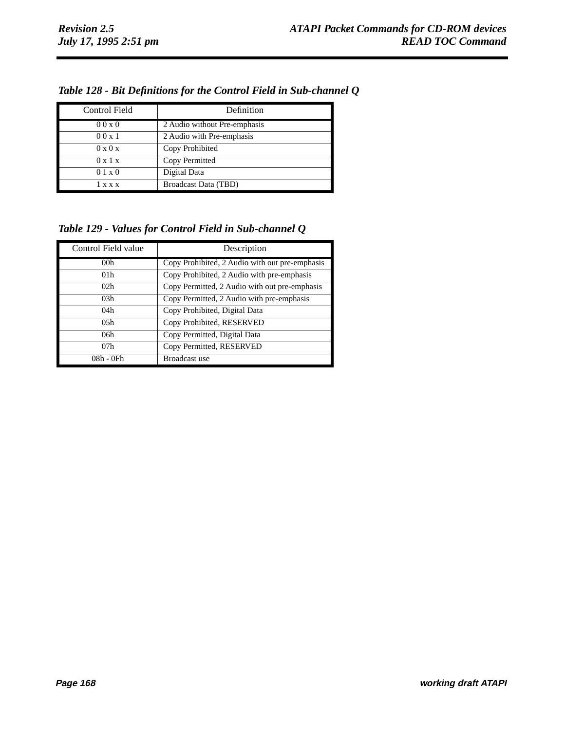| Control Field                  | Definition                   |
|--------------------------------|------------------------------|
| 00x0                           | 2 Audio without Pre-emphasis |
| 00x1                           | 2 Audio with Pre-emphasis    |
| 0 x 0 x                        | Copy Prohibited              |
| $0 \times 1 \times$            | Copy Permitted               |
| $01 \times 0$                  | Digital Data                 |
| $\mathbf{X} \times \mathbf{X}$ | <b>Broadcast Data (TBD)</b>  |

*Table 128 - Bit Definitions for the Control Field in Sub-channel Q*

### *Table 129 - Values for Control Field in Sub-channel Q*

| Control Field value | Description                                    |
|---------------------|------------------------------------------------|
| 00 <sub>h</sub>     | Copy Prohibited, 2 Audio with out pre-emphasis |
| 01 <sub>h</sub>     | Copy Prohibited, 2 Audio with pre-emphasis     |
| 02 <sub>h</sub>     | Copy Permitted, 2 Audio with out pre-emphasis  |
| 03h                 | Copy Permitted, 2 Audio with pre-emphasis      |
| 04h                 | Copy Prohibited, Digital Data                  |
| 0.5 <sub>h</sub>    | Copy Prohibited, RESERVED                      |
| 06h                 | Copy Permitted, Digital Data                   |
| 07h                 | Copy Permitted, RESERVED                       |
| 08h - 0Fh           | <b>Broadcast use</b>                           |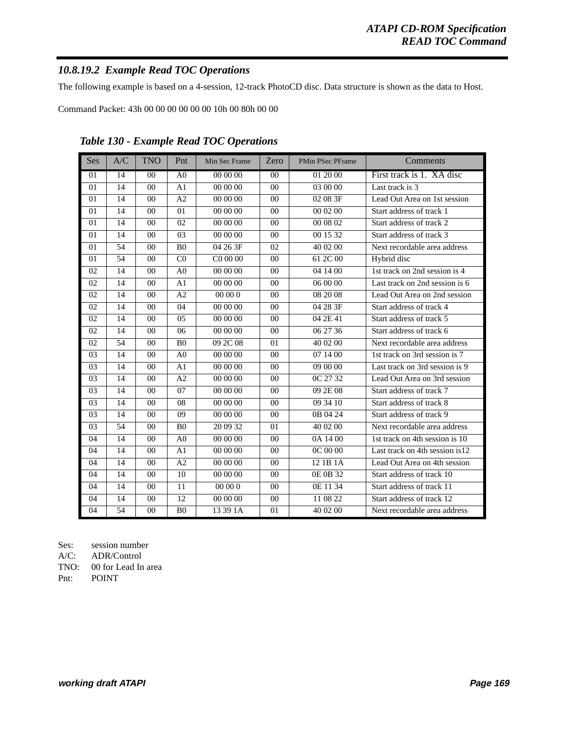### *10.8.19.2 Example Read TOC Operations*

The following example is based on a 4-session, 12-track PhotoCD disc. Data structure is shown as the data to Host.

Command Packet: 43h 00 00 00 00 00 00 10h 00 80h 00 00

| Ses             | A/C             | <b>TNO</b>      | Pnt             | Min Sec Frame        | Zero            | <b>PMin PSec PFrame</b> | Comments                        |
|-----------------|-----------------|-----------------|-----------------|----------------------|-----------------|-------------------------|---------------------------------|
| 01              | 14              | $00\,$          | A <sub>0</sub>  | 00 00 00             | $00\,$          | 01 20 00                | First track is 1. XA disc       |
| 01              | $\overline{14}$ | $\overline{00}$ | A1              | 00 00 00             | $\overline{00}$ | 03 00 00                | Last track is 3                 |
| 01              | 14              | 0 <sub>0</sub>  | A2              | 00 00 00             | $00\,$          | 02 08 3F                | Lead Out Area on 1st session    |
| 01              | 14              | 00              | 01              | 00 00 00             | $00\,$          | 00 02 00                | Start address of track 1        |
| 01              | 14              | 00              | 02              | 00 00 00             | $00\,$          | 00 08 02                | Start address of track 2        |
| 01              | 14              | $00\,$          | 03              | 00 00 00             | $00\,$          | 00 15 32                | Start address of track 3        |
| 01              | 54              | 00              | B <sub>0</sub>  | 04 26 3F             | 02              | 40 02 00                | Next recordable area address    |
| 01              | 54              | $00\,$          | C <sub>0</sub>  | C <sub>0</sub> 00 00 | $00\,$          | 61 2C 00                | Hybrid disc                     |
| $\overline{02}$ | 14              | 00              | A <sub>0</sub>  | 00 00 00             | 00              | 04 14 00                | 1st track on 2nd session is 4   |
| 02              | 14              | 00              | A1              | 00 00 00             | $00\,$          | 06 00 00                | Last track on 2nd session is 6  |
| 02              | $\overline{14}$ | $\overline{00}$ | $\overline{A2}$ | 00000                | $\overline{00}$ | 08 20 08                | Lead Out Area on 2nd session    |
| 02              | 14              | 00              | 04              | 00 00 00             | $00\,$          | 04 28 3F                | Start address of track 4        |
| 02              | 14              | 00              | 05              | 00 00 00             | 00              | 04 2E 41                | Start address of track 5        |
| 02              | 14              | 00              | 06              | 00 00 00             | $00\,$          | 06 27 36                | Start address of track 6        |
| 02              | 54              | 00              | B <sub>0</sub>  | 09 2C 08             | 01              | 40 02 00                | Next recordable area address    |
| 03              | 14              | 00              | A <sub>0</sub>  | 00 00 00             | $00\,$          | 07 14 00                | 1st track on 3rd session is 7   |
| 03              | 14              | 00              | A1              | 00 00 00             | $00\,$          | 09 00 00                | Last track on 3rd session is 9  |
| 03              | 14              | 00              | A2              | 00 00 00             | $00\,$          | OC 27 32                | Lead Out Area on 3rd session    |
| 03              | 14              | 00              | 07              | 00 00 00             | 00              | 09 2E 08                | Start address of track 7        |
| $\overline{03}$ | $\overline{14}$ | $\overline{00}$ | $\overline{08}$ | 00 00 00             | $\overline{00}$ | 09 34 10                | Start address of track 8        |
| 03              | 14              | 00              | 09              | 00 00 00             | $00\,$          | 0B 04 24                | Start address of track 9        |
| $\overline{03}$ | 54              | $\overline{00}$ | B <sub>0</sub>  | 20 09 32             | $\overline{01}$ | 40 02 00                | Next recordable area address    |
| 04              | 14              | 00              | A <sub>0</sub>  | 00 00 00             | $00\,$          | 0A 14 00                | 1st track on 4th session is 10  |
| 04              | 14              | 00              | A1              | 00 00 00             | 00              | 0C 00 00                | Last track on 4th session is 12 |
| 04              | 14              | 00              | A2              | 00 00 00             | $00\,$          | 12 1B 1A                | Lead Out Area on 4th session    |
| 04              | 14              | $00\,$          | 10              | 00 00 00             | $00\,$          | 0E 0B 32                | Start address of track 10       |
| 04              | 14              | 00              | 11              | 00 00 0              | 00              | 0E 11 34                | Start address of track 11       |
| 04              | 14              | $00\,$          | 12              | 00 00 00             | $00\,$          | 11 08 22                | Start address of track 12       |
| 04              | 54              | 0 <sub>0</sub>  | B <sub>0</sub>  | 13 39 1A             | 01              | 40 02 00                | Next recordable area address    |

*Table 130 - Example Read TOC Operations*

Ses: session number

A/C: ADR/Control

TNO: 00 for Lead In area

Pnt: POINT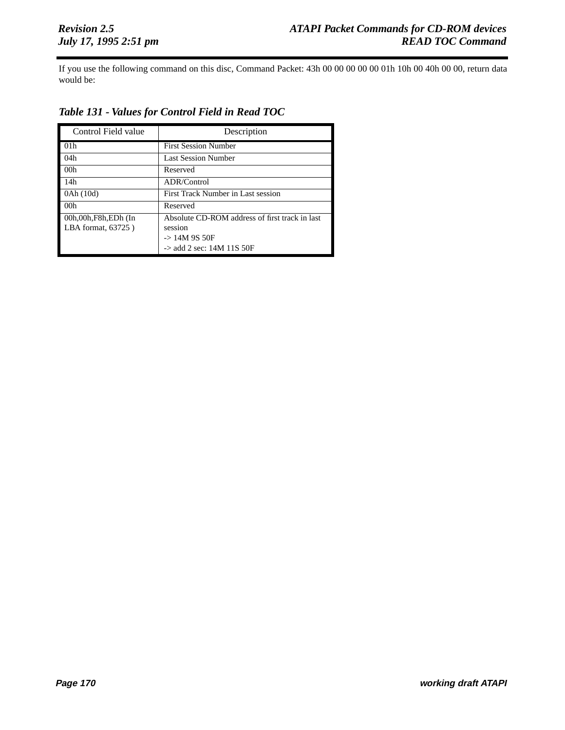If you use the following command on this disc, Command Packet: 43h 00 00 00 00 00 01h 10h 00 40h 00 00, return data would be:

| Control Field value | Description                                    |
|---------------------|------------------------------------------------|
| 01 <sub>h</sub>     | <b>First Session Number</b>                    |
| 04h                 | <b>Last Session Number</b>                     |
| 00 <sub>h</sub>     | Reserved                                       |
| 14h                 | ADR/Control                                    |
| 0Ah (10d)           | First Track Number in Last session             |
| 00 <sub>h</sub>     | Reserved                                       |
| 00h,00h,F8h,EDh (In | Absolute CD-ROM address of first track in last |
| LBA format, 63725)  | session                                        |
|                     | $\approx$ 14M 9S 50F                           |
|                     | $\rightarrow$ add 2 sec: 14M 11S 50F           |

# *Table 131 - Values for Control Field in Read TOC*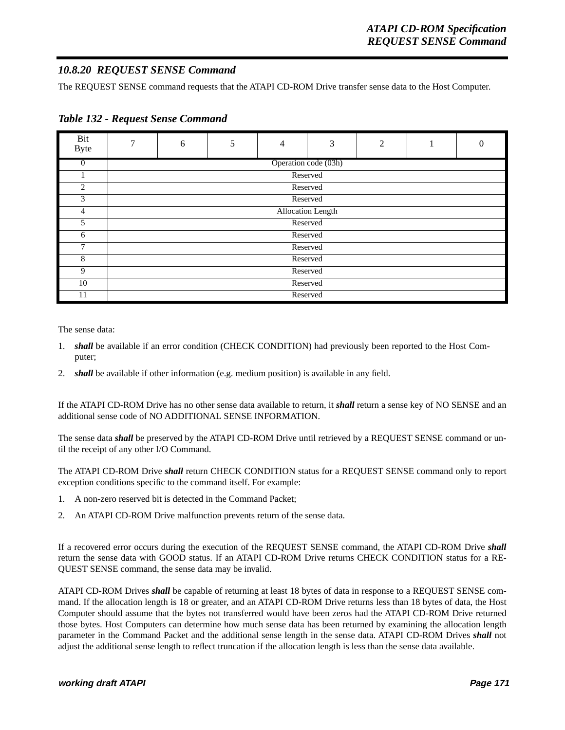### *10.8.20 REQUEST SENSE Command*

The REQUEST SENSE command requests that the ATAPI CD-ROM Drive transfer sense data to the Host Computer.

| Bit<br><b>Byte</b> | $\mathcal{I}$ | 6        | 5 | 4 | 3                    | $\overline{2}$ |  | $\theta$ |  |
|--------------------|---------------|----------|---|---|----------------------|----------------|--|----------|--|
| $\Omega$           |               |          |   |   | Operation code (03h) |                |  |          |  |
|                    |               |          |   |   | Reserved             |                |  |          |  |
| 2                  |               |          |   |   | Reserved             |                |  |          |  |
| 3                  |               |          |   |   | Reserved             |                |  |          |  |
| $\overline{4}$     |               |          |   |   | Allocation Length    |                |  |          |  |
| 5                  |               |          |   |   | Reserved             |                |  |          |  |
| 6                  |               |          |   |   | Reserved             |                |  |          |  |
| $\tau$             |               |          |   |   | Reserved             |                |  |          |  |
| 8                  |               |          |   |   | Reserved             |                |  |          |  |
| 9                  |               | Reserved |   |   |                      |                |  |          |  |
| 10                 |               | Reserved |   |   |                      |                |  |          |  |
| 11                 |               |          |   |   | Reserved             |                |  |          |  |

| Table 132 - Request Sense Command |  |  |  |
|-----------------------------------|--|--|--|
|-----------------------------------|--|--|--|

The sense data:

- 1. *shall* be available if an error condition (CHECK CONDITION) had previously been reported to the Host Computer;
- 2. *shall* be available if other information (e.g. medium position) is available in any field.

If the ATAPI CD-ROM Drive has no other sense data available to return, it *shall* return a sense key of NO SENSE and an additional sense code of NO ADDITIONAL SENSE INFORMATION.

The sense data *shall* be preserved by the ATAPI CD-ROM Drive until retrieved by a REQUEST SENSE command or until the receipt of any other I/O Command.

The ATAPI CD-ROM Drive *shall* return CHECK CONDITION status for a REQUEST SENSE command only to report exception conditions specific to the command itself. For example:

- 1. A non-zero reserved bit is detected in the Command Packet;
- 2. An ATAPI CD-ROM Drive malfunction prevents return of the sense data.

If a recovered error occurs during the execution of the REQUEST SENSE command, the ATAPI CD-ROM Drive *shall* return the sense data with GOOD status. If an ATAPI CD-ROM Drive returns CHECK CONDITION status for a RE-QUEST SENSE command, the sense data may be invalid.

ATAPI CD-ROM Drives *shall* be capable of returning at least 18 bytes of data in response to a REQUEST SENSE command. If the allocation length is 18 or greater, and an ATAPI CD-ROM Drive returns less than 18 bytes of data, the Host Computer should assume that the bytes not transferred would have been zeros had the ATAPI CD-ROM Drive returned those bytes. Host Computers can determine how much sense data has been returned by examining the allocation length parameter in the Command Packet and the additional sense length in the sense data. ATAPI CD-ROM Drives *shall* not adjust the additional sense length to reflect truncation if the allocation length is less than the sense data available.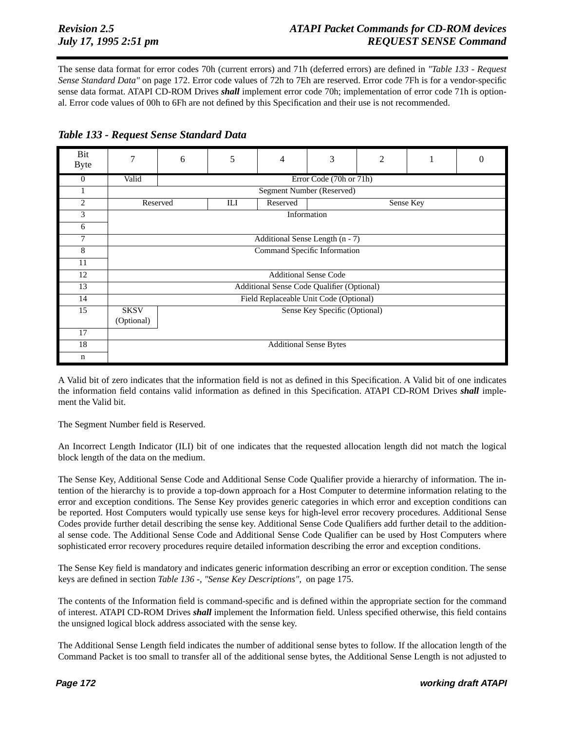The sense data format for error codes 70h (current errors) and 71h (deferred errors) are defined in *"Table 133 - Request Sense Standard Data"* on page 172. Error code values of 72h to 7Eh are reserved. Error code 7Fh is for a vendor-specific sense data format. ATAPI CD-ROM Drives *shall* implement error code 70h; implementation of error code 71h is optional. Error code values of 00h to 6Fh are not defined by this Specification and their use is not recommended.

| Bit<br><b>Byte</b> | 7           | 6                             | 5   | 4                                          | 3                             | 2 |           | $\theta$ |  |
|--------------------|-------------|-------------------------------|-----|--------------------------------------------|-------------------------------|---|-----------|----------|--|
| $\overline{0}$     | Valid       |                               |     |                                            | Error Code (70h or 71h)       |   |           |          |  |
|                    |             |                               |     | Segment Number (Reserved)                  |                               |   |           |          |  |
| $\overline{2}$     | Reserved    |                               | ILI | Reserved                                   |                               |   | Sense Key |          |  |
| 3                  |             |                               |     | Information                                |                               |   |           |          |  |
| 6                  |             |                               |     |                                            |                               |   |           |          |  |
| $\overline{7}$     |             |                               |     | Additional Sense Length (n - 7)            |                               |   |           |          |  |
| 8                  |             |                               |     | Command Specific Information               |                               |   |           |          |  |
| 11                 |             |                               |     |                                            |                               |   |           |          |  |
| 12                 |             |                               |     | <b>Additional Sense Code</b>               |                               |   |           |          |  |
| 13                 |             |                               |     | Additional Sense Code Qualifier (Optional) |                               |   |           |          |  |
| 14                 |             |                               |     | Field Replaceable Unit Code (Optional)     |                               |   |           |          |  |
| 15                 | <b>SKSV</b> |                               |     |                                            | Sense Key Specific (Optional) |   |           |          |  |
|                    | (Optional)  |                               |     |                                            |                               |   |           |          |  |
| 17                 |             |                               |     |                                            |                               |   |           |          |  |
| 18                 |             | <b>Additional Sense Bytes</b> |     |                                            |                               |   |           |          |  |
| $\mathbf n$        |             |                               |     |                                            |                               |   |           |          |  |

### *Table 133 - Request Sense Standard Data*

A Valid bit of zero indicates that the information field is not as defined in this Specification. A Valid bit of one indicates the information field contains valid information as defined in this Specification. ATAPI CD-ROM Drives *shall* implement the Valid bit.

The Segment Number field is Reserved.

An Incorrect Length Indicator (ILI) bit of one indicates that the requested allocation length did not match the logical block length of the data on the medium.

The Sense Key, Additional Sense Code and Additional Sense Code Qualifier provide a hierarchy of information. The intention of the hierarchy is to provide a top-down approach for a Host Computer to determine information relating to the error and exception conditions. The Sense Key provides generic categories in which error and exception conditions can be reported. Host Computers would typically use sense keys for high-level error recovery procedures. Additional Sense Codes provide further detail describing the sense key. Additional Sense Code Qualifiers add further detail to the additional sense code. The Additional Sense Code and Additional Sense Code Qualifier can be used by Host Computers where sophisticated error recovery procedures require detailed information describing the error and exception conditions.

The Sense Key field is mandatory and indicates generic information describing an error or exception condition. The sense keys are defined in section *Table 136 -, "Sense Key Descriptions",* on page 175.

The contents of the Information field is command-specific and is defined within the appropriate section for the command of interest. ATAPI CD-ROM Drives *shall* implement the Information field. Unless specified otherwise, this field contains the unsigned logical block address associated with the sense key.

The Additional Sense Length field indicates the number of additional sense bytes to follow. If the allocation length of the Command Packet is too small to transfer all of the additional sense bytes, the Additional Sense Length is not adjusted to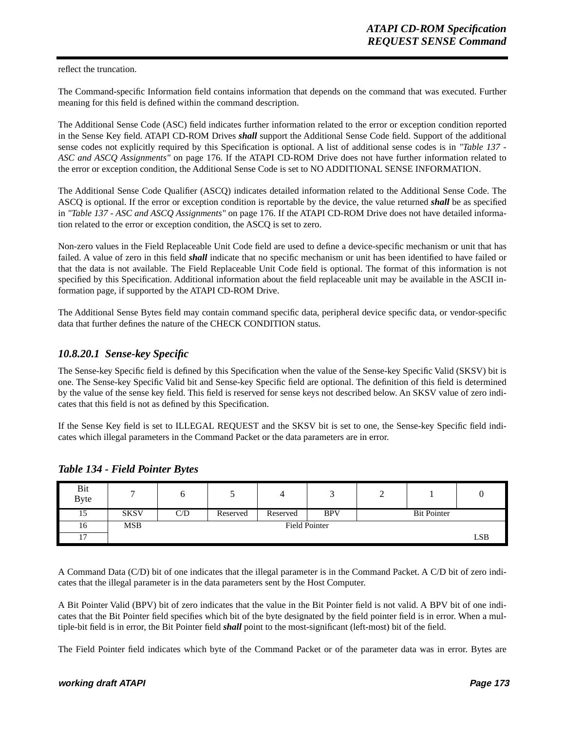reflect the truncation.

The Command-specific Information field contains information that depends on the command that was executed. Further meaning for this field is defined within the command description.

The Additional Sense Code (ASC) field indicates further information related to the error or exception condition reported in the Sense Key field. ATAPI CD-ROM Drives *shall* support the Additional Sense Code field. Support of the additional sense codes not explicitly required by this Specification is optional. A list of additional sense codes is in *"Table 137 - ASC and ASCQ Assignments"* on page 176. If the ATAPI CD-ROM Drive does not have further information related to the error or exception condition, the Additional Sense Code is set to NO ADDITIONAL SENSE INFORMATION.

The Additional Sense Code Qualifier (ASCQ) indicates detailed information related to the Additional Sense Code. The ASCQ is optional. If the error or exception condition is reportable by the device, the value returned *shall* be as specified in *"Table 137 - ASC and ASCQ Assignments"* on page 176. If the ATAPI CD-ROM Drive does not have detailed information related to the error or exception condition, the ASCQ is set to zero.

Non-zero values in the Field Replaceable Unit Code field are used to define a device-specific mechanism or unit that has failed. A value of zero in this field *shall* indicate that no specific mechanism or unit has been identified to have failed or that the data is not available. The Field Replaceable Unit Code field is optional. The format of this information is not specified by this Specification. Additional information about the field replaceable unit may be available in the ASCII information page, if supported by the ATAPI CD-ROM Drive.

The Additional Sense Bytes field may contain command specific data, peripheral device specific data, or vendor-specific data that further defines the nature of the CHECK CONDITION status.

### *10.8.20.1 Sense-key Specific*

The Sense-key Specific field is defined by this Specification when the value of the Sense-key Specific Valid (SKSV) bit is one. The Sense-key Specific Valid bit and Sense-key Specific field are optional. The definition of this field is determined by the value of the sense key field. This field is reserved for sense keys not described below. An SKSV value of zero indicates that this field is not as defined by this Specification.

If the Sense Key field is set to ILLEGAL REQUEST and the SKSV bit is set to one, the Sense-key Specific field indicates which illegal parameters in the Command Packet or the data parameters are in error.

| Bit<br>Byte               | -           |                         |          |                      |            | ∸ |                    |            |
|---------------------------|-------------|-------------------------|----------|----------------------|------------|---|--------------------|------------|
| 15                        | <b>SKSV</b> | $\mathrm{C}/\mathrm{D}$ | Reserved | Reserved             | <b>BPV</b> |   | <b>Bit Pointer</b> |            |
| 16                        | <b>MSB</b>  |                         |          | <b>Field Pointer</b> |            |   |                    |            |
| 1 <sub>7</sub><br>$\perp$ |             |                         |          |                      |            |   |                    | <b>LSB</b> |

### *Table 134 - Field Pointer Bytes*

A Command Data (C/D) bit of one indicates that the illegal parameter is in the Command Packet. A C/D bit of zero indicates that the illegal parameter is in the data parameters sent by the Host Computer.

A Bit Pointer Valid (BPV) bit of zero indicates that the value in the Bit Pointer field is not valid. A BPV bit of one indicates that the Bit Pointer field specifies which bit of the byte designated by the field pointer field is in error. When a multiple-bit field is in error, the Bit Pointer field *shall* point to the most-significant (left-most) bit of the field.

The Field Pointer field indicates which byte of the Command Packet or of the parameter data was in error. Bytes are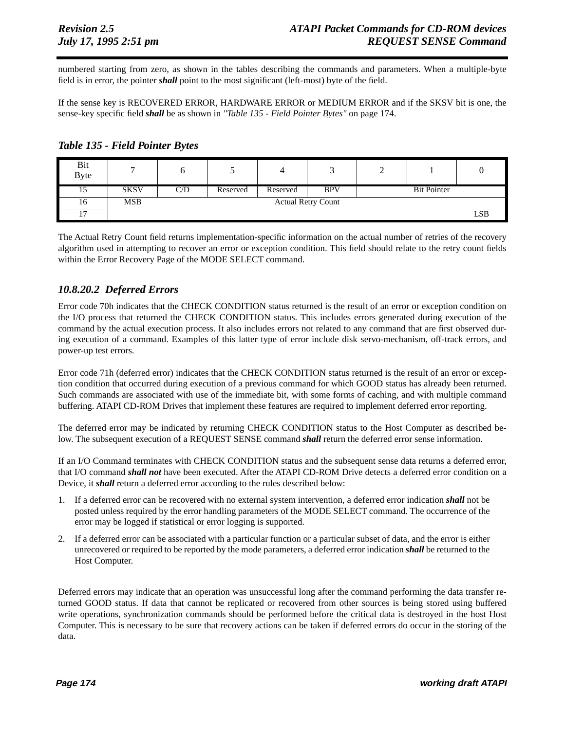numbered starting from zero, as shown in the tables describing the commands and parameters. When a multiple-byte field is in error, the pointer *shall* point to the most significant (left-most) byte of the field.

If the sense key is RECOVERED ERROR, HARDWARE ERROR or MEDIUM ERROR and if the SKSV bit is one, the sense-key specific field *shall* be as shown in *"Table 135 - Field Pointer Bytes"* on page 174.

*Table 135 - Field Pointer Bytes*

| Bit<br>Byte | −           |     |          |          | ້                         | ∠ |                    |            |
|-------------|-------------|-----|----------|----------|---------------------------|---|--------------------|------------|
| 15          | <b>SKSV</b> | C/D | Reserved | Reserved | <b>BPV</b>                |   | <b>Bit Pointer</b> |            |
| 16          | <b>MSB</b>  |     |          |          | <b>Actual Retry Count</b> |   |                    |            |
| 17          |             |     |          |          |                           |   |                    | <b>LSB</b> |

The Actual Retry Count field returns implementation-specific information on the actual number of retries of the recovery algorithm used in attempting to recover an error or exception condition. This field should relate to the retry count fields within the Error Recovery Page of the MODE SELECT command.

### *10.8.20.2 Deferred Errors*

Error code 70h indicates that the CHECK CONDITION status returned is the result of an error or exception condition on the I/O process that returned the CHECK CONDITION status. This includes errors generated during execution of the command by the actual execution process. It also includes errors not related to any command that are first observed during execution of a command. Examples of this latter type of error include disk servo-mechanism, off-track errors, and power-up test errors.

Error code 71h (deferred error) indicates that the CHECK CONDITION status returned is the result of an error or exception condition that occurred during execution of a previous command for which GOOD status has already been returned. Such commands are associated with use of the immediate bit, with some forms of caching, and with multiple command buffering. ATAPI CD-ROM Drives that implement these features are required to implement deferred error reporting.

The deferred error may be indicated by returning CHECK CONDITION status to the Host Computer as described below. The subsequent execution of a REQUEST SENSE command *shall* return the deferred error sense information.

If an I/O Command terminates with CHECK CONDITION status and the subsequent sense data returns a deferred error, that I/O command *shall not* have been executed. After the ATAPI CD-ROM Drive detects a deferred error condition on a Device, it *shall* return a deferred error according to the rules described below:

- 1. If a deferred error can be recovered with no external system intervention, a deferred error indication *shall* not be posted unless required by the error handling parameters of the MODE SELECT command. The occurrence of the error may be logged if statistical or error logging is supported.
- 2. If a deferred error can be associated with a particular function or a particular subset of data, and the error is either unrecovered or required to be reported by the mode parameters, a deferred error indication *shall* be returned to the Host Computer.

Deferred errors may indicate that an operation was unsuccessful long after the command performing the data transfer returned GOOD status. If data that cannot be replicated or recovered from other sources is being stored using buffered write operations, synchronization commands should be performed before the critical data is destroyed in the host Host Computer. This is necessary to be sure that recovery actions can be taken if deferred errors do occur in the storing of the data.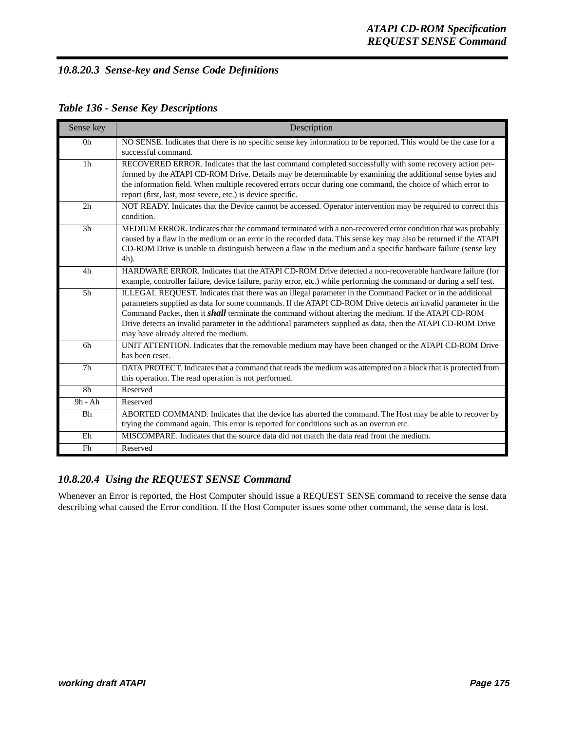### *10.8.20.3 Sense-key and Sense Code Definitions*

| Sense key      | Description                                                                                                                                                                                                                                                                                                                                                                                                                                                                                       |
|----------------|---------------------------------------------------------------------------------------------------------------------------------------------------------------------------------------------------------------------------------------------------------------------------------------------------------------------------------------------------------------------------------------------------------------------------------------------------------------------------------------------------|
| 0 <sub>h</sub> | NO SENSE. Indicates that there is no specific sense key information to be reported. This would be the case for a<br>successful command.                                                                                                                                                                                                                                                                                                                                                           |
| 1 <sub>h</sub> | RECOVERED ERROR. Indicates that the last command completed successfully with some recovery action per-<br>formed by the ATAPI CD-ROM Drive. Details may be determinable by examining the additional sense bytes and<br>the information field. When multiple recovered errors occur during one command, the choice of which error to<br>report (first, last, most severe, etc.) is device specific.                                                                                                |
| 2 <sub>h</sub> | NOT READY. Indicates that the Device cannot be accessed. Operator intervention may be required to correct this<br>condition.                                                                                                                                                                                                                                                                                                                                                                      |
| 3 <sub>h</sub> | MEDIUM ERROR. Indicates that the command terminated with a non-recovered error condition that was probably<br>caused by a flaw in the medium or an error in the recorded data. This sense key may also be returned if the ATAPI<br>CD-ROM Drive is unable to distinguish between a flaw in the medium and a specific hardware failure (sense key<br>4h).                                                                                                                                          |
| 4 <sub>h</sub> | HARDWARE ERROR. Indicates that the ATAPI CD-ROM Drive detected a non-recoverable hardware failure (for<br>example, controller failure, device failure, parity error, etc.) while performing the command or during a self test.                                                                                                                                                                                                                                                                    |
| 5 <sub>h</sub> | ILLEGAL REQUEST. Indicates that there was an illegal parameter in the Command Packet or in the additional<br>parameters supplied as data for some commands. If the ATAPI CD-ROM Drive detects an invalid parameter in the<br>Command Packet, then it <i>shall</i> terminate the command without altering the medium. If the ATAPI CD-ROM<br>Drive detects an invalid parameter in the additional parameters supplied as data, then the ATAPI CD-ROM Drive<br>may have already altered the medium. |
| 6h             | UNIT ATTENTION. Indicates that the removable medium may have been changed or the ATAPI CD-ROM Drive<br>has been reset.                                                                                                                                                                                                                                                                                                                                                                            |
| 7 <sub>h</sub> | DATA PROTECT. Indicates that a command that reads the medium was attempted on a block that is protected from<br>this operation. The read operation is not performed.                                                                                                                                                                                                                                                                                                                              |
| 8 <sub>h</sub> | Reserved                                                                                                                                                                                                                                                                                                                                                                                                                                                                                          |
| $9h - Ah$      | Reserved                                                                                                                                                                                                                                                                                                                                                                                                                                                                                          |
| <b>Bh</b>      | ABORTED COMMAND. Indicates that the device has aborted the command. The Host may be able to recover by<br>trying the command again. This error is reported for conditions such as an overrun etc.                                                                                                                                                                                                                                                                                                 |
| Eh             | MISCOMPARE. Indicates that the source data did not match the data read from the medium.                                                                                                                                                                                                                                                                                                                                                                                                           |
| F <sub>h</sub> | Reserved                                                                                                                                                                                                                                                                                                                                                                                                                                                                                          |

*Table 136 - Sense Key Descriptions*

# *10.8.20.4 Using the REQUEST SENSE Command*

Whenever an Error is reported, the Host Computer should issue a REQUEST SENSE command to receive the sense data describing what caused the Error condition. If the Host Computer issues some other command, the sense data is lost.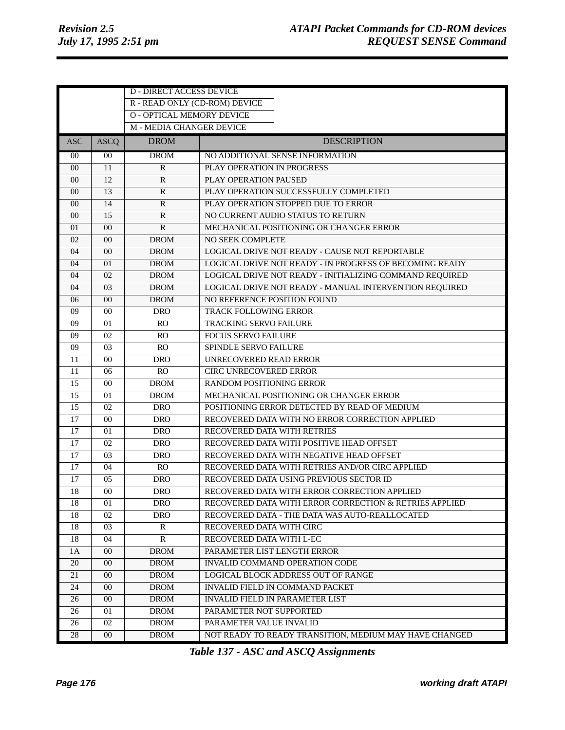|                 |                 | <b>D - DIRECT ACCESS DEVICE</b>  |                                 |                                                         |
|-----------------|-----------------|----------------------------------|---------------------------------|---------------------------------------------------------|
|                 |                 | R - READ ONLY (CD-ROM) DEVICE    |                                 |                                                         |
|                 |                 | <b>O - OPTICAL MEMORY DEVICE</b> |                                 |                                                         |
|                 |                 | <b>M-MEDIA CHANGER DEVICE</b>    |                                 |                                                         |
| <b>ASC</b>      | <b>ASCQ</b>     | <b>DROM</b>                      |                                 | <b>DESCRIPTION</b>                                      |
| $00\,$          | $00\,$          | <b>DROM</b>                      |                                 | NO ADDITIONAL SENSE INFORMATION                         |
| $00\,$          | 11              | $\mathbb{R}$                     | PLAY OPERATION IN PROGRESS      |                                                         |
| $00\,$          | 12              | $\mathbb{R}$                     | PLAY OPERATION PAUSED           |                                                         |
| 00              | 13              | $\mathbb{R}$                     |                                 | PLAY OPERATION SUCCESSFULLY COMPLETED                   |
| $00\,$          | 14              | $\overline{R}$                   |                                 | PLAY OPERATION STOPPED DUE TO ERROR                     |
| $00\,$          | $\overline{15}$ | $\mathbb{R}$                     |                                 | NO CURRENT AUDIO STATUS TO RETURN                       |
| 01              | 00              | ${\bf R}$                        |                                 | MECHANICAL POSITIONING OR CHANGER ERROR                 |
| 02              | $00\,$          | <b>DROM</b>                      | NO SEEK COMPLETE                |                                                         |
| 04              | $00\,$          | <b>DROM</b>                      |                                 | LOGICAL DRIVE NOT READY - CAUSE NOT REPORTABLE          |
| 04              | 01              | <b>DROM</b>                      |                                 | LOGICAL DRIVE NOT READY - IN PROGRESS OF BECOMING READY |
| 04              | $\overline{02}$ | <b>DROM</b>                      |                                 | LOGICAL DRIVE NOT READY - INITIALIZING COMMAND REQUIRED |
| 04              | $\overline{03}$ | <b>DROM</b>                      |                                 | LOGICAL DRIVE NOT READY - MANUAL INTERVENTION REQUIRED  |
| 06              | 00              | <b>DROM</b>                      | NO REFERENCE POSITION FOUND     |                                                         |
| 09              | $00\,$          | <b>DRO</b>                       | TRACK FOLLOWING ERROR           |                                                         |
| 09              | 01              | RO                               | <b>TRACKING SERVO FAILURE</b>   |                                                         |
| 09              | 02              | RO                               | <b>FOCUS SERVO FAILURE</b>      |                                                         |
| $\overline{09}$ | 03              | $\overline{RO}$                  | SPINDLE SERVO FAILURE           |                                                         |
| 11              | $00\,$          | <b>DRO</b>                       | <b>UNRECOVERED READ ERROR</b>   |                                                         |
| 11              | 06              | RO                               | <b>CIRC UNRECOVERED ERROR</b>   |                                                         |
| $\overline{15}$ | $00\,$          | <b>DROM</b>                      | <b>RANDOM POSITIONING ERROR</b> |                                                         |
| $\overline{15}$ | 01              | <b>DROM</b>                      |                                 | MECHANICAL POSITIONING OR CHANGER ERROR                 |
| 15              | 02              | <b>DRO</b>                       |                                 | POSITIONING ERROR DETECTED BY READ OF MEDIUM            |
| $\overline{17}$ | $00\,$          | $\overline{DRO}$                 |                                 | RECOVERED DATA WITH NO ERROR CORRECTION APPLIED         |
| $\overline{17}$ | 01              | $\overline{DRO}$                 | RECOVERED DATA WITH RETRIES     |                                                         |
| 17              | 02              | <b>DRO</b>                       |                                 | RECOVERED DATA WITH POSITIVE HEAD OFFSET                |
| 17              | 03              | <b>DRO</b>                       |                                 | RECOVERED DATA WITH NEGATIVE HEAD OFFSET                |
| 17              | 04              | RO                               |                                 | RECOVERED DATA WITH RETRIES AND/OR CIRC APPLIED         |
| 17              | 05              | <b>DRO</b>                       |                                 | RECOVERED DATA USING PREVIOUS SECTOR ID                 |
| $\overline{18}$ | $00\,$          | $\overline{DRO}$                 |                                 | RECOVERED DATA WITH ERROR CORRECTION APPLIED            |
| 18              | 01              | <b>DRO</b>                       |                                 | RECOVERED DATA WITH ERROR CORRECTION & RETRIES APPLIED  |
| 18              | 02              | <b>DRO</b>                       |                                 | RECOVERED DATA - THE DATA WAS AUTO-REALLOCATED          |
| 18              | 03              | R                                | RECOVERED DATA WITH CIRC        |                                                         |
| $\overline{18}$ | 04              | $\mathbb{R}$                     | RECOVERED DATA WITH L-EC        |                                                         |
| 1A              | $00\,$          | <b>DROM</b>                      | PARAMETER LIST LENGTH ERROR     |                                                         |
| 20              | $00\,$          | <b>DROM</b>                      |                                 | <b>INVALID COMMAND OPERATION CODE</b>                   |
| 21              | $00\,$          | <b>DROM</b>                      |                                 | LOGICAL BLOCK ADDRESS OUT OF RANGE                      |
| 24              | $00\,$          | <b>DROM</b>                      |                                 | INVALID FIELD IN COMMAND PACKET                         |
| 26              | $00\,$          | <b>DROM</b>                      |                                 | <b>INVALID FIELD IN PARAMETER LIST</b>                  |
| 26              | 01              | <b>DROM</b>                      | PARAMETER NOT SUPPORTED         |                                                         |
| 26              | 02              | <b>DROM</b>                      | PARAMETER VALUE INVALID         |                                                         |
| $\overline{28}$ | $\overline{00}$ | <b>DROM</b>                      |                                 | NOT READY TO READY TRANSITION, MEDIUM MAY HAVE CHANGED  |

*Table 137 - ASC and ASCQ Assignments*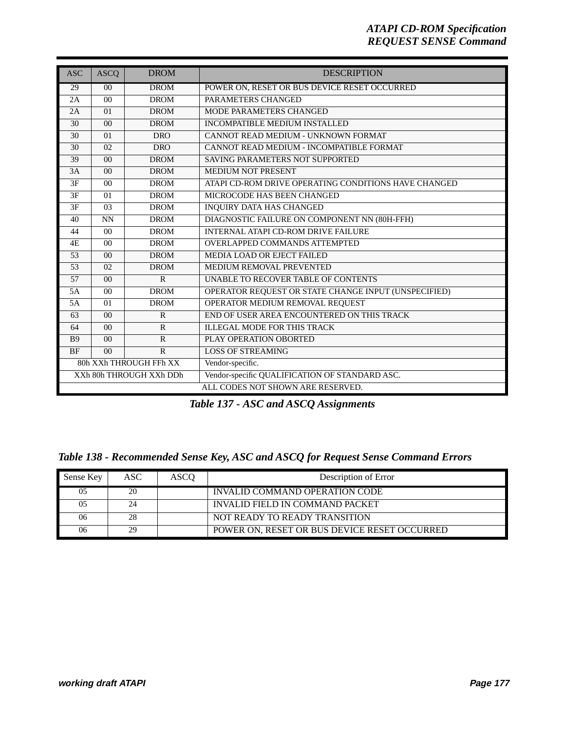### *ATAPI CD-ROM Specification REQUEST SENSE Command*

| <b>ASC</b> | <b>ASCQ</b>     | <b>DROM</b>             | <b>DESCRIPTION</b>                                   |
|------------|-----------------|-------------------------|------------------------------------------------------|
| 29         | $\overline{00}$ | <b>DROM</b>             | POWER ON, RESET OR BUS DEVICE RESET OCCURRED         |
| 2A         | 0 <sup>0</sup>  | <b>DROM</b>             | PARAMETERS CHANGED                                   |
| 2A         | 01              | <b>DROM</b>             | MODE PARAMETERS CHANGED                              |
| 30         | $00\,$          | <b>DROM</b>             | <b>INCOMPATIBLE MEDIUM INSTALLED</b>                 |
| 30         | 01              | <b>DRO</b>              | CANNOT READ MEDIUM - UNKNOWN FORMAT                  |
| 30         | 02              | <b>DRO</b>              | CANNOT READ MEDIUM - INCOMPATIBLE FORMAT             |
| 39         | $00\,$          | <b>DROM</b>             | <b>SAVING PARAMETERS NOT SUPPORTED</b>               |
| 3A         | 0 <sup>0</sup>  | <b>DROM</b>             | <b>MEDIUM NOT PRESENT</b>                            |
| 3F         | 00              | <b>DROM</b>             | ATAPI CD-ROM DRIVE OPERATING CONDITIONS HAVE CHANGED |
| 3F         | 01              | <b>DROM</b>             | MICROCODE HAS BEEN CHANGED                           |
| 3F         | 03              | <b>DROM</b>             | <b>INQUIRY DATA HAS CHANGED</b>                      |
| 40         | <b>NN</b>       | DROM                    | DIAGNOSTIC FAILURE ON COMPONENT NN (80H-FFH)         |
| 44         | $00\,$          | <b>DROM</b>             | <b>INTERNAL ATAPI CD-ROM DRIVE FAILURE</b>           |
| 4E         | 0 <sup>0</sup>  | <b>DROM</b>             | <b>OVERLAPPED COMMANDS ATTEMPTED</b>                 |
| 53         | $00\,$          | <b>DROM</b>             | MEDIA LOAD OR EJECT FAILED                           |
| 53         | 02              | <b>DROM</b>             | MEDIUM REMOVAL PREVENTED                             |
| 57         | 0 <sub>0</sub>  | $\overline{R}$          | UNABLE TO RECOVER TABLE OF CONTENTS                  |
| 5A         | $00\,$          | <b>DROM</b>             | OPERATOR REQUEST OR STATE CHANGE INPUT (UNSPECIFIED) |
| 5A         | 01              | <b>DROM</b>             | OPERATOR MEDIUM REMOVAL REQUEST                      |
| 63         | 0 <sub>0</sub>  | $\mathbf R$             | END OF USER AREA ENCOUNTERED ON THIS TRACK           |
| 64         | $00\,$          | ${\bf R}$               | <b>ILLEGAL MODE FOR THIS TRACK</b>                   |
| <b>B9</b>  | 0 <sup>0</sup>  | $\mathbf R$             | PLAY OPERATION OBORTED                               |
| <b>BF</b>  | 0 <sup>0</sup>  | $\mathbf R$             | <b>LOSS OF STREAMING</b>                             |
|            |                 | 80h XXh THROUGH FFh XX  | Vendor-specific.                                     |
|            |                 | XXh 80h THROUGH XXh DDh | Vendor-specific QUALIFICATION OF STANDARD ASC.       |
|            |                 |                         | ALL CODES NOT SHOWN ARE RESERVED.                    |

*Table 137 - ASC and ASCQ Assignments*

|  |  |  | Table 138 - Recommended Sense Key, ASC and ASCQ for Request Sense Command Errors |
|--|--|--|----------------------------------------------------------------------------------|
|  |  |  |                                                                                  |

| Sense Key | ASC | <b>ASCO</b> | Description of Error                         |
|-----------|-----|-------------|----------------------------------------------|
| 05        | 20  |             | INVALID COMMAND OPERATION CODE               |
| 05        | 24  |             | INVALID FIELD IN COMMAND PACKET              |
| 06        | 28  |             | NOT READY TO READY TRANSITION                |
| 06        | 29  |             | POWER ON. RESET OR BUS DEVICE RESET OCCURRED |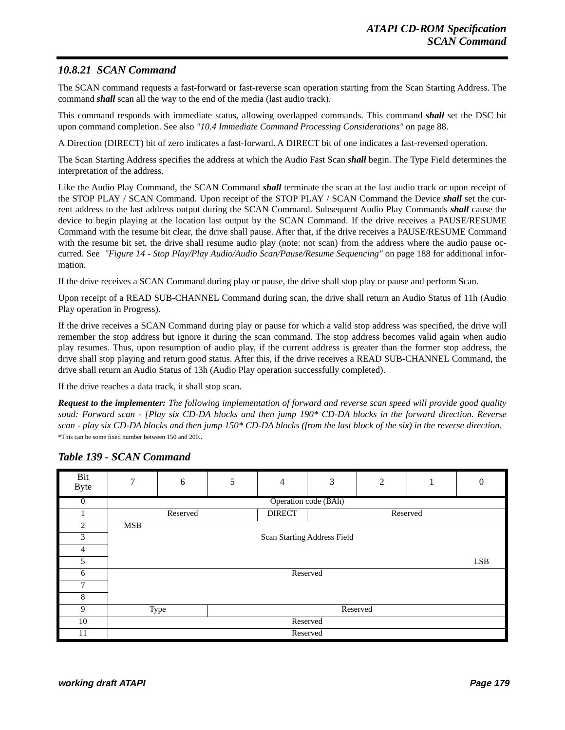### *10.8.21 SCAN Command*

The SCAN command requests a fast-forward or fast-reverse scan operation starting from the Scan Starting Address. The command *shall* scan all the way to the end of the media (last audio track).

This command responds with immediate status, allowing overlapped commands. This command *shall* set the DSC bit upon command completion. See also *"10.4 Immediate Command Processing Considerations"* on page 88.

A Direction (DIRECT) bit of zero indicates a fast-forward. A DIRECT bit of one indicates a fast-reversed operation.

The Scan Starting Address specifies the address at which the Audio Fast Scan *shall* begin. The Type Field determines the interpretation of the address.

Like the Audio Play Command, the SCAN Command *shall* terminate the scan at the last audio track or upon receipt of the STOP PLAY / SCAN Command. Upon receipt of the STOP PLAY / SCAN Command the Device *shall* set the current address to the last address output during the SCAN Command. Subsequent Audio Play Commands *shall* cause the device to begin playing at the location last output by the SCAN Command. If the drive receives a PAUSE/RESUME Command with the resume bit clear, the drive shall pause. After that, if the drive receives a PAUSE/RESUME Command with the resume bit set, the drive shall resume audio play (note: not scan) from the address where the audio pause occurred. See *"Figure 14 - Stop Play/Play Audio/Audio Scan/Pause/Resume Sequencing"* on page 188 for additional information.

If the drive receives a SCAN Command during play or pause, the drive shall stop play or pause and perform Scan.

Upon receipt of a READ SUB-CHANNEL Command during scan, the drive shall return an Audio Status of 11h (Audio Play operation in Progress).

If the drive receives a SCAN Command during play or pause for which a valid stop address was specified, the drive will remember the stop address but ignore it during the scan command. The stop address becomes valid again when audio play resumes. Thus, upon resumption of audio play, if the current address is greater than the former stop address, the drive shall stop playing and return good status. After this, if the drive receives a READ SUB-CHANNEL Command, the drive shall return an Audio Status of 13h (Audio Play operation successfully completed).

If the drive reaches a data track, it shall stop scan.

*Request to the implementer: The following implementation of forward and reverse scan speed will provide good quality soud: Forward scan - [Play six CD-DA blocks and then jump 190\* CD-DA blocks in the forward direction. Reverse scan - play six CD-DA blocks and then jump 150\* CD-DA blocks (from the last block of the six) in the reverse direction.*  \*This can be some fixed number between 150 and 200..

| Bit<br><b>Byte</b> | 7          | 6        | 5 | 4                           | 3 | 2        | 1        | $\overline{0}$ |
|--------------------|------------|----------|---|-----------------------------|---|----------|----------|----------------|
| $\overline{0}$     |            |          |   | Operation code (BAh)        |   |          |          |                |
|                    |            | Reserved |   | <b>DIRECT</b>               |   |          | Reserved |                |
| 2                  | <b>MSB</b> |          |   |                             |   |          |          |                |
| 3                  |            |          |   | Scan Starting Address Field |   |          |          |                |
| 4                  |            |          |   |                             |   |          |          |                |
| 5                  |            |          |   |                             |   |          |          | <b>LSB</b>     |
| 6                  |            |          |   | Reserved                    |   |          |          |                |
| $\mathbf{7}$       |            |          |   |                             |   |          |          |                |
| 8                  |            |          |   |                             |   |          |          |                |
| 9                  |            | Type     |   |                             |   | Reserved |          |                |
| 10                 |            |          |   | Reserved                    |   |          |          |                |
| 11                 |            |          |   | Reserved                    |   |          |          |                |

*Table 139 - SCAN Command*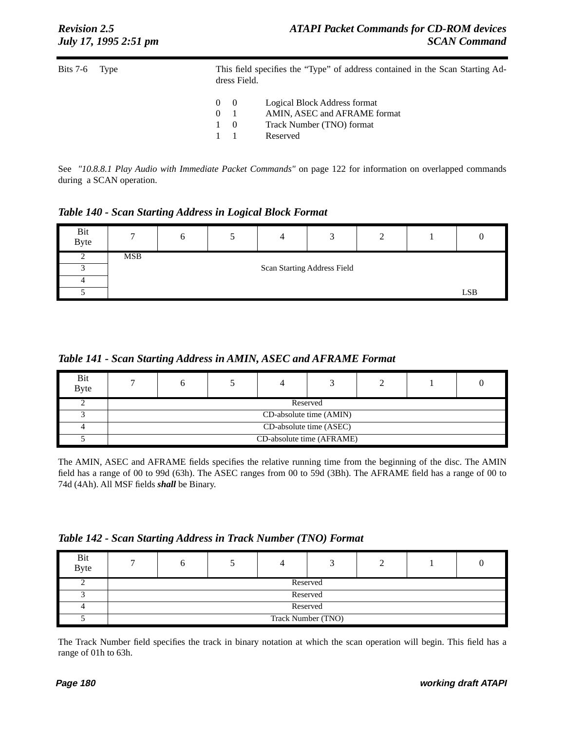| Bits 7-6 | This field specifies the "Type" of address contained in the Scan Starting Ad-                                                                |
|----------|----------------------------------------------------------------------------------------------------------------------------------------------|
| Type     | dress Field.                                                                                                                                 |
|          | Logical Block Address format<br>$0 \quad 0$<br>AMIN, ASEC and AFRAME format<br>$\Omega$<br>Track Number (TNO) format<br>$\sim 0$<br>Reserved |

See *"10.8.8.1 Play Audio with Immediate Packet Commands"* on page 122 for information on overlapped commands during a SCAN operation.

### *Table 140 - Scan Starting Address in Logical Block Format*

| Bit<br>Byte |            |  |                             | ∸ |            |
|-------------|------------|--|-----------------------------|---|------------|
|             | <b>MSB</b> |  |                             |   |            |
|             |            |  | Scan Starting Address Field |   |            |
|             |            |  |                             |   |            |
|             |            |  |                             |   | <b>LSB</b> |

### *Table 141 - Scan Starting Address in AMIN, ASEC and AFRAME Format*

| Bit<br>Byte |                         |  |                           |  |  |  |  |
|-------------|-------------------------|--|---------------------------|--|--|--|--|
|             |                         |  | Reserved                  |  |  |  |  |
|             |                         |  | CD-absolute time (AMIN)   |  |  |  |  |
| 4           | CD-absolute time (ASEC) |  |                           |  |  |  |  |
|             |                         |  | CD-absolute time (AFRAME) |  |  |  |  |

The AMIN, ASEC and AFRAME fields specifies the relative running time from the beginning of the disc. The AMIN field has a range of 00 to 99d (63h). The ASEC ranges from 00 to 59d (3Bh). The AFRAME field has a range of 00 to 74d (4Ah). All MSF fields *shall* be Binary.

| Table 142 - Scan Starting Address in Track Number (TNO) Format |  |  |  |  |  |
|----------------------------------------------------------------|--|--|--|--|--|
|----------------------------------------------------------------|--|--|--|--|--|

| Bit<br>Byte | h        |  |                    |          | ∼ |  |  |
|-------------|----------|--|--------------------|----------|---|--|--|
|             |          |  |                    | Reserved |   |  |  |
|             |          |  | Reserved           |          |   |  |  |
|             | Reserved |  |                    |          |   |  |  |
|             |          |  | Track Number (TNO) |          |   |  |  |

The Track Number field specifies the track in binary notation at which the scan operation will begin. This field has a range of 01h to 63h.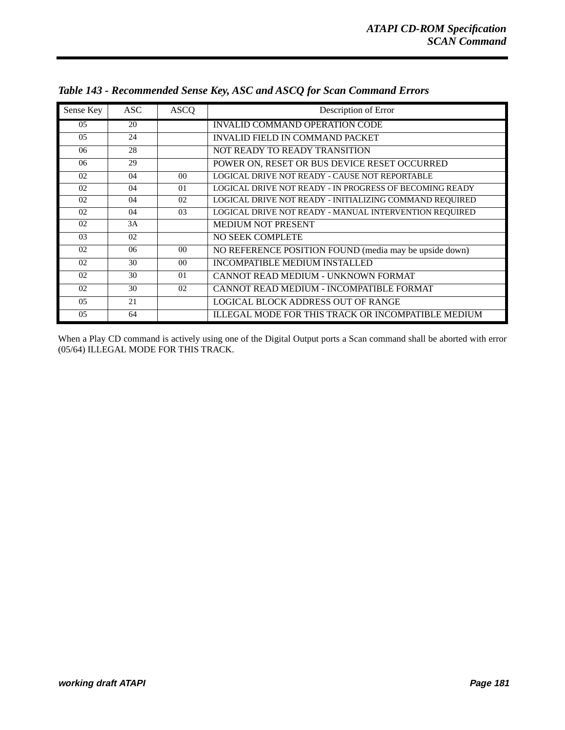| Sense Key | ASC             | <b>ASCQ</b>    | Description of Error                                    |
|-----------|-----------------|----------------|---------------------------------------------------------|
| 0.5       | $\overline{20}$ |                | <b>INVALID COMMAND OPERATION CODE</b>                   |
| 0.5       | 24              |                | <b>INVALID FIELD IN COMMAND PACKET</b>                  |
| 06        | 28              |                | NOT READY TO READY TRANSITION                           |
| 06        | 29              |                | POWER ON, RESET OR BUS DEVICE RESET OCCURRED            |
| 02        | 04              | 0 <sub>0</sub> | LOGICAL DRIVE NOT READY - CAUSE NOT REPORTABLE          |
| 02        | 04              | 01             | LOGICAL DRIVE NOT READY - IN PROGRESS OF BECOMING READY |
| 02        | 04              | 02             | LOGICAL DRIVE NOT READY - INITIALIZING COMMAND REQUIRED |
| 02        | 04              | 03             | LOGICAL DRIVE NOT READY - MANUAL INTERVENTION REQUIRED  |
| 02        | 3A              |                | <b>MEDIUM NOT PRESENT</b>                               |
| 03        | 02              |                | NO SEEK COMPLETE                                        |
| 02        | 06              | 0 <sub>0</sub> | NO REFERENCE POSITION FOUND (media may be upside down)  |
| 02        | 30              | $00\,$         | <b>INCOMPATIBLE MEDIUM INSTALLED</b>                    |
| 02        | 30              | 01             | CANNOT READ MEDIUM - UNKNOWN FORMAT                     |
| 02        | 30              | 02             | CANNOT READ MEDIUM - INCOMPATIBLE FORMAT                |
| 0.5       | 21              |                | LOGICAL BLOCK ADDRESS OUT OF RANGE                      |
| 05        | 64              |                | ILLEGAL MODE FOR THIS TRACK OR INCOMPATIBLE MEDIUM      |

*Table 143 - Recommended Sense Key, ASC and ASCQ for Scan Command Errors*

When a Play CD command is actively using one of the Digital Output ports a Scan command shall be aborted with error (05/64) ILLEGAL MODE FOR THIS TRACK.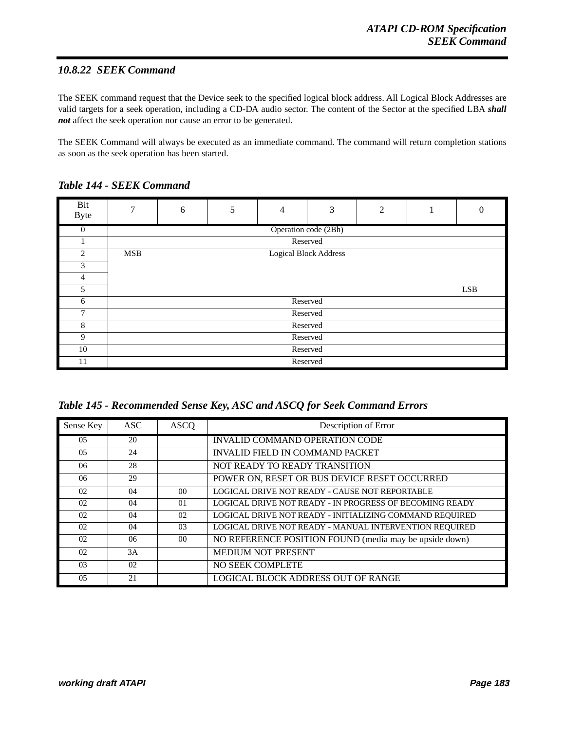### *10.8.22 SEEK Command*

The SEEK command request that the Device seek to the specified logical block address. All Logical Block Addresses are valid targets for a seek operation, including a CD-DA audio sector. The content of the Sector at the specified LBA *shall not* affect the seek operation nor cause an error to be generated.

The SEEK Command will always be executed as an immediate command. The command will return completion stations as soon as the seek operation has been started.

| Bit<br><b>Byte</b> | $\overline{7}$ | 6        | 5 | 4        | 3                            | $\overline{2}$ | 1 | $\overline{0}$ |
|--------------------|----------------|----------|---|----------|------------------------------|----------------|---|----------------|
| $\overline{0}$     |                |          |   |          | Operation code (2Bh)         |                |   |                |
|                    |                |          |   | Reserved |                              |                |   |                |
| 2                  | <b>MSB</b>     |          |   |          | <b>Logical Block Address</b> |                |   |                |
| 3                  |                |          |   |          |                              |                |   |                |
| $\overline{4}$     |                |          |   |          |                              |                |   |                |
| 5                  |                |          |   |          |                              |                |   | LSB            |
| 6                  |                |          |   | Reserved |                              |                |   |                |
| 7                  |                |          |   |          | Reserved                     |                |   |                |
| 8                  |                |          |   |          | Reserved                     |                |   |                |
| 9                  |                | Reserved |   |          |                              |                |   |                |
| 10                 |                | Reserved |   |          |                              |                |   |                |
| 11                 |                |          |   |          | Reserved                     |                |   |                |

### *Table 144 - SEEK Command*

*Table 145 - Recommended Sense Key, ASC and ASCQ for Seek Command Errors*

| Sense Key      | ASC             | <b>ASCO</b>     | Description of Error                                    |
|----------------|-----------------|-----------------|---------------------------------------------------------|
| 0.5            | $\overline{20}$ |                 | <b>INVALID COMMAND OPERATION CODE</b>                   |
| 0.5            | 24              |                 | <b>INVALID FIELD IN COMMAND PACKET</b>                  |
| 06             | 28              |                 | NOT READY TO READY TRANSITION                           |
| 06             | 29              |                 | POWER ON, RESET OR BUS DEVICE RESET OCCURRED            |
| 02             | 04              | 00 <sup>°</sup> | LOGICAL DRIVE NOT READY - CAUSE NOT REPORTABLE          |
| 02             | 04              | 01              | LOGICAL DRIVE NOT READY - IN PROGRESS OF BECOMING READY |
| 02             | 04              | 02              | LOGICAL DRIVE NOT READY - INITIALIZING COMMAND REQUIRED |
| 02             | 04              | 03              | LOGICAL DRIVE NOT READY - MANUAL INTERVENTION REQUIRED  |
| 02             | 06              | 00 <sup>2</sup> | NO REFERENCE POSITION FOUND (media may be upside down)  |
| 02             | 3A              |                 | <b>MEDIUM NOT PRESENT</b>                               |
| 0 <sup>3</sup> | 02              |                 | NO SEEK COMPLETE                                        |
| $0.5^{\circ}$  | 21              |                 | LOGICAL BLOCK ADDRESS OUT OF RANGE                      |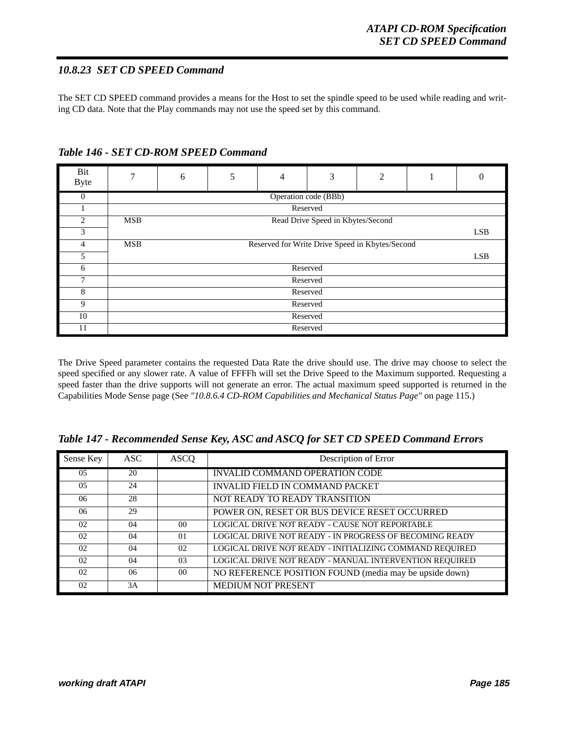### *10.8.23 SET CD SPEED Command*

The SET CD SPEED command provides a means for the Host to set the spindle speed to be used while reading and writing CD data. Note that the Play commands may not use the speed set by this command.

| Bit<br><b>Byte</b> | 7          | 6        | 5 | 4                                               | 3                                 | 2 |  | $\theta$   |
|--------------------|------------|----------|---|-------------------------------------------------|-----------------------------------|---|--|------------|
| $\Omega$           |            |          |   |                                                 | Operation code (BBh)              |   |  |            |
|                    |            |          |   |                                                 | Reserved                          |   |  |            |
| $\overline{c}$     | <b>MSB</b> |          |   |                                                 | Read Drive Speed in Kbytes/Second |   |  |            |
| 3                  |            |          |   |                                                 |                                   |   |  | <b>LSB</b> |
| $\overline{4}$     | <b>MSB</b> |          |   | Reserved for Write Drive Speed in Kbytes/Second |                                   |   |  |            |
| 5                  |            |          |   |                                                 |                                   |   |  | <b>LSB</b> |
| 6                  |            |          |   |                                                 | Reserved                          |   |  |            |
| 7                  |            |          |   |                                                 | Reserved                          |   |  |            |
| 8                  |            |          |   |                                                 | Reserved                          |   |  |            |
| 9                  |            | Reserved |   |                                                 |                                   |   |  |            |
| 10                 |            | Reserved |   |                                                 |                                   |   |  |            |
| 11                 |            | Reserved |   |                                                 |                                   |   |  |            |

*Table 146 - SET CD-ROM SPEED Command*

The Drive Speed parameter contains the requested Data Rate the drive should use. The drive may choose to select the speed specified or any slower rate. A value of FFFFh will set the Drive Speed to the Maximum supported. Requesting a speed faster than the drive supports will not generate an error. The actual maximum speed supported is returned in the Capabilities Mode Sense page (See *"10.8.6.4 CD-ROM Capabilities and Mechanical Status Page"* on page 115.)

*Table 147 - Recommended Sense Key, ASC and ASCQ for SET CD SPEED Command Errors*

| Sense Key        | ASC             | ASCQ            | Description of Error                                    |
|------------------|-----------------|-----------------|---------------------------------------------------------|
| $\overline{0.5}$ | $\overline{20}$ |                 | <b>INVALID COMMAND OPERATION CODE</b>                   |
| 0.5              | 24              |                 | <b>INVALID FIELD IN COMMAND PACKET</b>                  |
| 06               | 28              |                 | NOT READY TO READY TRANSITION                           |
| 06               | 29              |                 | POWER ON, RESET OR BUS DEVICE RESET OCCURRED            |
| 02               | 04              | 00 <sup>1</sup> | LOGICAL DRIVE NOT READY - CAUSE NOT REPORTABLE          |
| 02               | 04              | 01              | LOGICAL DRIVE NOT READY - IN PROGRESS OF BECOMING READY |
| 02               | 04              | 02              | LOGICAL DRIVE NOT READY - INITIALIZING COMMAND REQUIRED |
| 02               | 04              | 03              | LOGICAL DRIVE NOT READY - MANUAL INTERVENTION REQUIRED  |
| 02               | 06              | 00 <sup>1</sup> | NO REFERENCE POSITION FOUND (media may be upside down)  |
| 02               | 3A              |                 | <b>MEDIUM NOT PRESENT</b>                               |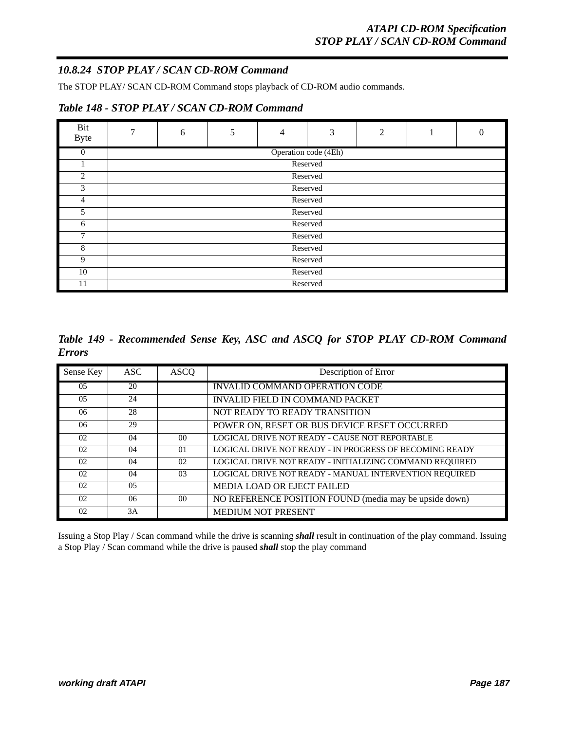### *ATAPI CD-ROM Specification STOP PLAY / SCAN CD-ROM Command*

### *10.8.24 STOP PLAY / SCAN CD-ROM Command*

The STOP PLAY/ SCAN CD-ROM Command stops playback of CD-ROM audio commands.

| Bit<br><b>Byte</b> | 7        | 6        | 5 | 4 | 3                    | $\overline{2}$ |  |  |
|--------------------|----------|----------|---|---|----------------------|----------------|--|--|
| $\overline{0}$     |          |          |   |   | Operation code (4Eh) |                |  |  |
|                    |          |          |   |   | Reserved             |                |  |  |
| $\overline{2}$     |          |          |   |   | Reserved             |                |  |  |
| 3                  |          |          |   |   | Reserved             |                |  |  |
| $\overline{4}$     |          |          |   |   | Reserved             |                |  |  |
| 5                  |          |          |   |   | Reserved             |                |  |  |
| $6\,$              |          |          |   |   | Reserved             |                |  |  |
| 7                  |          |          |   |   | Reserved             |                |  |  |
| 8                  |          | Reserved |   |   |                      |                |  |  |
| 9                  |          | Reserved |   |   |                      |                |  |  |
| 10                 | Reserved |          |   |   |                      |                |  |  |
| 11                 |          |          |   |   | Reserved             |                |  |  |

### *Table 148 - STOP PLAY / SCAN CD-ROM Command*

*Table 149 - Recommended Sense Key, ASC and ASCQ for STOP PLAY CD-ROM Command Errors*

| Sense Key | <b>ASC</b>      | <b>ASCQ</b>     | Description of Error                                    |
|-----------|-----------------|-----------------|---------------------------------------------------------|
| 0.5       | $\overline{20}$ |                 | <b>INVALID COMMAND OPERATION CODE</b>                   |
| 05        | 24              |                 | <b>INVALID FIELD IN COMMAND PACKET</b>                  |
| 06        | 28              |                 | NOT READY TO READY TRANSITION                           |
| 06        | 29              |                 | POWER ON, RESET OR BUS DEVICE RESET OCCURRED            |
| 02        | 04              | 00 <sup>1</sup> | LOGICAL DRIVE NOT READY - CAUSE NOT REPORTABLE          |
| 02        | 04              | 01              | LOGICAL DRIVE NOT READY - IN PROGRESS OF BECOMING READY |
| 02        | 04              | 02              | LOGICAL DRIVE NOT READY - INITIALIZING COMMAND REQUIRED |
| 02        | 04              | 0 <sub>3</sub>  | LOGICAL DRIVE NOT READY - MANUAL INTERVENTION REQUIRED  |
| 02        | 0.5             |                 | MEDIA LOAD OR EJECT FAILED                              |
| 02        | 06              | 00 <sup>°</sup> | NO REFERENCE POSITION FOUND (media may be upside down)  |
| 02        | 3A              |                 | <b>MEDIUM NOT PRESENT</b>                               |

Issuing a Stop Play / Scan command while the drive is scanning *shall* result in continuation of the play command. Issuing a Stop Play / Scan command while the drive is paused *shall* stop the play command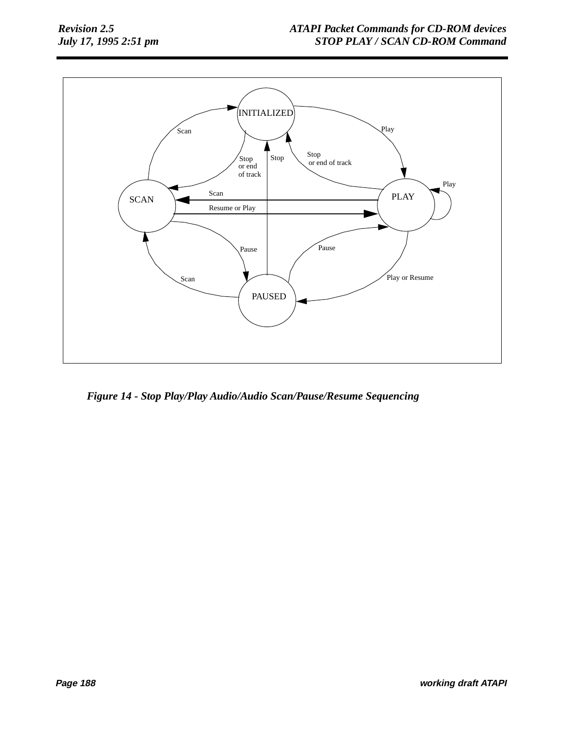

*Figure 14 - Stop Play/Play Audio/Audio Scan/Pause/Resume Sequencing*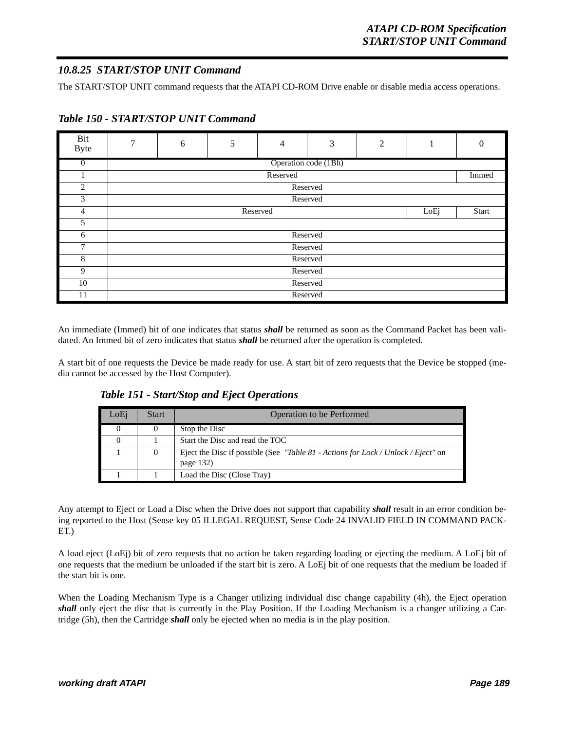### *10.8.25 START/STOP UNIT Command*

The START/STOP UNIT command requests that the ATAPI CD-ROM Drive enable or disable media access operations.

| Bit<br><b>Byte</b> | $\mathcal{I}$ | 6        | 5 | 4        | 3                    | $\overline{2}$ | f.   | $\theta$     |
|--------------------|---------------|----------|---|----------|----------------------|----------------|------|--------------|
| $\overline{0}$     |               |          |   |          | Operation code (1Bh) |                |      |              |
| 1                  |               |          |   | Reserved |                      |                |      | Immed        |
| 2                  |               |          |   |          | Reserved             |                |      |              |
| 3                  |               |          |   |          | Reserved             |                |      |              |
| $\overline{4}$     |               |          |   | Reserved |                      |                | LoEj | <b>Start</b> |
| 5                  |               |          |   |          |                      |                |      |              |
| 6                  |               |          |   |          | Reserved             |                |      |              |
| 7                  |               |          |   |          | Reserved             |                |      |              |
| 8                  |               |          |   |          | Reserved             |                |      |              |
| 9                  |               | Reserved |   |          |                      |                |      |              |
| 10                 |               | Reserved |   |          |                      |                |      |              |
| 11                 |               |          |   |          | Reserved             |                |      |              |

*Table 150 - START/STOP UNIT Command*

An immediate (Immed) bit of one indicates that status *shall* be returned as soon as the Command Packet has been validated. An Immed bit of zero indicates that status *shall* be returned after the operation is completed.

A start bit of one requests the Device be made ready for use. A start bit of zero requests that the Device be stopped (media cannot be accessed by the Host Computer).

| LoEi | <b>Start</b> | Operation to be Performed                                                                      |
|------|--------------|------------------------------------------------------------------------------------------------|
|      |              | Stop the Disc                                                                                  |
| 0    |              | Start the Disc and read the TOC                                                                |
|      |              | Eject the Disc if possible (See "Table 81 - Actions for Lock / Unlock / Eject" on<br>page 132) |
|      |              | Load the Disc (Close Tray)                                                                     |

*Table 151 - Start/Stop and Eject Operations*

Any attempt to Eject or Load a Disc when the Drive does not support that capability *shall* result in an error condition being reported to the Host (Sense key 05 ILLEGAL REQUEST, Sense Code 24 INVALID FIELD IN COMMAND PACK-ET.)

A load eject (LoEj) bit of zero requests that no action be taken regarding loading or ejecting the medium. A LoEj bit of one requests that the medium be unloaded if the start bit is zero. A LoEj bit of one requests that the medium be loaded if the start bit is one.

When the Loading Mechanism Type is a Changer utilizing individual disc change capability (4h), the Eject operation *shall* only eject the disc that is currently in the Play Position. If the Loading Mechanism is a changer utilizing a Cartridge (5h), then the Cartridge *shall* only be ejected when no media is in the play position.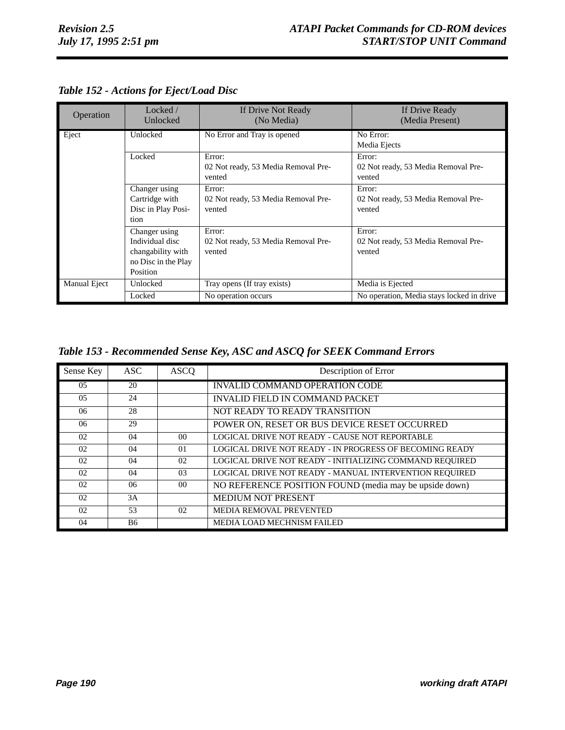| Operation    | Locked /<br>Unlocked                                                                     | If Drive Not Ready<br>(No Media)                        | If Drive Ready<br>(Media Present)                       |
|--------------|------------------------------------------------------------------------------------------|---------------------------------------------------------|---------------------------------------------------------|
| Eject        | Unlocked                                                                                 | No Error and Tray is opened                             | No Error:<br>Media Ejects                               |
|              | Locked                                                                                   | Error:<br>02 Not ready, 53 Media Removal Pre-<br>vented | Error:<br>02 Not ready, 53 Media Removal Pre-<br>vented |
|              | Changer using<br>Cartridge with<br>Disc in Play Posi-<br>tion                            | Error:<br>02 Not ready, 53 Media Removal Pre-<br>vented | Error:<br>02 Not ready, 53 Media Removal Pre-<br>vented |
|              | Changer using<br>Individual disc<br>changability with<br>no Disc in the Play<br>Position | Error:<br>02 Not ready, 53 Media Removal Pre-<br>vented | Error:<br>02 Not ready, 53 Media Removal Pre-<br>vented |
| Manual Eject | Unlocked                                                                                 | Tray opens (If tray exists)                             | Media is Ejected                                        |
|              | Locked                                                                                   | No operation occurs                                     | No operation, Media stays locked in drive               |

*Table 152 - Actions for Eject/Load Disc*

|  | Table 153 - Recommended Sense Key, ASC and ASCQ for SEEK Command Errors |  |  |  |  |
|--|-------------------------------------------------------------------------|--|--|--|--|
|  |                                                                         |  |  |  |  |

| Sense Key | ASC       | <b>ASCQ</b>     | Description of Error                                    |
|-----------|-----------|-----------------|---------------------------------------------------------|
| 0.5       | 20        |                 | <b>INVALID COMMAND OPERATION CODE</b>                   |
| 05        | 24        |                 | <b>INVALID FIELD IN COMMAND PACKET</b>                  |
| 06        | 28        |                 | NOT READY TO READY TRANSITION                           |
| 06        | 29        |                 | POWER ON, RESET OR BUS DEVICE RESET OCCURRED            |
| 02        | 04        | 00 <sup>1</sup> | LOGICAL DRIVE NOT READY - CAUSE NOT REPORTABLE          |
| 02        | 04        | 01              | LOGICAL DRIVE NOT READY - IN PROGRESS OF BECOMING READY |
| 02        | 04        | 02              | LOGICAL DRIVE NOT READY - INITIALIZING COMMAND REQUIRED |
| 02        | 04        | 03              | LOGICAL DRIVE NOT READY - MANUAL INTERVENTION REQUIRED  |
| 02        | 06        | 00 <sup>°</sup> | NO REFERENCE POSITION FOUND (media may be upside down)  |
| 02        | 3A        |                 | MEDIUM NOT PRESENT                                      |
| 02        | 53        | 02              | MEDIA REMOVAL PREVENTED                                 |
| 04        | <b>B6</b> |                 | MEDIA LOAD MECHNISM FAILED                              |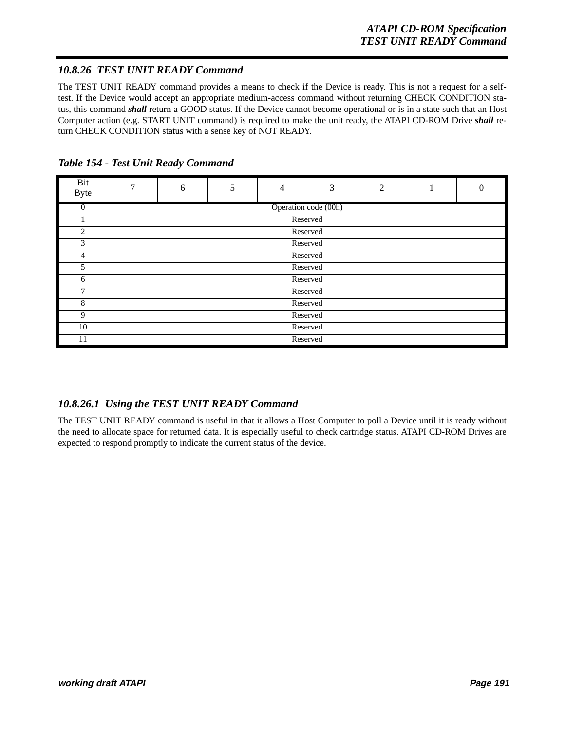### *10.8.26 TEST UNIT READY Command*

The TEST UNIT READY command provides a means to check if the Device is ready. This is not a request for a selftest. If the Device would accept an appropriate medium-access command without returning CHECK CONDITION status, this command *shall* return a GOOD status. If the Device cannot become operational or is in a state such that an Host Computer action (e.g. START UNIT command) is required to make the unit ready, the ATAPI CD-ROM Drive *shall* return CHECK CONDITION status with a sense key of NOT READY.

| Bit<br><b>Byte</b> | $\mathcal{I}$ | 6        | 5 | 4        | 3                    | 2 |  | $\Omega$ |
|--------------------|---------------|----------|---|----------|----------------------|---|--|----------|
| $\overline{0}$     |               |          |   |          | Operation code (00h) |   |  |          |
|                    |               |          |   | Reserved |                      |   |  |          |
| 2                  |               |          |   |          | Reserved             |   |  |          |
| 3                  |               |          |   | Reserved |                      |   |  |          |
| 4                  |               |          |   |          | Reserved             |   |  |          |
| 5                  |               |          |   | Reserved |                      |   |  |          |
| 6                  |               |          |   | Reserved |                      |   |  |          |
| 7                  |               |          |   | Reserved |                      |   |  |          |
| 8                  |               | Reserved |   |          |                      |   |  |          |
| 9                  |               | Reserved |   |          |                      |   |  |          |
| 10                 |               | Reserved |   |          |                      |   |  |          |
| 11                 |               |          |   |          | Reserved             |   |  |          |

*Table 154 - Test Unit Ready Command*

# *10.8.26.1 Using the TEST UNIT READY Command*

The TEST UNIT READY command is useful in that it allows a Host Computer to poll a Device until it is ready without the need to allocate space for returned data. It is especially useful to check cartridge status. ATAPI CD-ROM Drives are expected to respond promptly to indicate the current status of the device.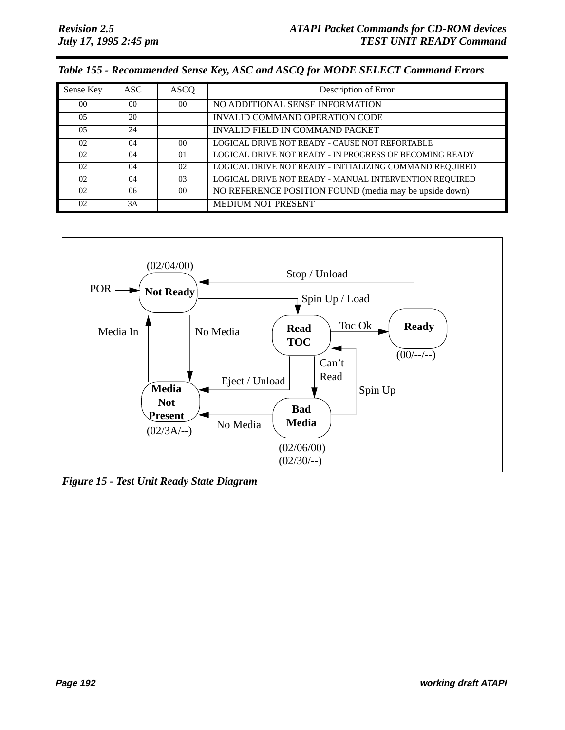*Table 155 - Recommended Sense Key, ASC and ASCQ for MODE SELECT Command Errors*

| Sense Key      | ASC.            | <b>ASCO</b>     | Description of Error                                    |
|----------------|-----------------|-----------------|---------------------------------------------------------|
| 0 <sup>0</sup> | 00 <sup>1</sup> | $\overline{00}$ | NO ADDITIONAL SENSE INFORMATION                         |
| 05             | 20              |                 | INVALID COMMAND OPERATION CODE                          |
| 0.5            | 24              |                 | <b>INVALID FIELD IN COMMAND PACKET</b>                  |
| 02             | 04              | 00 <sup>°</sup> | <b>LOGICAL DRIVE NOT READY - CAUSE NOT REPORTABLE</b>   |
| 02             | 04              | 01              | LOGICAL DRIVE NOT READY - IN PROGRESS OF BECOMING READY |
| 02             | 04              | 02              | LOGICAL DRIVE NOT READY - INITIALIZING COMMAND REQUIRED |
| 02             | 04              | 0 <sup>3</sup>  | LOGICAL DRIVE NOT READY - MANUAL INTERVENTION REQUIRED  |
| 02             | 06              | $00\,$          | NO REFERENCE POSITION FOUND (media may be upside down)  |
| 02             | 3A              |                 | <b>MEDIUM NOT PRESENT</b>                               |



*Figure 15 - Test Unit Ready State Diagram*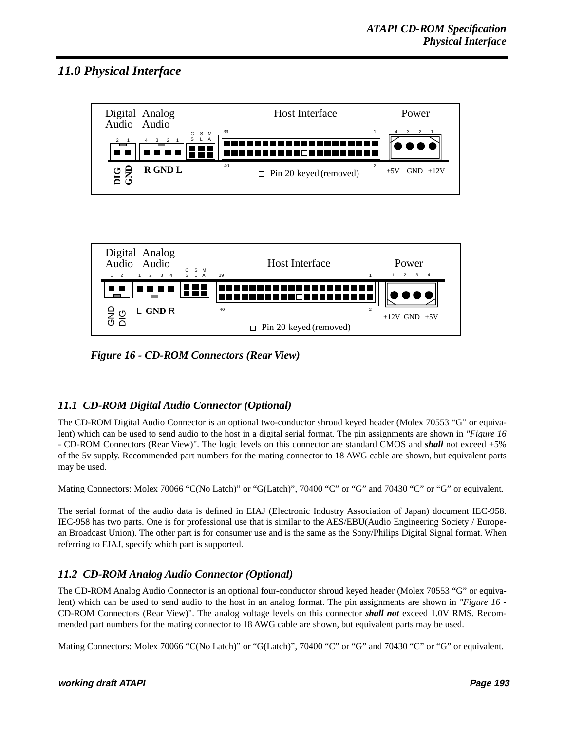# *11.0 Physical Interface*





*Figure 16 - CD-ROM Connectors (Rear View)*

# *11.1 CD-ROM Digital Audio Connector (Optional)*

The CD-ROM Digital Audio Connector is an optional two-conductor shroud keyed header (Molex 70553 "G" or equivalent) which can be used to send audio to the host in a digital serial format. The pin assignments are shown in *"Figure 16 -* CD-ROM Connectors (Rear View)". The logic levels on this connector are standard CMOS and *shall* not exceed +5% of the 5v supply. Recommended part numbers for the mating connector to 18 AWG cable are shown, but equivalent parts may be used.

Mating Connectors: Molex 70066 "C(No Latch)" or "G(Latch)", 70400 "C" or "G" and 70430 "C" or "G" or equivalent.

The serial format of the audio data is defined in EIAJ (Electronic Industry Association of Japan) document IEC-958. IEC-958 has two parts. One is for professional use that is similar to the AES/EBU(Audio Engineering Society / European Broadcast Union). The other part is for consumer use and is the same as the Sony/Philips Digital Signal format. When referring to EIAJ, specify which part is supported.

### *11.2 CD-ROM Analog Audio Connector (Optional)*

The CD-ROM Analog Audio Connector is an optional four-conductor shroud keyed header (Molex 70553 "G" or equivalent) which can be used to send audio to the host in an analog format. The pin assignments are shown in *"Figure 16 -* CD-ROM Connectors (Rear View)". The analog voltage levels on this connector *shall not* exceed 1.0V RMS. Recommended part numbers for the mating connector to 18 AWG cable are shown, but equivalent parts may be used.

Mating Connectors: Molex 70066 "C(No Latch)" or "G(Latch)", 70400 "C" or "G" and 70430 "C" or "G" or equivalent.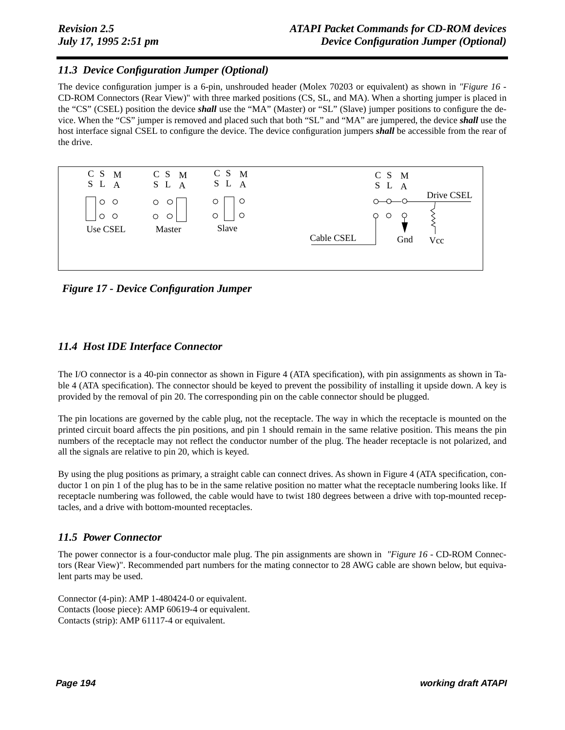### *11.3 Device Configuration Jumper (Optional)*

The device configuration jumper is a 6-pin, unshrouded header (Molex 70203 or equivalent) as shown in *"Figure 16 -* CD-ROM Connectors (Rear View)" with three marked positions (CS, SL, and MA). When a shorting jumper is placed in the "CS" (CSEL) position the device *shall* use the "MA" (Master) or "SL" (Slave) jumper positions to configure the device. When the "CS" jumper is removed and placed such that both "SL" and "MA" are jumpered, the device *shall* use the host interface signal CSEL to configure the device. The device configuration jumpers *shall* be accessible from the rear of the drive.



*Figure 17 - Device Configuration Jumper*

### *11.4 Host IDE Interface Connector*

The I/O connector is a 40-pin connector as shown in Figure 4 (ATA specification), with pin assignments as shown in Table 4 (ATA specification). The connector should be keyed to prevent the possibility of installing it upside down. A key is provided by the removal of pin 20. The corresponding pin on the cable connector should be plugged.

The pin locations are governed by the cable plug, not the receptacle. The way in which the receptacle is mounted on the printed circuit board affects the pin positions, and pin 1 should remain in the same relative position. This means the pin numbers of the receptacle may not reflect the conductor number of the plug. The header receptacle is not polarized, and all the signals are relative to pin 20, which is keyed.

By using the plug positions as primary, a straight cable can connect drives. As shown in Figure 4 (ATA specification, conductor 1 on pin 1 of the plug has to be in the same relative position no matter what the receptacle numbering looks like. If receptacle numbering was followed, the cable would have to twist 180 degrees between a drive with top-mounted receptacles, and a drive with bottom-mounted receptacles.

### *11.5 Power Connector*

The power connector is a four-conductor male plug. The pin assignments are shown in *"Figure 16 -* CD-ROM Connectors (Rear View)". Recommended part numbers for the mating connector to 28 AWG cable are shown below, but equivalent parts may be used.

Connector (4-pin): AMP 1-480424-0 or equivalent. Contacts (loose piece): AMP 60619-4 or equivalent. Contacts (strip): AMP 61117-4 or equivalent.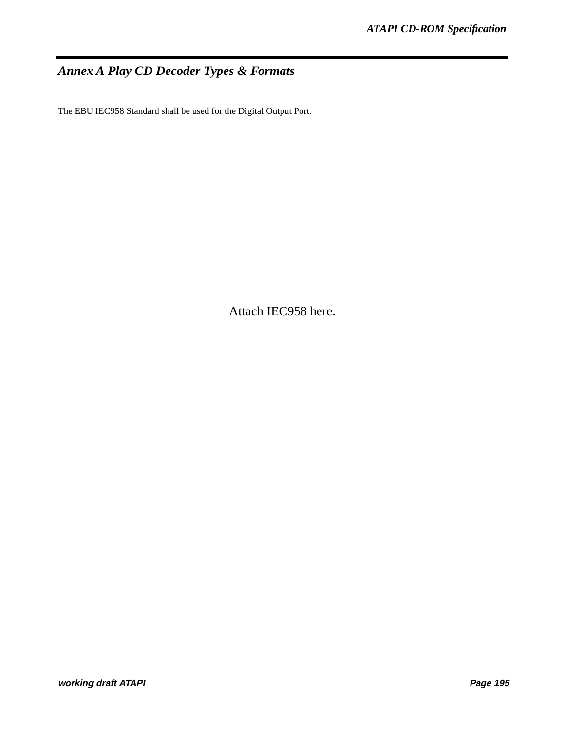# *Annex A Play CD Decoder Types & Formats*

The EBU IEC958 Standard shall be used for the Digital Output Port.

Attach IEC958 here.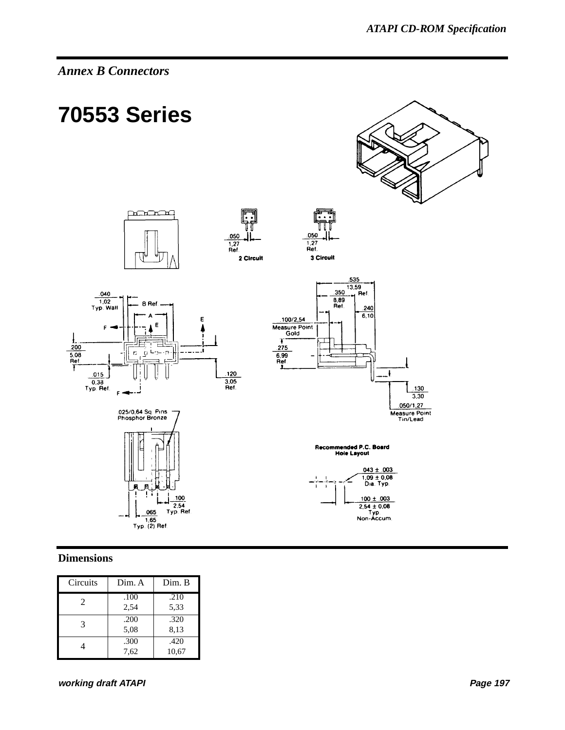# *Annex B Connectors*



### **Dimensions**

| Circuits      | Dim. A       | Dim. B        |
|---------------|--------------|---------------|
| $\mathcal{L}$ | .100<br>2,54 | .210<br>5,33  |
| 3             | .200<br>5,08 | .320<br>8,13  |
|               | .300<br>7,62 | .420<br>10,67 |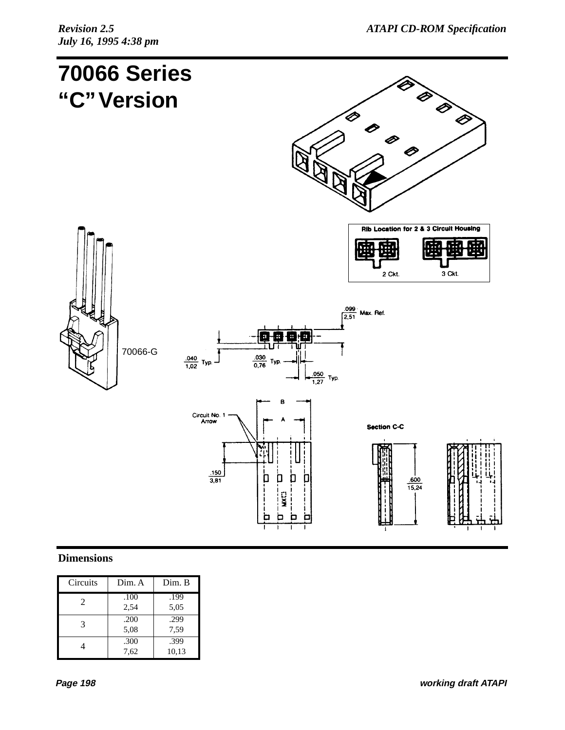*July 16, 1995 4:38 pm*



### **Dimensions**

| <b>Circuits</b> | Dim. A       | Dim. B        |
|-----------------|--------------|---------------|
| $\mathfrak{D}$  | .100<br>2,54 | .199<br>5,05  |
| 3               | .200<br>5,08 | .299<br>7,59  |
|                 | .300<br>7,62 | .399<br>10,13 |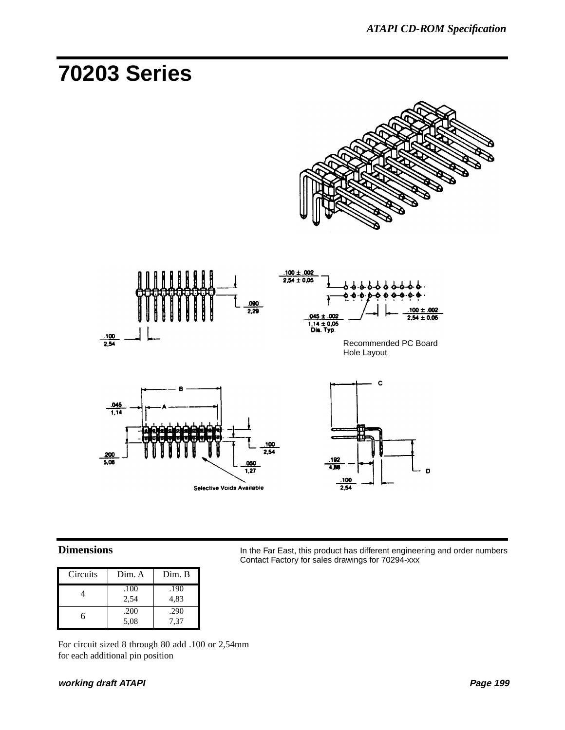

### **Dimensions**

| Circuits | Dim. A       | Dim. B       |
|----------|--------------|--------------|
|          | .100<br>2,54 | .190<br>4,83 |
| 6        | .200<br>5,08 | .290<br>7.37 |

In the Far East, this product has different engineering and order numbers Contact Factory for sales drawings for 70294-xxx

For circuit sized 8 through 80 add .100 or 2,54mm for each additional pin position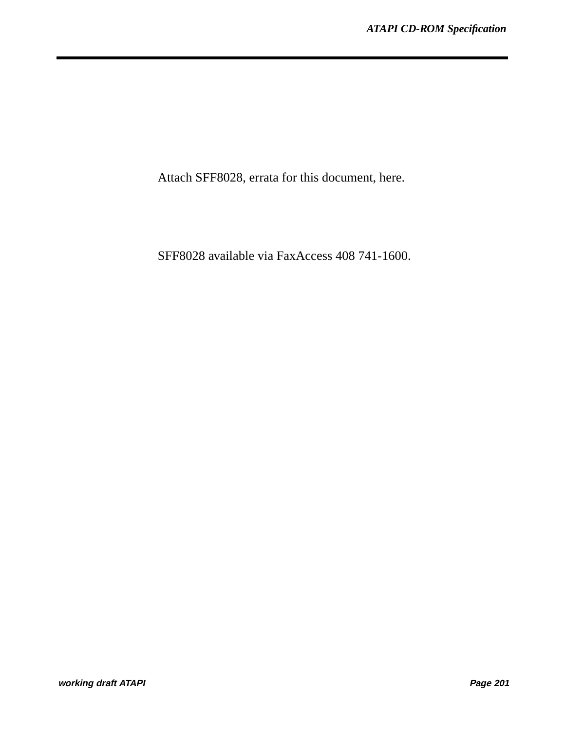Attach SFF8028, errata for this document, here.

SFF8028 available via FaxAccess 408 741-1600.